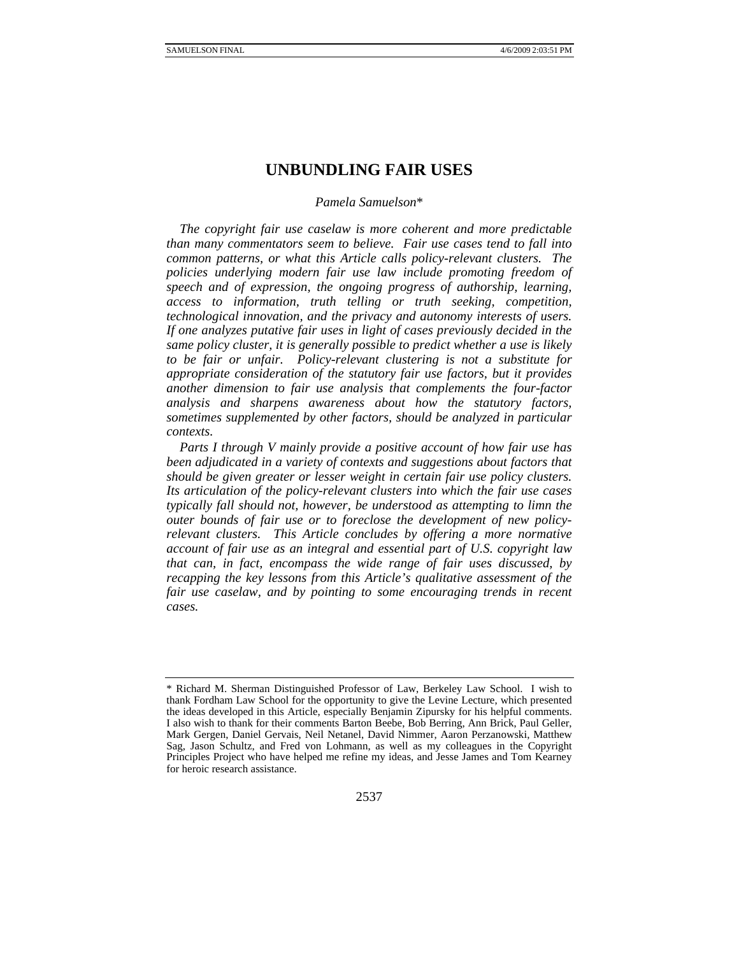## **UNBUNDLING FAIR USES**

## *Pamela Samuelson*\*

*The copyright fair use caselaw is more coherent and more predictable than many commentators seem to believe. Fair use cases tend to fall into common patterns, or what this Article calls policy-relevant clusters. The policies underlying modern fair use law include promoting freedom of speech and of expression, the ongoing progress of authorship, learning, access to information, truth telling or truth seeking, competition, technological innovation, and the privacy and autonomy interests of users. If one analyzes putative fair uses in light of cases previously decided in the same policy cluster, it is generally possible to predict whether a use is likely to be fair or unfair. Policy-relevant clustering is not a substitute for appropriate consideration of the statutory fair use factors, but it provides another dimension to fair use analysis that complements the four-factor analysis and sharpens awareness about how the statutory factors, sometimes supplemented by other factors, should be analyzed in particular contexts.* 

*Parts I through V mainly provide a positive account of how fair use has been adjudicated in a variety of contexts and suggestions about factors that should be given greater or lesser weight in certain fair use policy clusters. Its articulation of the policy-relevant clusters into which the fair use cases typically fall should not, however, be understood as attempting to limn the outer bounds of fair use or to foreclose the development of new policyrelevant clusters. This Article concludes by offering a more normative account of fair use as an integral and essential part of U.S. copyright law that can, in fact, encompass the wide range of fair uses discussed, by recapping the key lessons from this Article's qualitative assessment of the fair use caselaw, and by pointing to some encouraging trends in recent cases.* 

<sup>\*</sup> Richard M. Sherman Distinguished Professor of Law, Berkeley Law School. I wish to thank Fordham Law School for the opportunity to give the Levine Lecture, which presented the ideas developed in this Article, especially Benjamin Zipursky for his helpful comments. I also wish to thank for their comments Barton Beebe, Bob Berring, Ann Brick, Paul Geller, Mark Gergen, Daniel Gervais, Neil Netanel, David Nimmer, Aaron Perzanowski, Matthew Sag, Jason Schultz, and Fred von Lohmann, as well as my colleagues in the Copyright Principles Project who have helped me refine my ideas, and Jesse James and Tom Kearney for heroic research assistance.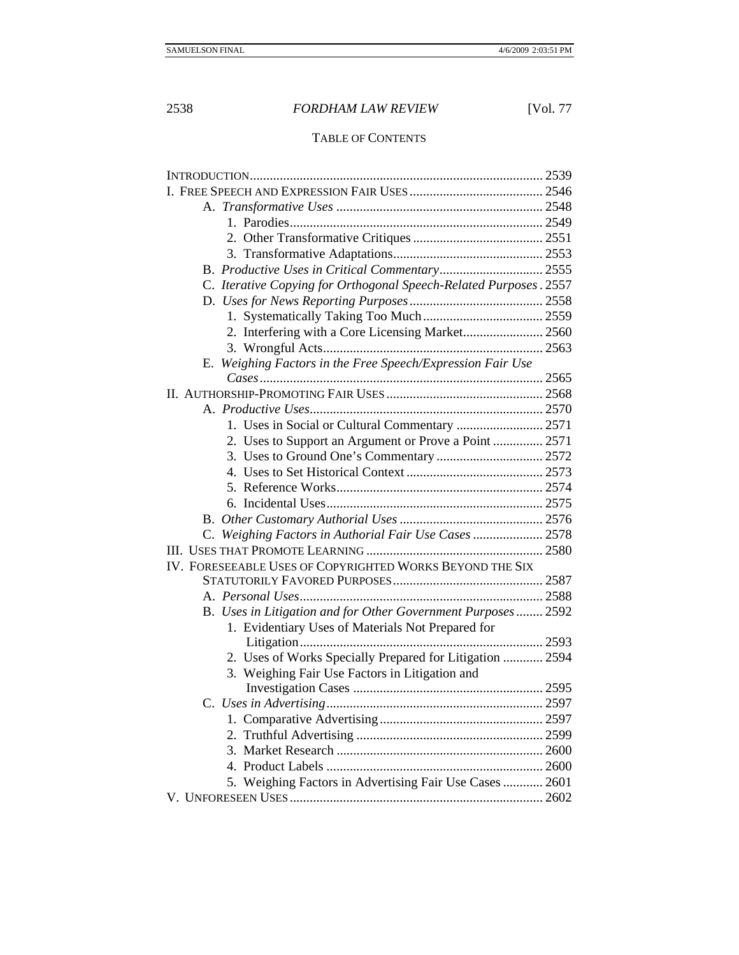# 2538 *FORDHAM LAW REVIEW* [Vol. 77

## TABLE OF CONTENTS

| C. Iterative Copying for Orthogonal Speech-Related Purposes. 2557 |      |
|-------------------------------------------------------------------|------|
|                                                                   |      |
|                                                                   |      |
| 2. Interfering with a Core Licensing Market 2560                  |      |
|                                                                   |      |
| E. Weighing Factors in the Free Speech/Expression Fair Use        |      |
|                                                                   |      |
|                                                                   |      |
|                                                                   |      |
| 1. Uses in Social or Cultural Commentary  2571                    |      |
| 2. Uses to Support an Argument or Prove a Point  2571             |      |
|                                                                   |      |
|                                                                   |      |
|                                                                   |      |
|                                                                   |      |
|                                                                   |      |
| C. Weighing Factors in Authorial Fair Use Cases  2578             |      |
|                                                                   |      |
| IV. FORESEEABLE USES OF COPYRIGHTED WORKS BEYOND THE SIX          |      |
|                                                                   |      |
|                                                                   |      |
| B. Uses in Litigation and for Other Government Purposes 2592      |      |
| 1. Evidentiary Uses of Materials Not Prepared for                 |      |
| 2. Uses of Works Specially Prepared for Litigation  2594          |      |
|                                                                   |      |
| 3. Weighing Fair Use Factors in Litigation and                    |      |
|                                                                   | 2597 |
|                                                                   |      |
| 2.                                                                |      |
|                                                                   |      |
|                                                                   |      |
| 5. Weighing Factors in Advertising Fair Use Cases  2601           |      |
|                                                                   |      |
|                                                                   |      |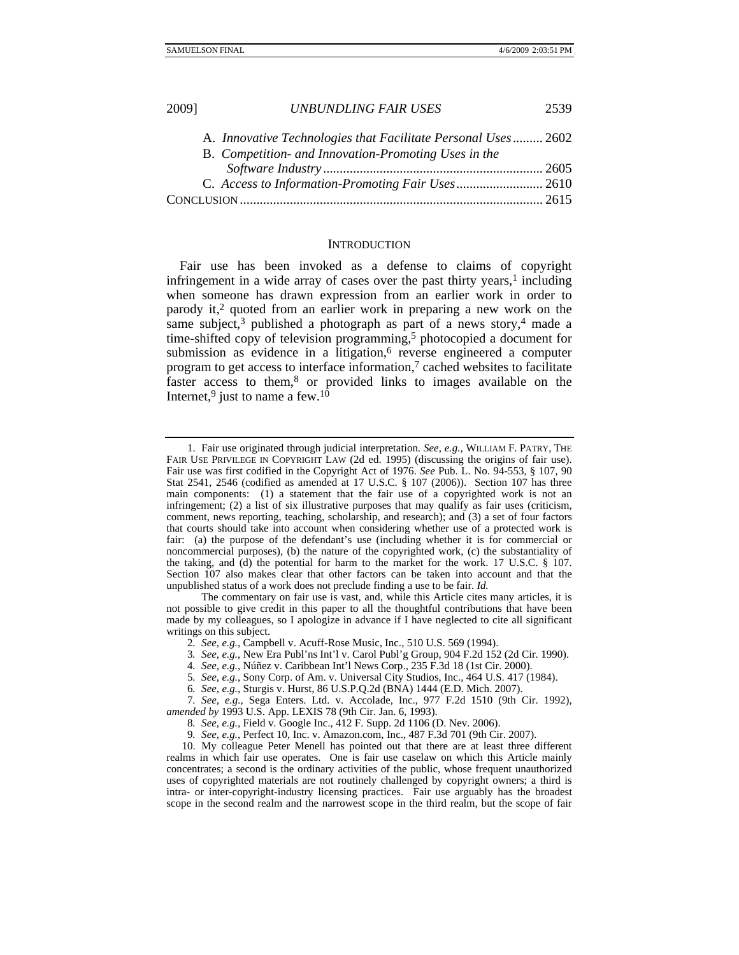| A. Innovative Technologies that Facilitate Personal Uses 2602 |  |
|---------------------------------------------------------------|--|
| B. Competition- and Innovation-Promoting Uses in the          |  |
|                                                               |  |
|                                                               |  |
|                                                               |  |

#### **INTRODUCTION**

Fair use has been invoked as a defense to claims of copyright infringement in a wide array of cases over the past thirty years, $<sup>1</sup>$  including</sup> when someone has drawn expression from an earlier work in order to parody it,2 quoted from an earlier work in preparing a new work on the same subject, $3$  published a photograph as part of a news story, $4$  made a time-shifted copy of television programming,<sup>5</sup> photocopied a document for submission as evidence in a litigation,<sup>6</sup> reverse engineered a computer program to get access to interface information, $\frac{7}{1}$  cached websites to facilitate faster access to them,8 or provided links to images available on the Internet,<sup>9</sup> just to name a few.<sup>10</sup>

 <sup>1.</sup> Fair use originated through judicial interpretation. *See, e.g.*, WILLIAM F. PATRY, THE FAIR USE PRIVILEGE IN COPYRIGHT LAW (2d ed. 1995) (discussing the origins of fair use). Fair use was first codified in the Copyright Act of 1976. *See* Pub. L. No. 94-553, § 107, 90 Stat 2541, 2546 (codified as amended at 17 U.S.C. § 107 (2006)). Section 107 has three main components: (1) a statement that the fair use of a copyrighted work is not an infringement; (2) a list of six illustrative purposes that may qualify as fair uses (criticism, comment, news reporting, teaching, scholarship, and research); and (3) a set of four factors that courts should take into account when considering whether use of a protected work is fair: (a) the purpose of the defendant's use (including whether it is for commercial or noncommercial purposes), (b) the nature of the copyrighted work, (c) the substantiality of the taking, and (d) the potential for harm to the market for the work. 17 U.S.C. § 107. Section 107 also makes clear that other factors can be taken into account and that the unpublished status of a work does not preclude finding a use to be fair. *Id.*

The commentary on fair use is vast, and, while this Article cites many articles, it is not possible to give credit in this paper to all the thoughtful contributions that have been made by my colleagues, so I apologize in advance if I have neglected to cite all significant writings on this subject.

<sup>2</sup>*. See, e.g.*, Campbell v. Acuff-Rose Music, Inc., 510 U.S. 569 (1994).

<sup>3</sup>*. See, e.g.*, New Era Publ'ns Int'l v. Carol Publ'g Group, 904 F.2d 152 (2d Cir. 1990).

<sup>4</sup>*. See, e.g.*, Núñez v. Caribbean Int'l News Corp., 235 F.3d 18 (1st Cir. 2000).

<sup>5</sup>*. See, e.g.*, Sony Corp. of Am. v. Universal City Studios, Inc., 464 U.S. 417 (1984).

<sup>6</sup>*. See, e.g.*, Sturgis v. Hurst, 86 U.S.P.Q.2d (BNA) 1444 (E.D. Mich. 2007).

<sup>7</sup>*. See, e.g.*, Sega Enters. Ltd. v. Accolade, Inc., 977 F.2d 1510 (9th Cir. 1992), *amended by* 1993 U.S. App. LEXIS 78 (9th Cir. Jan. 6, 1993).

<sup>8</sup>*. See, e.g.*, Field v. Google Inc., 412 F. Supp. 2d 1106 (D. Nev. 2006).

<sup>9</sup>*. See, e.g.*, Perfect 10, Inc. v. Amazon.com, Inc., 487 F.3d 701 (9th Cir. 2007).

 <sup>10.</sup> My colleague Peter Menell has pointed out that there are at least three different realms in which fair use operates. One is fair use caselaw on which this Article mainly concentrates; a second is the ordinary activities of the public, whose frequent unauthorized uses of copyrighted materials are not routinely challenged by copyright owners; a third is intra- or inter-copyright-industry licensing practices. Fair use arguably has the broadest scope in the second realm and the narrowest scope in the third realm, but the scope of fair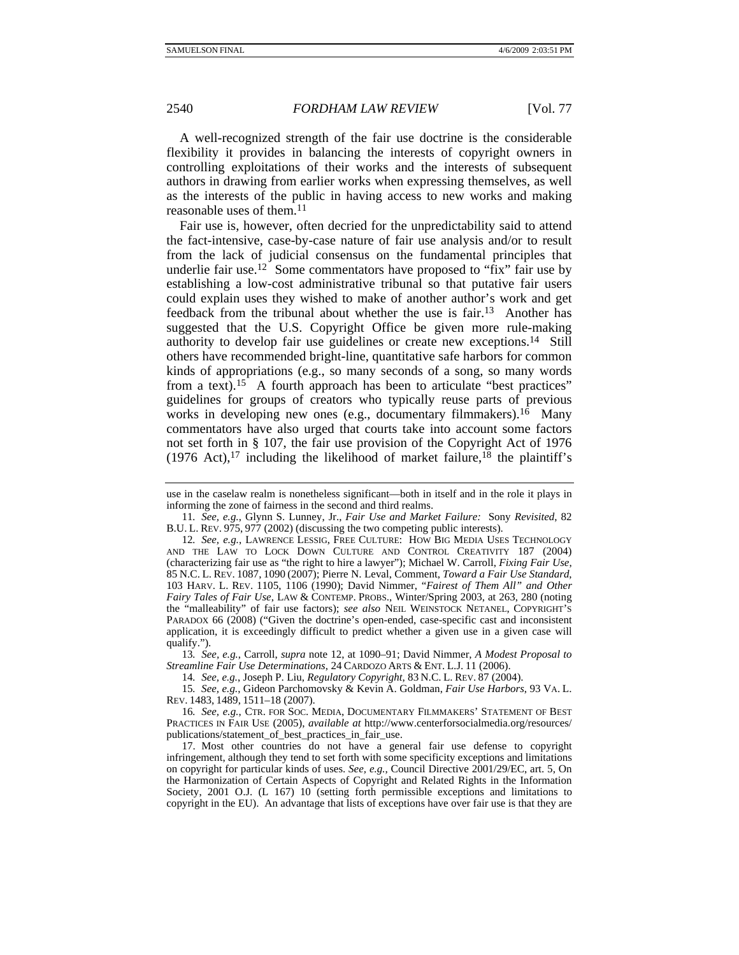A well-recognized strength of the fair use doctrine is the considerable flexibility it provides in balancing the interests of copyright owners in controlling exploitations of their works and the interests of subsequent authors in drawing from earlier works when expressing themselves, as well as the interests of the public in having access to new works and making reasonable uses of them.11

Fair use is, however, often decried for the unpredictability said to attend the fact-intensive, case-by-case nature of fair use analysis and/or to result from the lack of judicial consensus on the fundamental principles that underlie fair use.12 Some commentators have proposed to "fix" fair use by establishing a low-cost administrative tribunal so that putative fair users could explain uses they wished to make of another author's work and get feedback from the tribunal about whether the use is fair.13 Another has suggested that the U.S. Copyright Office be given more rule-making authority to develop fair use guidelines or create new exceptions.14 Still others have recommended bright-line, quantitative safe harbors for common kinds of appropriations (e.g., so many seconds of a song, so many words from a text).<sup>15</sup> A fourth approach has been to articulate "best practices" guidelines for groups of creators who typically reuse parts of previous works in developing new ones (e.g., documentary filmmakers).<sup>16</sup> Many commentators have also urged that courts take into account some factors not set forth in § 107, the fair use provision of the Copyright Act of 1976 (1976 Act),<sup>17</sup> including the likelihood of market failure,<sup>18</sup> the plaintiff's

13*. See, e.g.*, Carroll, *supra* note 12, at 1090–91; David Nimmer, *A Modest Proposal to Streamline Fair Use Determinations*, 24 CARDOZO ARTS & ENT. L.J. 11 (2006).

14*. See, e.g.*, Joseph P. Liu, *Regulatory Copyright*, 83 N.C. L. REV. 87 (2004).

15*. See, e.g.*, Gideon Parchomovsky & Kevin A. Goldman, *Fair Use Harbors*, 93 VA. L. REV. 1483, 1489, 1511–18 (2007).

16*. See, e.g.*, CTR. FOR SOC. MEDIA, DOCUMENTARY FILMMAKERS' STATEMENT OF BEST PRACTICES IN FAIR USE (2005), *available at* http://www.centerforsocialmedia.org/resources/ publications/statement\_of\_best\_practices\_in\_fair\_use.

 17. Most other countries do not have a general fair use defense to copyright infringement, although they tend to set forth with some specificity exceptions and limitations on copyright for particular kinds of uses. *See, e.g.*, Council Directive 2001/29/EC, art. 5, On the Harmonization of Certain Aspects of Copyright and Related Rights in the Information Society, 2001 O.J. (L 167) 10 (setting forth permissible exceptions and limitations to copyright in the EU). An advantage that lists of exceptions have over fair use is that they are

use in the caselaw realm is nonetheless significant—both in itself and in the role it plays in informing the zone of fairness in the second and third realms.

<sup>11</sup>*. See, e.g.*, Glynn S. Lunney, Jr., *Fair Use and Market Failure:* Sony *Revisited*, 82 B.U. L. REV. 975, 977 (2002) (discussing the two competing public interests).

<sup>12</sup>*. See, e.g.*, LAWRENCE LESSIG, FREE CULTURE: HOW BIG MEDIA USES TECHNOLOGY AND THE LAW TO LOCK DOWN CULTURE AND CONTROL CREATIVITY 187 (2004) (characterizing fair use as "the right to hire a lawyer"); Michael W. Carroll, *Fixing Fair Use*, 85 N.C. L. REV. 1087, 1090 (2007); Pierre N. Leval, Comment, *Toward a Fair Use Standard*, 103 HARV. L. REV. 1105, 1106 (1990); David Nimmer, "*Fairest of Them All" and Other Fairy Tales of Fair Use*, LAW & CONTEMP. PROBS., Winter/Spring 2003, at 263, 280 (noting the "malleability" of fair use factors); *see also* NEIL WEINSTOCK NETANEL, COPYRIGHT'S PARADOX 66 (2008) ("Given the doctrine's open-ended, case-specific cast and inconsistent application, it is exceedingly difficult to predict whether a given use in a given case will qualify.").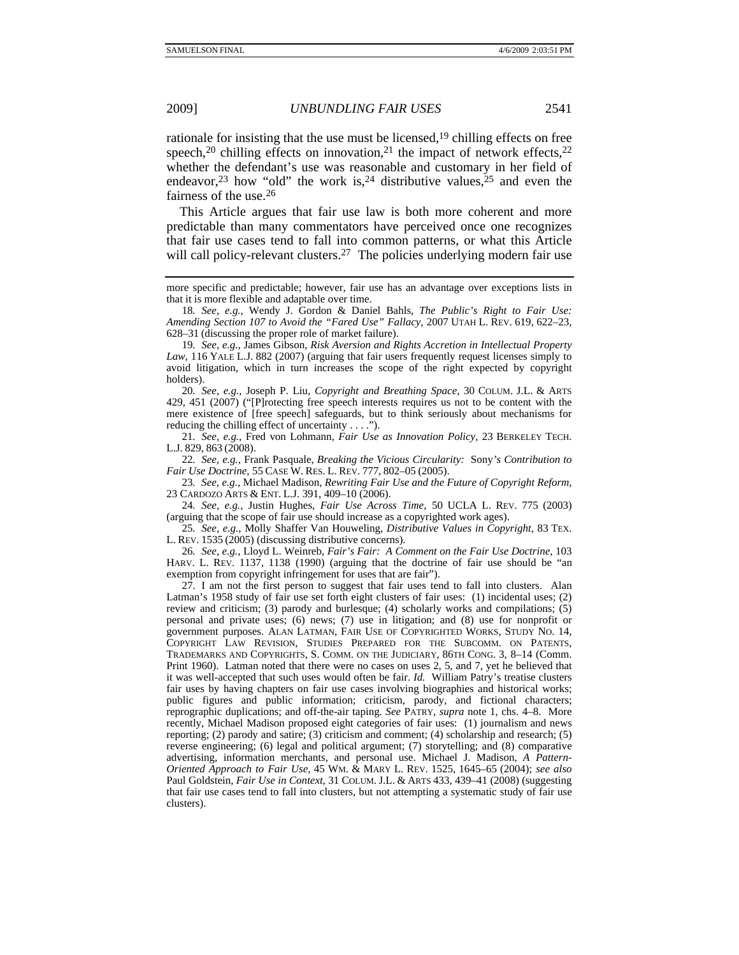rationale for insisting that the use must be licensed,<sup>19</sup> chilling effects on free speech,<sup>20</sup> chilling effects on innovation,<sup>21</sup> the impact of network effects,<sup>22</sup> whether the defendant's use was reasonable and customary in her field of endeavor,<sup>23</sup> how "old" the work is,<sup>24</sup> distributive values, $25$  and even the fairness of the use.26

This Article argues that fair use law is both more coherent and more predictable than many commentators have perceived once one recognizes that fair use cases tend to fall into common patterns, or what this Article will call policy-relevant clusters.<sup>27</sup> The policies underlying modern fair use

more specific and predictable; however, fair use has an advantage over exceptions lists in that it is more flexible and adaptable over time.

18*. See, e.g.*, Wendy J. Gordon & Daniel Bahls, *The Public's Right to Fair Use: Amending Section 107 to Avoid the "Fared Use" Fallacy*, 2007 UTAH L. REV. 619, 622–23, 628–31 (discussing the proper role of market failure).

19*. See, e.g.*, James Gibson, *Risk Aversion and Rights Accretion in Intellectual Property*  Law, 116 YALE L.J. 882 (2007) (arguing that fair users frequently request licenses simply to avoid litigation, which in turn increases the scope of the right expected by copyright holders).

20*. See, e.g.*, Joseph P. Liu, *Copyright and Breathing Space*, 30 COLUM. J.L. & ARTS 429, 451 (2007) ("[P]rotecting free speech interests requires us not to be content with the mere existence of [free speech] safeguards, but to think seriously about mechanisms for reducing the chilling effect of uncertainty . . . .").

21*. See, e.g.*, Fred von Lohmann, *Fair Use as Innovation Policy*, 23 BERKELEY TECH. L.J. 829, 863 (2008).

22*. See, e.g.*, Frank Pasquale, *Breaking the Vicious Circularity:* Sony*'s Contribution to Fair Use Doctrine*, 55 CASE W. RES. L. REV. 777, 802–05 (2005).

23*. See, e.g.*, Michael Madison, *Rewriting Fair Use and the Future of Copyright Reform*, 23 CARDOZO ARTS & ENT. L.J. 391, 409–10 (2006).

24*. See, e.g.*, Justin Hughes, *Fair Use Across Time*, 50 UCLA L. REV. 775 (2003) (arguing that the scope of fair use should increase as a copyrighted work ages).

25*. See, e.g.*, Molly Shaffer Van Houweling, *Distributive Values in Copyright*, 83 TEX. L. REV. 1535 (2005) (discussing distributive concerns).

26*. See, e.g.*, Lloyd L. Weinreb, *Fair's Fair: A Comment on the Fair Use Doctrine*, 103 HARV. L. REV. 1137, 1138 (1990) (arguing that the doctrine of fair use should be "an exemption from copyright infringement for uses that are fair").

 27. I am not the first person to suggest that fair uses tend to fall into clusters. Alan Latman's 1958 study of fair use set forth eight clusters of fair uses: (1) incidental uses; (2) review and criticism; (3) parody and burlesque; (4) scholarly works and compilations; (5) personal and private uses; (6) news; (7) use in litigation; and (8) use for nonprofit or government purposes. ALAN LATMAN, FAIR USE OF COPYRIGHTED WORKS, STUDY NO. 14, COPYRIGHT LAW REVISION, STUDIES PREPARED FOR THE SUBCOMM. ON PATENTS, TRADEMARKS AND COPYRIGHTS, S. COMM. ON THE JUDICIARY, 86TH CONG. 3, 8–14 (Comm. Print 1960). Latman noted that there were no cases on uses 2, 5, and 7, yet he believed that it was well-accepted that such uses would often be fair. *Id.* William Patry's treatise clusters fair uses by having chapters on fair use cases involving biographies and historical works; public figures and public information; criticism, parody, and fictional characters; reprographic duplications; and off-the-air taping. *See* PATRY, *supra* note 1, chs. 4–8. More recently, Michael Madison proposed eight categories of fair uses: (1) journalism and news reporting; (2) parody and satire; (3) criticism and comment; (4) scholarship and research; (5) reverse engineering; (6) legal and political argument; (7) storytelling; and (8) comparative advertising, information merchants, and personal use. Michael J. Madison, *A Pattern-Oriented Approach to Fair Use*, 45 WM. & MARY L. REV. 1525, 1645–65 (2004); *see also* Paul Goldstein, *Fair Use in Context*, 31 COLUM. J.L. & ARTS 433, 439–41 (2008) (suggesting that fair use cases tend to fall into clusters, but not attempting a systematic study of fair use clusters).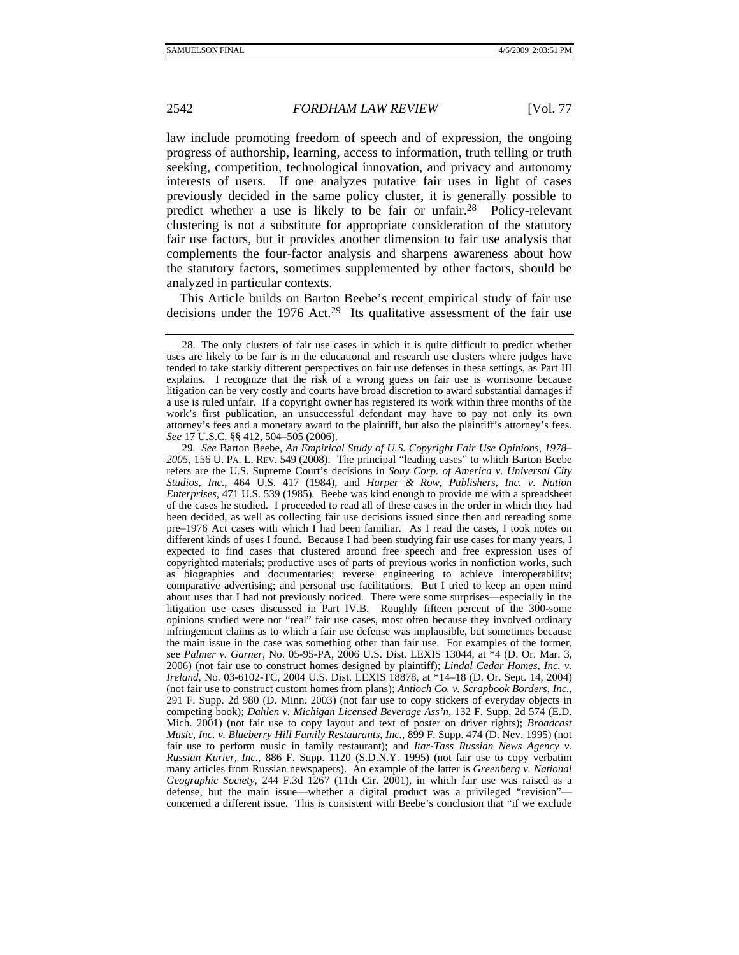law include promoting freedom of speech and of expression, the ongoing progress of authorship, learning, access to information, truth telling or truth seeking, competition, technological innovation, and privacy and autonomy interests of users. If one analyzes putative fair uses in light of cases previously decided in the same policy cluster, it is generally possible to predict whether a use is likely to be fair or unfair.28 Policy-relevant clustering is not a substitute for appropriate consideration of the statutory fair use factors, but it provides another dimension to fair use analysis that complements the four-factor analysis and sharpens awareness about how the statutory factors, sometimes supplemented by other factors, should be analyzed in particular contexts.

This Article builds on Barton Beebe's recent empirical study of fair use decisions under the 1976 Act.29 Its qualitative assessment of the fair use

29*. See* Barton Beebe, *An Empirical Study of U.S. Copyright Fair Use Opinions, 1978– 2005*, 156 U. PA. L. REV. 549 (2008). The principal "leading cases" to which Barton Beebe refers are the U.S. Supreme Court's decisions in *Sony Corp. of America v. Universal City Studios, Inc.*, 464 U.S. 417 (1984), and *Harper & Row, Publishers, Inc. v. Nation Enterprises*, 471 U.S. 539 (1985). Beebe was kind enough to provide me with a spreadsheet of the cases he studied. I proceeded to read all of these cases in the order in which they had been decided, as well as collecting fair use decisions issued since then and rereading some pre–1976 Act cases with which I had been familiar. As I read the cases, I took notes on different kinds of uses I found. Because I had been studying fair use cases for many years, I expected to find cases that clustered around free speech and free expression uses of copyrighted materials; productive uses of parts of previous works in nonfiction works, such as biographies and documentaries; reverse engineering to achieve interoperability; comparative advertising; and personal use facilitations. But I tried to keep an open mind about uses that I had not previously noticed. There were some surprises—especially in the litigation use cases discussed in Part IV.B. Roughly fifteen percent of the 300-some opinions studied were not "real" fair use cases, most often because they involved ordinary infringement claims as to which a fair use defense was implausible, but sometimes because the main issue in the case was something other than fair use. For examples of the former, see *Palmer v. Garner*, No. 05-95-PA, 2006 U.S. Dist. LEXIS 13044, at \*4 (D. Or. Mar. 3, 2006) (not fair use to construct homes designed by plaintiff); *Lindal Cedar Homes, Inc. v. Ireland*, No. 03-6102-TC, 2004 U.S. Dist. LEXIS 18878, at \*14–18 (D. Or. Sept. 14, 2004) (not fair use to construct custom homes from plans); *Antioch Co. v. Scrapbook Borders, Inc.*, 291 F. Supp. 2d 980 (D. Minn. 2003) (not fair use to copy stickers of everyday objects in competing book); *Dahlen v. Michigan Licensed Beverage Ass'n*, 132 F. Supp. 2d 574 (E.D. Mich. 2001) (not fair use to copy layout and text of poster on driver rights); *Broadcast Music, Inc. v. Blueberry Hill Family Restaurants, Inc., 899 F. Supp. 474 (D. Nev. 1995) (not* fair use to perform music in family restaurant); and *Itar-Tass Russian News Agency v. Russian Kurier, Inc.*, 886 F. Supp. 1120 (S.D.N.Y. 1995) (not fair use to copy verbatim many articles from Russian newspapers). An example of the latter is *Greenberg v. National Geographic Society*, 244 F.3d 1267 (11th Cir. 2001), in which fair use was raised as a defense, but the main issue—whether a digital product was a privileged "revision" concerned a different issue. This is consistent with Beebe's conclusion that "if we exclude

 <sup>28.</sup> The only clusters of fair use cases in which it is quite difficult to predict whether uses are likely to be fair is in the educational and research use clusters where judges have tended to take starkly different perspectives on fair use defenses in these settings, as Part III explains. I recognize that the risk of a wrong guess on fair use is worrisome because litigation can be very costly and courts have broad discretion to award substantial damages if a use is ruled unfair. If a copyright owner has registered its work within three months of the work's first publication, an unsuccessful defendant may have to pay not only its own attorney's fees and a monetary award to the plaintiff, but also the plaintiff's attorney's fees. *See* 17 U.S.C. §§ 412, 504–505 (2006).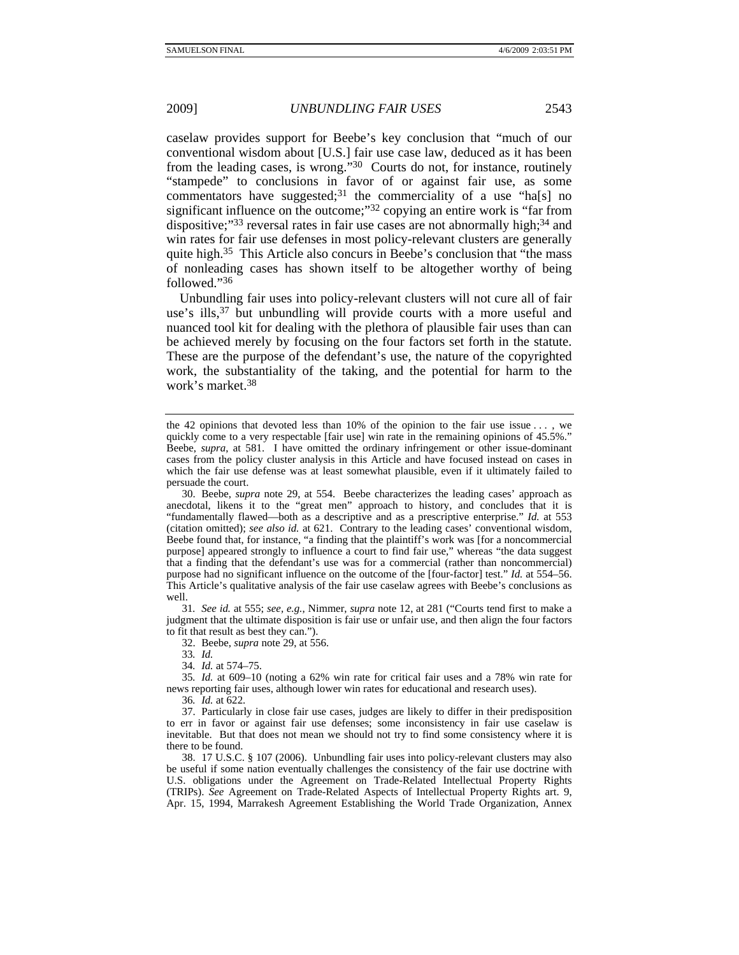caselaw provides support for Beebe's key conclusion that "much of our conventional wisdom about [U.S.] fair use case law, deduced as it has been from the leading cases, is wrong."30 Courts do not, for instance, routinely "stampede" to conclusions in favor of or against fair use, as some commentators have suggested;<sup>31</sup> the commerciality of a use "ha[s] no significant influence on the outcome;"<sup>32</sup> copying an entire work is "far from dispositive;"<sup>33</sup> reversal rates in fair use cases are not abnormally high;<sup>34</sup> and win rates for fair use defenses in most policy-relevant clusters are generally quite high.35 This Article also concurs in Beebe's conclusion that "the mass of nonleading cases has shown itself to be altogether worthy of being followed."36

Unbundling fair uses into policy-relevant clusters will not cure all of fair use's ills,37 but unbundling will provide courts with a more useful and nuanced tool kit for dealing with the plethora of plausible fair uses than can be achieved merely by focusing on the four factors set forth in the statute. These are the purpose of the defendant's use, the nature of the copyrighted work, the substantiality of the taking, and the potential for harm to the work's market.38

 30. Beebe, *supra* note 29, at 554. Beebe characterizes the leading cases' approach as anecdotal, likens it to the "great men" approach to history, and concludes that it is "fundamentally flawed—both as a descriptive and as a prescriptive enterprise." *Id.* at 553 (citation omitted); *see also id.* at 621. Contrary to the leading cases' conventional wisdom, Beebe found that, for instance, "a finding that the plaintiff's work was [for a noncommercial purpose] appeared strongly to influence a court to find fair use," whereas "the data suggest that a finding that the defendant's use was for a commercial (rather than noncommercial) purpose had no significant influence on the outcome of the [four-factor] test." *Id.* at 554–56. This Article's qualitative analysis of the fair use caselaw agrees with Beebe's conclusions as well.

31*. See id.* at 555; *see, e.g.*, Nimmer, *supra* note 12, at 281 ("Courts tend first to make a judgment that the ultimate disposition is fair use or unfair use, and then align the four factors to fit that result as best they can.").

32. Beebe, *supra* note 29, at 556.

33*. Id.*

34*. Id.* at 574–75.

35*. Id.* at 609–10 (noting a 62% win rate for critical fair uses and a 78% win rate for news reporting fair uses, although lower win rates for educational and research uses).

36*. Id.* at 622.

 37. Particularly in close fair use cases, judges are likely to differ in their predisposition to err in favor or against fair use defenses; some inconsistency in fair use caselaw is inevitable. But that does not mean we should not try to find some consistency where it is there to be found.

 38. 17 U.S.C. § 107 (2006). Unbundling fair uses into policy-relevant clusters may also be useful if some nation eventually challenges the consistency of the fair use doctrine with U.S. obligations under the Agreement on Trade-Related Intellectual Property Rights (TRIPs). *See* Agreement on Trade-Related Aspects of Intellectual Property Rights art. 9, Apr. 15, 1994, Marrakesh Agreement Establishing the World Trade Organization, Annex

the 42 opinions that devoted less than 10% of the opinion to the fair use issue  $\dots$ , we quickly come to a very respectable [fair use] win rate in the remaining opinions of 45.5%." Beebe, *supra*, at 581. I have omitted the ordinary infringement or other issue-dominant cases from the policy cluster analysis in this Article and have focused instead on cases in which the fair use defense was at least somewhat plausible, even if it ultimately failed to persuade the court.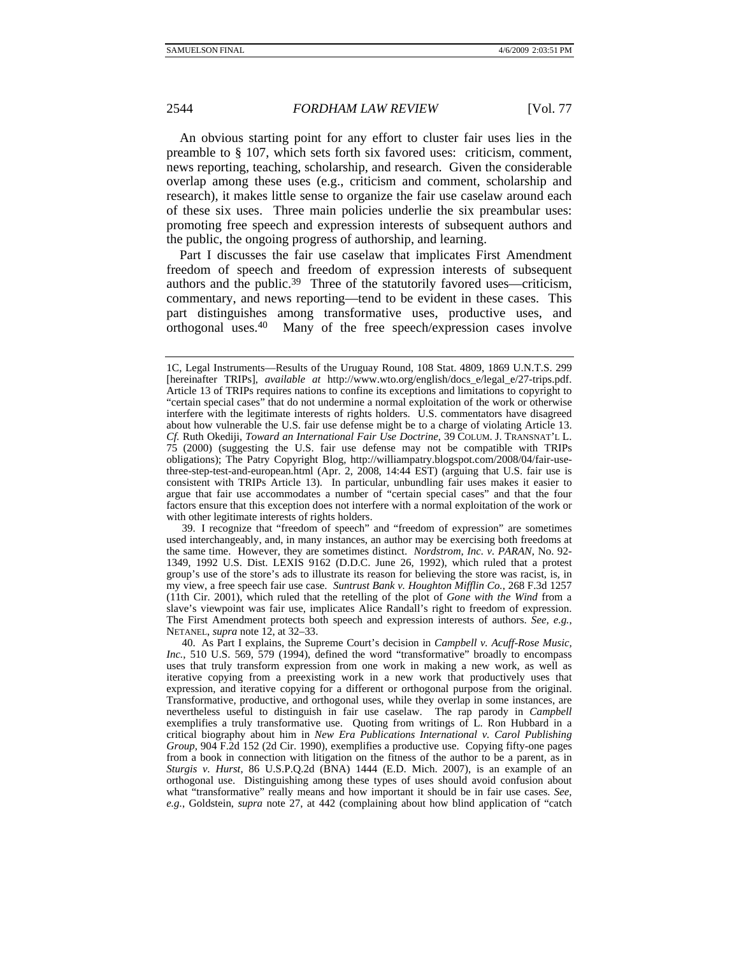An obvious starting point for any effort to cluster fair uses lies in the preamble to § 107, which sets forth six favored uses: criticism, comment, news reporting, teaching, scholarship, and research. Given the considerable overlap among these uses (e.g., criticism and comment, scholarship and research), it makes little sense to organize the fair use caselaw around each of these six uses. Three main policies underlie the six preambular uses: promoting free speech and expression interests of subsequent authors and the public, the ongoing progress of authorship, and learning.

Part I discusses the fair use caselaw that implicates First Amendment freedom of speech and freedom of expression interests of subsequent authors and the public.39 Three of the statutorily favored uses—criticism, commentary, and news reporting—tend to be evident in these cases. This part distinguishes among transformative uses, productive uses, and orthogonal uses.40 Many of the free speech/expression cases involve

 39. I recognize that "freedom of speech" and "freedom of expression" are sometimes used interchangeably, and, in many instances, an author may be exercising both freedoms at the same time. However, they are sometimes distinct. *Nordstrom, Inc. v. PARAN*, No. 92- 1349, 1992 U.S. Dist. LEXIS 9162 (D.D.C. June 26, 1992), which ruled that a protest group's use of the store's ads to illustrate its reason for believing the store was racist, is, in my view, a free speech fair use case. *Suntrust Bank v. Houghton Mifflin Co.*, 268 F.3d 1257 (11th Cir. 2001), which ruled that the retelling of the plot of *Gone with the Wind* from a slave's viewpoint was fair use, implicates Alice Randall's right to freedom of expression. The First Amendment protects both speech and expression interests of authors. *See, e.g.*, NETANEL, *supra* note 12, at 32–33.

 40. As Part I explains, the Supreme Court's decision in *Campbell v. Acuff-Rose Music, Inc.*, 510 U.S. 569, 579 (1994), defined the word "transformative" broadly to encompass uses that truly transform expression from one work in making a new work, as well as iterative copying from a preexisting work in a new work that productively uses that expression, and iterative copying for a different or orthogonal purpose from the original. Transformative, productive, and orthogonal uses, while they overlap in some instances, are nevertheless useful to distinguish in fair use caselaw. The rap parody in *Campbell* exemplifies a truly transformative use. Quoting from writings of L. Ron Hubbard in a critical biography about him in *New Era Publications International v. Carol Publishing Group*, 904 F.2d 152 (2d Cir. 1990), exemplifies a productive use. Copying fifty-one pages from a book in connection with litigation on the fitness of the author to be a parent, as in *Sturgis v. Hurst*, 86 U.S.P.Q.2d (BNA) 1444 (E.D. Mich. 2007), is an example of an orthogonal use. Distinguishing among these types of uses should avoid confusion about what "transformative" really means and how important it should be in fair use cases. See, *e.g.*, Goldstein, *supra* note 27, at 442 (complaining about how blind application of "catch

<sup>1</sup>C, Legal Instruments—Results of the Uruguay Round, 108 Stat. 4809, 1869 U.N.T.S. 299 [hereinafter TRIPs], *available at* http://www.wto.org/english/docs\_e/legal\_e/27-trips.pdf. Article 13 of TRIPs requires nations to confine its exceptions and limitations to copyright to "certain special cases" that do not undermine a normal exploitation of the work or otherwise interfere with the legitimate interests of rights holders. U.S. commentators have disagreed about how vulnerable the U.S. fair use defense might be to a charge of violating Article 13. *Cf.* Ruth Okediji, *Toward an International Fair Use Doctrine*, 39 COLUM. J. TRANSNAT'L L. 75 (2000) (suggesting the U.S. fair use defense may not be compatible with TRIPs obligations); The Patry Copyright Blog, http://williampatry.blogspot.com/2008/04/fair-usethree-step-test-and-european.html (Apr. 2, 2008, 14:44 EST) (arguing that U.S. fair use is consistent with TRIPs Article 13). In particular, unbundling fair uses makes it easier to argue that fair use accommodates a number of "certain special cases" and that the four factors ensure that this exception does not interfere with a normal exploitation of the work or with other legitimate interests of rights holders.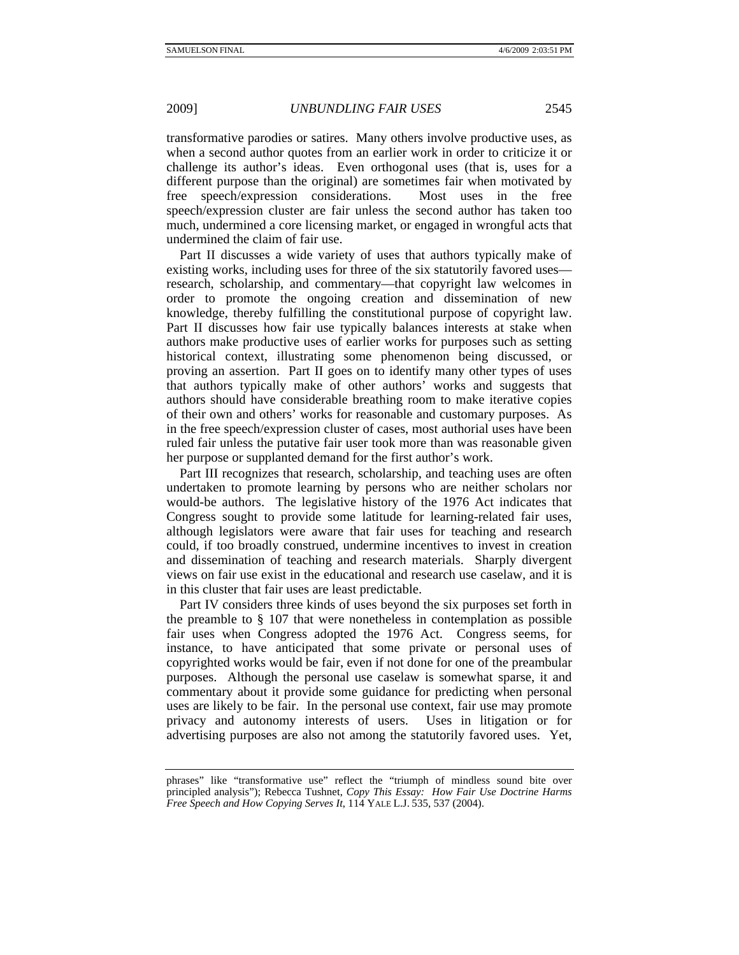transformative parodies or satires. Many others involve productive uses, as when a second author quotes from an earlier work in order to criticize it or challenge its author's ideas. Even orthogonal uses (that is, uses for a different purpose than the original) are sometimes fair when motivated by free speech/expression considerations. Most uses in the free speech/expression cluster are fair unless the second author has taken too much, undermined a core licensing market, or engaged in wrongful acts that undermined the claim of fair use.

Part II discusses a wide variety of uses that authors typically make of existing works, including uses for three of the six statutorily favored uses research, scholarship, and commentary—that copyright law welcomes in order to promote the ongoing creation and dissemination of new knowledge, thereby fulfilling the constitutional purpose of copyright law. Part II discusses how fair use typically balances interests at stake when authors make productive uses of earlier works for purposes such as setting historical context, illustrating some phenomenon being discussed, or proving an assertion. Part II goes on to identify many other types of uses that authors typically make of other authors' works and suggests that authors should have considerable breathing room to make iterative copies of their own and others' works for reasonable and customary purposes. As in the free speech/expression cluster of cases, most authorial uses have been ruled fair unless the putative fair user took more than was reasonable given her purpose or supplanted demand for the first author's work.

Part III recognizes that research, scholarship, and teaching uses are often undertaken to promote learning by persons who are neither scholars nor would-be authors. The legislative history of the 1976 Act indicates that Congress sought to provide some latitude for learning-related fair uses, although legislators were aware that fair uses for teaching and research could, if too broadly construed, undermine incentives to invest in creation and dissemination of teaching and research materials. Sharply divergent views on fair use exist in the educational and research use caselaw, and it is in this cluster that fair uses are least predictable.

Part IV considers three kinds of uses beyond the six purposes set forth in the preamble to § 107 that were nonetheless in contemplation as possible fair uses when Congress adopted the 1976 Act. Congress seems, for instance, to have anticipated that some private or personal uses of copyrighted works would be fair, even if not done for one of the preambular purposes. Although the personal use caselaw is somewhat sparse, it and commentary about it provide some guidance for predicting when personal uses are likely to be fair. In the personal use context, fair use may promote privacy and autonomy interests of users. Uses in litigation or for advertising purposes are also not among the statutorily favored uses. Yet,

phrases" like "transformative use" reflect the "triumph of mindless sound bite over principled analysis"); Rebecca Tushnet, *Copy This Essay: How Fair Use Doctrine Harms Free Speech and How Copying Serves It*, 114 YALE L.J. 535, 537 (2004).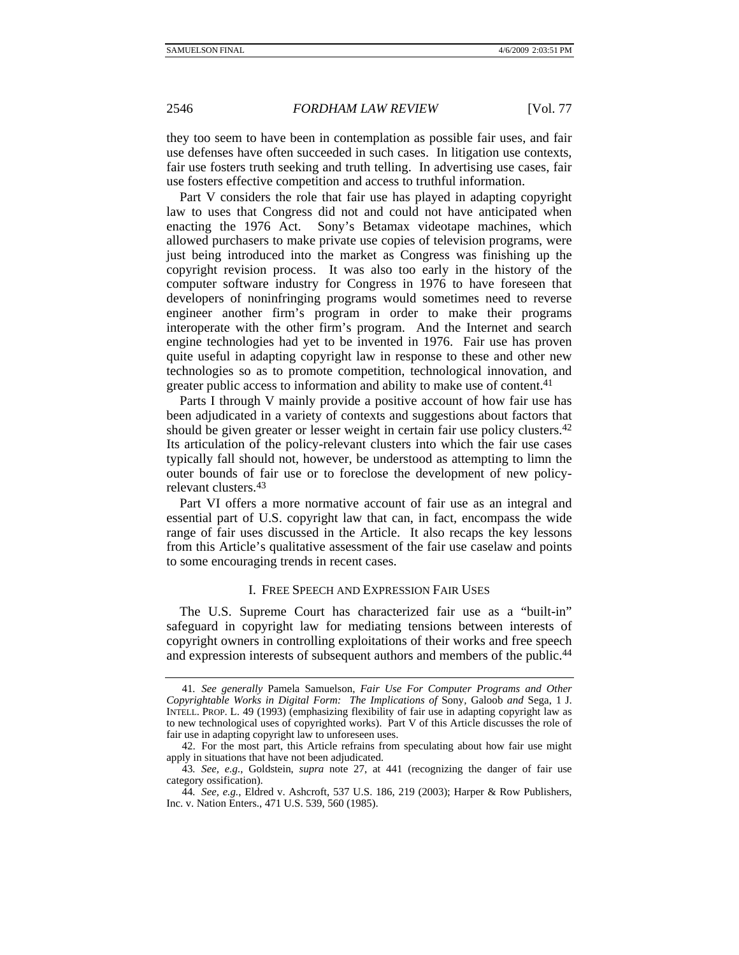they too seem to have been in contemplation as possible fair uses, and fair use defenses have often succeeded in such cases. In litigation use contexts, fair use fosters truth seeking and truth telling. In advertising use cases, fair use fosters effective competition and access to truthful information.

Part V considers the role that fair use has played in adapting copyright law to uses that Congress did not and could not have anticipated when enacting the 1976 Act. Sony's Betamax videotape machines, which allowed purchasers to make private use copies of television programs, were just being introduced into the market as Congress was finishing up the copyright revision process. It was also too early in the history of the computer software industry for Congress in 1976 to have foreseen that developers of noninfringing programs would sometimes need to reverse engineer another firm's program in order to make their programs interoperate with the other firm's program. And the Internet and search engine technologies had yet to be invented in 1976. Fair use has proven quite useful in adapting copyright law in response to these and other new technologies so as to promote competition, technological innovation, and greater public access to information and ability to make use of content.<sup>41</sup>

Parts I through V mainly provide a positive account of how fair use has been adjudicated in a variety of contexts and suggestions about factors that should be given greater or lesser weight in certain fair use policy clusters.<sup>42</sup> Its articulation of the policy-relevant clusters into which the fair use cases typically fall should not, however, be understood as attempting to limn the outer bounds of fair use or to foreclose the development of new policyrelevant clusters.43

Part VI offers a more normative account of fair use as an integral and essential part of U.S. copyright law that can, in fact, encompass the wide range of fair uses discussed in the Article. It also recaps the key lessons from this Article's qualitative assessment of the fair use caselaw and points to some encouraging trends in recent cases.

#### I. FREE SPEECH AND EXPRESSION FAIR USES

The U.S. Supreme Court has characterized fair use as a "built-in" safeguard in copyright law for mediating tensions between interests of copyright owners in controlling exploitations of their works and free speech and expression interests of subsequent authors and members of the public.<sup>44</sup>

<sup>41</sup>*. See generally* Pamela Samuelson, *Fair Use For Computer Programs and Other Copyrightable Works in Digital Form: The Implications of* Sony*,* Galoob *and* Sega, 1 J. INTELL. PROP. L. 49 (1993) (emphasizing flexibility of fair use in adapting copyright law as to new technological uses of copyrighted works). Part V of this Article discusses the role of fair use in adapting copyright law to unforeseen uses.

 <sup>42.</sup> For the most part, this Article refrains from speculating about how fair use might apply in situations that have not been adjudicated.

<sup>43</sup>*. See, e.g.*, Goldstein, *supra* note 27, at 441 (recognizing the danger of fair use category ossification).

<sup>44</sup>*. See, e.g.*, Eldred v. Ashcroft, 537 U.S. 186, 219 (2003); Harper & Row Publishers, Inc. v. Nation Enters., 471 U.S. 539, 560 (1985).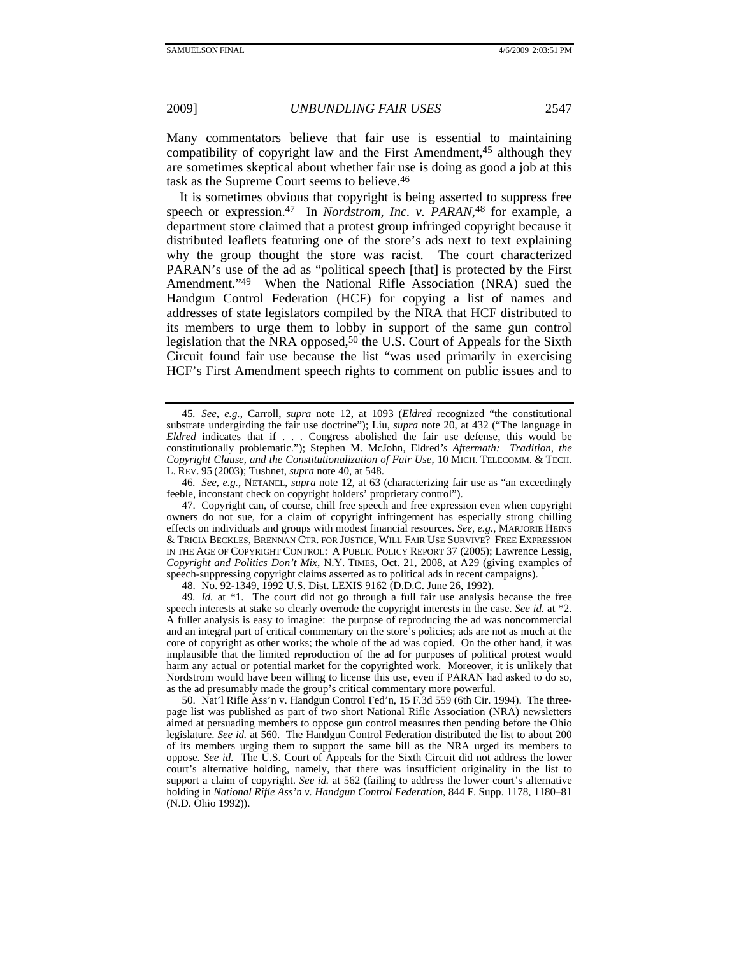Many commentators believe that fair use is essential to maintaining compatibility of copyright law and the First Amendment,<sup>45</sup> although they are sometimes skeptical about whether fair use is doing as good a job at this task as the Supreme Court seems to believe.46

It is sometimes obvious that copyright is being asserted to suppress free speech or expression.47 In *Nordstrom, Inc. v. PARAN*, 48 for example, a department store claimed that a protest group infringed copyright because it distributed leaflets featuring one of the store's ads next to text explaining why the group thought the store was racist. The court characterized PARAN's use of the ad as "political speech [that] is protected by the First Amendment."49 When the National Rifle Association (NRA) sued the Handgun Control Federation (HCF) for copying a list of names and addresses of state legislators compiled by the NRA that HCF distributed to its members to urge them to lobby in support of the same gun control legislation that the NRA opposed,<sup>50</sup> the U.S. Court of Appeals for the Sixth Circuit found fair use because the list "was used primarily in exercising HCF's First Amendment speech rights to comment on public issues and to

46*. See, e.g.*, NETANEL, *supra* note 12, at 63 (characterizing fair use as "an exceedingly feeble, inconstant check on copyright holders' proprietary control").

 47. Copyright can, of course, chill free speech and free expression even when copyright owners do not sue, for a claim of copyright infringement has especially strong chilling effects on individuals and groups with modest financial resources. *See, e.g.*, MARJORIE HEINS & TRICIA BECKLES, BRENNAN CTR. FOR JUSTICE, WILL FAIR USE SURVIVE? FREE EXPRESSION IN THE AGE OF COPYRIGHT CONTROL: A PUBLIC POLICY REPORT 37 (2005); Lawrence Lessig, *Copyright and Politics Don't Mix*, N.Y. TIMES, Oct. 21, 2008, at A29 (giving examples of speech-suppressing copyright claims asserted as to political ads in recent campaigns).

48. No. 92-1349, 1992 U.S. Dist. LEXIS 9162 (D.D.C. June 26, 1992).

49*. Id.* at \*1. The court did not go through a full fair use analysis because the free speech interests at stake so clearly overrode the copyright interests in the case. *See id.* at \*2. A fuller analysis is easy to imagine: the purpose of reproducing the ad was noncommercial and an integral part of critical commentary on the store's policies; ads are not as much at the core of copyright as other works; the whole of the ad was copied. On the other hand, it was implausible that the limited reproduction of the ad for purposes of political protest would harm any actual or potential market for the copyrighted work. Moreover, it is unlikely that Nordstrom would have been willing to license this use, even if PARAN had asked to do so, as the ad presumably made the group's critical commentary more powerful.

 50. Nat'l Rifle Ass'n v. Handgun Control Fed'n, 15 F.3d 559 (6th Cir. 1994). The threepage list was published as part of two short National Rifle Association (NRA) newsletters aimed at persuading members to oppose gun control measures then pending before the Ohio legislature. *See id.* at 560. The Handgun Control Federation distributed the list to about 200 of its members urging them to support the same bill as the NRA urged its members to oppose. *See id.* The U.S. Court of Appeals for the Sixth Circuit did not address the lower court's alternative holding, namely, that there was insufficient originality in the list to support a claim of copyright. *See id.* at 562 (failing to address the lower court's alternative holding in *National Rifle Ass'n v. Handgun Control Federation*, 844 F. Supp. 1178, 1180–81 (N.D. Ohio 1992)).

<sup>45</sup>*. See, e.g.*, Carroll, *supra* note 12, at 1093 (*Eldred* recognized "the constitutional substrate undergirding the fair use doctrine"); Liu, *supra* note 20, at 432 ("The language in *Eldred* indicates that if . . . Congress abolished the fair use defense, this would be constitutionally problematic."); Stephen M. McJohn, Eldred*'s Aftermath: Tradition, the Copyright Clause, and the Constitutionalization of Fair Use*, 10 MICH. TELECOMM. & TECH. L. REV. 95 (2003); Tushnet, *supra* note 40, at 548.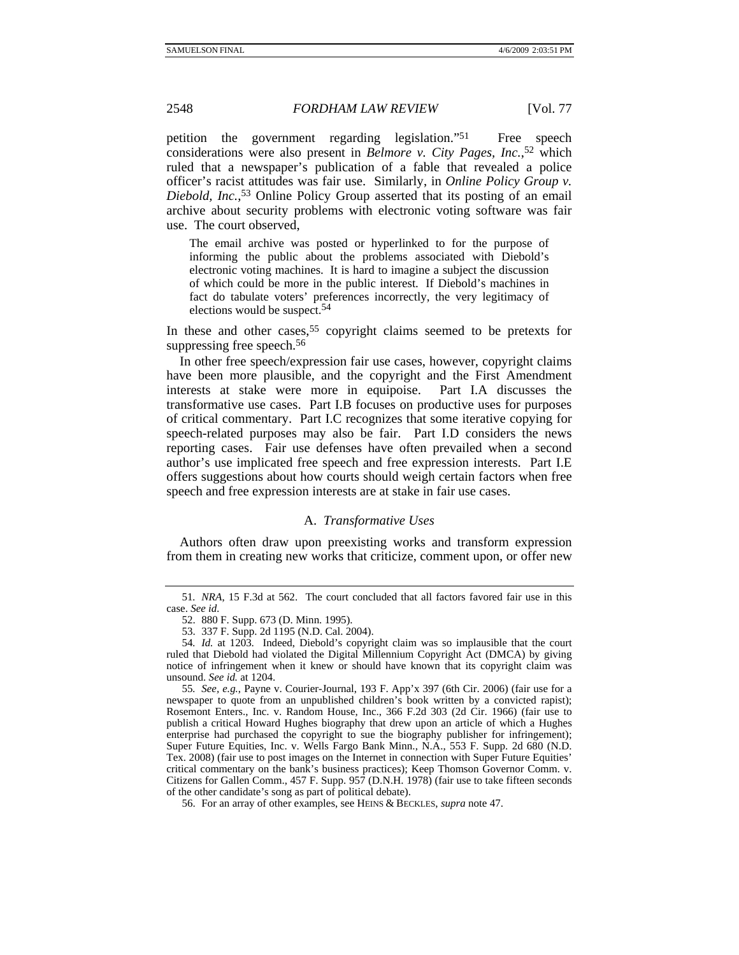petition the government regarding legislation."<sup>51</sup> Free speech considerations were also present in *Belmore v. City Pages, Inc.*, 52 which ruled that a newspaper's publication of a fable that revealed a police officer's racist attitudes was fair use. Similarly, in *Online Policy Group v. Diebold, Inc.*, 53 Online Policy Group asserted that its posting of an email archive about security problems with electronic voting software was fair use. The court observed,

The email archive was posted or hyperlinked to for the purpose of informing the public about the problems associated with Diebold's electronic voting machines. It is hard to imagine a subject the discussion of which could be more in the public interest. If Diebold's machines in fact do tabulate voters' preferences incorrectly, the very legitimacy of elections would be suspect.54

In these and other cases,<sup>55</sup> copyright claims seemed to be pretexts for suppressing free speech.<sup>56</sup>

In other free speech/expression fair use cases, however, copyright claims have been more plausible, and the copyright and the First Amendment interests at stake were more in equipoise. Part I.A discusses the transformative use cases. Part I.B focuses on productive uses for purposes of critical commentary. Part I.C recognizes that some iterative copying for speech-related purposes may also be fair. Part I.D considers the news reporting cases. Fair use defenses have often prevailed when a second author's use implicated free speech and free expression interests. Part I.E offers suggestions about how courts should weigh certain factors when free speech and free expression interests are at stake in fair use cases.

### A. *Transformative Uses*

Authors often draw upon preexisting works and transform expression from them in creating new works that criticize, comment upon, or offer new

<sup>51</sup>*. NRA*, 15 F.3d at 562. The court concluded that all factors favored fair use in this case. *See id.*

 <sup>52. 880</sup> F. Supp. 673 (D. Minn. 1995).

 <sup>53. 337</sup> F. Supp. 2d 1195 (N.D. Cal. 2004).

<sup>54</sup>*. Id.* at 1203. Indeed, Diebold's copyright claim was so implausible that the court ruled that Diebold had violated the Digital Millennium Copyright Act (DMCA) by giving notice of infringement when it knew or should have known that its copyright claim was unsound. *See id.* at 1204.

<sup>55</sup>*. See, e.g.*, Payne v. Courier-Journal, 193 F. App'x 397 (6th Cir. 2006) (fair use for a newspaper to quote from an unpublished children's book written by a convicted rapist); Rosemont Enters., Inc. v. Random House, Inc., 366 F.2d 303 (2d Cir. 1966) (fair use to publish a critical Howard Hughes biography that drew upon an article of which a Hughes enterprise had purchased the copyright to sue the biography publisher for infringement); Super Future Equities, Inc. v. Wells Fargo Bank Minn., N.A., 553 F. Supp. 2d 680 (N.D. Tex. 2008) (fair use to post images on the Internet in connection with Super Future Equities' critical commentary on the bank's business practices); Keep Thomson Governor Comm. v. Citizens for Gallen Comm., 457 F. Supp. 957 (D.N.H. 1978) (fair use to take fifteen seconds of the other candidate's song as part of political debate).

 <sup>56.</sup> For an array of other examples, see HEINS & BECKLES, *supra* note 47.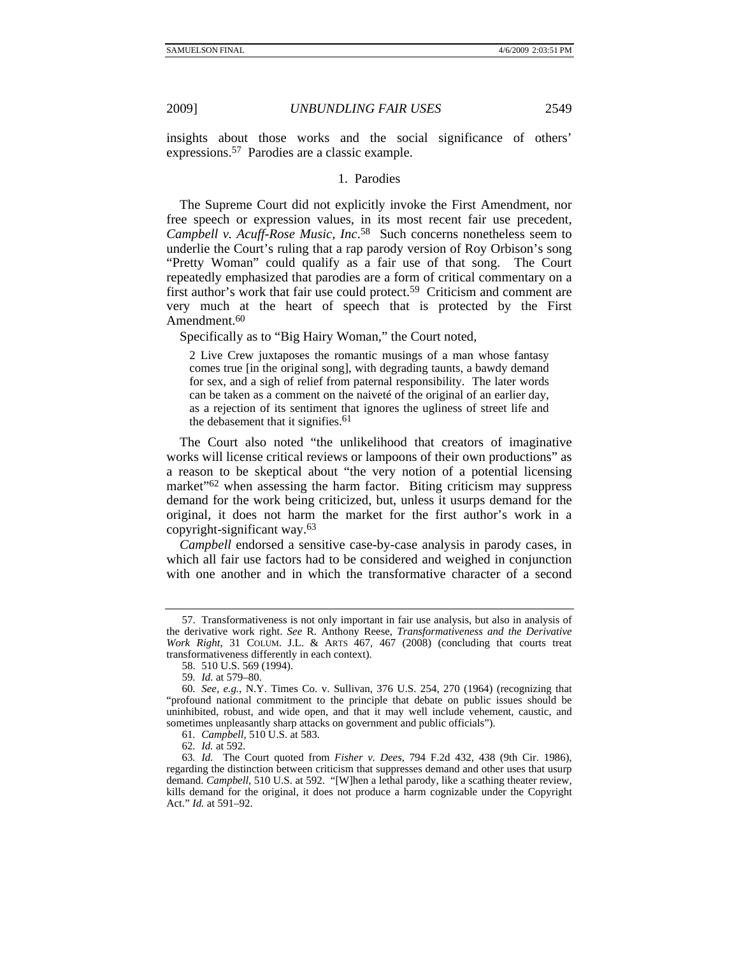insights about those works and the social significance of others' expressions.57 Parodies are a classic example.

### 1. Parodies

The Supreme Court did not explicitly invoke the First Amendment, nor free speech or expression values, in its most recent fair use precedent, *Campbell v. Acuff-Rose Music, Inc*. 58 Such concerns nonetheless seem to underlie the Court's ruling that a rap parody version of Roy Orbison's song "Pretty Woman" could qualify as a fair use of that song. The Court repeatedly emphasized that parodies are a form of critical commentary on a first author's work that fair use could protect.59 Criticism and comment are very much at the heart of speech that is protected by the First Amendment.<sup>60</sup>

Specifically as to "Big Hairy Woman," the Court noted,

2 Live Crew juxtaposes the romantic musings of a man whose fantasy comes true [in the original song], with degrading taunts, a bawdy demand for sex, and a sigh of relief from paternal responsibility. The later words can be taken as a comment on the naiveté of the original of an earlier day, as a rejection of its sentiment that ignores the ugliness of street life and the debasement that it signifies.<sup>61</sup>

The Court also noted "the unlikelihood that creators of imaginative works will license critical reviews or lampoons of their own productions" as a reason to be skeptical about "the very notion of a potential licensing market<sup>"62</sup> when assessing the harm factor. Biting criticism may suppress demand for the work being criticized, but, unless it usurps demand for the original, it does not harm the market for the first author's work in a copyright-significant way.63

*Campbell* endorsed a sensitive case-by-case analysis in parody cases, in which all fair use factors had to be considered and weighed in conjunction with one another and in which the transformative character of a second

62*. Id.* at 592.

 <sup>57.</sup> Transformativeness is not only important in fair use analysis, but also in analysis of the derivative work right. *See* R. Anthony Reese, *Transformativeness and the Derivative Work Right*, 31 COLUM. J.L. & ARTS 467, 467 (2008) (concluding that courts treat transformativeness differently in each context).

 <sup>58. 510</sup> U.S. 569 (1994).

<sup>59</sup>*. Id.* at 579–80.

<sup>60</sup>*. See, e.g.*, N.Y. Times Co. v. Sullivan, 376 U.S. 254, 270 (1964) (recognizing that "profound national commitment to the principle that debate on public issues should be uninhibited, robust, and wide open, and that it may well include vehement, caustic, and sometimes unpleasantly sharp attacks on government and public officials").

<sup>61</sup>*. Campbell*, 510 U.S. at 583.

<sup>63</sup>*. Id.* The Court quoted from *Fisher v. Dees*, 794 F.2d 432, 438 (9th Cir. 1986), regarding the distinction between criticism that suppresses demand and other uses that usurp demand. *Campbell*, 510 U.S. at 592. "[W]hen a lethal parody, like a scathing theater review, kills demand for the original, it does not produce a harm cognizable under the Copyright Act." *Id.* at 591–92.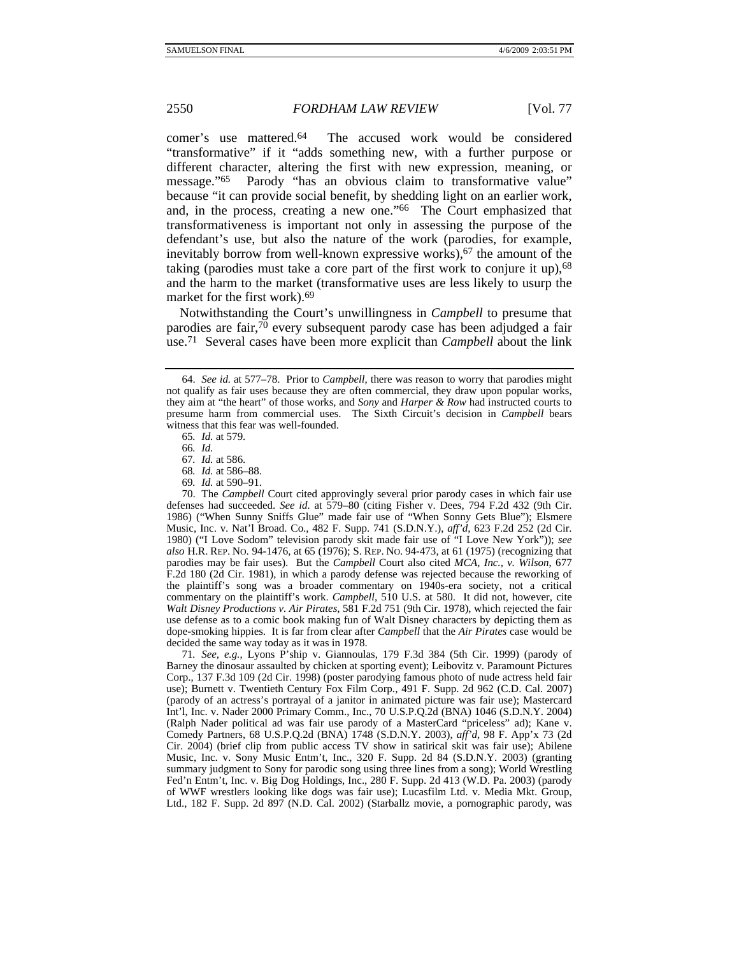comer's use mattered.64 The accused work would be considered "transformative" if it "adds something new, with a further purpose or different character, altering the first with new expression, meaning, or message."65 Parody "has an obvious claim to transformative value" because "it can provide social benefit, by shedding light on an earlier work, and, in the process, creating a new one."<sup>66</sup> The Court emphasized that transformativeness is important not only in assessing the purpose of the defendant's use, but also the nature of the work (parodies, for example, inevitably borrow from well-known expressive works),  $67$  the amount of the taking (parodies must take a core part of the first work to conjure it up),  $68$ and the harm to the market (transformative uses are less likely to usurp the market for the first work).69

Notwithstanding the Court's unwillingness in *Campbell* to presume that parodies are fair, $\frac{70}{9}$  every subsequent parody case has been adjudged a fair use.71 Several cases have been more explicit than *Campbell* about the link

 70. The *Campbell* Court cited approvingly several prior parody cases in which fair use defenses had succeeded. *See id.* at 579–80 (citing Fisher v. Dees, 794 F.2d 432 (9th Cir. 1986) ("When Sunny Sniffs Glue" made fair use of "When Sonny Gets Blue"); Elsmere Music, Inc. v. Nat'l Broad. Co., 482 F. Supp. 741 (S.D.N.Y.), *aff'd*, 623 F.2d 252 (2d Cir. 1980) ("I Love Sodom" television parody skit made fair use of "I Love New York")); *see also* H.R. REP. NO. 94-1476, at 65 (1976); S. REP. NO. 94-473, at 61 (1975) (recognizing that parodies may be fair uses). But the *Campbell* Court also cited *MCA, Inc., v. Wilson*, 677 F.2d 180 (2d Cir. 1981), in which a parody defense was rejected because the reworking of the plaintiff's song was a broader commentary on 1940s-era society, not a critical commentary on the plaintiff's work. *Campbell*, 510 U.S. at 580. It did not, however, cite *Walt Disney Productions v. Air Pirates*, 581 F.2d 751 (9th Cir. 1978), which rejected the fair use defense as to a comic book making fun of Walt Disney characters by depicting them as dope-smoking hippies. It is far from clear after *Campbell* that the *Air Pirates* case would be decided the same way today as it was in 1978.

71*. See, e.g.*, Lyons P'ship v. Giannoulas, 179 F.3d 384 (5th Cir. 1999) (parody of Barney the dinosaur assaulted by chicken at sporting event); Leibovitz v. Paramount Pictures Corp., 137 F.3d 109 (2d Cir. 1998) (poster parodying famous photo of nude actress held fair use); Burnett v. Twentieth Century Fox Film Corp., 491 F. Supp. 2d 962 (C.D. Cal. 2007) (parody of an actress's portrayal of a janitor in animated picture was fair use); Mastercard Int'l, Inc. v. Nader 2000 Primary Comm., Inc., 70 U.S.P.Q.2d (BNA) 1046 (S.D.N.Y. 2004) (Ralph Nader political ad was fair use parody of a MasterCard "priceless" ad); Kane v. Comedy Partners, 68 U.S.P.Q.2d (BNA) 1748 (S.D.N.Y. 2003), *aff'd*, 98 F. App'x 73 (2d Cir. 2004) (brief clip from public access TV show in satirical skit was fair use); Abilene Music, Inc. v. Sony Music Entm't, Inc., 320 F. Supp. 2d 84 (S.D.N.Y. 2003) (granting summary judgment to Sony for parodic song using three lines from a song); World Wrestling Fed'n Entm't, Inc. v. Big Dog Holdings, Inc., 280 F. Supp. 2d 413 (W.D. Pa. 2003) (parody of WWF wrestlers looking like dogs was fair use); Lucasfilm Ltd. v. Media Mkt. Group, Ltd., 182 F. Supp. 2d 897 (N.D. Cal. 2002) (Starballz movie, a pornographic parody, was

 <sup>64.</sup> *See id.* at 577–78. Prior to *Campbell*, there was reason to worry that parodies might not qualify as fair uses because they are often commercial, they draw upon popular works, they aim at "the heart" of those works, and *Sony* and *Harper & Row* had instructed courts to presume harm from commercial uses. The Sixth Circuit's decision in *Campbell* bears witness that this fear was well-founded.

<sup>65</sup>*. Id.* at 579.

<sup>66</sup>*. Id.*

<sup>67</sup>*. Id.* at 586.

<sup>68</sup>*. Id.* at 586–88.

<sup>69</sup>*. Id.* at 590–91.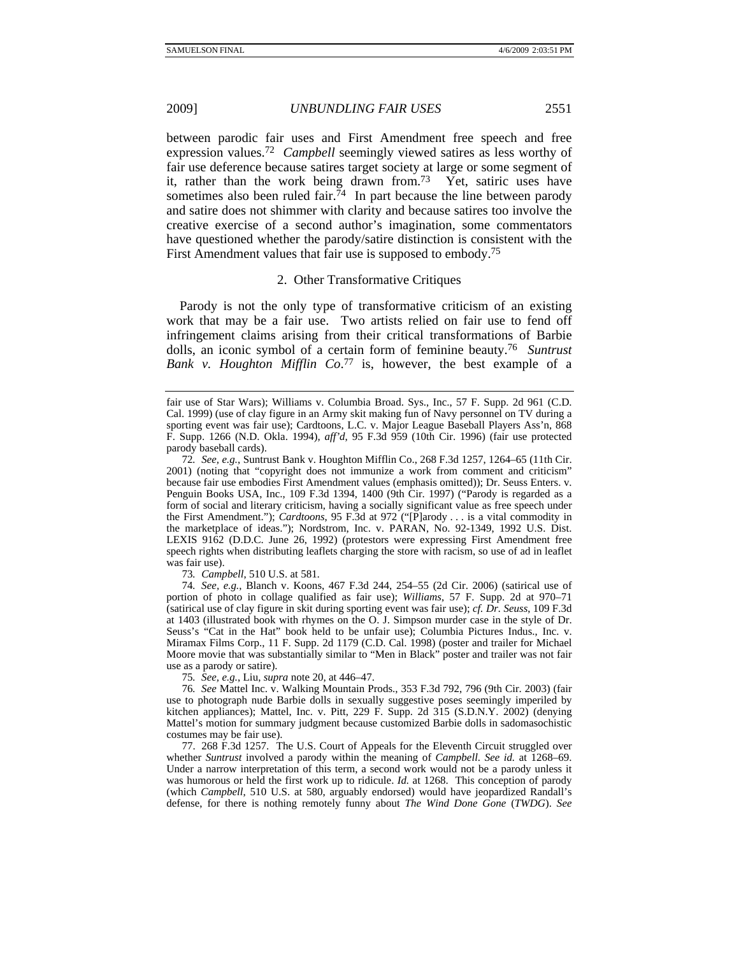between parodic fair uses and First Amendment free speech and free expression values.72 *Campbell* seemingly viewed satires as less worthy of fair use deference because satires target society at large or some segment of it, rather than the work being drawn from.73 Yet, satiric uses have sometimes also been ruled fair.  $\tilde{7}$ <sup>4</sup> In part because the line between parody and satire does not shimmer with clarity and because satires too involve the creative exercise of a second author's imagination, some commentators have questioned whether the parody/satire distinction is consistent with the First Amendment values that fair use is supposed to embody.75

### 2. Other Transformative Critiques

Parody is not the only type of transformative criticism of an existing work that may be a fair use. Two artists relied on fair use to fend off infringement claims arising from their critical transformations of Barbie dolls, an iconic symbol of a certain form of feminine beauty.76 *Suntrust Bank v. Houghton Mifflin Co*. 77 is, however, the best example of a

73*. Campbell*, 510 U.S. at 581.

74*. See, e.g.*, Blanch v. Koons, 467 F.3d 244, 254–55 (2d Cir. 2006) (satirical use of portion of photo in collage qualified as fair use); *Williams*, 57 F. Supp. 2d at 970–71 (satirical use of clay figure in skit during sporting event was fair use); *cf. Dr. Seuss*, 109 F.3d at 1403 (illustrated book with rhymes on the O. J. Simpson murder case in the style of Dr. Seuss's "Cat in the Hat" book held to be unfair use); Columbia Pictures Indus., Inc. v. Miramax Films Corp., 11 F. Supp. 2d 1179 (C.D. Cal. 1998) (poster and trailer for Michael Moore movie that was substantially similar to "Men in Black" poster and trailer was not fair use as a parody or satire).

75*. See, e.g.*, Liu, *supra* note 20, at 446–47.

76*. See* Mattel Inc. v. Walking Mountain Prods., 353 F.3d 792, 796 (9th Cir. 2003) (fair use to photograph nude Barbie dolls in sexually suggestive poses seemingly imperiled by kitchen appliances); Mattel, Inc. v. Pitt, 229 F. Supp. 2d 315 (S.D.N.Y. 2002) (denying Mattel's motion for summary judgment because customized Barbie dolls in sadomasochistic costumes may be fair use).

 77. 268 F.3d 1257. The U.S. Court of Appeals for the Eleventh Circuit struggled over whether *Suntrust* involved a parody within the meaning of *Campbell*. *See id.* at 1268–69. Under a narrow interpretation of this term, a second work would not be a parody unless it was humorous or held the first work up to ridicule. *Id.* at 1268. This conception of parody (which *Campbell*, 510 U.S. at 580, arguably endorsed) would have jeopardized Randall's defense, for there is nothing remotely funny about *The Wind Done Gone* (*TWDG*). *See*

fair use of Star Wars); Williams v. Columbia Broad. Sys., Inc., 57 F. Supp. 2d 961 (C.D. Cal. 1999) (use of clay figure in an Army skit making fun of Navy personnel on TV during a sporting event was fair use); Cardtoons, L.C. v. Major League Baseball Players Ass'n, 868 F. Supp. 1266 (N.D. Okla. 1994), *aff'd*, 95 F.3d 959 (10th Cir. 1996) (fair use protected parody baseball cards).

<sup>72</sup>*. See, e.g.*, Suntrust Bank v. Houghton Mifflin Co., 268 F.3d 1257, 1264–65 (11th Cir. 2001) (noting that "copyright does not immunize a work from comment and criticism" because fair use embodies First Amendment values (emphasis omitted)); Dr. Seuss Enters. v. Penguin Books USA, Inc., 109 F.3d 1394, 1400 (9th Cir. 1997) ("Parody is regarded as a form of social and literary criticism, having a socially significant value as free speech under the First Amendment."); *Cardtoons*, 95 F.3d at 972 ("[P]arody . . . is a vital commodity in the marketplace of ideas."); Nordstrom, Inc. v. PARAN, No. 92-1349, 1992 U.S. Dist. LEXIS 9162 (D.D.C. June 26, 1992) (protestors were expressing First Amendment free speech rights when distributing leaflets charging the store with racism, so use of ad in leaflet was fair use).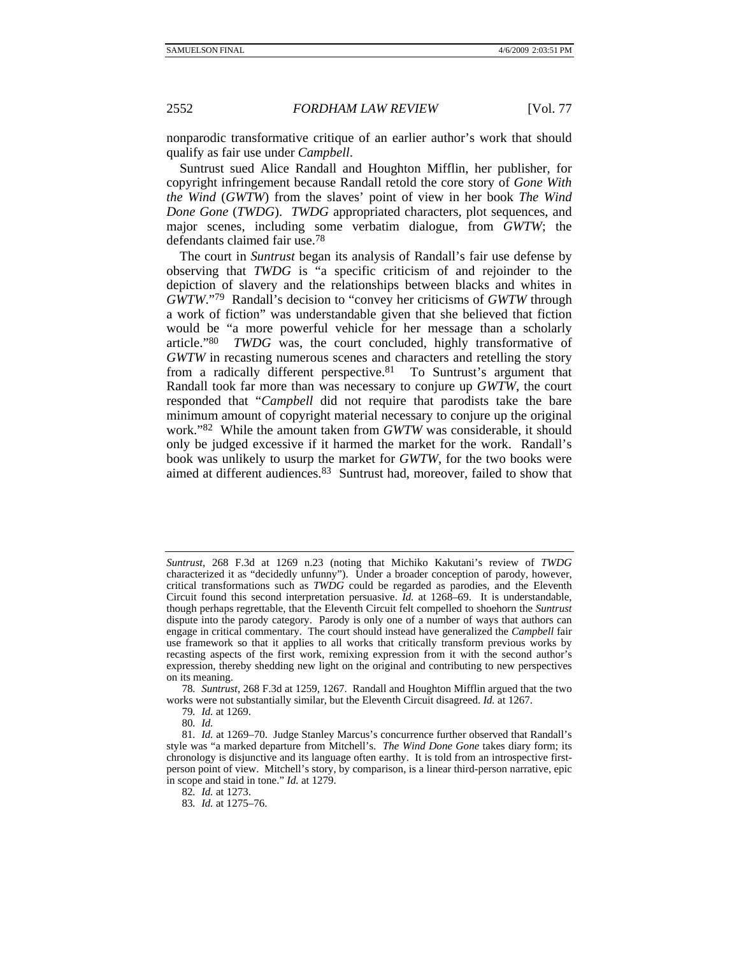nonparodic transformative critique of an earlier author's work that should qualify as fair use under *Campbell*.

Suntrust sued Alice Randall and Houghton Mifflin, her publisher, for copyright infringement because Randall retold the core story of *Gone With the Wind* (*GWTW*) from the slaves' point of view in her book *The Wind Done Gone* (*TWDG*). *TWDG* appropriated characters, plot sequences, and major scenes, including some verbatim dialogue, from *GWTW*; the defendants claimed fair use.78

The court in *Suntrust* began its analysis of Randall's fair use defense by observing that *TWDG* is "a specific criticism of and rejoinder to the depiction of slavery and the relationships between blacks and whites in *GWTW*."79 Randall's decision to "convey her criticisms of *GWTW* through a work of fiction" was understandable given that she believed that fiction would be "a more powerful vehicle for her message than a scholarly article."80 *TWDG* was, the court concluded, highly transformative of *GWTW* in recasting numerous scenes and characters and retelling the story from a radically different perspective.81 To Suntrust's argument that Randall took far more than was necessary to conjure up *GWTW*, the court responded that "*Campbell* did not require that parodists take the bare minimum amount of copyright material necessary to conjure up the original work."82 While the amount taken from *GWTW* was considerable, it should only be judged excessive if it harmed the market for the work. Randall's book was unlikely to usurp the market for *GWTW*, for the two books were aimed at different audiences.83 Suntrust had, moreover, failed to show that

78*. Suntrust*, 268 F.3d at 1259, 1267. Randall and Houghton Mifflin argued that the two works were not substantially similar, but the Eleventh Circuit disagreed. *Id.* at 1267.

79*. Id.* at 1269.

80*. Id.*

82*. Id.* at 1273.

83*. Id.* at 1275–76.

*Suntrust*, 268 F.3d at 1269 n.23 (noting that Michiko Kakutani's review of *TWDG* characterized it as "decidedly unfunny"). Under a broader conception of parody, however, critical transformations such as *TWDG* could be regarded as parodies, and the Eleventh Circuit found this second interpretation persuasive. *Id.* at 1268–69. It is understandable, though perhaps regrettable, that the Eleventh Circuit felt compelled to shoehorn the *Suntrust* dispute into the parody category. Parody is only one of a number of ways that authors can engage in critical commentary. The court should instead have generalized the *Campbell* fair use framework so that it applies to all works that critically transform previous works by recasting aspects of the first work, remixing expression from it with the second author's expression, thereby shedding new light on the original and contributing to new perspectives on its meaning.

<sup>81</sup>*. Id.* at 1269–70. Judge Stanley Marcus's concurrence further observed that Randall's style was "a marked departure from Mitchell's. *The Wind Done Gone* takes diary form; its chronology is disjunctive and its language often earthy. It is told from an introspective firstperson point of view. Mitchell's story, by comparison, is a linear third-person narrative, epic in scope and staid in tone." *Id.* at 1279.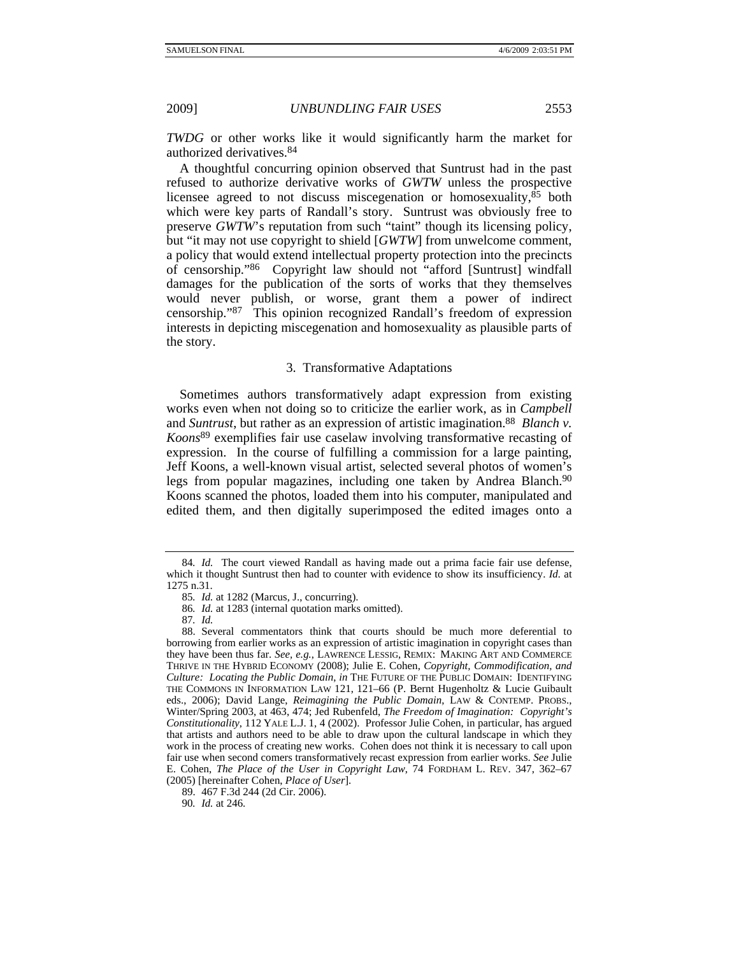*TWDG* or other works like it would significantly harm the market for authorized derivatives.84

A thoughtful concurring opinion observed that Suntrust had in the past refused to authorize derivative works of *GWTW* unless the prospective licensee agreed to not discuss miscegenation or homosexuality, <sup>85</sup> both which were key parts of Randall's story. Suntrust was obviously free to preserve *GWTW*'s reputation from such "taint" though its licensing policy, but "it may not use copyright to shield [*GWTW*] from unwelcome comment, a policy that would extend intellectual property protection into the precincts of censorship."86 Copyright law should not "afford [Suntrust] windfall damages for the publication of the sorts of works that they themselves would never publish, or worse, grant them a power of indirect censorship."87 This opinion recognized Randall's freedom of expression interests in depicting miscegenation and homosexuality as plausible parts of the story.

#### 3. Transformative Adaptations

Sometimes authors transformatively adapt expression from existing works even when not doing so to criticize the earlier work, as in *Campbell* and *Suntrust*, but rather as an expression of artistic imagination.<sup>88</sup> *Blanch v. Koons*89 exemplifies fair use caselaw involving transformative recasting of expression. In the course of fulfilling a commission for a large painting, Jeff Koons, a well-known visual artist, selected several photos of women's legs from popular magazines, including one taken by Andrea Blanch.<sup>90</sup> Koons scanned the photos, loaded them into his computer, manipulated and edited them, and then digitally superimposed the edited images onto a

<sup>84</sup>*. Id.* The court viewed Randall as having made out a prima facie fair use defense, which it thought Suntrust then had to counter with evidence to show its insufficiency. *Id.* at 1275 n.31.

<sup>85</sup>*. Id.* at 1282 (Marcus, J., concurring).

<sup>86</sup>*. Id.* at 1283 (internal quotation marks omitted).

<sup>87</sup>*. Id.*

 <sup>88.</sup> Several commentators think that courts should be much more deferential to borrowing from earlier works as an expression of artistic imagination in copyright cases than they have been thus far. *See, e.g.*, LAWRENCE LESSIG, REMIX: MAKING ART AND COMMERCE THRIVE IN THE HYBRID ECONOMY (2008); Julie E. Cohen, *Copyright, Commodification, and Culture: Locating the Public Domain*, *in* THE FUTURE OF THE PUBLIC DOMAIN: IDENTIFYING THE COMMONS IN INFORMATION LAW 121, 121–66 (P. Bernt Hugenholtz & Lucie Guibault eds., 2006); David Lange, *Reimagining the Public Domain*, LAW & CONTEMP. PROBS., Winter/Spring 2003, at 463, 474; Jed Rubenfeld, *The Freedom of Imagination: Copyright's Constitutionality*, 112 YALE L.J. 1, 4 (2002). Professor Julie Cohen, in particular, has argued that artists and authors need to be able to draw upon the cultural landscape in which they work in the process of creating new works. Cohen does not think it is necessary to call upon fair use when second comers transformatively recast expression from earlier works. *See* Julie E. Cohen, *The Place of the User in Copyright Law*, 74 FORDHAM L. REV. 347, 362–67 (2005) [hereinafter Cohen, *Place of User*].

 <sup>89. 467</sup> F.3d 244 (2d Cir. 2006).

<sup>90</sup>*. Id.* at 246.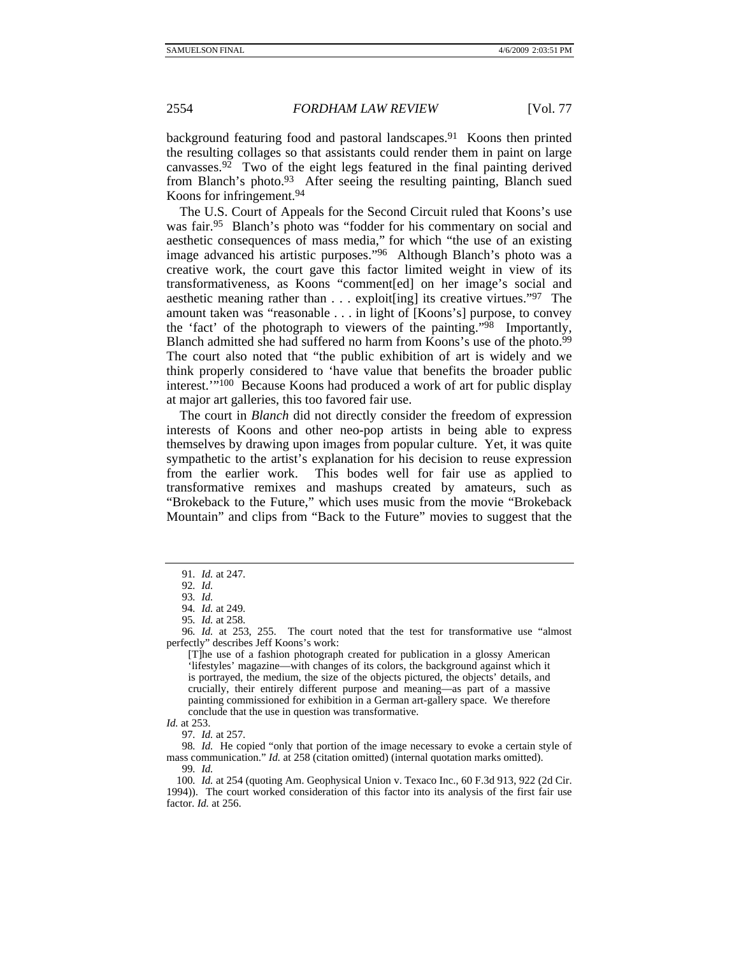background featuring food and pastoral landscapes.91 Koons then printed the resulting collages so that assistants could render them in paint on large canvasses.<sup>92</sup> Two of the eight legs featured in the final painting derived from Blanch's photo.<sup>93</sup> After seeing the resulting painting, Blanch sued Koons for infringement.94

The U.S. Court of Appeals for the Second Circuit ruled that Koons's use was fair.95 Blanch's photo was "fodder for his commentary on social and aesthetic consequences of mass media," for which "the use of an existing image advanced his artistic purposes."96 Although Blanch's photo was a creative work, the court gave this factor limited weight in view of its transformativeness, as Koons "comment[ed] on her image's social and aesthetic meaning rather than . . . exploit[ing] its creative virtues."97 The amount taken was "reasonable . . . in light of [Koons's] purpose, to convey the 'fact' of the photograph to viewers of the painting."98 Importantly, Blanch admitted she had suffered no harm from Koons's use of the photo.<sup>99</sup> The court also noted that "the public exhibition of art is widely and we think properly considered to 'have value that benefits the broader public interest.'"100 Because Koons had produced a work of art for public display at major art galleries, this too favored fair use.

The court in *Blanch* did not directly consider the freedom of expression interests of Koons and other neo-pop artists in being able to express themselves by drawing upon images from popular culture. Yet, it was quite sympathetic to the artist's explanation for his decision to reuse expression from the earlier work. This bodes well for fair use as applied to transformative remixes and mashups created by amateurs, such as "Brokeback to the Future," which uses music from the movie "Brokeback Mountain" and clips from "Back to the Future" movies to suggest that the

*Id.* at 253.

97*. Id.* at 257.

98*. Id.* He copied "only that portion of the image necessary to evoke a certain style of mass communication." *Id.* at 258 (citation omitted) (internal quotation marks omitted). 99*. Id.*

100*. Id.* at 254 (quoting Am. Geophysical Union v. Texaco Inc., 60 F.3d 913, 922 (2d Cir. 1994)). The court worked consideration of this factor into its analysis of the first fair use factor. *Id.* at 256.

<sup>91</sup>*. Id.* at 247.

<sup>92</sup>*. Id.*

<sup>93</sup>*. Id.*

<sup>94</sup>*. Id.* at 249.

<sup>95</sup>*. Id.* at 258.

<sup>96</sup>*. Id.* at 253, 255. The court noted that the test for transformative use "almost perfectly" describes Jeff Koons's work:

<sup>[</sup>T]he use of a fashion photograph created for publication in a glossy American 'lifestyles' magazine—with changes of its colors, the background against which it is portrayed, the medium, the size of the objects pictured, the objects' details, and crucially, their entirely different purpose and meaning—as part of a massive painting commissioned for exhibition in a German art-gallery space. We therefore conclude that the use in question was transformative.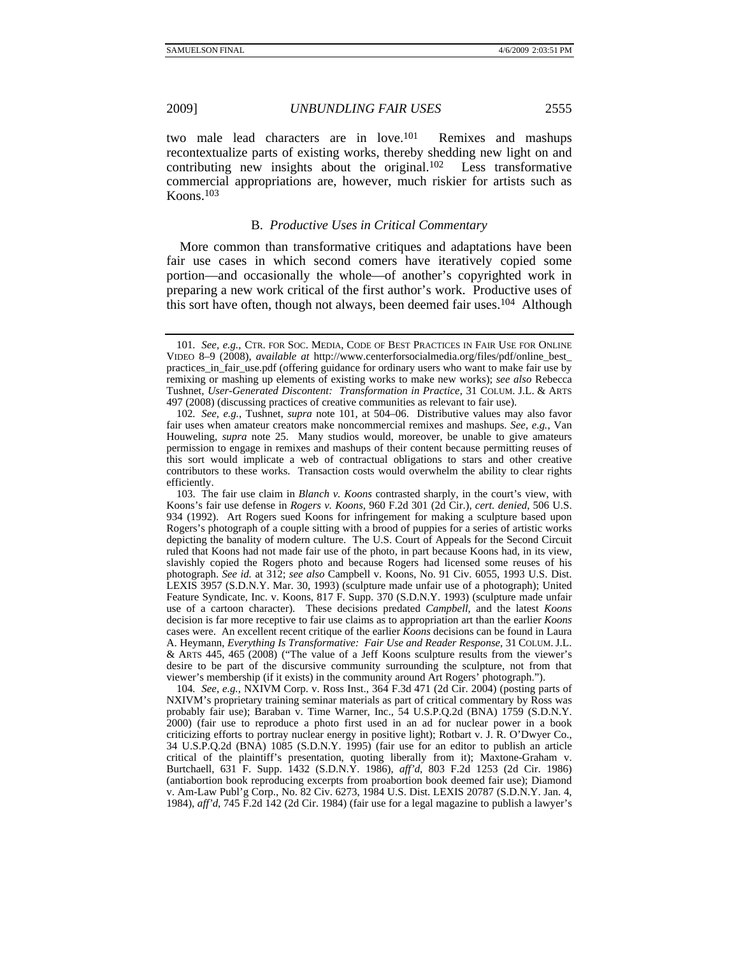two male lead characters are in love.101 Remixes and mashups recontextualize parts of existing works, thereby shedding new light on and contributing new insights about the original.<sup>102</sup> Less transformative contributing new insights about the original. $102$ commercial appropriations are, however, much riskier for artists such as  $K$ oons.<sup>103</sup>

## B. *Productive Uses in Critical Commentary*

More common than transformative critiques and adaptations have been fair use cases in which second comers have iteratively copied some portion—and occasionally the whole—of another's copyrighted work in preparing a new work critical of the first author's work. Productive uses of this sort have often, though not always, been deemed fair uses.104 Although

 103. The fair use claim in *Blanch v. Koons* contrasted sharply, in the court's view, with Koons's fair use defense in *Rogers v. Koons*, 960 F.2d 301 (2d Cir.), *cert. denied*, 506 U.S. 934 (1992). Art Rogers sued Koons for infringement for making a sculpture based upon Rogers's photograph of a couple sitting with a brood of puppies for a series of artistic works depicting the banality of modern culture. The U.S. Court of Appeals for the Second Circuit ruled that Koons had not made fair use of the photo, in part because Koons had, in its view, slavishly copied the Rogers photo and because Rogers had licensed some reuses of his photograph. *See id.* at 312; *see also* Campbell v. Koons, No. 91 Civ. 6055, 1993 U.S. Dist. LEXIS 3957 (S.D.N.Y. Mar. 30, 1993) (sculpture made unfair use of a photograph); United Feature Syndicate, Inc. v. Koons, 817 F. Supp. 370 (S.D.N.Y. 1993) (sculpture made unfair use of a cartoon character). These decisions predated *Campbell*, and the latest *Koons* decision is far more receptive to fair use claims as to appropriation art than the earlier *Koons* cases were. An excellent recent critique of the earlier *Koons* decisions can be found in Laura A. Heymann, *Everything Is Transformative: Fair Use and Reader Response*, 31 COLUM. J.L. & ARTS 445, 465 (2008) ("The value of a Jeff Koons sculpture results from the viewer's desire to be part of the discursive community surrounding the sculpture, not from that viewer's membership (if it exists) in the community around Art Rogers' photograph.").

104*. See, e.g.*, NXIVM Corp. v. Ross Inst., 364 F.3d 471 (2d Cir. 2004) (posting parts of NXIVM's proprietary training seminar materials as part of critical commentary by Ross was probably fair use); Baraban v. Time Warner, Inc., 54 U.S.P.Q.2d (BNA) 1759 (S.D.N.Y. 2000) (fair use to reproduce a photo first used in an ad for nuclear power in a book criticizing efforts to portray nuclear energy in positive light); Rotbart v. J. R. O'Dwyer Co., 34 U.S.P.Q.2d (BNA) 1085 (S.D.N.Y. 1995) (fair use for an editor to publish an article critical of the plaintiff's presentation, quoting liberally from it); Maxtone-Graham v. Burtchaell, 631 F. Supp. 1432 (S.D.N.Y. 1986), *aff'd*, 803 F.2d 1253 (2d Cir. 1986) (antiabortion book reproducing excerpts from proabortion book deemed fair use); Diamond v. Am-Law Publ'g Corp., No. 82 Civ. 6273, 1984 U.S. Dist. LEXIS 20787 (S.D.N.Y. Jan. 4, 1984), *aff'd*, 745 F.2d 142 (2d Cir. 1984) (fair use for a legal magazine to publish a lawyer's

<sup>101</sup>*. See, e.g.*, CTR. FOR SOC. MEDIA, CODE OF BEST PRACTICES IN FAIR USE FOR ONLINE VIDEO 8–9 (2008), *available at* http://www.centerforsocialmedia.org/files/pdf/online\_best\_ practices\_in\_fair\_use.pdf (offering guidance for ordinary users who want to make fair use by remixing or mashing up elements of existing works to make new works); *see also* Rebecca Tushnet, *User-Generated Discontent: Transformation in Practice*, 31 COLUM. J.L. & ARTS 497 (2008) (discussing practices of creative communities as relevant to fair use).

<sup>102</sup>*. See, e.g.*, Tushnet, *supra* note 101, at 504–06. Distributive values may also favor fair uses when amateur creators make noncommercial remixes and mashups. *See, e.g.*, Van Houweling, *supra* note 25. Many studios would, moreover, be unable to give amateurs permission to engage in remixes and mashups of their content because permitting reuses of this sort would implicate a web of contractual obligations to stars and other creative contributors to these works. Transaction costs would overwhelm the ability to clear rights efficiently.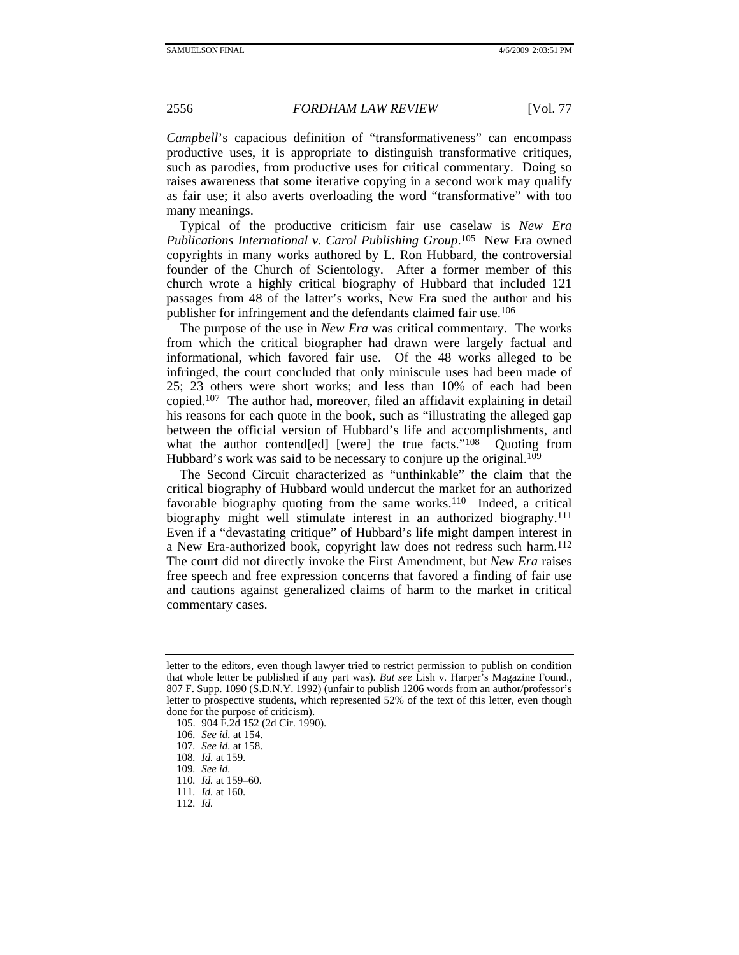*Campbell*'s capacious definition of "transformativeness" can encompass productive uses, it is appropriate to distinguish transformative critiques, such as parodies, from productive uses for critical commentary. Doing so raises awareness that some iterative copying in a second work may qualify as fair use; it also averts overloading the word "transformative" with too many meanings.

Typical of the productive criticism fair use caselaw is *New Era Publications International v. Carol Publishing Group*. 105 New Era owned copyrights in many works authored by L. Ron Hubbard, the controversial founder of the Church of Scientology. After a former member of this church wrote a highly critical biography of Hubbard that included 121 passages from 48 of the latter's works, New Era sued the author and his publisher for infringement and the defendants claimed fair use.106

The purpose of the use in *New Era* was critical commentary. The works from which the critical biographer had drawn were largely factual and informational, which favored fair use. Of the 48 works alleged to be infringed, the court concluded that only miniscule uses had been made of 25; 23 others were short works; and less than 10% of each had been copied.107 The author had, moreover, filed an affidavit explaining in detail his reasons for each quote in the book, such as "illustrating the alleged gap between the official version of Hubbard's life and accomplishments, and what the author contend[ed] [were] the true facts." $108$  Quoting from Hubbard's work was said to be necessary to conjure up the original.<sup>109</sup>

The Second Circuit characterized as "unthinkable" the claim that the critical biography of Hubbard would undercut the market for an authorized favorable biography quoting from the same works. $110$  Indeed, a critical biography might well stimulate interest in an authorized biography.111 Even if a "devastating critique" of Hubbard's life might dampen interest in a New Era-authorized book, copyright law does not redress such harm.112 The court did not directly invoke the First Amendment, but *New Era* raises free speech and free expression concerns that favored a finding of fair use and cautions against generalized claims of harm to the market in critical commentary cases.

110*. Id.* at 159–60.

112*. Id.*

letter to the editors, even though lawyer tried to restrict permission to publish on condition that whole letter be published if any part was). *But see* Lish v. Harper's Magazine Found., 807 F. Supp. 1090 (S.D.N.Y. 1992) (unfair to publish 1206 words from an author/professor's letter to prospective students, which represented 52% of the text of this letter, even though done for the purpose of criticism).

 <sup>105. 904</sup> F.2d 152 (2d Cir. 1990).

<sup>106</sup>*. See id.* at 154.

<sup>107</sup>*. See id.* at 158.

<sup>108</sup>*. Id.* at 159.

<sup>109</sup>*. See id.*

<sup>111</sup>*. Id.* at 160.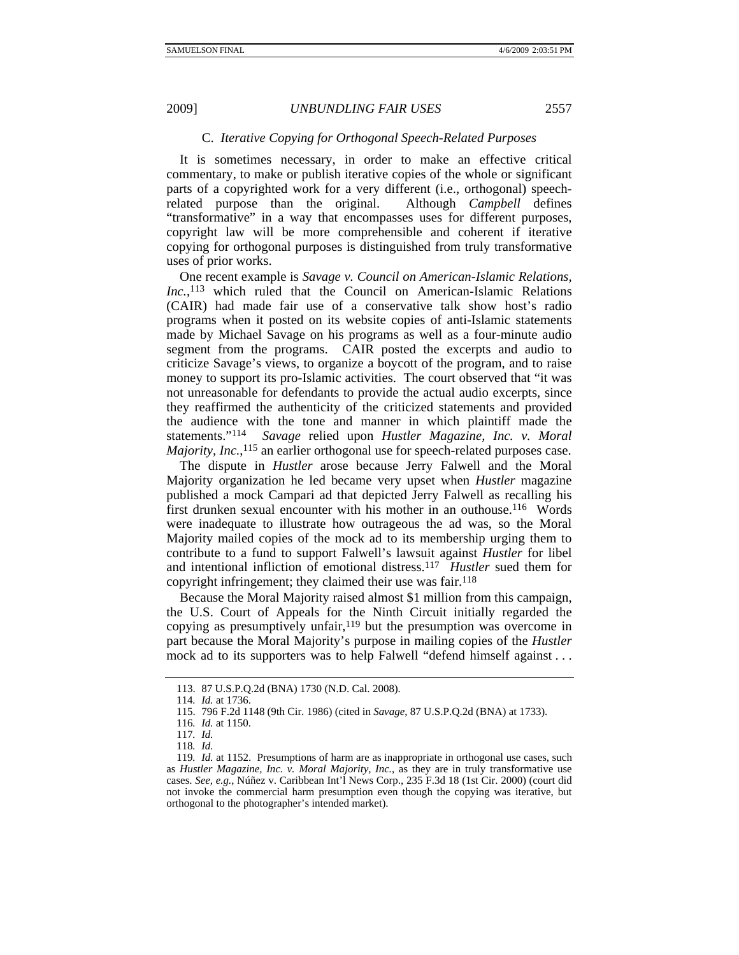### C. *Iterative Copying for Orthogonal Speech-Related Purposes*

It is sometimes necessary, in order to make an effective critical commentary, to make or publish iterative copies of the whole or significant parts of a copyrighted work for a very different (i.e., orthogonal) speechrelated purpose than the original. Although *Campbell* defines "transformative" in a way that encompasses uses for different purposes, copyright law will be more comprehensible and coherent if iterative copying for orthogonal purposes is distinguished from truly transformative uses of prior works.

One recent example is *Savage v. Council on American-Islamic Relations, Inc.*, 113 which ruled that the Council on American-Islamic Relations (CAIR) had made fair use of a conservative talk show host's radio programs when it posted on its website copies of anti-Islamic statements made by Michael Savage on his programs as well as a four-minute audio segment from the programs. CAIR posted the excerpts and audio to criticize Savage's views, to organize a boycott of the program, and to raise money to support its pro-Islamic activities. The court observed that "it was not unreasonable for defendants to provide the actual audio excerpts, since they reaffirmed the authenticity of the criticized statements and provided the audience with the tone and manner in which plaintiff made the statements."114 *Savage* relied upon *Hustler Magazine, Inc. v. Moral*  Majority, Inc.,<sup>115</sup> an earlier orthogonal use for speech-related purposes case.

The dispute in *Hustler* arose because Jerry Falwell and the Moral Majority organization he led became very upset when *Hustler* magazine published a mock Campari ad that depicted Jerry Falwell as recalling his first drunken sexual encounter with his mother in an outhouse.116 Words were inadequate to illustrate how outrageous the ad was, so the Moral Majority mailed copies of the mock ad to its membership urging them to contribute to a fund to support Falwell's lawsuit against *Hustler* for libel and intentional infliction of emotional distress.117 *Hustler* sued them for copyright infringement; they claimed their use was fair.<sup>118</sup>

Because the Moral Majority raised almost \$1 million from this campaign, the U.S. Court of Appeals for the Ninth Circuit initially regarded the copying as presumptively unfair,119 but the presumption was overcome in part because the Moral Majority's purpose in mailing copies of the *Hustler* mock ad to its supporters was to help Falwell "defend himself against . . .

 <sup>113. 87</sup> U.S.P.Q.2d (BNA) 1730 (N.D. Cal. 2008).

<sup>114</sup>*. Id.* at 1736.

 <sup>115. 796</sup> F.2d 1148 (9th Cir. 1986) (cited in *Savage*, 87 U.S.P.Q.2d (BNA) at 1733).

<sup>116</sup>*. Id.* at 1150.

<sup>117</sup>*. Id.*

<sup>118</sup>*. Id.*

<sup>119</sup>*. Id.* at 1152. Presumptions of harm are as inappropriate in orthogonal use cases, such as *Hustler Magazine, Inc. v. Moral Majority, Inc.*, as they are in truly transformative use cases. *See, e.g.*, Núñez v. Caribbean Int'l News Corp., 235 F.3d 18 (1st Cir. 2000) (court did not invoke the commercial harm presumption even though the copying was iterative, but orthogonal to the photographer's intended market).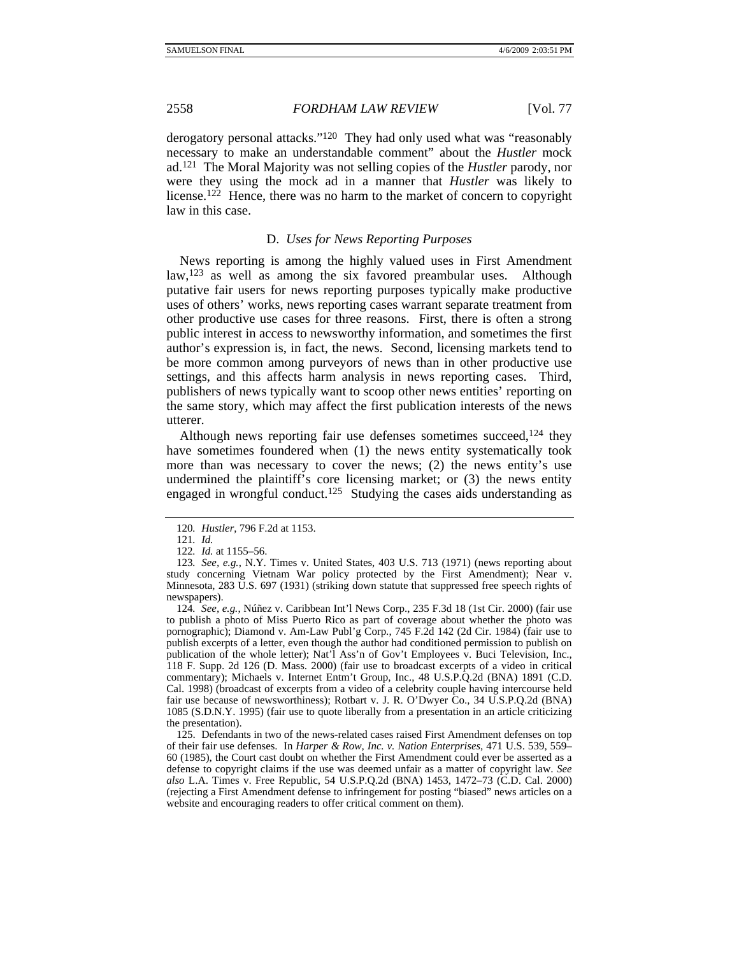derogatory personal attacks."120 They had only used what was "reasonably necessary to make an understandable comment" about the *Hustler* mock ad.121 The Moral Majority was not selling copies of the *Hustler* parody, nor were they using the mock ad in a manner that *Hustler* was likely to license.<sup>122</sup> Hence, there was no harm to the market of concern to copyright law in this case.

## D. *Uses for News Reporting Purposes*

News reporting is among the highly valued uses in First Amendment law,123 as well as among the six favored preambular uses. Although putative fair users for news reporting purposes typically make productive uses of others' works, news reporting cases warrant separate treatment from other productive use cases for three reasons. First, there is often a strong public interest in access to newsworthy information, and sometimes the first author's expression is, in fact, the news. Second, licensing markets tend to be more common among purveyors of news than in other productive use settings, and this affects harm analysis in news reporting cases. Third, publishers of news typically want to scoop other news entities' reporting on the same story, which may affect the first publication interests of the news utterer.

Although news reporting fair use defenses sometimes succeed,  $124$  they have sometimes foundered when (1) the news entity systematically took more than was necessary to cover the news; (2) the news entity's use undermined the plaintiff's core licensing market; or (3) the news entity engaged in wrongful conduct.125 Studying the cases aids understanding as

124*. See, e.g.*, Núñez v. Caribbean Int'l News Corp., 235 F.3d 18 (1st Cir. 2000) (fair use to publish a photo of Miss Puerto Rico as part of coverage about whether the photo was pornographic); Diamond v. Am-Law Publ'g Corp., 745 F.2d 142 (2d Cir. 1984) (fair use to publish excerpts of a letter, even though the author had conditioned permission to publish on publication of the whole letter); Nat'l Ass'n of Gov't Employees v. Buci Television, Inc., 118 F. Supp. 2d 126 (D. Mass. 2000) (fair use to broadcast excerpts of a video in critical commentary); Michaels v. Internet Entm't Group, Inc., 48 U.S.P.Q.2d (BNA) 1891 (C.D. Cal. 1998) (broadcast of excerpts from a video of a celebrity couple having intercourse held fair use because of newsworthiness); Rotbart v. J. R. O'Dwyer Co., 34 U.S.P.Q.2d (BNA) 1085 (S.D.N.Y. 1995) (fair use to quote liberally from a presentation in an article criticizing the presentation).

 125. Defendants in two of the news-related cases raised First Amendment defenses on top of their fair use defenses. In *Harper & Row, Inc. v. Nation Enterprises*, 471 U.S. 539, 559– 60 (1985), the Court cast doubt on whether the First Amendment could ever be asserted as a defense to copyright claims if the use was deemed unfair as a matter of copyright law. *See also* L.A. Times v. Free Republic, 54 U.S.P.Q.2d (BNA) 1453, 1472–73 (C.D. Cal. 2000) (rejecting a First Amendment defense to infringement for posting "biased" news articles on a website and encouraging readers to offer critical comment on them).

<sup>120</sup>*. Hustler*, 796 F.2d at 1153.

<sup>121</sup>*. Id.*

<sup>122</sup>*. Id.* at 1155–56.

<sup>123</sup>*. See, e.g.*, N.Y. Times v. United States, 403 U.S. 713 (1971) (news reporting about study concerning Vietnam War policy protected by the First Amendment); Near v. Minnesota, 283 U.S. 697 (1931) (striking down statute that suppressed free speech rights of newspapers).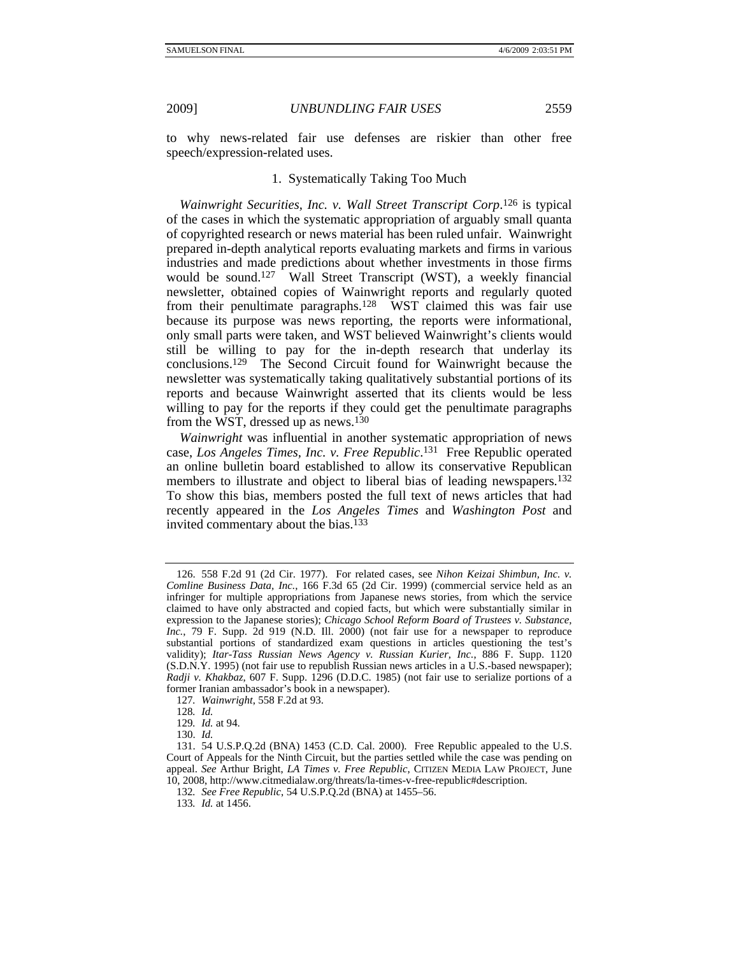to why news-related fair use defenses are riskier than other free speech/expression-related uses.

## 1. Systematically Taking Too Much

*Wainwright Securities, Inc. v. Wall Street Transcript Corp*. 126 is typical of the cases in which the systematic appropriation of arguably small quanta of copyrighted research or news material has been ruled unfair. Wainwright prepared in-depth analytical reports evaluating markets and firms in various industries and made predictions about whether investments in those firms would be sound.<sup>127</sup> Wall Street Transcript (WST), a weekly financial newsletter, obtained copies of Wainwright reports and regularly quoted from their penultimate paragraphs.128 WST claimed this was fair use because its purpose was news reporting, the reports were informational, only small parts were taken, and WST believed Wainwright's clients would still be willing to pay for the in-depth research that underlay its conclusions.129 The Second Circuit found for Wainwright because the newsletter was systematically taking qualitatively substantial portions of its reports and because Wainwright asserted that its clients would be less willing to pay for the reports if they could get the penultimate paragraphs from the WST, dressed up as news.<sup>130</sup>

*Wainwright* was influential in another systematic appropriation of news case, *Los Angeles Times, Inc. v. Free Republic*. 131 Free Republic operated an online bulletin board established to allow its conservative Republican members to illustrate and object to liberal bias of leading newspapers.<sup>132</sup> To show this bias, members posted the full text of news articles that had recently appeared in the *Los Angeles Times* and *Washington Post* and invited commentary about the bias.133

130. *Id.*

 <sup>126. 558</sup> F.2d 91 (2d Cir. 1977). For related cases, see *Nihon Keizai Shimbun, Inc. v. Comline Business Data, Inc.*, 166 F.3d 65 (2d Cir. 1999) (commercial service held as an infringer for multiple appropriations from Japanese news stories, from which the service claimed to have only abstracted and copied facts, but which were substantially similar in expression to the Japanese stories); *Chicago School Reform Board of Trustees v. Substance, Inc.*, 79 F. Supp. 2d 919 (N.D. Ill. 2000) (not fair use for a newspaper to reproduce substantial portions of standardized exam questions in articles questioning the test's validity); *Itar-Tass Russian News Agency v. Russian Kurier, Inc.*, 886 F. Supp. 1120 (S.D.N.Y. 1995) (not fair use to republish Russian news articles in a U.S.-based newspaper); *Radji v. Khakbaz*, 607 F. Supp. 1296 (D.D.C. 1985) (not fair use to serialize portions of a former Iranian ambassador's book in a newspaper).

<sup>127</sup>*. Wainwright*, 558 F.2d at 93.

<sup>128</sup>*. Id.*

<sup>129</sup>*. Id.* at 94.

 <sup>131. 54</sup> U.S.P.Q.2d (BNA) 1453 (C.D. Cal. 2000). Free Republic appealed to the U.S. Court of Appeals for the Ninth Circuit, but the parties settled while the case was pending on appeal. *See* Arthur Bright, *LA Times v. Free Republic*, CITIZEN MEDIA LAW PROJECT, June 10, 2008, http://www.citmedialaw.org/threats/la-times-v-free-republic#description.

<sup>132</sup>*. See Free Republic*, 54 U.S.P.Q.2d (BNA) at 1455–56.

<sup>133</sup>*. Id.* at 1456.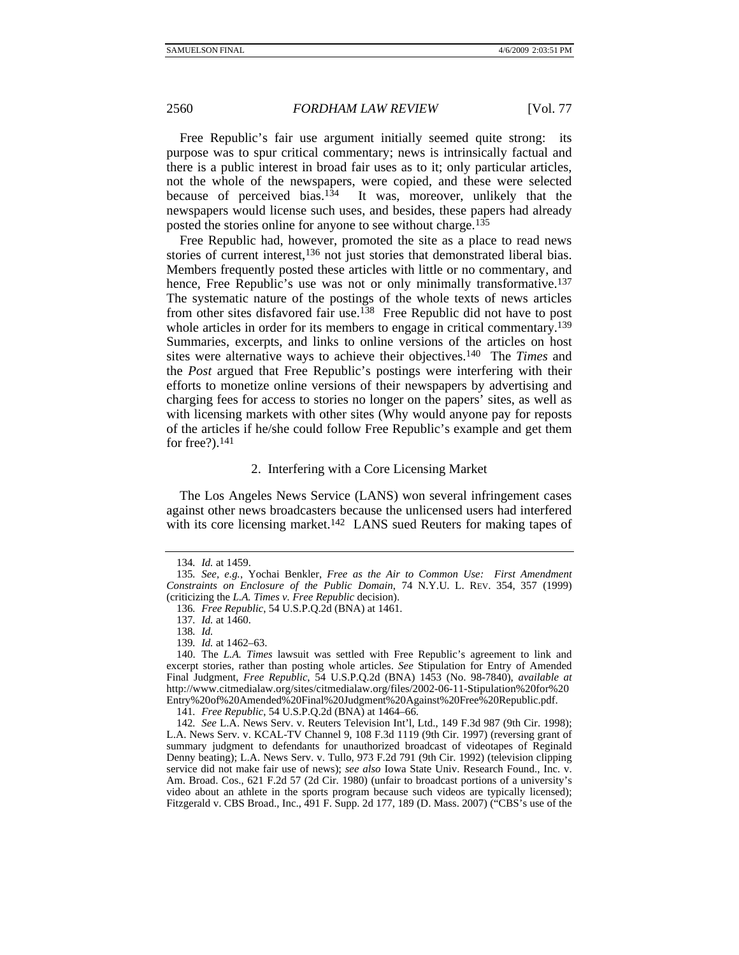Free Republic's fair use argument initially seemed quite strong: its purpose was to spur critical commentary; news is intrinsically factual and there is a public interest in broad fair uses as to it; only particular articles, not the whole of the newspapers, were copied, and these were selected because of perceived bias.<sup>134</sup> It was, moreover, unlikely that the newspapers would license such uses, and besides, these papers had already posted the stories online for anyone to see without charge.<sup>135</sup>

Free Republic had, however, promoted the site as a place to read news stories of current interest,<sup>136</sup> not just stories that demonstrated liberal bias. Members frequently posted these articles with little or no commentary, and hence, Free Republic's use was not or only minimally transformative.<sup>137</sup> The systematic nature of the postings of the whole texts of news articles from other sites disfavored fair use.<sup>138</sup> Free Republic did not have to post whole articles in order for its members to engage in critical commentary.<sup>139</sup> Summaries, excerpts, and links to online versions of the articles on host sites were alternative ways to achieve their objectives.140 The *Times* and the *Post* argued that Free Republic's postings were interfering with their efforts to monetize online versions of their newspapers by advertising and charging fees for access to stories no longer on the papers' sites, as well as with licensing markets with other sites (Why would anyone pay for reposts of the articles if he/she could follow Free Republic's example and get them for free?).141

#### 2. Interfering with a Core Licensing Market

The Los Angeles News Service (LANS) won several infringement cases against other news broadcasters because the unlicensed users had interfered with its core licensing market.<sup>142</sup> LANS sued Reuters for making tapes of

<sup>134</sup>*. Id.* at 1459.

<sup>135</sup>*. See, e.g.*, Yochai Benkler, *Free as the Air to Common Use: First Amendment Constraints on Enclosure of the Public Domain*, 74 N.Y.U. L. REV. 354, 357 (1999) (criticizing the *L.A. Times v. Free Republic* decision).

<sup>136</sup>*. Free Republic*, 54 U.S.P.Q.2d (BNA) at 1461.

<sup>137</sup>*. Id.* at 1460.

<sup>138</sup>*. Id.*

<sup>139</sup>*. Id.* at 1462–63.

 <sup>140.</sup> The *L.A. Times* lawsuit was settled with Free Republic's agreement to link and excerpt stories, rather than posting whole articles. *See* Stipulation for Entry of Amended Final Judgment, *Free Republic*, 54 U.S.P.Q.2d (BNA) 1453 (No. 98-7840), *available at* http://www.citmedialaw.org/sites/citmedialaw.org/files/2002-06-11-Stipulation%20for%20 Entry%20of%20Amended%20Final%20Judgment%20Against%20Free%20Republic.pdf.

<sup>141</sup>*. Free Republic*, 54 U.S.P.Q.2d (BNA) at 1464–66.

<sup>142</sup>*. See* L.A. News Serv. v. Reuters Television Int'l, Ltd., 149 F.3d 987 (9th Cir. 1998); L.A. News Serv. v. KCAL-TV Channel 9, 108 F.3d 1119 (9th Cir. 1997) (reversing grant of summary judgment to defendants for unauthorized broadcast of videotapes of Reginald Denny beating); L.A. News Serv. v. Tullo, 973 F.2d 791 (9th Cir. 1992) (television clipping service did not make fair use of news); *see also* Iowa State Univ. Research Found., Inc. v. Am. Broad. Cos., 621 F.2d 57 (2d Cir. 1980) (unfair to broadcast portions of a university's video about an athlete in the sports program because such videos are typically licensed); Fitzgerald v. CBS Broad., Inc., 491 F. Supp. 2d 177, 189 (D. Mass. 2007) ("CBS's use of the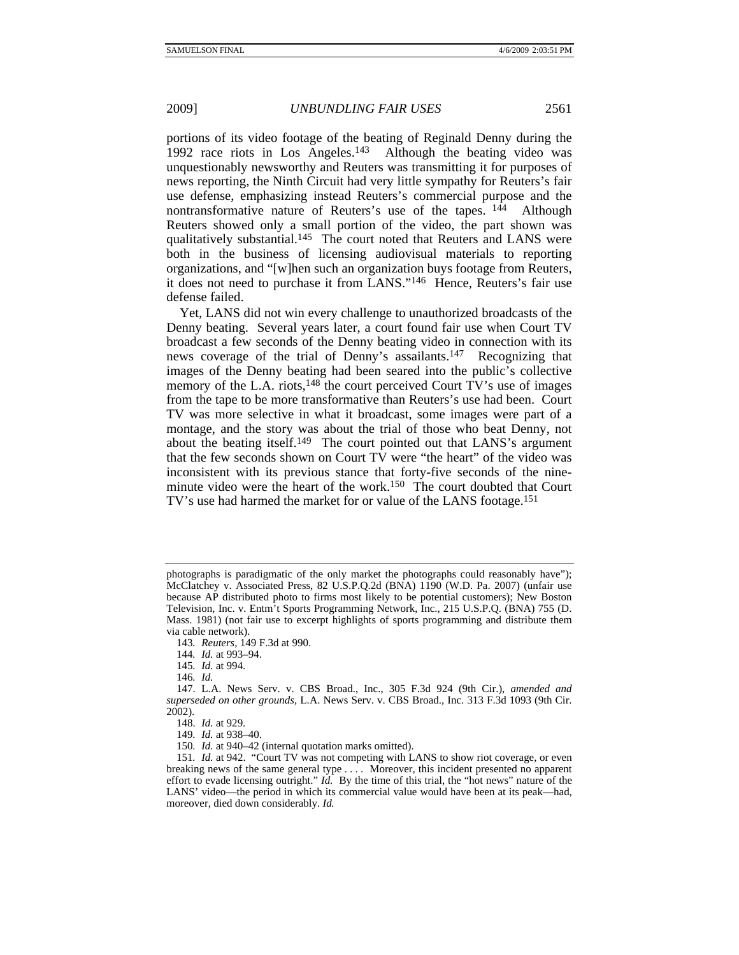portions of its video footage of the beating of Reginald Denny during the 1992 race riots in Los Angeles.143 Although the beating video was unquestionably newsworthy and Reuters was transmitting it for purposes of news reporting, the Ninth Circuit had very little sympathy for Reuters's fair use defense, emphasizing instead Reuters's commercial purpose and the nontransformative nature of Reuters's use of the tapes. <sup>144</sup> Although nontransformative nature of Reuters's use of the tapes. <sup>144</sup> Reuters showed only a small portion of the video, the part shown was qualitatively substantial.145 The court noted that Reuters and LANS were both in the business of licensing audiovisual materials to reporting organizations, and "[w]hen such an organization buys footage from Reuters, it does not need to purchase it from LANS."146 Hence, Reuters's fair use defense failed.

Yet, LANS did not win every challenge to unauthorized broadcasts of the Denny beating. Several years later, a court found fair use when Court TV broadcast a few seconds of the Denny beating video in connection with its news coverage of the trial of Denny's assailants.147 Recognizing that images of the Denny beating had been seared into the public's collective memory of the L.A. riots, $148$  the court perceived Court TV's use of images from the tape to be more transformative than Reuters's use had been. Court TV was more selective in what it broadcast, some images were part of a montage, and the story was about the trial of those who beat Denny, not about the beating itself.149 The court pointed out that LANS's argument that the few seconds shown on Court TV were "the heart" of the video was inconsistent with its previous stance that forty-five seconds of the nineminute video were the heart of the work.<sup>150</sup> The court doubted that Court TV's use had harmed the market for or value of the LANS footage.151

photographs is paradigmatic of the only market the photographs could reasonably have"); McClatchey v. Associated Press, 82 U.S.P.Q.2d (BNA) 1190 (W.D. Pa. 2007) (unfair use because AP distributed photo to firms most likely to be potential customers); New Boston Television, Inc. v. Entm't Sports Programming Network, Inc., 215 U.S.P.Q. (BNA) 755 (D. Mass. 1981) (not fair use to excerpt highlights of sports programming and distribute them via cable network).

<sup>143</sup>*. Reuters*, 149 F.3d at 990.

<sup>144</sup>*. Id.* at 993–94.

<sup>145</sup>*. Id.* at 994.

<sup>146</sup>*. Id.*

 <sup>147.</sup> L.A. News Serv. v. CBS Broad., Inc., 305 F.3d 924 (9th Cir.), *amended and superseded on other grounds*, L.A. News Serv. v. CBS Broad., Inc. 313 F.3d 1093 (9th Cir. 2002).

 <sup>148.</sup> *Id.* at 929.

<sup>149</sup>*. Id.* at 938–40.

<sup>150</sup>*. Id.* at 940–42 (internal quotation marks omitted).

<sup>151</sup>*. Id.* at 942. "Court TV was not competing with LANS to show riot coverage, or even breaking news of the same general type . . . . Moreover, this incident presented no apparent effort to evade licensing outright." *Id.* By the time of this trial, the "hot news" nature of the LANS' video—the period in which its commercial value would have been at its peak—had, moreover, died down considerably. *Id.*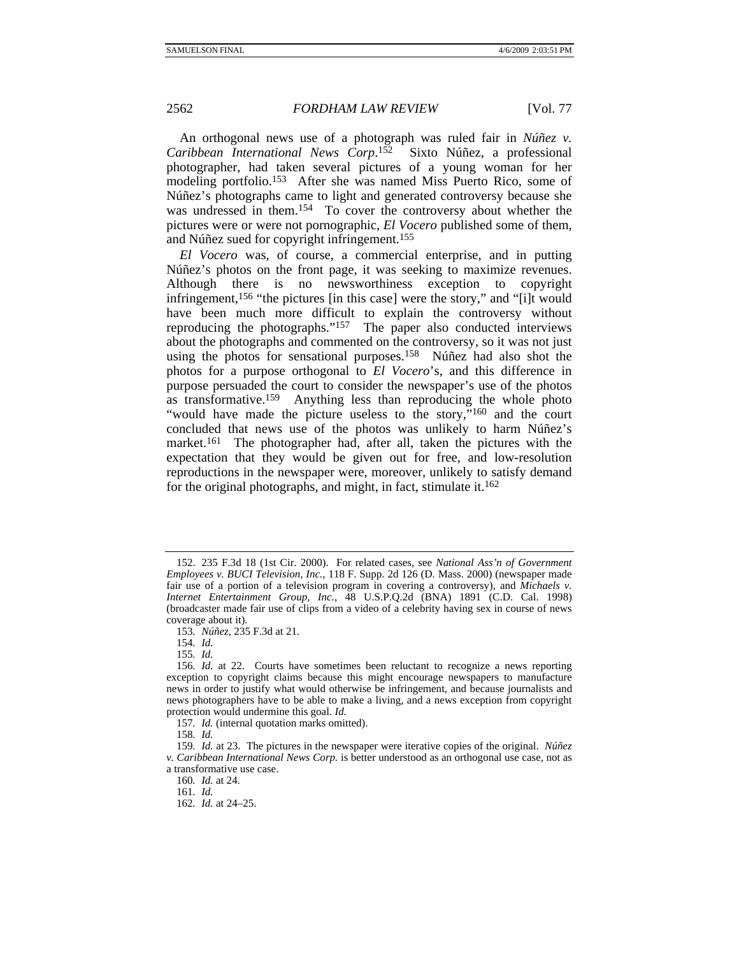An orthogonal news use of a photograph was ruled fair in *Núñez v. Caribbean International News Corp*. 152 Sixto Núñez, a professional photographer, had taken several pictures of a young woman for her modeling portfolio.153 After she was named Miss Puerto Rico, some of Núñez's photographs came to light and generated controversy because she was undressed in them.<sup>154</sup> To cover the controversy about whether the pictures were or were not pornographic, *El Vocero* published some of them, and Núñez sued for copyright infringement.155

*El Vocero* was, of course, a commercial enterprise, and in putting Núñez's photos on the front page, it was seeking to maximize revenues. Although there is no newsworthiness exception to copyright infringement,156 "the pictures [in this case] were the story," and "[i]t would have been much more difficult to explain the controversy without reproducing the photographs."157 The paper also conducted interviews about the photographs and commented on the controversy, so it was not just using the photos for sensational purposes.<sup>158</sup> Núñez had also shot the photos for a purpose orthogonal to *El Vocero*'s, and this difference in purpose persuaded the court to consider the newspaper's use of the photos as transformative.159 Anything less than reproducing the whole photo "would have made the picture useless to the story,"160 and the court concluded that news use of the photos was unlikely to harm Núñez's market.<sup>161</sup> The photographer had, after all, taken the pictures with the expectation that they would be given out for free, and low-resolution reproductions in the newspaper were, moreover, unlikely to satisfy demand for the original photographs, and might, in fact, stimulate it.<sup>162</sup>

158*. Id.*

161*. Id.*

 <sup>152. 235</sup> F.3d 18 (1st Cir. 2000). For related cases, see *National Ass'n of Government Employees v. BUCI Television, Inc.*, 118 F. Supp. 2d 126 (D. Mass. 2000) (newspaper made fair use of a portion of a television program in covering a controversy), and *Michaels v. Internet Entertainment Group, Inc.*, 48 U.S.P.Q.2d (BNA) 1891 (C.D. Cal. 1998) (broadcaster made fair use of clips from a video of a celebrity having sex in course of news coverage about it).

<sup>153</sup>*. Núñez*, 235 F.3d at 21.

<sup>154</sup>*. Id.*

<sup>155</sup>*. Id.*

<sup>156</sup>*. Id.* at 22. Courts have sometimes been reluctant to recognize a news reporting exception to copyright claims because this might encourage newspapers to manufacture news in order to justify what would otherwise be infringement, and because journalists and news photographers have to be able to make a living, and a news exception from copyright protection would undermine this goal. *Id.*

<sup>157</sup>*. Id.* (internal quotation marks omitted).

<sup>159</sup>*. Id.* at 23. The pictures in the newspaper were iterative copies of the original. *Núñez v. Caribbean International News Corp.* is better understood as an orthogonal use case, not as a transformative use case.

<sup>160</sup>*. Id.* at 24.

<sup>162</sup>*. Id.* at 24–25.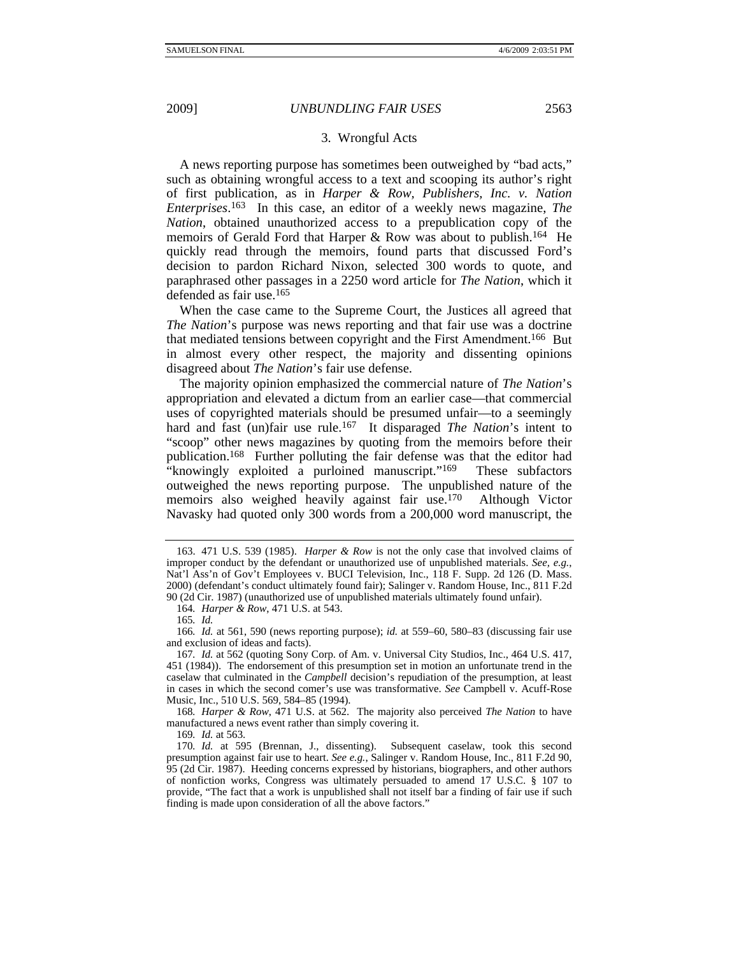### 3. Wrongful Acts

A news reporting purpose has sometimes been outweighed by "bad acts," such as obtaining wrongful access to a text and scooping its author's right of first publication, as in *Harper & Row, Publishers, Inc. v. Nation Enterprises*. 163 In this case, an editor of a weekly news magazine, *The Nation*, obtained unauthorized access to a prepublication copy of the memoirs of Gerald Ford that Harper  $\&$  Row was about to publish.<sup>164</sup> He quickly read through the memoirs, found parts that discussed Ford's decision to pardon Richard Nixon, selected 300 words to quote, and paraphrased other passages in a 2250 word article for *The Nation*, which it defended as fair use.165

When the case came to the Supreme Court, the Justices all agreed that *The Nation*'s purpose was news reporting and that fair use was a doctrine that mediated tensions between copyright and the First Amendment.166 But in almost every other respect, the majority and dissenting opinions disagreed about *The Nation*'s fair use defense.

The majority opinion emphasized the commercial nature of *The Nation*'s appropriation and elevated a dictum from an earlier case—that commercial uses of copyrighted materials should be presumed unfair—to a seemingly hard and fast (un)fair use rule.<sup>167</sup> It disparaged *The Nation*'s intent to "scoop" other news magazines by quoting from the memoirs before their publication.168 Further polluting the fair defense was that the editor had "knowingly exploited a purloined manuscript."169 These subfactors outweighed the news reporting purpose. The unpublished nature of the memoirs also weighed heavily against fair use.170 Although Victor Navasky had quoted only 300 words from a 200,000 word manuscript, the

164*. Harper & Row*, 471 U.S. at 543.

165*. Id.*

166*. Id.* at 561, 590 (news reporting purpose); *id.* at 559–60, 580–83 (discussing fair use and exclusion of ideas and facts).

168*. Harper & Row*, 471 U.S. at 562. The majority also perceived *The Nation* to have manufactured a news event rather than simply covering it.

169*. Id.* at 563.

 <sup>163. 471</sup> U.S. 539 (1985). *Harper & Row* is not the only case that involved claims of improper conduct by the defendant or unauthorized use of unpublished materials. *See, e.g.*, Nat'l Ass'n of Gov't Employees v. BUCI Television, Inc., 118 F. Supp. 2d 126 (D. Mass. 2000) (defendant's conduct ultimately found fair); Salinger v. Random House, Inc., 811 F.2d 90 (2d Cir. 1987) (unauthorized use of unpublished materials ultimately found unfair).

<sup>167</sup>*. Id.* at 562 (quoting Sony Corp. of Am. v. Universal City Studios, Inc., 464 U.S. 417, 451 (1984)). The endorsement of this presumption set in motion an unfortunate trend in the caselaw that culminated in the *Campbell* decision's repudiation of the presumption, at least in cases in which the second comer's use was transformative. *See* Campbell v. Acuff-Rose Music, Inc., 510 U.S. 569, 584–85 (1994).

<sup>170</sup>*. Id.* at 595 (Brennan, J., dissenting). Subsequent caselaw, took this second presumption against fair use to heart. *See e.g.*, Salinger v. Random House, Inc., 811 F.2d 90, 95 (2d Cir. 1987). Heeding concerns expressed by historians, biographers, and other authors of nonfiction works, Congress was ultimately persuaded to amend 17 U.S.C. § 107 to provide, "The fact that a work is unpublished shall not itself bar a finding of fair use if such finding is made upon consideration of all the above factors."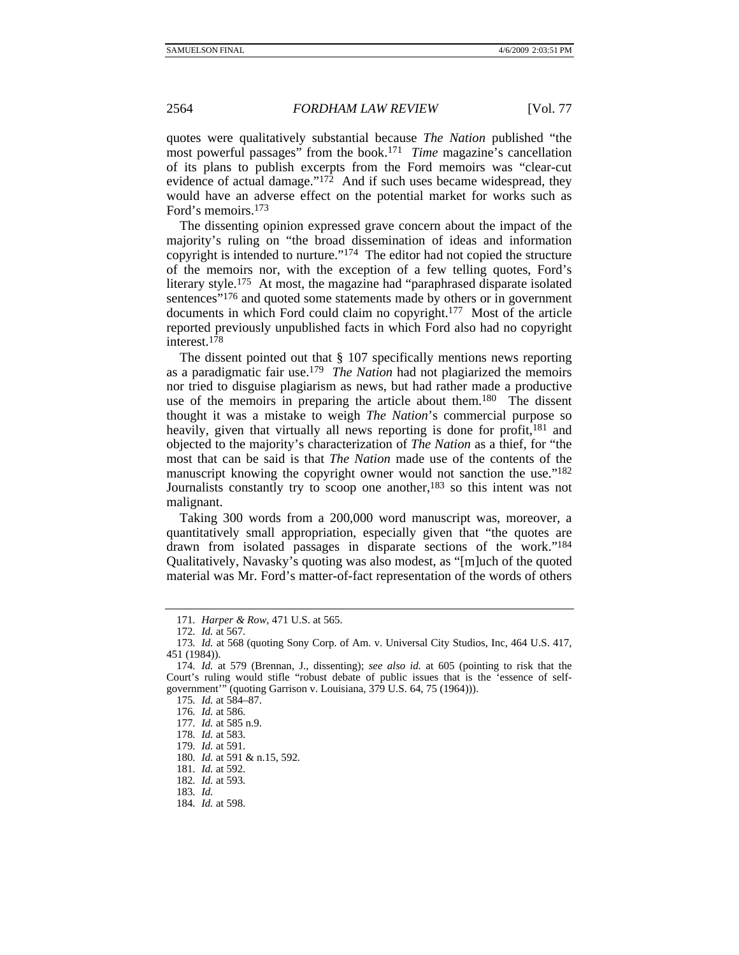quotes were qualitatively substantial because *The Nation* published "the most powerful passages" from the book.171 *Time* magazine's cancellation of its plans to publish excerpts from the Ford memoirs was "clear-cut evidence of actual damage." $17\overline{2}$  And if such uses became widespread, they would have an adverse effect on the potential market for works such as Ford's memoirs.173

The dissenting opinion expressed grave concern about the impact of the majority's ruling on "the broad dissemination of ideas and information copyright is intended to nurture."174 The editor had not copied the structure of the memoirs nor, with the exception of a few telling quotes, Ford's literary style.<sup>175</sup> At most, the magazine had "paraphrased disparate isolated" sentences"<sup>176</sup> and quoted some statements made by others or in government documents in which Ford could claim no copyright.177 Most of the article reported previously unpublished facts in which Ford also had no copyright interest.178

The dissent pointed out that § 107 specifically mentions news reporting as a paradigmatic fair use.179 *The Nation* had not plagiarized the memoirs nor tried to disguise plagiarism as news, but had rather made a productive use of the memoirs in preparing the article about them.<sup>180</sup> The dissent thought it was a mistake to weigh *The Nation*'s commercial purpose so heavily, given that virtually all news reporting is done for profit,<sup>181</sup> and objected to the majority's characterization of *The Nation* as a thief, for "the most that can be said is that *The Nation* made use of the contents of the manuscript knowing the copyright owner would not sanction the use."<sup>182</sup> Journalists constantly try to scoop one another,183 so this intent was not malignant.

Taking 300 words from a 200,000 word manuscript was, moreover, a quantitatively small appropriation, especially given that "the quotes are drawn from isolated passages in disparate sections of the work."184 Qualitatively, Navasky's quoting was also modest, as "[m]uch of the quoted material was Mr. Ford's matter-of-fact representation of the words of others

<sup>171</sup>*. Harper & Row*, 471 U.S. at 565.

<sup>172</sup>*. Id.* at 567.

<sup>173</sup>*. Id.* at 568 (quoting Sony Corp. of Am. v. Universal City Studios, Inc, 464 U.S. 417, 451 (1984)).

<sup>174</sup>*. Id.* at 579 (Brennan, J., dissenting); *see also id.* at 605 (pointing to risk that the Court's ruling would stifle "robust debate of public issues that is the 'essence of selfgovernment'" (quoting Garrison v. Louisiana, 379 U.S. 64, 75 (1964))).

<sup>175</sup>*. Id.* at 584–87.

<sup>176</sup>*. Id.* at 586.

<sup>177</sup>*. Id.* at 585 n.9.

<sup>178</sup>*. Id.* at 583.

<sup>179</sup>*. Id.* at 591.

<sup>180</sup>*. Id.* at 591 & n.15, 592.

<sup>181</sup>*. Id.* at 592.

<sup>182</sup>*. Id.* at 593.

<sup>183</sup>*. Id.*

<sup>184</sup>*. Id.* at 598.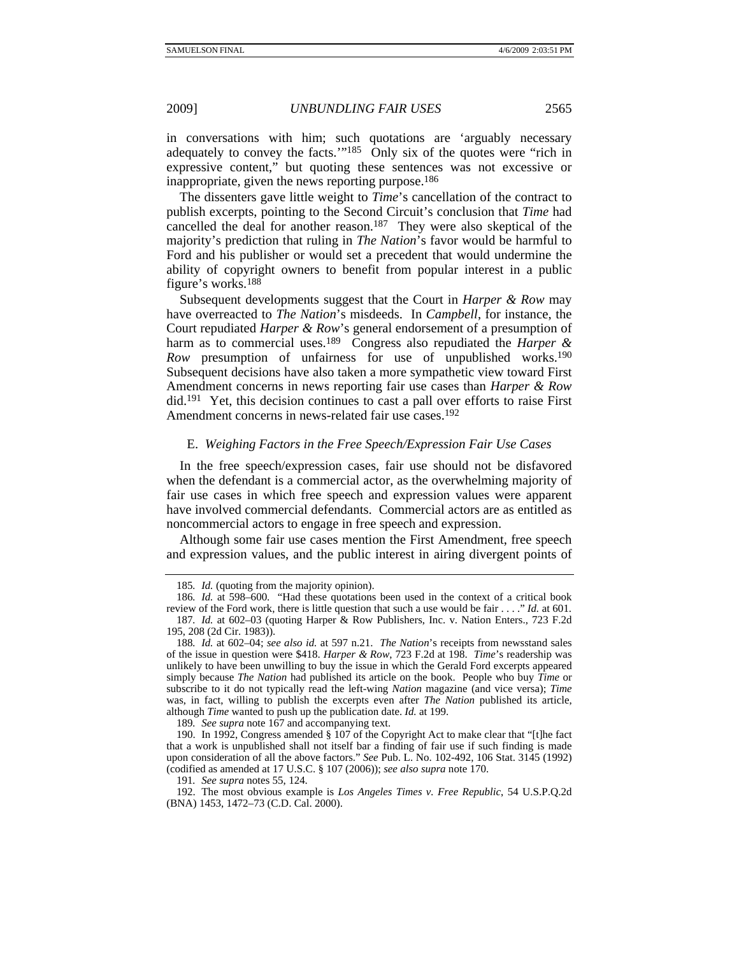in conversations with him; such quotations are 'arguably necessary adequately to convey the facts."<sup>185</sup> Only six of the quotes were "rich in expressive content," but quoting these sentences was not excessive or inappropriate, given the news reporting purpose.186

The dissenters gave little weight to *Time*'s cancellation of the contract to publish excerpts, pointing to the Second Circuit's conclusion that *Time* had cancelled the deal for another reason.<sup>187</sup> They were also skeptical of the majority's prediction that ruling in *The Nation*'s favor would be harmful to Ford and his publisher or would set a precedent that would undermine the ability of copyright owners to benefit from popular interest in a public figure's works.188

Subsequent developments suggest that the Court in *Harper & Row* may have overreacted to *The Nation*'s misdeeds. In *Campbell*, for instance, the Court repudiated *Harper & Row*'s general endorsement of a presumption of harm as to commercial uses.189 Congress also repudiated the *Harper & Row* presumption of unfairness for use of unpublished works.<sup>190</sup> Subsequent decisions have also taken a more sympathetic view toward First Amendment concerns in news reporting fair use cases than *Harper & Row* did.191 Yet, this decision continues to cast a pall over efforts to raise First Amendment concerns in news-related fair use cases.<sup>192</sup>

#### E. *Weighing Factors in the Free Speech/Expression Fair Use Cases*

In the free speech/expression cases, fair use should not be disfavored when the defendant is a commercial actor, as the overwhelming majority of fair use cases in which free speech and expression values were apparent have involved commercial defendants. Commercial actors are as entitled as noncommercial actors to engage in free speech and expression.

Although some fair use cases mention the First Amendment, free speech and expression values, and the public interest in airing divergent points of

189*. See supra* note 167 and accompanying text.

 190. In 1992, Congress amended § 107 of the Copyright Act to make clear that "[t]he fact that a work is unpublished shall not itself bar a finding of fair use if such finding is made upon consideration of all the above factors." *See* Pub. L. No. 102-492, 106 Stat. 3145 (1992) (codified as amended at 17 U.S.C. § 107 (2006)); *see also supra* note 170.

191*. See supra* notes 55, 124.

<sup>185</sup>*. Id.* (quoting from the majority opinion).

<sup>186</sup>*. Id.* at 598–600. "Had these quotations been used in the context of a critical book review of the Ford work, there is little question that such a use would be fair . . . ." *Id.* at 601. 187*. Id.* at 602–03 (quoting Harper & Row Publishers, Inc. v. Nation Enters., 723 F.2d

<sup>195, 208 (2</sup>d Cir. 1983)).

<sup>188</sup>*. Id.* at 602–04; *see also id.* at 597 n.21. *The Nation*'s receipts from newsstand sales of the issue in question were \$418. *Harper & Row*, 723 F.2d at 198. *Time*'s readership was unlikely to have been unwilling to buy the issue in which the Gerald Ford excerpts appeared simply because *The Nation* had published its article on the book. People who buy *Time* or subscribe to it do not typically read the left-wing *Nation* magazine (and vice versa); *Time* was, in fact, willing to publish the excerpts even after *The Nation* published its article, although *Time* wanted to push up the publication date. *Id.* at 199.

 <sup>192.</sup> The most obvious example is *Los Angeles Times v. Free Republic*, 54 U.S.P.Q.2d (BNA) 1453, 1472–73 (C.D. Cal. 2000).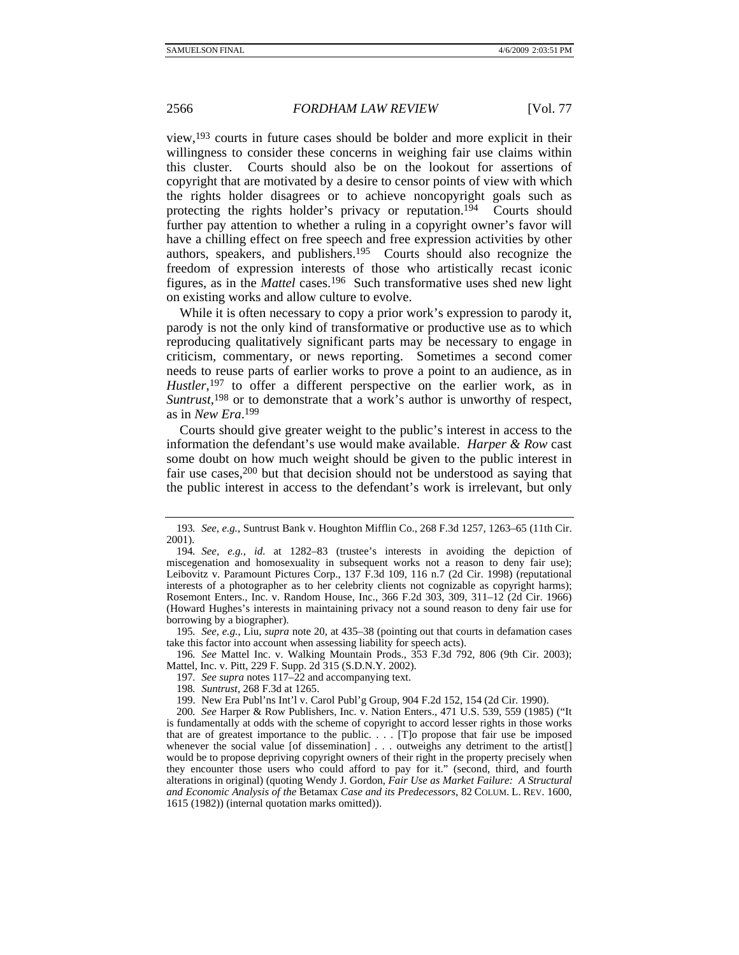view,193 courts in future cases should be bolder and more explicit in their willingness to consider these concerns in weighing fair use claims within this cluster. Courts should also be on the lookout for assertions of copyright that are motivated by a desire to censor points of view with which the rights holder disagrees or to achieve noncopyright goals such as protecting the rights holder's privacy or reputation.<sup>194</sup> Courts should further pay attention to whether a ruling in a copyright owner's favor will have a chilling effect on free speech and free expression activities by other authors, speakers, and publishers.195 Courts should also recognize the freedom of expression interests of those who artistically recast iconic figures, as in the *Mattel* cases.196 Such transformative uses shed new light on existing works and allow culture to evolve.

While it is often necessary to copy a prior work's expression to parody it, parody is not the only kind of transformative or productive use as to which reproducing qualitatively significant parts may be necessary to engage in criticism, commentary, or news reporting. Sometimes a second comer needs to reuse parts of earlier works to prove a point to an audience, as in Hustler,<sup>197</sup> to offer a different perspective on the earlier work, as in *Suntrust*, 198 or to demonstrate that a work's author is unworthy of respect, as in *New Era*. 199

Courts should give greater weight to the public's interest in access to the information the defendant's use would make available. *Harper & Row* cast some doubt on how much weight should be given to the public interest in fair use cases,<sup>200</sup> but that decision should not be understood as saying that the public interest in access to the defendant's work is irrelevant, but only

195*. See, e.g.*, Liu, *supra* note 20, at 435–38 (pointing out that courts in defamation cases take this factor into account when assessing liability for speech acts).

196*. See* Mattel Inc. v. Walking Mountain Prods., 353 F.3d 792, 806 (9th Cir. 2003); Mattel, Inc. v. Pitt, 229 F. Supp. 2d 315 (S.D.N.Y. 2002).

197*. See supra* notes 117–22 and accompanying text.

198*. Suntrust*, 268 F.3d at 1265.

199. New Era Publ'ns Int'l v. Carol Publ'g Group, 904 F.2d 152, 154 (2d Cir. 1990).

200*. See* Harper & Row Publishers, Inc. v. Nation Enters., 471 U.S. 539, 559 (1985) ("It is fundamentally at odds with the scheme of copyright to accord lesser rights in those works that are of greatest importance to the public. . . . [T]o propose that fair use be imposed whenever the social value [of dissemination] . . . outweighs any detriment to the artist[] would be to propose depriving copyright owners of their right in the property precisely when they encounter those users who could afford to pay for it." (second, third, and fourth alterations in original) (quoting Wendy J. Gordon, *Fair Use as Market Failure: A Structural and Economic Analysis of the* Betamax *Case and its Predecessors*, 82 COLUM. L. REV. 1600, 1615 (1982)) (internal quotation marks omitted)).

<sup>193</sup>*. See, e.g.*, Suntrust Bank v. Houghton Mifflin Co., 268 F.3d 1257, 1263–65 (11th Cir. 2001).

<sup>194</sup>*. See, e.g.*, *id.* at 1282–83 (trustee's interests in avoiding the depiction of miscegenation and homosexuality in subsequent works not a reason to deny fair use); Leibovitz v. Paramount Pictures Corp., 137 F.3d 109, 116 n.7 (2d Cir. 1998) (reputational interests of a photographer as to her celebrity clients not cognizable as copyright harms); Rosemont Enters., Inc. v. Random House, Inc., 366 F.2d 303, 309, 311–12 (2d Cir. 1966) (Howard Hughes's interests in maintaining privacy not a sound reason to deny fair use for borrowing by a biographer).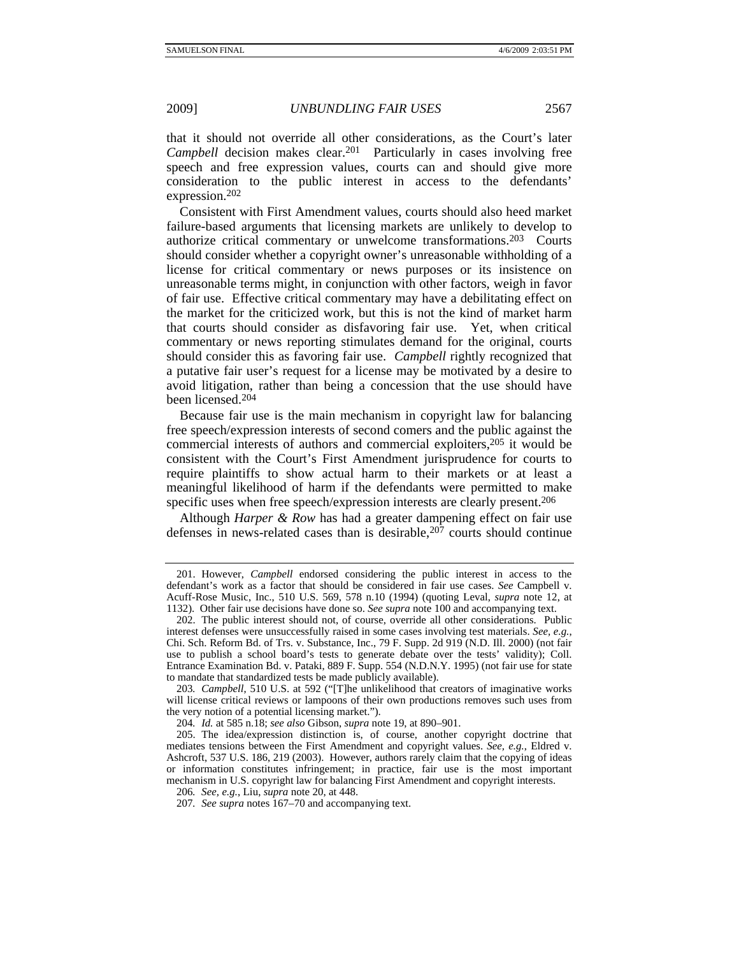that it should not override all other considerations, as the Court's later *Campbell* decision makes clear.<sup>201</sup> Particularly in cases involving free speech and free expression values, courts can and should give more consideration to the public interest in access to the defendants' expression.202

Consistent with First Amendment values, courts should also heed market failure-based arguments that licensing markets are unlikely to develop to authorize critical commentary or unwelcome transformations.203 Courts should consider whether a copyright owner's unreasonable withholding of a license for critical commentary or news purposes or its insistence on unreasonable terms might, in conjunction with other factors, weigh in favor of fair use. Effective critical commentary may have a debilitating effect on the market for the criticized work, but this is not the kind of market harm that courts should consider as disfavoring fair use. Yet, when critical commentary or news reporting stimulates demand for the original, courts should consider this as favoring fair use. *Campbell* rightly recognized that a putative fair user's request for a license may be motivated by a desire to avoid litigation, rather than being a concession that the use should have been licensed.204

Because fair use is the main mechanism in copyright law for balancing free speech/expression interests of second comers and the public against the commercial interests of authors and commercial exploiters,205 it would be consistent with the Court's First Amendment jurisprudence for courts to require plaintiffs to show actual harm to their markets or at least a meaningful likelihood of harm if the defendants were permitted to make specific uses when free speech/expression interests are clearly present.<sup>206</sup>

Although *Harper & Row* has had a greater dampening effect on fair use defenses in news-related cases than is desirable,  $20\overline{7}$  courts should continue

 <sup>201.</sup> However, *Campbell* endorsed considering the public interest in access to the defendant's work as a factor that should be considered in fair use cases. *See* Campbell v. Acuff-Rose Music, Inc., 510 U.S. 569, 578 n.10 (1994) (quoting Leval, *supra* note 12, at 1132). Other fair use decisions have done so. *See supra* note 100 and accompanying text.

 <sup>202.</sup> The public interest should not, of course, override all other considerations. Public interest defenses were unsuccessfully raised in some cases involving test materials. *See, e.g.*, Chi. Sch. Reform Bd. of Trs. v. Substance, Inc., 79 F. Supp. 2d 919 (N.D. Ill. 2000) (not fair use to publish a school board's tests to generate debate over the tests' validity); Coll. Entrance Examination Bd. v. Pataki, 889 F. Supp. 554 (N.D.N.Y. 1995) (not fair use for state to mandate that standardized tests be made publicly available).

<sup>203</sup>*. Campbell*, 510 U.S. at 592 ("[T]he unlikelihood that creators of imaginative works will license critical reviews or lampoons of their own productions removes such uses from the very notion of a potential licensing market.").

<sup>204</sup>*. Id.* at 585 n.18; *see also* Gibson, *supra* note 19, at 890–901.

 <sup>205.</sup> The idea/expression distinction is, of course, another copyright doctrine that mediates tensions between the First Amendment and copyright values. *See, e.g.*, Eldred v. Ashcroft, 537 U.S. 186, 219 (2003). However, authors rarely claim that the copying of ideas or information constitutes infringement; in practice, fair use is the most important mechanism in U.S. copyright law for balancing First Amendment and copyright interests.

<sup>206</sup>*. See, e.g.*, Liu, *supra* note 20, at 448.

<sup>207</sup>*. See supra* notes 167–70 and accompanying text.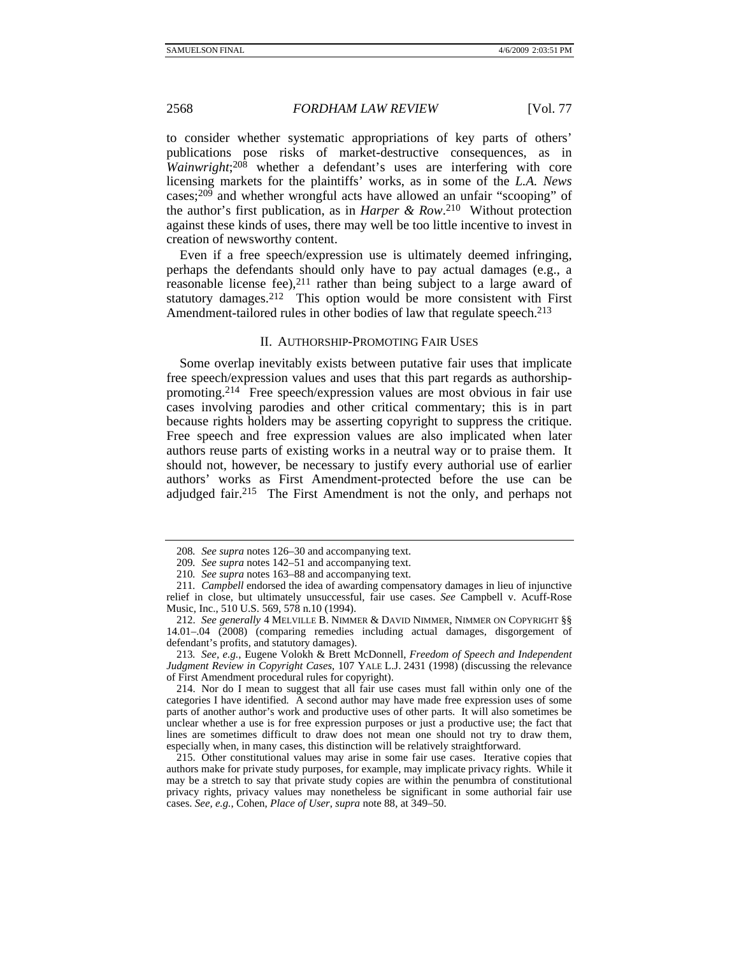to consider whether systematic appropriations of key parts of others' publications pose risks of market-destructive consequences, as in *Wainwright*;208 whether a defendant's uses are interfering with core licensing markets for the plaintiffs' works, as in some of the *L.A. News* cases; $209$  and whether wrongful acts have allowed an unfair "scooping" of the author's first publication, as in *Harper & Row*. 210 Without protection against these kinds of uses, there may well be too little incentive to invest in creation of newsworthy content.

Even if a free speech/expression use is ultimately deemed infringing, perhaps the defendants should only have to pay actual damages (e.g., a reasonable license fee),  $2^{11}$  rather than being subject to a large award of statutory damages.<sup>212</sup> This option would be more consistent with First Amendment-tailored rules in other bodies of law that regulate speech.<sup>213</sup>

#### II. AUTHORSHIP-PROMOTING FAIR USES

Some overlap inevitably exists between putative fair uses that implicate free speech/expression values and uses that this part regards as authorshippromoting.214 Free speech/expression values are most obvious in fair use cases involving parodies and other critical commentary; this is in part because rights holders may be asserting copyright to suppress the critique. Free speech and free expression values are also implicated when later authors reuse parts of existing works in a neutral way or to praise them. It should not, however, be necessary to justify every authorial use of earlier authors' works as First Amendment-protected before the use can be adjudged fair.215 The First Amendment is not the only, and perhaps not

213*. See, e.g.*, Eugene Volokh & Brett McDonnell, *Freedom of Speech and Independent Judgment Review in Copyright Cases*, 107 YALE L.J. 2431 (1998) (discussing the relevance of First Amendment procedural rules for copyright).

 214. Nor do I mean to suggest that all fair use cases must fall within only one of the categories I have identified. A second author may have made free expression uses of some parts of another author's work and productive uses of other parts. It will also sometimes be unclear whether a use is for free expression purposes or just a productive use; the fact that lines are sometimes difficult to draw does not mean one should not try to draw them, especially when, in many cases, this distinction will be relatively straightforward.

 215. Other constitutional values may arise in some fair use cases. Iterative copies that authors make for private study purposes, for example, may implicate privacy rights. While it may be a stretch to say that private study copies are within the penumbra of constitutional privacy rights, privacy values may nonetheless be significant in some authorial fair use cases. *See, e.g.*, Cohen, *Place of User*, *supra* note 88, at 349–50.

<sup>208</sup>*. See supra* notes 126–30 and accompanying text.

<sup>209</sup>*. See supra* notes 142–51 and accompanying text.

<sup>210</sup>*. See supra* notes 163–88 and accompanying text.

<sup>211</sup>*. Campbell* endorsed the idea of awarding compensatory damages in lieu of injunctive relief in close, but ultimately unsuccessful, fair use cases. *See* Campbell v. Acuff-Rose Music, Inc., 510 U.S. 569, 578 n.10 (1994).

 <sup>212.</sup> *See generally* 4 MELVILLE B. NIMMER & DAVID NIMMER, NIMMER ON COPYRIGHT §§ 14.01–.04 (2008) (comparing remedies including actual damages, disgorgement of defendant's profits, and statutory damages).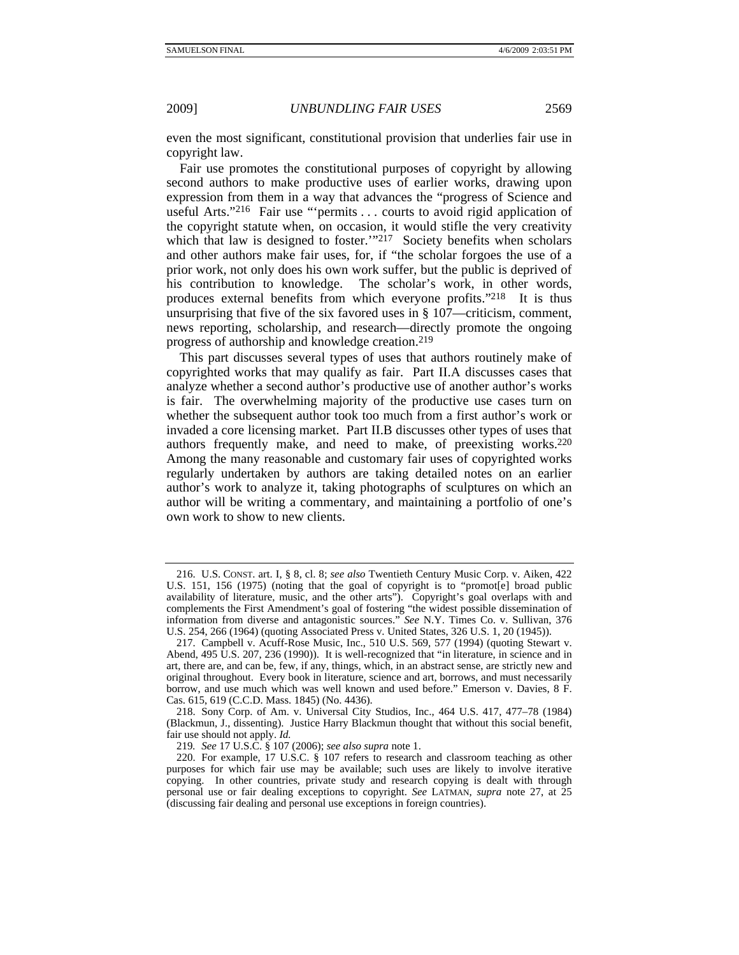even the most significant, constitutional provision that underlies fair use in copyright law.

Fair use promotes the constitutional purposes of copyright by allowing second authors to make productive uses of earlier works, drawing upon expression from them in a way that advances the "progress of Science and useful Arts."216 Fair use "'permits . . . courts to avoid rigid application of the copyright statute when, on occasion, it would stifle the very creativity which that law is designed to foster.'"<sup>217</sup> Society benefits when scholars and other authors make fair uses, for, if "the scholar forgoes the use of a prior work, not only does his own work suffer, but the public is deprived of his contribution to knowledge. The scholar's work, in other words, produces external benefits from which everyone profits."218 It is thus unsurprising that five of the six favored uses in § 107—criticism, comment, news reporting, scholarship, and research—directly promote the ongoing progress of authorship and knowledge creation.219

This part discusses several types of uses that authors routinely make of copyrighted works that may qualify as fair. Part II.A discusses cases that analyze whether a second author's productive use of another author's works is fair. The overwhelming majority of the productive use cases turn on whether the subsequent author took too much from a first author's work or invaded a core licensing market. Part II.B discusses other types of uses that authors frequently make, and need to make, of preexisting works.220 Among the many reasonable and customary fair uses of copyrighted works regularly undertaken by authors are taking detailed notes on an earlier author's work to analyze it, taking photographs of sculptures on which an author will be writing a commentary, and maintaining a portfolio of one's own work to show to new clients.

 <sup>216.</sup> U.S. CONST. art. I, § 8, cl. 8; *see also* Twentieth Century Music Corp. v. Aiken, 422 U.S. 151, 156 (1975) (noting that the goal of copyright is to "promot[e] broad public availability of literature, music, and the other arts"). Copyright's goal overlaps with and complements the First Amendment's goal of fostering "the widest possible dissemination of information from diverse and antagonistic sources." *See* N.Y. Times Co. v. Sullivan, 376 U.S. 254, 266 (1964) (quoting Associated Press v. United States, 326 U.S. 1, 20 (1945)).

 <sup>217.</sup> Campbell v. Acuff-Rose Music, Inc., 510 U.S. 569, 577 (1994) (quoting Stewart v. Abend, 495 U.S. 207, 236 (1990)). It is well-recognized that "in literature, in science and in art, there are, and can be, few, if any, things, which, in an abstract sense, are strictly new and original throughout. Every book in literature, science and art, borrows, and must necessarily borrow, and use much which was well known and used before." Emerson v. Davies, 8 F. Cas. 615, 619 (C.C.D. Mass. 1845) (No. 4436).

 <sup>218.</sup> Sony Corp. of Am. v. Universal City Studios, Inc., 464 U.S. 417, 477–78 (1984) (Blackmun, J., dissenting). Justice Harry Blackmun thought that without this social benefit, fair use should not apply. *Id.*

<sup>219</sup>*. See* 17 U.S.C. § 107 (2006); *see also supra* note 1.

 <sup>220.</sup> For example, 17 U.S.C. § 107 refers to research and classroom teaching as other purposes for which fair use may be available; such uses are likely to involve iterative copying. In other countries, private study and research copying is dealt with through personal use or fair dealing exceptions to copyright. *See* LATMAN, *supra* note 27, at 25 (discussing fair dealing and personal use exceptions in foreign countries).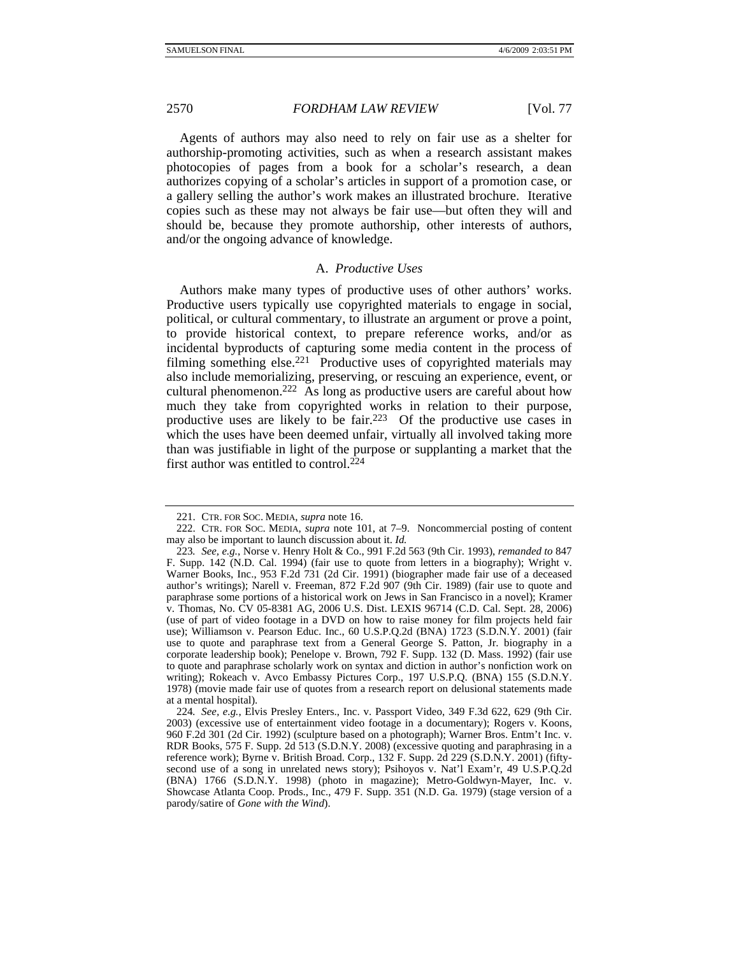Agents of authors may also need to rely on fair use as a shelter for authorship-promoting activities, such as when a research assistant makes photocopies of pages from a book for a scholar's research, a dean authorizes copying of a scholar's articles in support of a promotion case, or a gallery selling the author's work makes an illustrated brochure. Iterative copies such as these may not always be fair use—but often they will and should be, because they promote authorship, other interests of authors, and/or the ongoing advance of knowledge.

#### A. *Productive Uses*

Authors make many types of productive uses of other authors' works. Productive users typically use copyrighted materials to engage in social, political, or cultural commentary, to illustrate an argument or prove a point, to provide historical context, to prepare reference works, and/or as incidental byproducts of capturing some media content in the process of filming something else.<sup>221</sup> Productive uses of copyrighted materials may also include memorializing, preserving, or rescuing an experience, event, or cultural phenomenon.222 As long as productive users are careful about how much they take from copyrighted works in relation to their purpose, productive uses are likely to be fair.223 Of the productive use cases in which the uses have been deemed unfair, virtually all involved taking more than was justifiable in light of the purpose or supplanting a market that the first author was entitled to control.224

 <sup>221.</sup> CTR. FOR SOC. MEDIA, *supra* note 16.

 <sup>222.</sup> CTR. FOR SOC. MEDIA, *supra* note 101, at 7–9. Noncommercial posting of content may also be important to launch discussion about it. *Id.*

<sup>223</sup>*. See, e.g.*, Norse v. Henry Holt & Co., 991 F.2d 563 (9th Cir. 1993), *remanded to* 847 F. Supp. 142 (N.D. Cal. 1994) (fair use to quote from letters in a biography); Wright v. Warner Books, Inc., 953 F.2d 731 (2d Cir. 1991) (biographer made fair use of a deceased author's writings); Narell v. Freeman, 872 F.2d 907 (9th Cir. 1989) (fair use to quote and paraphrase some portions of a historical work on Jews in San Francisco in a novel); Kramer v. Thomas, No. CV 05-8381 AG, 2006 U.S. Dist. LEXIS 96714 (C.D. Cal. Sept. 28, 2006) (use of part of video footage in a DVD on how to raise money for film projects held fair use); Williamson v. Pearson Educ. Inc., 60 U.S.P.Q.2d (BNA) 1723 (S.D.N.Y. 2001) (fair use to quote and paraphrase text from a General George S. Patton, Jr. biography in a corporate leadership book); Penelope v. Brown, 792 F. Supp. 132 (D. Mass. 1992) (fair use to quote and paraphrase scholarly work on syntax and diction in author's nonfiction work on writing); Rokeach v. Avco Embassy Pictures Corp., 197 U.S.P.Q. (BNA) 155 (S.D.N.Y. 1978) (movie made fair use of quotes from a research report on delusional statements made at a mental hospital).

<sup>224</sup>*. See, e.g.*, Elvis Presley Enters., Inc. v. Passport Video, 349 F.3d 622, 629 (9th Cir. 2003) (excessive use of entertainment video footage in a documentary); Rogers v. Koons, 960 F.2d 301 (2d Cir. 1992) (sculpture based on a photograph); Warner Bros. Entm't Inc. v. RDR Books, 575 F. Supp. 2d 513 (S.D.N.Y. 2008) (excessive quoting and paraphrasing in a reference work); Byrne v. British Broad. Corp., 132 F. Supp. 2d 229 (S.D.N.Y. 2001) (fiftysecond use of a song in unrelated news story); Psihoyos v. Nat'l Exam'r, 49 U.S.P.Q.2d (BNA) 1766 (S.D.N.Y. 1998) (photo in magazine); Metro-Goldwyn-Mayer, Inc. v. Showcase Atlanta Coop. Prods., Inc., 479 F. Supp. 351 (N.D. Ga. 1979) (stage version of a parody/satire of *Gone with the Wind*).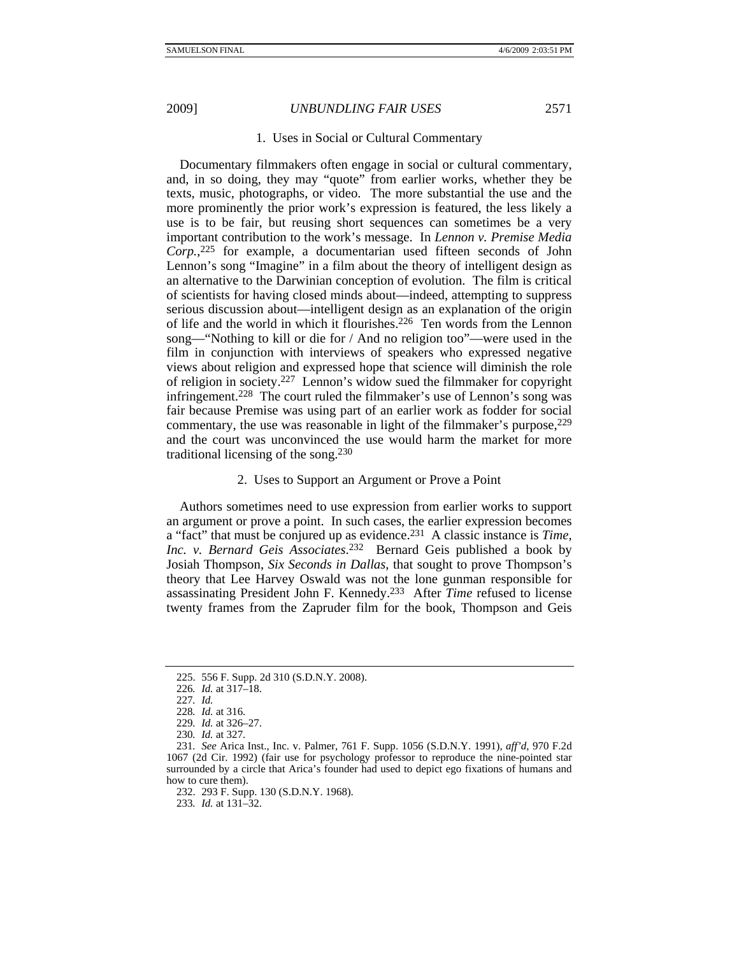#### 1. Uses in Social or Cultural Commentary

Documentary filmmakers often engage in social or cultural commentary, and, in so doing, they may "quote" from earlier works, whether they be texts, music, photographs, or video. The more substantial the use and the more prominently the prior work's expression is featured, the less likely a use is to be fair, but reusing short sequences can sometimes be a very important contribution to the work's message. In *Lennon v. Premise Media Corp.*, 225 for example, a documentarian used fifteen seconds of John Lennon's song "Imagine" in a film about the theory of intelligent design as an alternative to the Darwinian conception of evolution. The film is critical of scientists for having closed minds about—indeed, attempting to suppress serious discussion about—intelligent design as an explanation of the origin of life and the world in which it flourishes.226 Ten words from the Lennon song—"Nothing to kill or die for / And no religion too"—were used in the film in conjunction with interviews of speakers who expressed negative views about religion and expressed hope that science will diminish the role of religion in society.227 Lennon's widow sued the filmmaker for copyright infringement.228 The court ruled the filmmaker's use of Lennon's song was fair because Premise was using part of an earlier work as fodder for social commentary, the use was reasonable in light of the filmmaker's purpose,  $229$ and the court was unconvinced the use would harm the market for more traditional licensing of the song.230

### 2. Uses to Support an Argument or Prove a Point

Authors sometimes need to use expression from earlier works to support an argument or prove a point. In such cases, the earlier expression becomes a "fact" that must be conjured up as evidence.231 A classic instance is *Time, Inc. v. Bernard Geis Associates*. 232 Bernard Geis published a book by Josiah Thompson, *Six Seconds in Dallas*, that sought to prove Thompson's theory that Lee Harvey Oswald was not the lone gunman responsible for assassinating President John F. Kennedy.233 After *Time* refused to license twenty frames from the Zapruder film for the book, Thompson and Geis

232. 293 F. Supp. 130 (S.D.N.Y. 1968).

233*. Id.* at 131–32.

 <sup>225. 556</sup> F. Supp. 2d 310 (S.D.N.Y. 2008).

<sup>226</sup>*. Id.* at 317–18.

<sup>227</sup>*. Id.*

<sup>228</sup>*. Id.* at 316.

<sup>229</sup>*. Id.* at 326–27.

<sup>230</sup>*. Id.* at 327.

<sup>231</sup>*. See* Arica Inst., Inc. v. Palmer, 761 F. Supp. 1056 (S.D.N.Y. 1991), *aff'd*, 970 F.2d 1067 (2d Cir. 1992) (fair use for psychology professor to reproduce the nine-pointed star surrounded by a circle that Arica's founder had used to depict ego fixations of humans and how to cure them).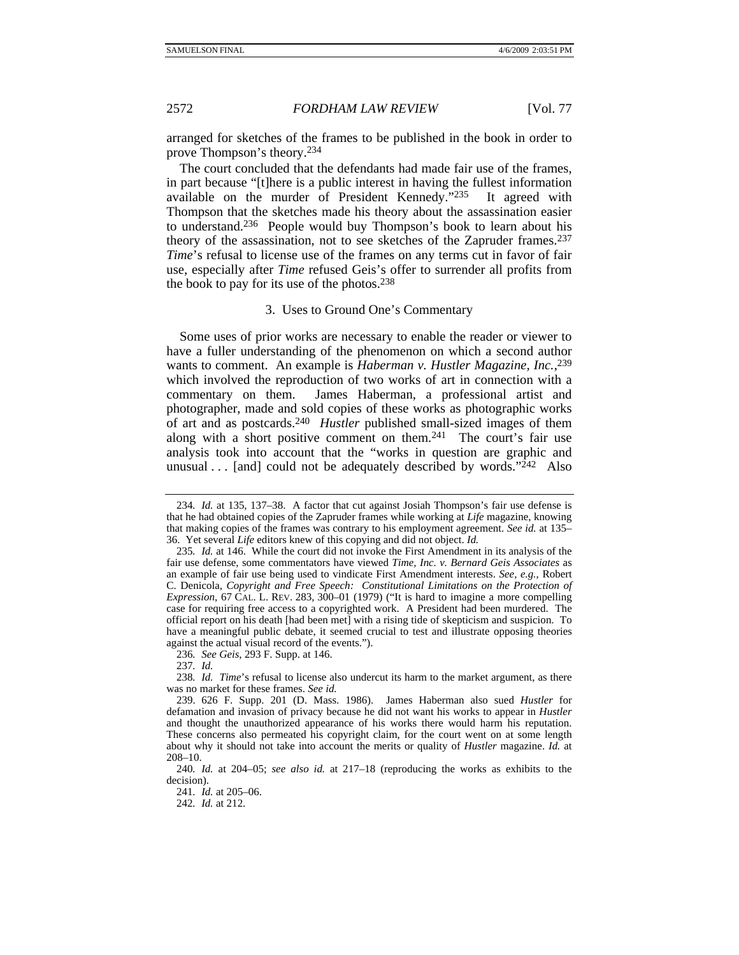arranged for sketches of the frames to be published in the book in order to prove Thompson's theory.234

The court concluded that the defendants had made fair use of the frames, in part because "[t]here is a public interest in having the fullest information available on the murder of President Kennedy."235 It agreed with Thompson that the sketches made his theory about the assassination easier to understand.236 People would buy Thompson's book to learn about his theory of the assassination, not to see sketches of the Zapruder frames.237 *Time*'s refusal to license use of the frames on any terms cut in favor of fair use, especially after *Time* refused Geis's offer to surrender all profits from the book to pay for its use of the photos. $238$ 

#### 3. Uses to Ground One's Commentary

Some uses of prior works are necessary to enable the reader or viewer to have a fuller understanding of the phenomenon on which a second author wants to comment. An example is *Haberman v. Hustler Magazine, Inc.*, 239 which involved the reproduction of two works of art in connection with a commentary on them. James Haberman, a professional artist and photographer, made and sold copies of these works as photographic works of art and as postcards.240 *Hustler* published small-sized images of them along with a short positive comment on them.241 The court's fair use analysis took into account that the "works in question are graphic and unusual  $\ldots$  [and] could not be adequately described by words."<sup>242</sup> Also

<sup>234</sup>*. Id.* at 135, 137–38. A factor that cut against Josiah Thompson's fair use defense is that he had obtained copies of the Zapruder frames while working at *Life* magazine, knowing that making copies of the frames was contrary to his employment agreement. *See id.* at 135– 36. Yet several *Life* editors knew of this copying and did not object. *Id.*

<sup>235</sup>*. Id.* at 146. While the court did not invoke the First Amendment in its analysis of the fair use defense, some commentators have viewed *Time, Inc. v. Bernard Geis Associates* as an example of fair use being used to vindicate First Amendment interests. *See, e.g.*, Robert C. Denicola, *Copyright and Free Speech: Constitutional Limitations on the Protection of Expression*, 67 CAL. L. REV. 283, 300–01 (1979) ("It is hard to imagine a more compelling case for requiring free access to a copyrighted work. A President had been murdered. The official report on his death [had been met] with a rising tide of skepticism and suspicion. To have a meaningful public debate, it seemed crucial to test and illustrate opposing theories against the actual visual record of the events.").

<sup>236</sup>*. See Geis*, 293 F. Supp. at 146.

<sup>237</sup>*. Id.*

<sup>238</sup>*. Id. Time*'s refusal to license also undercut its harm to the market argument, as there was no market for these frames. *See id.*

 <sup>239. 626</sup> F. Supp. 201 (D. Mass. 1986). James Haberman also sued *Hustler* for defamation and invasion of privacy because he did not want his works to appear in *Hustler* and thought the unauthorized appearance of his works there would harm his reputation. These concerns also permeated his copyright claim, for the court went on at some length about why it should not take into account the merits or quality of *Hustler* magazine. *Id.* at 208–10.

<sup>240</sup>*. Id.* at 204–05; *see also id.* at 217–18 (reproducing the works as exhibits to the decision).

<sup>241</sup>*. Id.* at 205–06.

<sup>242</sup>*. Id.* at 212.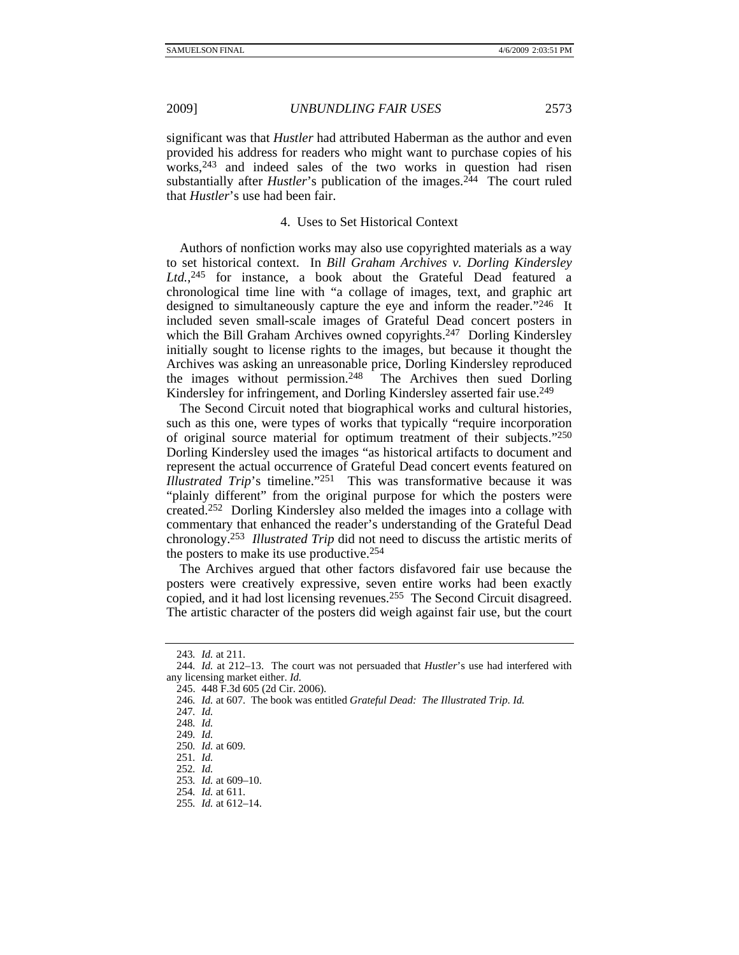significant was that *Hustler* had attributed Haberman as the author and even provided his address for readers who might want to purchase copies of his works,<sup>243</sup> and indeed sales of the two works in question had risen substantially after *Hustler*'s publication of the images.<sup>244</sup> The court ruled that *Hustler*'s use had been fair.

## 4. Uses to Set Historical Context

Authors of nonfiction works may also use copyrighted materials as a way to set historical context. In *Bill Graham Archives v. Dorling Kindersley Ltd.*, 245 for instance, a book about the Grateful Dead featured a chronological time line with "a collage of images, text, and graphic art designed to simultaneously capture the eye and inform the reader."246 It included seven small-scale images of Grateful Dead concert posters in which the Bill Graham Archives owned copyrights.<sup>247</sup> Dorling Kindersley initially sought to license rights to the images, but because it thought the Archives was asking an unreasonable price, Dorling Kindersley reproduced the images without permission.248 The Archives then sued Dorling Kindersley for infringement, and Dorling Kindersley asserted fair use.<sup>249</sup>

The Second Circuit noted that biographical works and cultural histories, such as this one, were types of works that typically "require incorporation of original source material for optimum treatment of their subjects."250 Dorling Kindersley used the images "as historical artifacts to document and represent the actual occurrence of Grateful Dead concert events featured on *Illustrated Trip*'s timeline."<sup>251</sup> This was transformative because it was "plainly different" from the original purpose for which the posters were created.252 Dorling Kindersley also melded the images into a collage with commentary that enhanced the reader's understanding of the Grateful Dead chronology.253 *Illustrated Trip* did not need to discuss the artistic merits of the posters to make its use productive.254

The Archives argued that other factors disfavored fair use because the posters were creatively expressive, seven entire works had been exactly copied, and it had lost licensing revenues.255 The Second Circuit disagreed. The artistic character of the posters did weigh against fair use, but the court

246*. Id.* at 607. The book was entitled *Grateful Dead: The Illustrated Trip*. *Id.* 

<sup>243</sup>*. Id.* at 211.

<sup>244</sup>*. Id.* at 212–13. The court was not persuaded that *Hustler*'s use had interfered with any licensing market either. *Id.*

 <sup>245. 448</sup> F.3d 605 (2d Cir. 2006).

<sup>247</sup>*. Id.*

<sup>248</sup>*. Id.*

<sup>249</sup>*. Id.*

<sup>250</sup>*. Id.* at 609.

<sup>251</sup>*. Id.*

<sup>252</sup>*. Id.*

<sup>253</sup>*. Id.* at 609–10.

<sup>254</sup>*. Id.* at 611.

<sup>255</sup>*. Id.* at 612–14.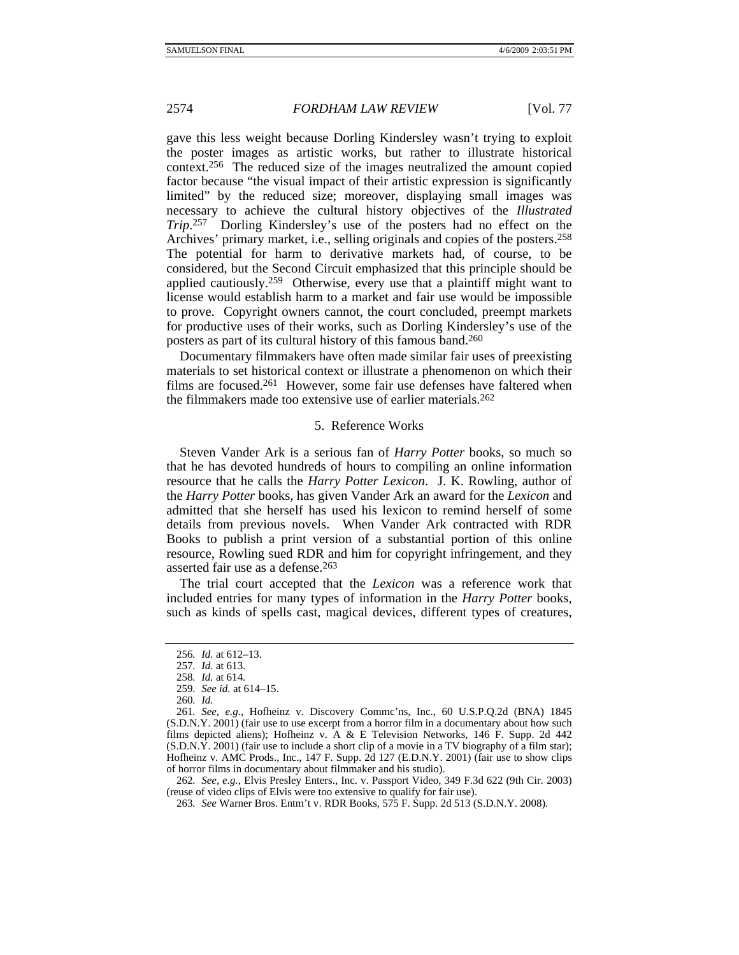gave this less weight because Dorling Kindersley wasn't trying to exploit the poster images as artistic works, but rather to illustrate historical context.256 The reduced size of the images neutralized the amount copied factor because "the visual impact of their artistic expression is significantly limited" by the reduced size; moreover, displaying small images was necessary to achieve the cultural history objectives of the *Illustrated Trip*. 257 Dorling Kindersley's use of the posters had no effect on the Archives' primary market, i.e., selling originals and copies of the posters.<sup>258</sup> The potential for harm to derivative markets had, of course, to be considered, but the Second Circuit emphasized that this principle should be applied cautiously.259 Otherwise, every use that a plaintiff might want to license would establish harm to a market and fair use would be impossible to prove. Copyright owners cannot, the court concluded, preempt markets for productive uses of their works, such as Dorling Kindersley's use of the posters as part of its cultural history of this famous band.260

Documentary filmmakers have often made similar fair uses of preexisting materials to set historical context or illustrate a phenomenon on which their films are focused.261 However, some fair use defenses have faltered when the filmmakers made too extensive use of earlier materials.262

#### 5. Reference Works

Steven Vander Ark is a serious fan of *Harry Potter* books, so much so that he has devoted hundreds of hours to compiling an online information resource that he calls the *Harry Potter Lexicon*. J. K. Rowling, author of the *Harry Potter* books, has given Vander Ark an award for the *Lexicon* and admitted that she herself has used his lexicon to remind herself of some details from previous novels. When Vander Ark contracted with RDR Books to publish a print version of a substantial portion of this online resource, Rowling sued RDR and him for copyright infringement, and they asserted fair use as a defense.263

The trial court accepted that the *Lexicon* was a reference work that included entries for many types of information in the *Harry Potter* books, such as kinds of spells cast, magical devices, different types of creatures,

260*. Id.*

262*. See, e.g.*, Elvis Presley Enters., Inc. v. Passport Video, 349 F.3d 622 (9th Cir. 2003) (reuse of video clips of Elvis were too extensive to qualify for fair use).

<sup>256</sup>*. Id.* at 612–13.

<sup>257</sup>*. Id.* at 613.

<sup>258</sup>*. Id.* at 614.

<sup>259</sup>*. See id.* at 614–15.

<sup>261</sup>*. See, e.g.*, Hofheinz v. Discovery Commc'ns, Inc., 60 U.S.P.Q.2d (BNA) 1845 (S.D.N.Y. 2001) (fair use to use excerpt from a horror film in a documentary about how such films depicted aliens); Hofheinz v. A & E Television Networks, 146 F. Supp. 2d 442  $(S.D.N. Y. 2001)$  (fair use to include a short clip of a movie in a TV biography of a film star); Hofheinz v. AMC Prods., Inc., 147 F. Supp. 2d 127 (E.D.N.Y. 2001) (fair use to show clips of horror films in documentary about filmmaker and his studio).

<sup>263</sup>*. See* Warner Bros. Entm't v. RDR Books, 575 F. Supp. 2d 513 (S.D.N.Y. 2008).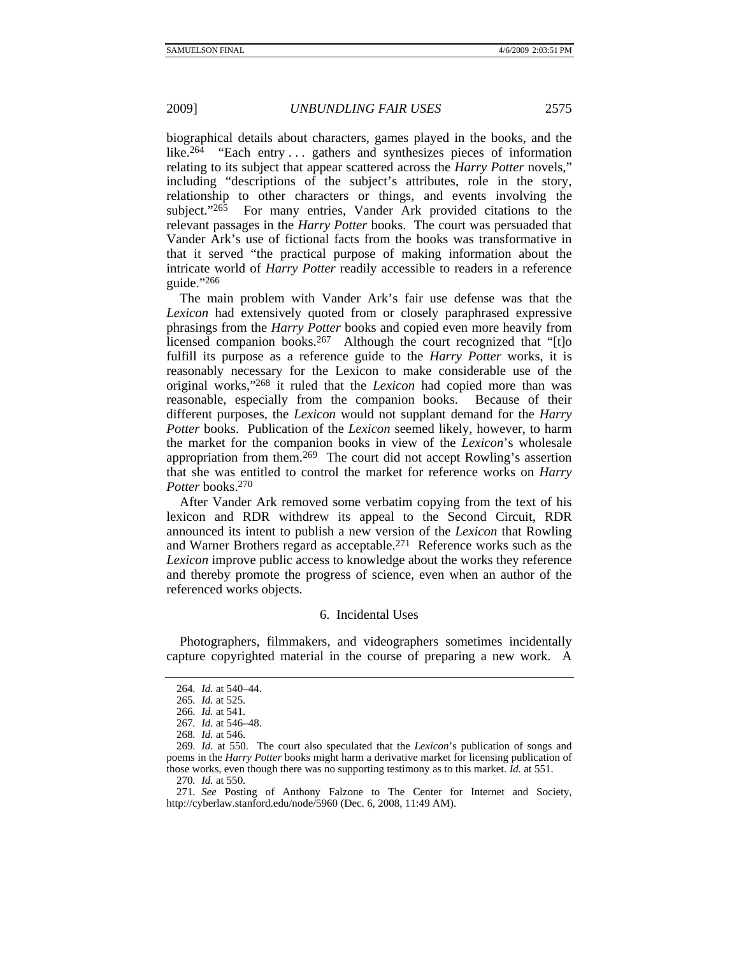biographical details about characters, games played in the books, and the like.<sup>264</sup> "Each entry ... gathers and synthesizes pieces of information relating to its subject that appear scattered across the *Harry Potter* novels," including "descriptions of the subject's attributes, role in the story, relationship to other characters or things, and events involving the subject."<sup>265</sup> For many entries, Vander Ark provided citations to the relevant passages in the *Harry Potter* books. The court was persuaded that Vander Ark's use of fictional facts from the books was transformative in that it served "the practical purpose of making information about the intricate world of *Harry Potter* readily accessible to readers in a reference guide."266

The main problem with Vander Ark's fair use defense was that the *Lexicon* had extensively quoted from or closely paraphrased expressive phrasings from the *Harry Potter* books and copied even more heavily from licensed companion books.267 Although the court recognized that "[t]o fulfill its purpose as a reference guide to the *Harry Potter* works, it is reasonably necessary for the Lexicon to make considerable use of the original works,"268 it ruled that the *Lexicon* had copied more than was reasonable, especially from the companion books. Because of their different purposes, the *Lexicon* would not supplant demand for the *Harry Potter* books. Publication of the *Lexicon* seemed likely, however, to harm the market for the companion books in view of the *Lexicon*'s wholesale appropriation from them.269 The court did not accept Rowling's assertion that she was entitled to control the market for reference works on *Harry Potter* books.270

After Vander Ark removed some verbatim copying from the text of his lexicon and RDR withdrew its appeal to the Second Circuit, RDR announced its intent to publish a new version of the *Lexicon* that Rowling and Warner Brothers regard as acceptable.271 Reference works such as the *Lexicon* improve public access to knowledge about the works they reference and thereby promote the progress of science, even when an author of the referenced works objects.

# 6. Incidental Uses

Photographers, filmmakers, and videographers sometimes incidentally capture copyrighted material in the course of preparing a new work. A

<sup>264</sup>*. Id.* at 540–44.

<sup>265</sup>*. Id.* at 525.

<sup>266</sup>*. Id.* at 541.

<sup>267</sup>*. Id.* at 546–48.

<sup>268</sup>*. Id.* at 546.

<sup>269</sup>*. Id.* at 550. The court also speculated that the *Lexicon*'s publication of songs and poems in the *Harry Potter* books might harm a derivative market for licensing publication of those works, even though there was no supporting testimony as to this market. *Id.* at 551.

<sup>270</sup>*. Id.* at 550.

<sup>271</sup>*. See* Posting of Anthony Falzone to The Center for Internet and Society, http://cyberlaw.stanford.edu/node/5960 (Dec. 6, 2008, 11:49 AM).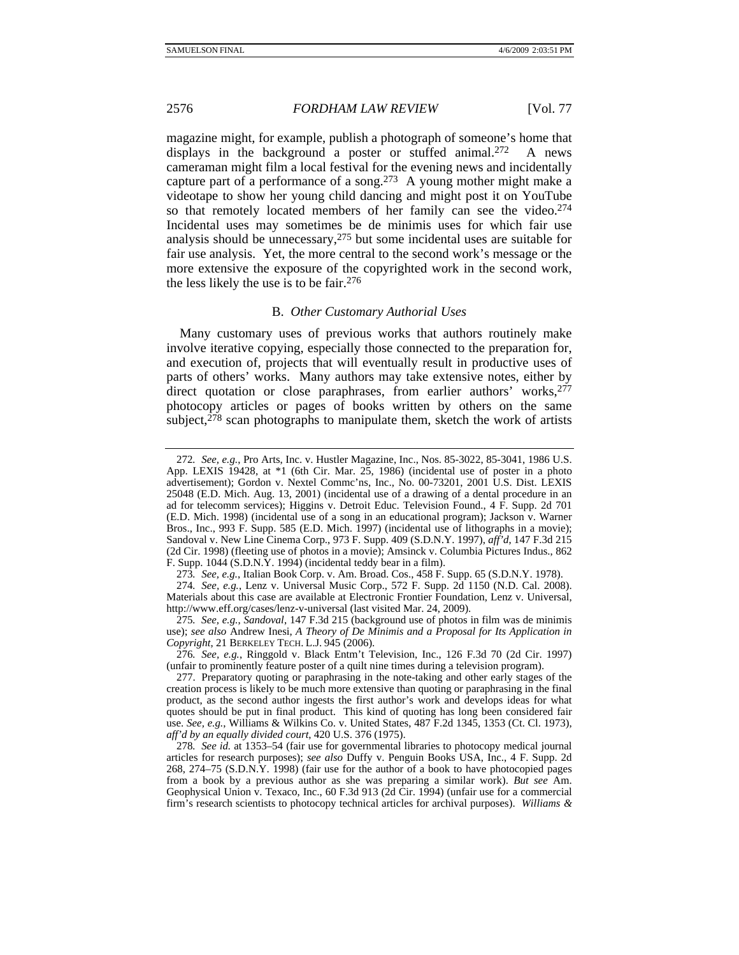magazine might, for example, publish a photograph of someone's home that displays in the background a poster or stuffed animal.<sup>272</sup> A news cameraman might film a local festival for the evening news and incidentally capture part of a performance of a song.273 A young mother might make a videotape to show her young child dancing and might post it on YouTube so that remotely located members of her family can see the video.<sup>274</sup> Incidental uses may sometimes be de minimis uses for which fair use analysis should be unnecessary,275 but some incidental uses are suitable for fair use analysis. Yet, the more central to the second work's message or the more extensive the exposure of the copyrighted work in the second work, the less likely the use is to be fair.  $276$ 

#### B. *Other Customary Authorial Uses*

Many customary uses of previous works that authors routinely make involve iterative copying, especially those connected to the preparation for, and execution of, projects that will eventually result in productive uses of parts of others' works. Many authors may take extensive notes, either by direct quotation or close paraphrases, from earlier authors' works, $277$ photocopy articles or pages of books written by others on the same subject, $278$  scan photographs to manipulate them, sketch the work of artists

<sup>272</sup>*. See, e.g.*, Pro Arts, Inc. v. Hustler Magazine, Inc., Nos. 85-3022, 85-3041, 1986 U.S. App. LEXIS 19428, at \*1 (6th Cir. Mar. 25, 1986) (incidental use of poster in a photo advertisement); Gordon v. Nextel Commc'ns, Inc., No. 00-73201, 2001 U.S. Dist. LEXIS 25048 (E.D. Mich. Aug. 13, 2001) (incidental use of a drawing of a dental procedure in an ad for telecomm services); Higgins v. Detroit Educ. Television Found., 4 F. Supp. 2d 701 (E.D. Mich. 1998) (incidental use of a song in an educational program); Jackson v. Warner Bros., Inc., 993 F. Supp. 585 (E.D. Mich. 1997) (incidental use of lithographs in a movie); Sandoval v. New Line Cinema Corp., 973 F. Supp. 409 (S.D.N.Y. 1997), *aff'd*, 147 F.3d 215 (2d Cir. 1998) (fleeting use of photos in a movie); Amsinck v. Columbia Pictures Indus., 862 F. Supp. 1044 (S.D.N.Y. 1994) (incidental teddy bear in a film).

<sup>273</sup>*. See, e.g.*, Italian Book Corp. v. Am. Broad. Cos., 458 F. Supp. 65 (S.D.N.Y. 1978).

<sup>274</sup>*. See, e.g.*, Lenz v. Universal Music Corp., 572 F. Supp. 2d 1150 (N.D. Cal. 2008). Materials about this case are available at Electronic Frontier Foundation, Lenz v. Universal, http://www.eff.org/cases/lenz-v-universal (last visited Mar. 24, 2009).

<sup>275</sup>*. See, e.g.*, *Sandoval*, 147 F.3d 215 (background use of photos in film was de minimis use); *see also* Andrew Inesi, *A Theory of De Minimis and a Proposal for Its Application in Copyright*, 21 BERKELEY TECH. L.J. 945 (2006).

<sup>276</sup>*. See, e.g.*, Ringgold v. Black Entm't Television, Inc., 126 F.3d 70 (2d Cir. 1997) (unfair to prominently feature poster of a quilt nine times during a television program).

 <sup>277.</sup> Preparatory quoting or paraphrasing in the note-taking and other early stages of the creation process is likely to be much more extensive than quoting or paraphrasing in the final product, as the second author ingests the first author's work and develops ideas for what quotes should be put in final product. This kind of quoting has long been considered fair use. *See, e.g.*, Williams & Wilkins Co. v. United States, 487 F.2d 1345, 1353 (Ct. Cl. 1973), *aff'd by an equally divided court*, 420 U.S. 376 (1975).

<sup>278</sup>*. See id.* at 1353–54 (fair use for governmental libraries to photocopy medical journal articles for research purposes); *see also* Duffy v. Penguin Books USA, Inc., 4 F. Supp. 2d 268, 274–75 (S.D.N.Y. 1998) (fair use for the author of a book to have photocopied pages from a book by a previous author as she was preparing a similar work). *But see* Am. Geophysical Union v. Texaco, Inc., 60 F.3d 913 (2d Cir. 1994) (unfair use for a commercial firm's research scientists to photocopy technical articles for archival purposes). *Williams &*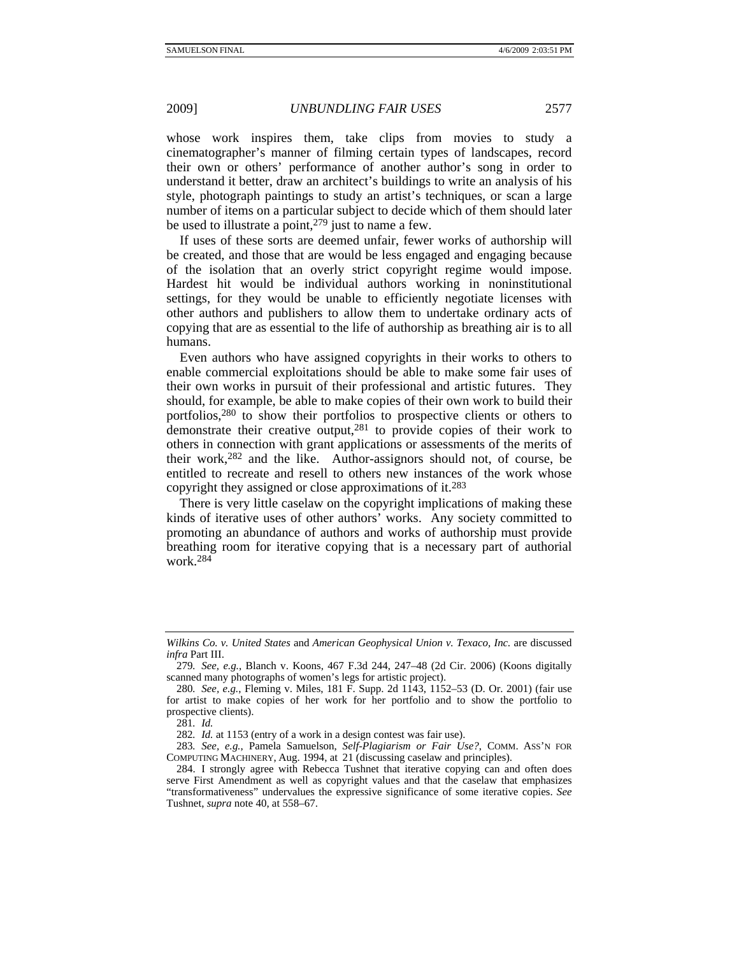whose work inspires them, take clips from movies to study a cinematographer's manner of filming certain types of landscapes, record their own or others' performance of another author's song in order to understand it better, draw an architect's buildings to write an analysis of his style, photograph paintings to study an artist's techniques, or scan a large number of items on a particular subject to decide which of them should later be used to illustrate a point,  $279$  just to name a few.

If uses of these sorts are deemed unfair, fewer works of authorship will be created, and those that are would be less engaged and engaging because of the isolation that an overly strict copyright regime would impose. Hardest hit would be individual authors working in noninstitutional settings, for they would be unable to efficiently negotiate licenses with other authors and publishers to allow them to undertake ordinary acts of copying that are as essential to the life of authorship as breathing air is to all humans.

Even authors who have assigned copyrights in their works to others to enable commercial exploitations should be able to make some fair uses of their own works in pursuit of their professional and artistic futures. They should, for example, be able to make copies of their own work to build their portfolios,280 to show their portfolios to prospective clients or others to demonstrate their creative output, $281$  to provide copies of their work to others in connection with grant applications or assessments of the merits of their work,282 and the like. Author-assignors should not, of course, be entitled to recreate and resell to others new instances of the work whose copyright they assigned or close approximations of it.283

There is very little caselaw on the copyright implications of making these kinds of iterative uses of other authors' works. Any society committed to promoting an abundance of authors and works of authorship must provide breathing room for iterative copying that is a necessary part of authorial work.284

*Wilkins Co. v. United States* and *American Geophysical Union v. Texaco, Inc.* are discussed *infra* Part III.

<sup>279</sup>*. See, e.g.*, Blanch v. Koons, 467 F.3d 244, 247–48 (2d Cir. 2006) (Koons digitally scanned many photographs of women's legs for artistic project).

<sup>280</sup>*. See, e.g.*, Fleming v. Miles, 181 F. Supp. 2d 1143, 1152–53 (D. Or. 2001) (fair use for artist to make copies of her work for her portfolio and to show the portfolio to prospective clients).

<sup>281</sup>*. Id.*

<sup>282</sup>*. Id.* at 1153 (entry of a work in a design contest was fair use).

<sup>283</sup>*. See, e.g.*, Pamela Samuelson, *Self-Plagiarism or Fair Use?*, COMM. ASS'N FOR COMPUTING MACHINERY, Aug. 1994, at 21 (discussing caselaw and principles).

 <sup>284.</sup> I strongly agree with Rebecca Tushnet that iterative copying can and often does serve First Amendment as well as copyright values and that the caselaw that emphasizes "transformativeness" undervalues the expressive significance of some iterative copies. *See*  Tushnet, *supra* note 40, at 558–67.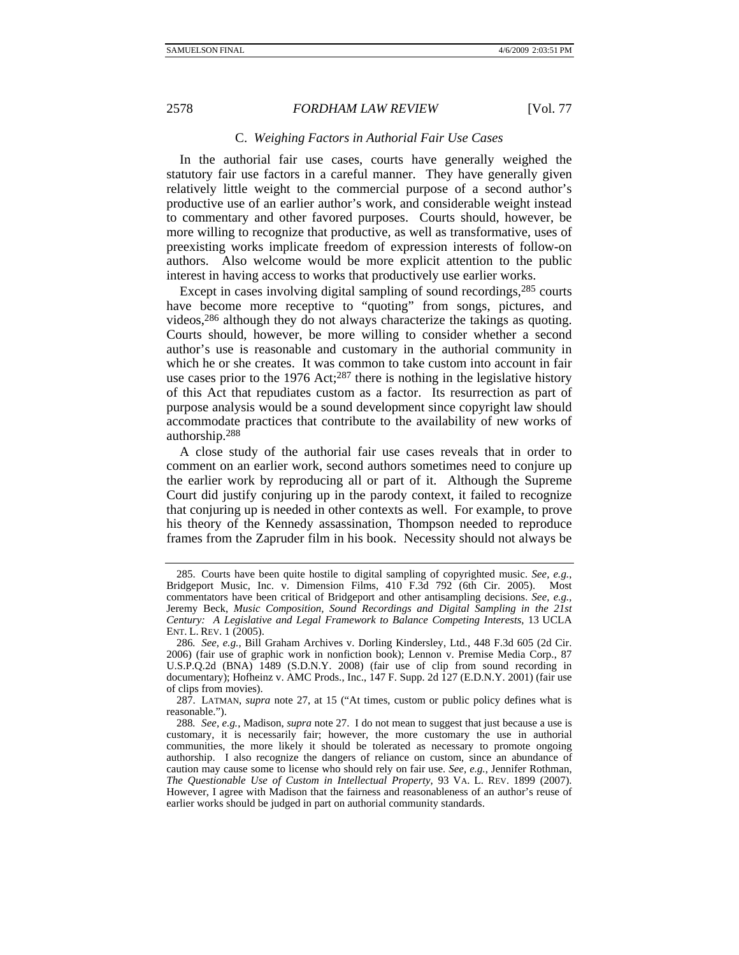# C. *Weighing Factors in Authorial Fair Use Cases*

In the authorial fair use cases, courts have generally weighed the statutory fair use factors in a careful manner. They have generally given relatively little weight to the commercial purpose of a second author's productive use of an earlier author's work, and considerable weight instead to commentary and other favored purposes. Courts should, however, be more willing to recognize that productive, as well as transformative, uses of preexisting works implicate freedom of expression interests of follow-on authors. Also welcome would be more explicit attention to the public interest in having access to works that productively use earlier works.

Except in cases involving digital sampling of sound recordings, <sup>285</sup> courts have become more receptive to "quoting" from songs, pictures, and videos,286 although they do not always characterize the takings as quoting. Courts should, however, be more willing to consider whether a second author's use is reasonable and customary in the authorial community in which he or she creates. It was common to take custom into account in fair use cases prior to the  $1976$  Act;<sup>287</sup> there is nothing in the legislative history of this Act that repudiates custom as a factor. Its resurrection as part of purpose analysis would be a sound development since copyright law should accommodate practices that contribute to the availability of new works of authorship.288

A close study of the authorial fair use cases reveals that in order to comment on an earlier work, second authors sometimes need to conjure up the earlier work by reproducing all or part of it. Although the Supreme Court did justify conjuring up in the parody context, it failed to recognize that conjuring up is needed in other contexts as well. For example, to prove his theory of the Kennedy assassination, Thompson needed to reproduce frames from the Zapruder film in his book. Necessity should not always be

 <sup>285.</sup> Courts have been quite hostile to digital sampling of copyrighted music. *See, e.g.*, Bridgeport Music, Inc. v. Dimension Films, 410 F.3d 792 (6th Cir. 2005). Most commentators have been critical of Bridgeport and other antisampling decisions. *See, e.g.*, Jeremy Beck, *Music Composition, Sound Recordings and Digital Sampling in the 21st Century: A Legislative and Legal Framework to Balance Competing Interests*, 13 UCLA ENT. L. REV. 1 (2005).

<sup>286</sup>*. See, e.g.*, Bill Graham Archives v. Dorling Kindersley, Ltd., 448 F.3d 605 (2d Cir. 2006) (fair use of graphic work in nonfiction book); Lennon v. Premise Media Corp., 87 U.S.P.Q.2d (BNA) 1489 (S.D.N.Y. 2008) (fair use of clip from sound recording in documentary); Hofheinz v. AMC Prods., Inc., 147 F. Supp. 2d 127 (E.D.N.Y. 2001) (fair use of clips from movies).

 <sup>287.</sup> LATMAN, *supra* note 27, at 15 ("At times, custom or public policy defines what is reasonable.").

<sup>288</sup>*. See, e.g.*, Madison, *supra* note 27. I do not mean to suggest that just because a use is customary, it is necessarily fair; however, the more customary the use in authorial communities, the more likely it should be tolerated as necessary to promote ongoing authorship. I also recognize the dangers of reliance on custom, since an abundance of caution may cause some to license who should rely on fair use. *See, e.g.*, Jennifer Rothman, *The Questionable Use of Custom in Intellectual Property*, 93 VA. L. REV. 1899 (2007). However, I agree with Madison that the fairness and reasonableness of an author's reuse of earlier works should be judged in part on authorial community standards.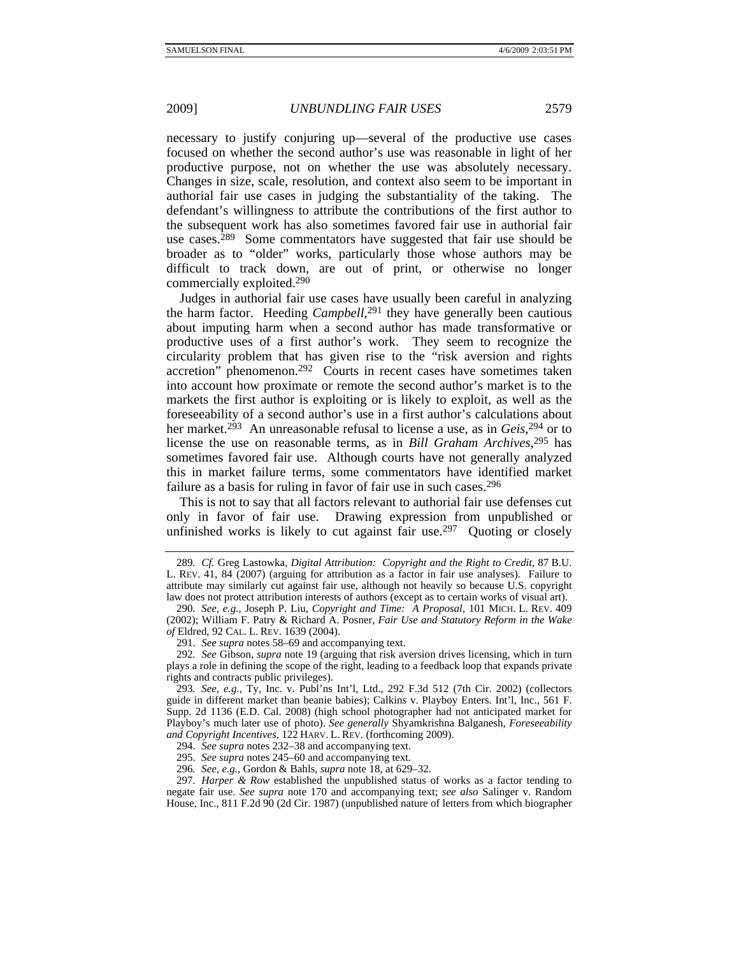necessary to justify conjuring up—several of the productive use cases focused on whether the second author's use was reasonable in light of her productive purpose, not on whether the use was absolutely necessary. Changes in size, scale, resolution, and context also seem to be important in authorial fair use cases in judging the substantiality of the taking. The defendant's willingness to attribute the contributions of the first author to the subsequent work has also sometimes favored fair use in authorial fair use cases.289 Some commentators have suggested that fair use should be broader as to "older" works, particularly those whose authors may be difficult to track down, are out of print, or otherwise no longer commercially exploited.290

Judges in authorial fair use cases have usually been careful in analyzing the harm factor. Heeding *Campbell*, 291 they have generally been cautious about imputing harm when a second author has made transformative or productive uses of a first author's work. They seem to recognize the circularity problem that has given rise to the "risk aversion and rights accretion" phenomenon.292 Courts in recent cases have sometimes taken into account how proximate or remote the second author's market is to the markets the first author is exploiting or is likely to exploit, as well as the foreseeability of a second author's use in a first author's calculations about her market.293 An unreasonable refusal to license a use, as in *Geis*, 294 or to license the use on reasonable terms, as in *Bill Graham Archives*, 295 has sometimes favored fair use. Although courts have not generally analyzed this in market failure terms, some commentators have identified market failure as a basis for ruling in favor of fair use in such cases.<sup>296</sup>

This is not to say that all factors relevant to authorial fair use defenses cut only in favor of fair use. Drawing expression from unpublished or unfinished works is likely to cut against fair use.297 Quoting or closely

<sup>289</sup>*. Cf.* Greg Lastowka, *Digital Attribution: Copyright and the Right to Credit*, 87 B.U. L. REV. 41, 84 (2007) (arguing for attribution as a factor in fair use analyses). Failure to attribute may similarly cut against fair use, although not heavily so because U.S. copyright law does not protect attribution interests of authors (except as to certain works of visual art).

<sup>290</sup>*. See, e.g.*, Joseph P. Liu, *Copyright and Time: A Proposal*, 101 MICH. L. REV. 409 (2002); William F. Patry & Richard A. Posner, *Fair Use and Statutory Reform in the Wake of* Eldred, 92 CAL. L. REV. 1639 (2004).

 <sup>291.</sup> *See supra* notes 58–69 and accompanying text.

<sup>292</sup>*. See* Gibson, *supra* note 19 (arguing that risk aversion drives licensing, which in turn plays a role in defining the scope of the right, leading to a feedback loop that expands private rights and contracts public privileges).

<sup>293</sup>*. See, e.g.*, Ty, Inc. v. Publ'ns Int'l, Ltd., 292 F.3d 512 (7th Cir. 2002) (collectors guide in different market than beanie babies); Calkins v. Playboy Enters. Int'l, Inc., 561 F. Supp. 2d 1136 (E.D. Cal. 2008) (high school photographer had not anticipated market for Playboy's much later use of photo). *See generally* Shyamkrishna Balganesh, *Foreseeability and Copyright Incentives*, 122 HARV. L. REV. (forthcoming 2009).

 <sup>294.</sup> *See supra* notes 232–38 and accompanying text.

 <sup>295.</sup> *See supra* notes 245–60 and accompanying text.

<sup>296</sup>*. See, e.g.*, Gordon & Bahls, *supra* note 18, at 629–32.

<sup>297</sup>*. Harper & Row* established the unpublished status of works as a factor tending to negate fair use. *See supra* note 170 and accompanying text; *see also* Salinger v. Random House, Inc., 811 F.2d 90 (2d Cir. 1987) (unpublished nature of letters from which biographer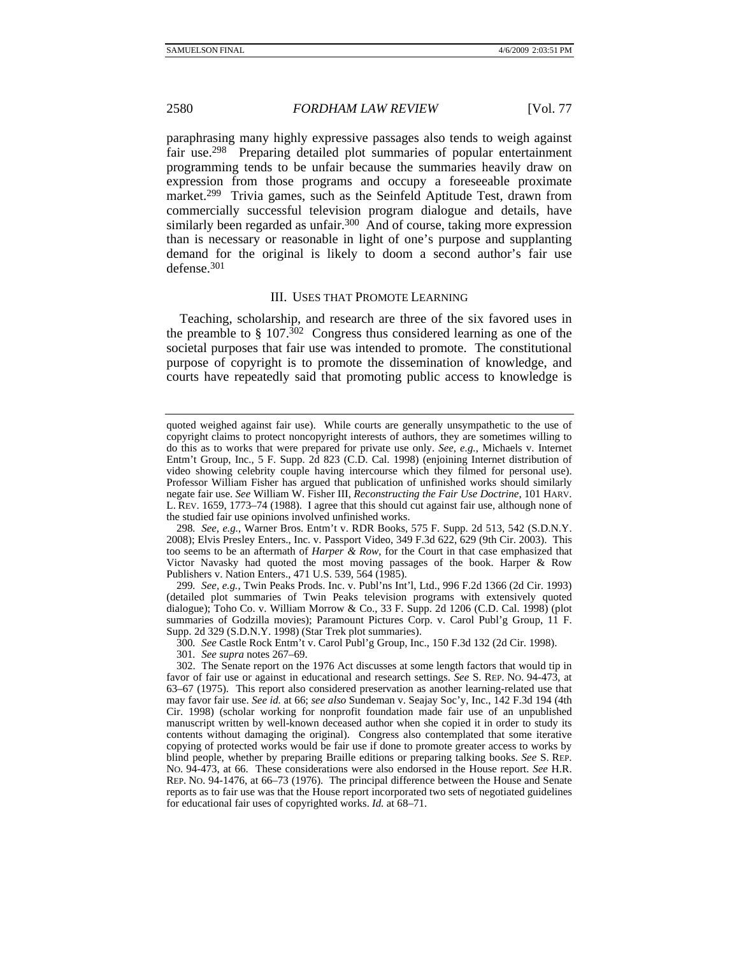paraphrasing many highly expressive passages also tends to weigh against fair use.298 Preparing detailed plot summaries of popular entertainment programming tends to be unfair because the summaries heavily draw on expression from those programs and occupy a foreseeable proximate market.<sup>299</sup> Trivia games, such as the Seinfeld Aptitude Test, drawn from commercially successful television program dialogue and details, have similarly been regarded as unfair.<sup>300</sup> And of course, taking more expression than is necessary or reasonable in light of one's purpose and supplanting demand for the original is likely to doom a second author's fair use defense.301

#### III. USES THAT PROMOTE LEARNING

Teaching, scholarship, and research are three of the six favored uses in the preamble to  $\S 107^{302}$  Congress thus considered learning as one of the societal purposes that fair use was intended to promote. The constitutional purpose of copyright is to promote the dissemination of knowledge, and courts have repeatedly said that promoting public access to knowledge is

298*. See, e.g.*, Warner Bros. Entm't v. RDR Books, 575 F. Supp. 2d 513, 542 (S.D.N.Y. 2008); Elvis Presley Enters., Inc. v. Passport Video, 349 F.3d 622, 629 (9th Cir. 2003). This too seems to be an aftermath of *Harper & Row*, for the Court in that case emphasized that Victor Navasky had quoted the most moving passages of the book. Harper & Row Publishers v. Nation Enters., 471 U.S. 539, 564 (1985).

299*. See, e.g.*, Twin Peaks Prods. Inc. v. Publ'ns Int'l, Ltd., 996 F.2d 1366 (2d Cir. 1993) (detailed plot summaries of Twin Peaks television programs with extensively quoted dialogue); Toho Co. v. William Morrow & Co., 33 F. Supp. 2d 1206 (C.D. Cal. 1998) (plot summaries of Godzilla movies); Paramount Pictures Corp. v. Carol Publ'g Group, 11 F. Supp. 2d 329 (S.D.N.Y. 1998) (Star Trek plot summaries).

300*. See* Castle Rock Entm't v. Carol Publ'g Group, Inc., 150 F.3d 132 (2d Cir. 1998).

301*. See supra* notes 267–69.

quoted weighed against fair use). While courts are generally unsympathetic to the use of copyright claims to protect noncopyright interests of authors, they are sometimes willing to do this as to works that were prepared for private use only. *See, e.g.*, Michaels v. Internet Entm't Group, Inc., 5 F. Supp. 2d 823 (C.D. Cal. 1998) (enjoining Internet distribution of video showing celebrity couple having intercourse which they filmed for personal use). Professor William Fisher has argued that publication of unfinished works should similarly negate fair use. *See* William W. Fisher III, *Reconstructing the Fair Use Doctrine*, 101 HARV. L. REV. 1659, 1773–74 (1988). I agree that this should cut against fair use, although none of the studied fair use opinions involved unfinished works.

 <sup>302.</sup> The Senate report on the 1976 Act discusses at some length factors that would tip in favor of fair use or against in educational and research settings. *See* S. REP. NO. 94-473, at 63–67 (1975). This report also considered preservation as another learning-related use that may favor fair use. *See id.* at 66; *see also* Sundeman v. Seajay Soc'y, Inc., 142 F.3d 194 (4th Cir. 1998) (scholar working for nonprofit foundation made fair use of an unpublished manuscript written by well-known deceased author when she copied it in order to study its contents without damaging the original). Congress also contemplated that some iterative copying of protected works would be fair use if done to promote greater access to works by blind people, whether by preparing Braille editions or preparing talking books. *See* S. REP. NO. 94-473, at 66. These considerations were also endorsed in the House report. *See* H.R. REP. NO. 94-1476, at 66–73 (1976). The principal difference between the House and Senate reports as to fair use was that the House report incorporated two sets of negotiated guidelines for educational fair uses of copyrighted works. *Id.* at 68–71.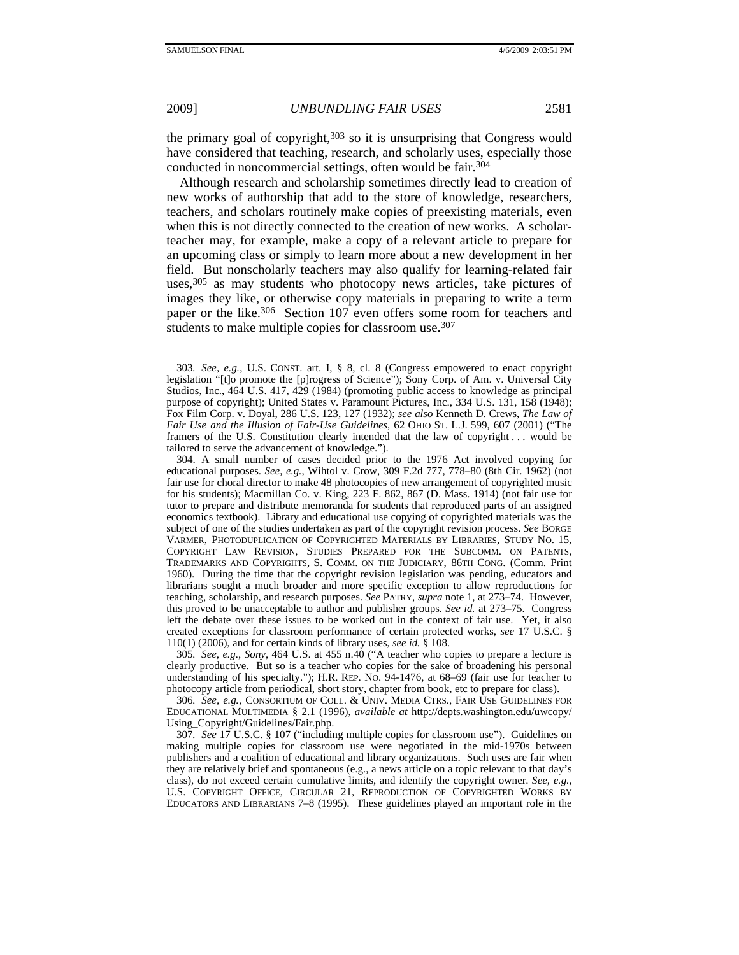the primary goal of copyright, $303$  so it is unsurprising that Congress would have considered that teaching, research, and scholarly uses, especially those conducted in noncommercial settings, often would be fair.304

Although research and scholarship sometimes directly lead to creation of new works of authorship that add to the store of knowledge, researchers, teachers, and scholars routinely make copies of preexisting materials, even when this is not directly connected to the creation of new works. A scholarteacher may, for example, make a copy of a relevant article to prepare for an upcoming class or simply to learn more about a new development in her field. But nonscholarly teachers may also qualify for learning-related fair uses, 305 as may students who photocopy news articles, take pictures of images they like, or otherwise copy materials in preparing to write a term paper or the like.306 Section 107 even offers some room for teachers and students to make multiple copies for classroom use.<sup>307</sup>

 304. A small number of cases decided prior to the 1976 Act involved copying for educational purposes. *See, e.g.*, Wihtol v. Crow, 309 F.2d 777, 778–80 (8th Cir. 1962) (not fair use for choral director to make 48 photocopies of new arrangement of copyrighted music for his students); Macmillan Co. v. King, 223 F. 862, 867 (D. Mass. 1914) (not fair use for tutor to prepare and distribute memoranda for students that reproduced parts of an assigned economics textbook). Library and educational use copying of copyrighted materials was the subject of one of the studies undertaken as part of the copyright revision process. *See* BORGE VARMER, PHOTODUPLICATION OF COPYRIGHTED MATERIALS BY LIBRARIES, STUDY NO. 15, COPYRIGHT LAW REVISION, STUDIES PREPARED FOR THE SUBCOMM. ON PATENTS, TRADEMARKS AND COPYRIGHTS, S. COMM. ON THE JUDICIARY, 86TH CONG. (Comm. Print 1960). During the time that the copyright revision legislation was pending, educators and librarians sought a much broader and more specific exception to allow reproductions for teaching, scholarship, and research purposes. *See* PATRY, *supra* note 1, at 273–74. However, this proved to be unacceptable to author and publisher groups. *See id.* at 273–75. Congress left the debate over these issues to be worked out in the context of fair use. Yet, it also created exceptions for classroom performance of certain protected works, *see* 17 U.S.C. § 110(1) (2006), and for certain kinds of library uses, *see id.* § 108.

305*. See, e.g.*, *Sony*, 464 U.S. at 455 n.40 ("A teacher who copies to prepare a lecture is clearly productive. But so is a teacher who copies for the sake of broadening his personal understanding of his specialty."); H.R. REP. NO. 94-1476, at 68–69 (fair use for teacher to photocopy article from periodical, short story, chapter from book, etc to prepare for class).

306*. See, e.g.*, CONSORTIUM OF COLL. & UNIV. MEDIA CTRS., FAIR USE GUIDELINES FOR EDUCATIONAL MULTIMEDIA § 2.1 (1996), *available at* http://depts.washington.edu/uwcopy/ Using\_Copyright/Guidelines/Fair.php.

307*. See* 17 U.S.C. § 107 ("including multiple copies for classroom use"). Guidelines on making multiple copies for classroom use were negotiated in the mid-1970s between publishers and a coalition of educational and library organizations. Such uses are fair when they are relatively brief and spontaneous (e.g., a news article on a topic relevant to that day's class), do not exceed certain cumulative limits, and identify the copyright owner. *See, e.g.*, U.S. COPYRIGHT OFFICE, CIRCULAR 21, REPRODUCTION OF COPYRIGHTED WORKS BY EDUCATORS AND LIBRARIANS 7–8 (1995). These guidelines played an important role in the

<sup>303</sup>*. See, e.g.*, U.S. CONST. art. I, § 8, cl. 8 (Congress empowered to enact copyright legislation "[t]o promote the [p]rogress of Science"); Sony Corp. of Am. v. Universal City Studios, Inc., 464 U.S. 417, 429 (1984) (promoting public access to knowledge as principal purpose of copyright); United States v. Paramount Pictures, Inc., 334 U.S. 131, 158 (1948); Fox Film Corp. v. Doyal, 286 U.S. 123, 127 (1932); *see also* Kenneth D. Crews, *The Law of Fair Use and the Illusion of Fair-Use Guidelines*, 62 OHIO ST. L.J. 599, 607 (2001) ("The framers of the U.S. Constitution clearly intended that the law of copyright . . . would be tailored to serve the advancement of knowledge.").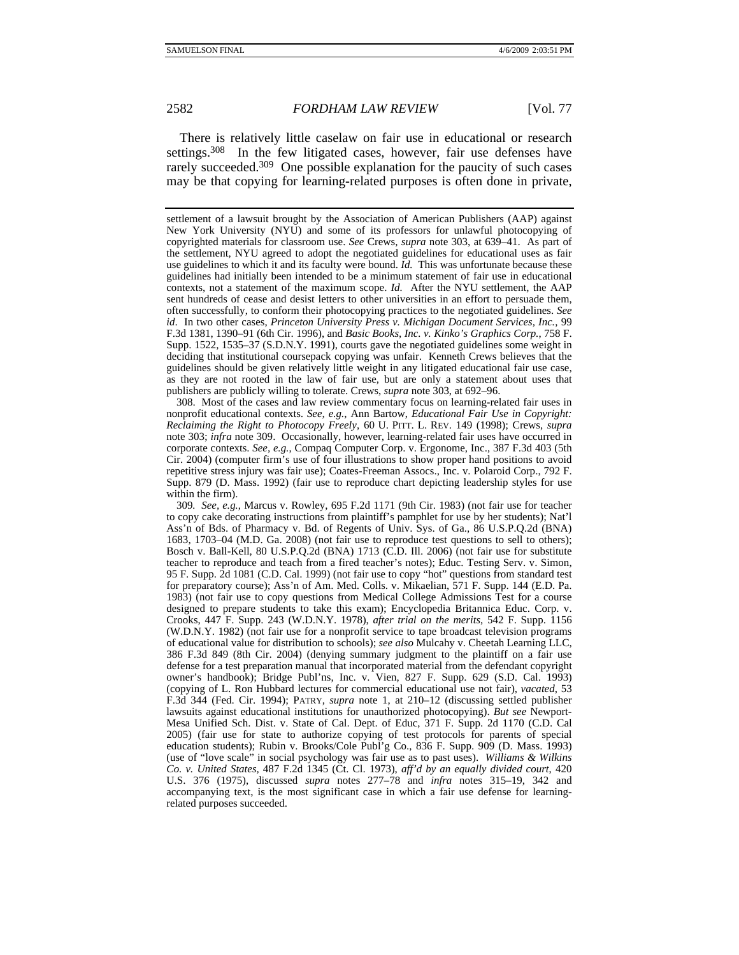There is relatively little caselaw on fair use in educational or research settings.308 In the few litigated cases, however, fair use defenses have rarely succeeded.309 One possible explanation for the paucity of such cases may be that copying for learning-related purposes is often done in private,

settlement of a lawsuit brought by the Association of American Publishers (AAP) against New York University (NYU) and some of its professors for unlawful photocopying of copyrighted materials for classroom use. *See* Crews, *supra* note 303, at 639–41. As part of the settlement, NYU agreed to adopt the negotiated guidelines for educational uses as fair use guidelines to which it and its faculty were bound.  $\overline{Id}$ . This was unfortunate because these guidelines had initially been intended to be a minimum statement of fair use in educational contexts, not a statement of the maximum scope. *Id.* After the NYU settlement, the AAP sent hundreds of cease and desist letters to other universities in an effort to persuade them, often successfully, to conform their photocopying practices to the negotiated guidelines. *See id*. In two other cases, *Princeton University Press v. Michigan Document Services, Inc.*, 99 F.3d 1381, 1390–91 (6th Cir. 1996), and *Basic Books, Inc. v. Kinko's Graphics Corp.*, 758 F. Supp. 1522, 1535–37 (S.D.N.Y. 1991), courts gave the negotiated guidelines some weight in deciding that institutional coursepack copying was unfair. Kenneth Crews believes that the guidelines should be given relatively little weight in any litigated educational fair use case, as they are not rooted in the law of fair use, but are only a statement about uses that publishers are publicly willing to tolerate. Crews, *supra* note 303, at 692–96.

 308. Most of the cases and law review commentary focus on learning-related fair uses in nonprofit educational contexts. *See, e.g.*, Ann Bartow, *Educational Fair Use in Copyright: Reclaiming the Right to Photocopy Freely*, 60 U. PITT. L. REV. 149 (1998); Crews, *supra* note 303; *infra* note 309. Occasionally, however, learning-related fair uses have occurred in corporate contexts. *See, e.g.*, Compaq Computer Corp. v. Ergonome, Inc., 387 F.3d 403 (5th Cir. 2004) (computer firm's use of four illustrations to show proper hand positions to avoid repetitive stress injury was fair use); Coates-Freeman Assocs., Inc. v. Polaroid Corp., 792 F. Supp. 879 (D. Mass. 1992) (fair use to reproduce chart depicting leadership styles for use within the firm).

309*. See, e.g.*, Marcus v. Rowley, 695 F.2d 1171 (9th Cir. 1983) (not fair use for teacher to copy cake decorating instructions from plaintiff's pamphlet for use by her students); Nat'l Ass'n of Bds. of Pharmacy v. Bd. of Regents of Univ. Sys. of Ga., 86 U.S.P.Q.2d (BNA) 1683, 1703–04 (M.D. Ga. 2008) (not fair use to reproduce test questions to sell to others); Bosch v. Ball-Kell, 80 U.S.P.Q.2d (BNA) 1713 (C.D. Ill. 2006) (not fair use for substitute teacher to reproduce and teach from a fired teacher's notes); Educ. Testing Serv. v. Simon, 95 F. Supp. 2d 1081 (C.D. Cal. 1999) (not fair use to copy "hot" questions from standard test for preparatory course); Ass'n of Am. Med. Colls. v. Mikaelian, 571 F. Supp. 144 (E.D. Pa. 1983) (not fair use to copy questions from Medical College Admissions Test for a course designed to prepare students to take this exam); Encyclopedia Britannica Educ. Corp. v. Crooks, 447 F. Supp. 243 (W.D.N.Y. 1978), *after trial on the merits*, 542 F. Supp. 1156 (W.D.N.Y. 1982) (not fair use for a nonprofit service to tape broadcast television programs of educational value for distribution to schools); *see also* Mulcahy v. Cheetah Learning LLC, 386 F.3d 849 (8th Cir. 2004) (denying summary judgment to the plaintiff on a fair use defense for a test preparation manual that incorporated material from the defendant copyright owner's handbook); Bridge Publ'ns, Inc. v. Vien, 827 F. Supp. 629 (S.D. Cal. 1993) (copying of L. Ron Hubbard lectures for commercial educational use not fair), *vacated*, 53 F.3d 344 (Fed. Cir. 1994); PATRY, *supra* note 1, at 210–12 (discussing settled publisher lawsuits against educational institutions for unauthorized photocopying). *But see* Newport-Mesa Unified Sch. Dist. v. State of Cal. Dept. of Educ, 371 F. Supp. 2d 1170 (C.D. Cal 2005) (fair use for state to authorize copying of test protocols for parents of special education students); Rubin v. Brooks/Cole Publ'g Co., 836 F. Supp. 909 (D. Mass. 1993) (use of "love scale" in social psychology was fair use as to past uses). *Williams & Wilkins Co. v. United States,* 487 F.2d 1345 (Ct. Cl. 1973), *aff'd by an equally divided court*, 420 U.S. 376 (1975), discussed *supra* notes 277–78 and *infra* notes 315–19, 342 and accompanying text, is the most significant case in which a fair use defense for learningrelated purposes succeeded.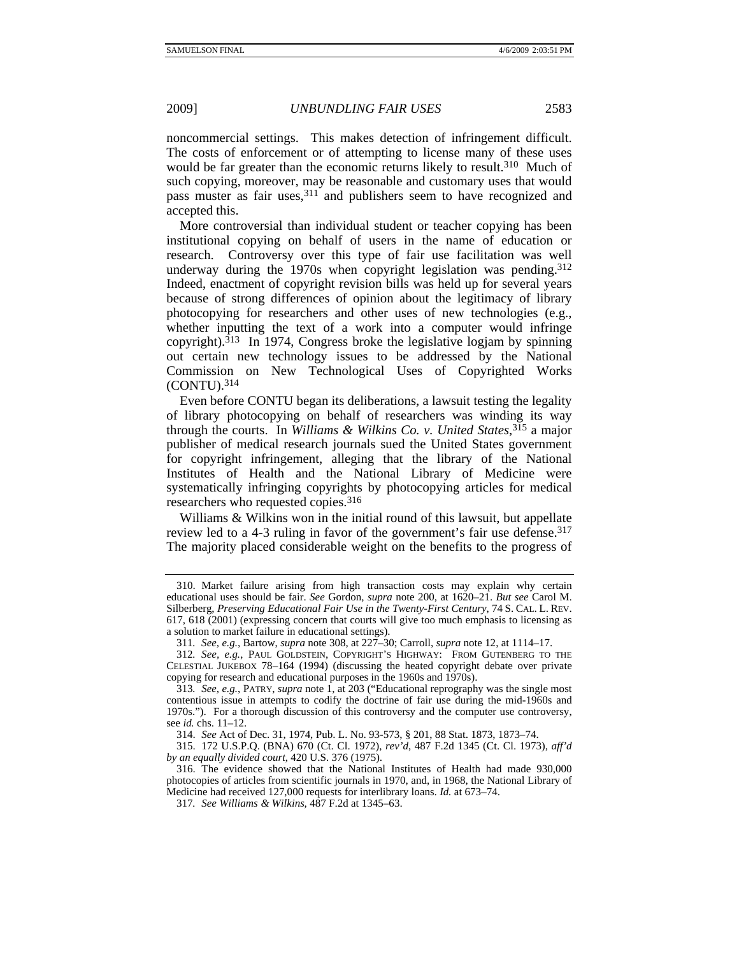noncommercial settings. This makes detection of infringement difficult. The costs of enforcement or of attempting to license many of these uses would be far greater than the economic returns likely to result.<sup>310</sup> Much of such copying, moreover, may be reasonable and customary uses that would pass muster as fair uses, <sup>311</sup> and publishers seem to have recognized and accepted this.

More controversial than individual student or teacher copying has been institutional copying on behalf of users in the name of education or research. Controversy over this type of fair use facilitation was well underway during the 1970s when copyright legislation was pending.<sup>312</sup> Indeed, enactment of copyright revision bills was held up for several years because of strong differences of opinion about the legitimacy of library photocopying for researchers and other uses of new technologies (e.g., whether inputting the text of a work into a computer would infringe copyright).313 In 1974, Congress broke the legislative logjam by spinning out certain new technology issues to be addressed by the National Commission on New Technological Uses of Copyrighted Works (CONTU).314

Even before CONTU began its deliberations, a lawsuit testing the legality of library photocopying on behalf of researchers was winding its way through the courts. In *Williams & Wilkins Co. v. United States*, 315 a major publisher of medical research journals sued the United States government for copyright infringement, alleging that the library of the National Institutes of Health and the National Library of Medicine were systematically infringing copyrights by photocopying articles for medical researchers who requested copies.316

Williams & Wilkins won in the initial round of this lawsuit, but appellate review led to a 4-3 ruling in favor of the government's fair use defense.<sup>317</sup> The majority placed considerable weight on the benefits to the progress of

 <sup>310.</sup> Market failure arising from high transaction costs may explain why certain educational uses should be fair. *See* Gordon, *supra* note 200, at 1620–21. *But see* Carol M. Silberberg, *Preserving Educational Fair Use in the Twenty-First Century*, 74 S. CAL. L. REV. 617, 618 (2001) (expressing concern that courts will give too much emphasis to licensing as a solution to market failure in educational settings).

<sup>311</sup>*. See, e.g.*, Bartow, *supra* note 308, at 227–30; Carroll, *supra* note 12, at 1114–17.

<sup>312</sup>*. See, e.g.*, PAUL GOLDSTEIN, COPYRIGHT'S HIGHWAY: FROM GUTENBERG TO THE CELESTIAL JUKEBOX 78–164 (1994) (discussing the heated copyright debate over private copying for research and educational purposes in the 1960s and 1970s).

<sup>313</sup>*. See, e.g.*, PATRY, *supra* note 1, at 203 ("Educational reprography was the single most contentious issue in attempts to codify the doctrine of fair use during the mid-1960s and 1970s."). For a thorough discussion of this controversy and the computer use controversy, see *id.* chs. 11–12.

 <sup>314.</sup> *See* Act of Dec. 31, 1974, Pub. L. No. 93-573, § 201, 88 Stat. 1873, 1873–74.

 <sup>315. 172</sup> U.S.P.Q. (BNA) 670 (Ct. Cl. 1972), *rev'd*, 487 F.2d 1345 (Ct. Cl. 1973), *aff'd by an equally divided court*, 420 U.S. 376 (1975).

 <sup>316.</sup> The evidence showed that the National Institutes of Health had made 930,000 photocopies of articles from scientific journals in 1970, and, in 1968, the National Library of Medicine had received 127,000 requests for interlibrary loans. *Id.* at 673–74.

<sup>317</sup>*. See Williams & Wilkins*, 487 F.2d at 1345–63.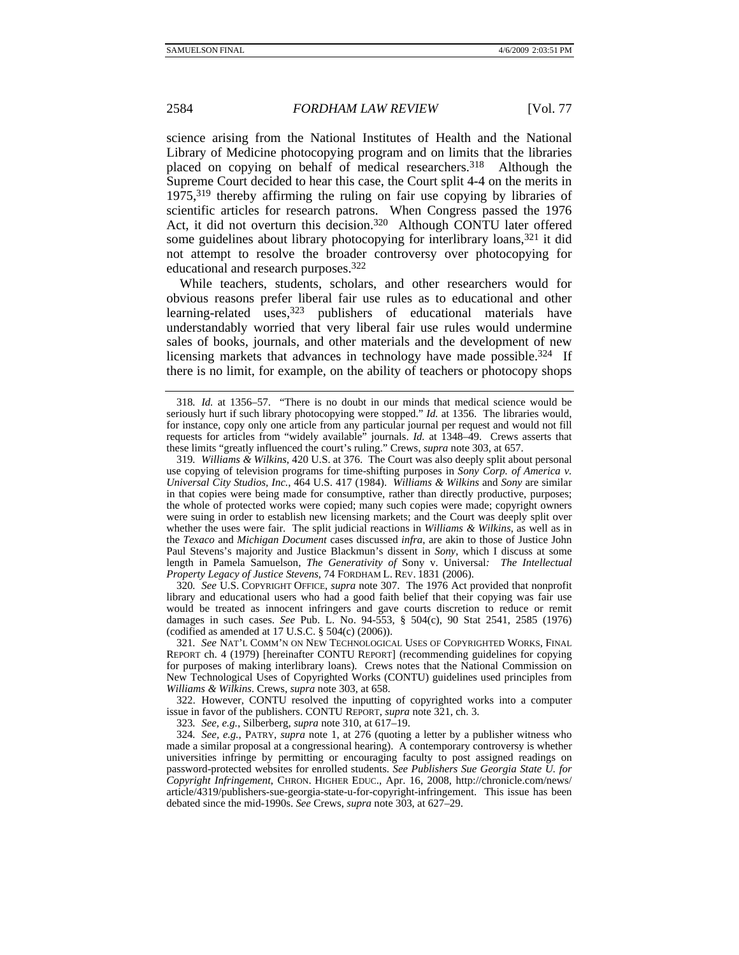science arising from the National Institutes of Health and the National Library of Medicine photocopying program and on limits that the libraries placed on copying on behalf of medical researchers.<sup>318</sup> Although the Supreme Court decided to hear this case, the Court split 4-4 on the merits in 1975,319 thereby affirming the ruling on fair use copying by libraries of scientific articles for research patrons. When Congress passed the 1976 Act, it did not overturn this decision.<sup>320</sup> Although CONTU later offered some guidelines about library photocopying for interlibrary loans,<sup>321</sup> it did not attempt to resolve the broader controversy over photocopying for educational and research purposes.322

While teachers, students, scholars, and other researchers would for obvious reasons prefer liberal fair use rules as to educational and other learning-related uses,323 publishers of educational materials have understandably worried that very liberal fair use rules would undermine sales of books, journals, and other materials and the development of new licensing markets that advances in technology have made possible.<sup>324</sup> If there is no limit, for example, on the ability of teachers or photocopy shops

319*. Williams & Wilkins*, 420 U.S. at 376. The Court was also deeply split about personal use copying of television programs for time-shifting purposes in *Sony Corp. of America v. Universal City Studios, Inc.*, 464 U.S. 417 (1984). *Williams & Wilkins* and *Sony* are similar in that copies were being made for consumptive, rather than directly productive, purposes; the whole of protected works were copied; many such copies were made; copyright owners were suing in order to establish new licensing markets; and the Court was deeply split over whether the uses were fair. The split judicial reactions in *Williams & Wilkins*, as well as in the *Texaco* and *Michigan Document* cases discussed *infra*, are akin to those of Justice John Paul Stevens's majority and Justice Blackmun's dissent in *Sony*, which I discuss at some length in Pamela Samuelson, *The Generativity of* Sony v. Universal*: The Intellectual Property Legacy of Justice Stevens*, 74 FORDHAM L. REV. 1831 (2006).

320*. See* U.S. COPYRIGHT OFFICE, *supra* note 307. The 1976 Act provided that nonprofit library and educational users who had a good faith belief that their copying was fair use would be treated as innocent infringers and gave courts discretion to reduce or remit damages in such cases. *See* Pub. L. No. 94-553, § 504(c), 90 Stat 2541, 2585 (1976) (codified as amended at 17 U.S.C. § 504(c) (2006)).

321*. See* NAT'L COMM'N ON NEW TECHNOLOGICAL USES OF COPYRIGHTED WORKS, FINAL REPORT ch. 4 (1979) [hereinafter CONTU REPORT] (recommending guidelines for copying for purposes of making interlibrary loans). Crews notes that the National Commission on New Technological Uses of Copyrighted Works (CONTU) guidelines used principles from *Williams & Wilkins*. Crews, *supra* note 303, at 658.

 322. However, CONTU resolved the inputting of copyrighted works into a computer issue in favor of the publishers. CONTU REPORT, *supra* note 321, ch. 3.

323*. See, e.g.*, Silberberg, *supra* note 310, at 617–19.

324*. See, e.g.*, PATRY, *supra* note 1, at 276 (quoting a letter by a publisher witness who made a similar proposal at a congressional hearing). A contemporary controversy is whether universities infringe by permitting or encouraging faculty to post assigned readings on password-protected websites for enrolled students. *See Publishers Sue Georgia State U. for Copyright Infringement*, CHRON. HIGHER EDUC., Apr. 16, 2008, http://chronicle.com/news/ article/4319/publishers-sue-georgia-state-u-for-copyright-infringement. This issue has been debated since the mid-1990s. *See* Crews, *supra* note 303, at 627–29.

<sup>318</sup>*. Id.* at 1356–57. "There is no doubt in our minds that medical science would be seriously hurt if such library photocopying were stopped." *Id.* at 1356. The libraries would, for instance, copy only one article from any particular journal per request and would not fill requests for articles from "widely available" journals. *Id.* at 1348–49. Crews asserts that these limits "greatly influenced the court's ruling." Crews, *supra* note 303, at 657.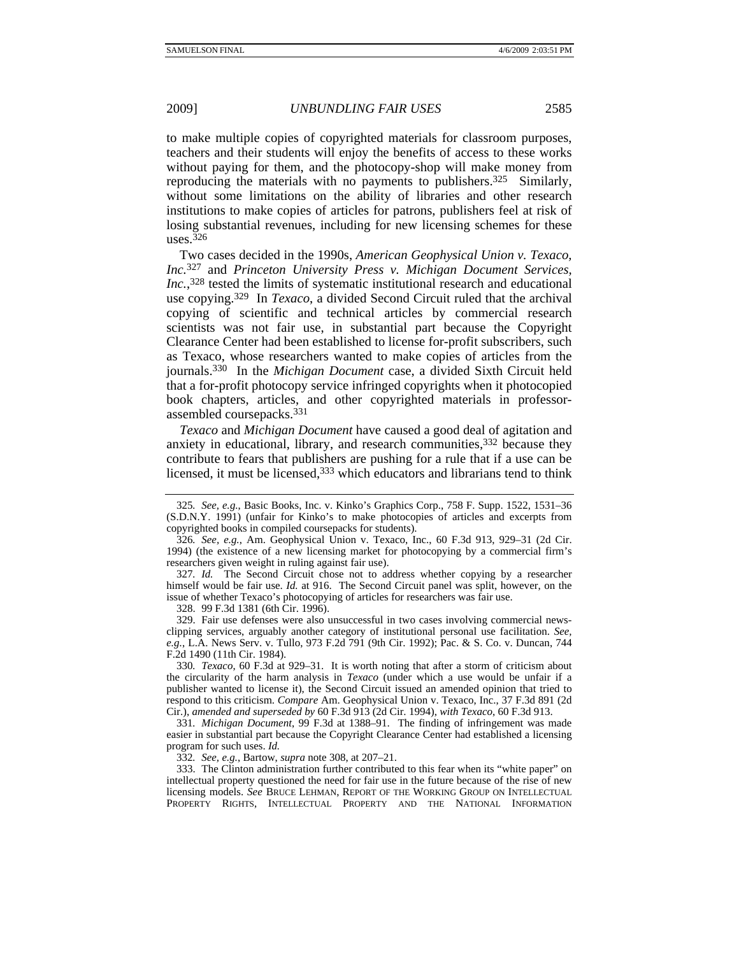to make multiple copies of copyrighted materials for classroom purposes, teachers and their students will enjoy the benefits of access to these works without paying for them, and the photocopy-shop will make money from reproducing the materials with no payments to publishers.<sup>325</sup> Similarly, without some limitations on the ability of libraries and other research institutions to make copies of articles for patrons, publishers feel at risk of losing substantial revenues, including for new licensing schemes for these  $_{11}$ ses.  $326$ 

Two cases decided in the 1990s, *American Geophysical Union v. Texaco, Inc.*327 and *Princeton University Press v. Michigan Document Services, Inc.*, 328 tested the limits of systematic institutional research and educational use copying.329 In *Texaco*, a divided Second Circuit ruled that the archival copying of scientific and technical articles by commercial research scientists was not fair use, in substantial part because the Copyright Clearance Center had been established to license for-profit subscribers, such as Texaco, whose researchers wanted to make copies of articles from the journals.330 In the *Michigan Document* case, a divided Sixth Circuit held that a for-profit photocopy service infringed copyrights when it photocopied book chapters, articles, and other copyrighted materials in professorassembled coursepacks.331

*Texaco* and *Michigan Document* have caused a good deal of agitation and anxiety in educational, library, and research communities,<sup>332</sup> because they contribute to fears that publishers are pushing for a rule that if a use can be licensed, it must be licensed,<sup>333</sup> which educators and librarians tend to think

327*. Id.* The Second Circuit chose not to address whether copying by a researcher himself would be fair use. *Id.* at 916. The Second Circuit panel was split, however, on the issue of whether Texaco's photocopying of articles for researchers was fair use.

328. 99 F.3d 1381 (6th Cir. 1996).

 329. Fair use defenses were also unsuccessful in two cases involving commercial newsclipping services, arguably another category of institutional personal use facilitation. *See, e.g.*, L.A. News Serv. v. Tullo, 973 F.2d 791 (9th Cir. 1992); Pac. & S. Co. v. Duncan, 744 F.2d 1490 (11th Cir. 1984).

330*. Texaco*, 60 F.3d at 929–31. It is worth noting that after a storm of criticism about the circularity of the harm analysis in *Texaco* (under which a use would be unfair if a publisher wanted to license it), the Second Circuit issued an amended opinion that tried to respond to this criticism. *Compare* Am. Geophysical Union v. Texaco, Inc., 37 F.3d 891 (2d Cir.), *amended and superseded by* 60 F.3d 913 (2d Cir. 1994), *with Texaco*, 60 F.3d 913.

331*. Michigan Document*, 99 F.3d at 1388–91. The finding of infringement was made easier in substantial part because the Copyright Clearance Center had established a licensing program for such uses. *Id.* 

332*. See, e.g.*, Bartow, *supra* note 308, at 207–21.

 333. The Clinton administration further contributed to this fear when its "white paper" on intellectual property questioned the need for fair use in the future because of the rise of new licensing models. *See* BRUCE LEHMAN, REPORT OF THE WORKING GROUP ON INTELLECTUAL PROPERTY RIGHTS, INTELLECTUAL PROPERTY AND THE NATIONAL INFORMATION

<sup>325</sup>*. See, e.g.*, Basic Books, Inc. v. Kinko's Graphics Corp., 758 F. Supp. 1522, 1531–36 (S.D.N.Y. 1991) (unfair for Kinko's to make photocopies of articles and excerpts from copyrighted books in compiled coursepacks for students).

<sup>326</sup>*. See, e.g.*, Am. Geophysical Union v. Texaco, Inc., 60 F.3d 913, 929–31 (2d Cir. 1994) (the existence of a new licensing market for photocopying by a commercial firm's researchers given weight in ruling against fair use).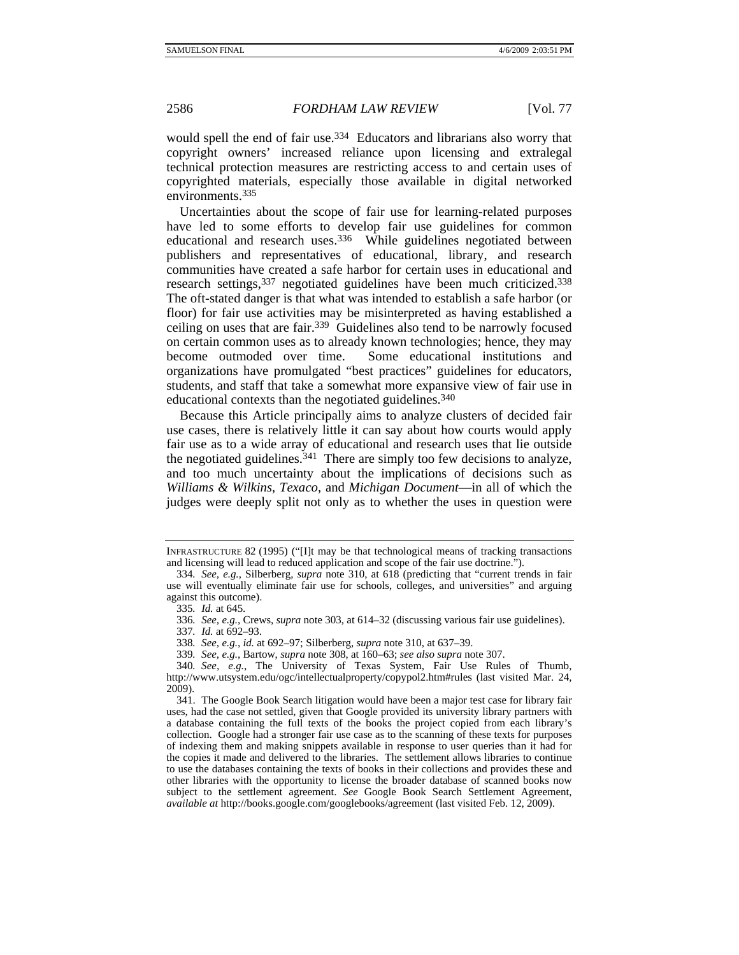would spell the end of fair use.<sup>334</sup> Educators and librarians also worry that copyright owners' increased reliance upon licensing and extralegal technical protection measures are restricting access to and certain uses of copyrighted materials, especially those available in digital networked environments.335

Uncertainties about the scope of fair use for learning-related purposes have led to some efforts to develop fair use guidelines for common educational and research uses.336 While guidelines negotiated between publishers and representatives of educational, library, and research communities have created a safe harbor for certain uses in educational and research settings,<sup>337</sup> negotiated guidelines have been much criticized.<sup>338</sup> The oft-stated danger is that what was intended to establish a safe harbor (or floor) for fair use activities may be misinterpreted as having established a ceiling on uses that are fair.339 Guidelines also tend to be narrowly focused on certain common uses as to already known technologies; hence, they may become outmoded over time. Some educational institutions and organizations have promulgated "best practices" guidelines for educators, students, and staff that take a somewhat more expansive view of fair use in educational contexts than the negotiated guidelines.340

Because this Article principally aims to analyze clusters of decided fair use cases, there is relatively little it can say about how courts would apply fair use as to a wide array of educational and research uses that lie outside the negotiated guidelines.<sup>341</sup> There are simply too few decisions to analyze, and too much uncertainty about the implications of decisions such as *Williams & Wilkins*, *Texaco*, and *Michigan Document*—in all of which the judges were deeply split not only as to whether the uses in question were

337*. Id.* at 692–93.

338*. See, e.g.*, *id.* at 692–97; Silberberg, *supra* note 310, at 637–39.

339*. See, e.g.*, Bartow, *supra* note 308, at 160–63; *see also supra* note 307.

INFRASTRUCTURE 82 (1995) ("[I]t may be that technological means of tracking transactions and licensing will lead to reduced application and scope of the fair use doctrine.").

<sup>334</sup>*. See, e.g.*, Silberberg, *supra* note 310, at 618 (predicting that "current trends in fair use will eventually eliminate fair use for schools, colleges, and universities" and arguing against this outcome).

<sup>335</sup>*. Id.* at 645.

<sup>336</sup>*. See, e.g.*, Crews, *supra* note 303, at 614–32 (discussing various fair use guidelines).

<sup>340</sup>*. See, e.g.*, The University of Texas System, Fair Use Rules of Thumb, http://www.utsystem.edu/ogc/intellectualproperty/copypol2.htm#rules (last visited Mar. 24, 2009).

 <sup>341.</sup> The Google Book Search litigation would have been a major test case for library fair uses, had the case not settled, given that Google provided its university library partners with a database containing the full texts of the books the project copied from each library's collection. Google had a stronger fair use case as to the scanning of these texts for purposes of indexing them and making snippets available in response to user queries than it had for the copies it made and delivered to the libraries. The settlement allows libraries to continue to use the databases containing the texts of books in their collections and provides these and other libraries with the opportunity to license the broader database of scanned books now subject to the settlement agreement. *See* Google Book Search Settlement Agreement, *available at* http://books.google.com/googlebooks/agreement (last visited Feb. 12, 2009).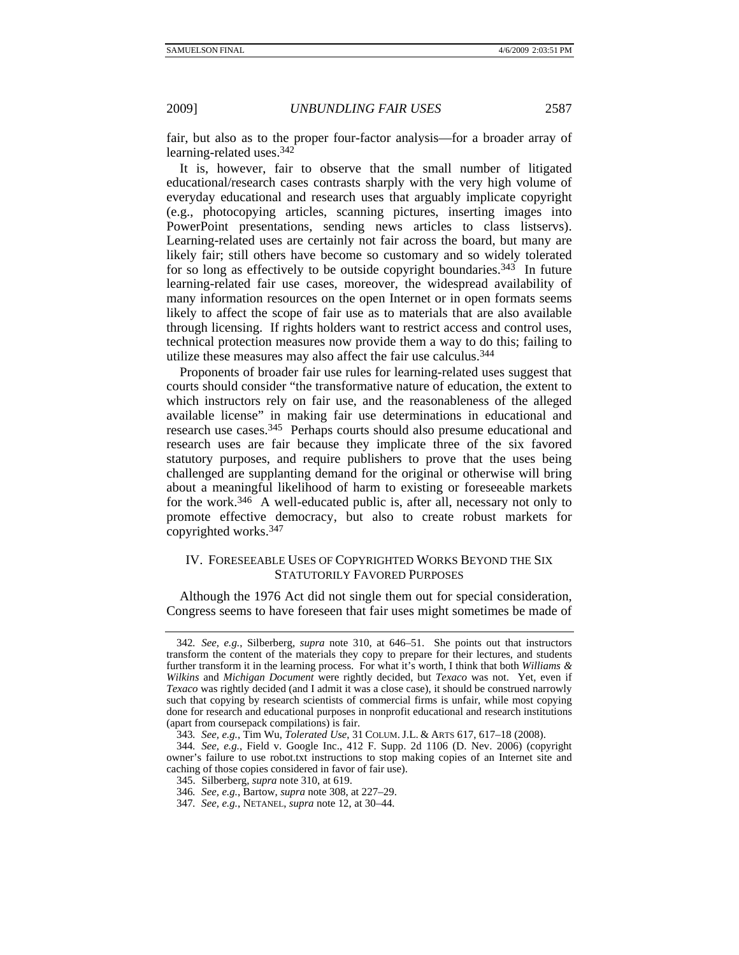fair, but also as to the proper four-factor analysis—for a broader array of learning-related uses.<sup>342</sup>

It is, however, fair to observe that the small number of litigated educational/research cases contrasts sharply with the very high volume of everyday educational and research uses that arguably implicate copyright (e.g., photocopying articles, scanning pictures, inserting images into PowerPoint presentations, sending news articles to class listservs). Learning-related uses are certainly not fair across the board, but many are likely fair; still others have become so customary and so widely tolerated for so long as effectively to be outside copyright boundaries.<sup>343</sup> In future learning-related fair use cases, moreover, the widespread availability of many information resources on the open Internet or in open formats seems likely to affect the scope of fair use as to materials that are also available through licensing. If rights holders want to restrict access and control uses, technical protection measures now provide them a way to do this; failing to utilize these measures may also affect the fair use calculus.344

Proponents of broader fair use rules for learning-related uses suggest that courts should consider "the transformative nature of education, the extent to which instructors rely on fair use, and the reasonableness of the alleged available license" in making fair use determinations in educational and research use cases.345 Perhaps courts should also presume educational and research uses are fair because they implicate three of the six favored statutory purposes, and require publishers to prove that the uses being challenged are supplanting demand for the original or otherwise will bring about a meaningful likelihood of harm to existing or foreseeable markets for the work.346 A well-educated public is, after all, necessary not only to promote effective democracy, but also to create robust markets for copyrighted works.347

# IV. FORESEEABLE USES OF COPYRIGHTED WORKS BEYOND THE SIX STATUTORILY FAVORED PURPOSES

Although the 1976 Act did not single them out for special consideration, Congress seems to have foreseen that fair uses might sometimes be made of

<sup>342</sup>*. See, e.g.*, Silberberg, *supra* note 310, at 646–51. She points out that instructors transform the content of the materials they copy to prepare for their lectures, and students further transform it in the learning process. For what it's worth, I think that both *Williams & Wilkins* and *Michigan Document* were rightly decided, but *Texaco* was not. Yet, even if *Texaco* was rightly decided (and I admit it was a close case), it should be construed narrowly such that copying by research scientists of commercial firms is unfair, while most copying done for research and educational purposes in nonprofit educational and research institutions (apart from coursepack compilations) is fair.

<sup>343</sup>*. See, e.g.*, Tim Wu, *Tolerated Use*, 31 COLUM. J.L. & ARTS 617, 617–18 (2008).

<sup>344</sup>*. See, e.g.*, Field v. Google Inc., 412 F. Supp. 2d 1106 (D. Nev. 2006) (copyright owner's failure to use robot.txt instructions to stop making copies of an Internet site and caching of those copies considered in favor of fair use).

 <sup>345.</sup> Silberberg, *supra* note 310, at 619.

<sup>346</sup>*. See, e.g.*, Bartow, *supra* note 308, at 227–29.

<sup>347</sup>*. See, e.g.*, NETANEL, *supra* note 12, at 30–44.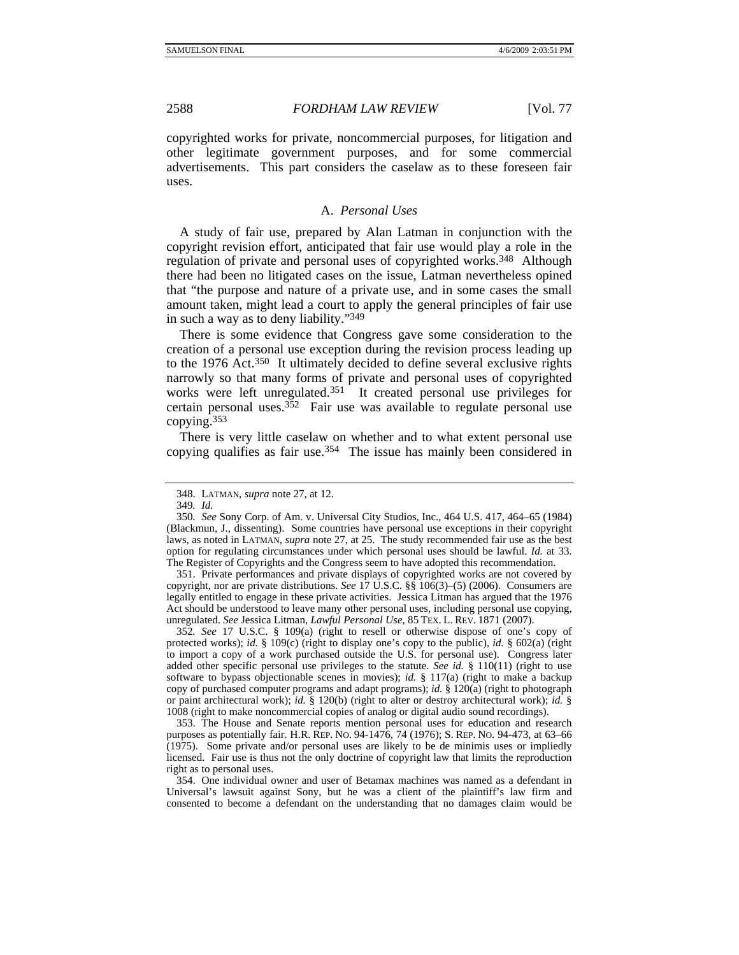copyrighted works for private, noncommercial purposes, for litigation and other legitimate government purposes, and for some commercial advertisements. This part considers the caselaw as to these foreseen fair uses.

#### A. *Personal Uses*

A study of fair use, prepared by Alan Latman in conjunction with the copyright revision effort, anticipated that fair use would play a role in the regulation of private and personal uses of copyrighted works.<sup>348</sup> Although there had been no litigated cases on the issue, Latman nevertheless opined that "the purpose and nature of a private use, and in some cases the small amount taken, might lead a court to apply the general principles of fair use in such a way as to deny liability."349

There is some evidence that Congress gave some consideration to the creation of a personal use exception during the revision process leading up to the 1976 Act.350 It ultimately decided to define several exclusive rights narrowly so that many forms of private and personal uses of copyrighted works were left unregulated.<sup>351</sup> It created personal use privileges for certain personal uses.<sup>352</sup> Fair use was available to regulate personal use copying.353

There is very little caselaw on whether and to what extent personal use copying qualifies as fair use.354 The issue has mainly been considered in

 351. Private performances and private displays of copyrighted works are not covered by copyright, nor are private distributions. *See* 17 U.S.C. §§ 106(3)–(5) (2006). Consumers are legally entitled to engage in these private activities. Jessica Litman has argued that the 1976 Act should be understood to leave many other personal uses, including personal use copying, unregulated. *See* Jessica Litman, *Lawful Personal Use*, 85 TEX. L. REV. 1871 (2007).

352*. See* 17 U.S.C. § 109(a) (right to resell or otherwise dispose of one's copy of protected works); *id.* § 109(c) (right to display one's copy to the public), *id.* § 602(a) (right to import a copy of a work purchased outside the U.S. for personal use). Congress later added other specific personal use privileges to the statute. *See id.* § 110(11) (right to use software to bypass objectionable scenes in movies); *id.* § 117(a) (right to make a backup copy of purchased computer programs and adapt programs); *id.* § 120(a) (right to photograph or paint architectural work); *id.* § 120(b) (right to alter or destroy architectural work); *id.* § 1008 (right to make noncommercial copies of analog or digital audio sound recordings).

 353. The House and Senate reports mention personal uses for education and research purposes as potentially fair. H.R. REP. NO. 94-1476, 74 (1976); S. REP. NO. 94-473, at 63–66 (1975). Some private and/or personal uses are likely to be de minimis uses or impliedly licensed. Fair use is thus not the only doctrine of copyright law that limits the reproduction right as to personal uses.

 354. One individual owner and user of Betamax machines was named as a defendant in Universal's lawsuit against Sony, but he was a client of the plaintiff's law firm and consented to become a defendant on the understanding that no damages claim would be

 <sup>348.</sup> LATMAN, *supra* note 27, at 12.

<sup>349</sup>*. Id.*

<sup>350</sup>*. See* Sony Corp. of Am. v. Universal City Studios, Inc., 464 U.S. 417, 464–65 (1984) (Blackmun, J., dissenting). Some countries have personal use exceptions in their copyright laws, as noted in LATMAN, *supra* note 27, at 25. The study recommended fair use as the best option for regulating circumstances under which personal uses should be lawful. *Id.* at 33. The Register of Copyrights and the Congress seem to have adopted this recommendation.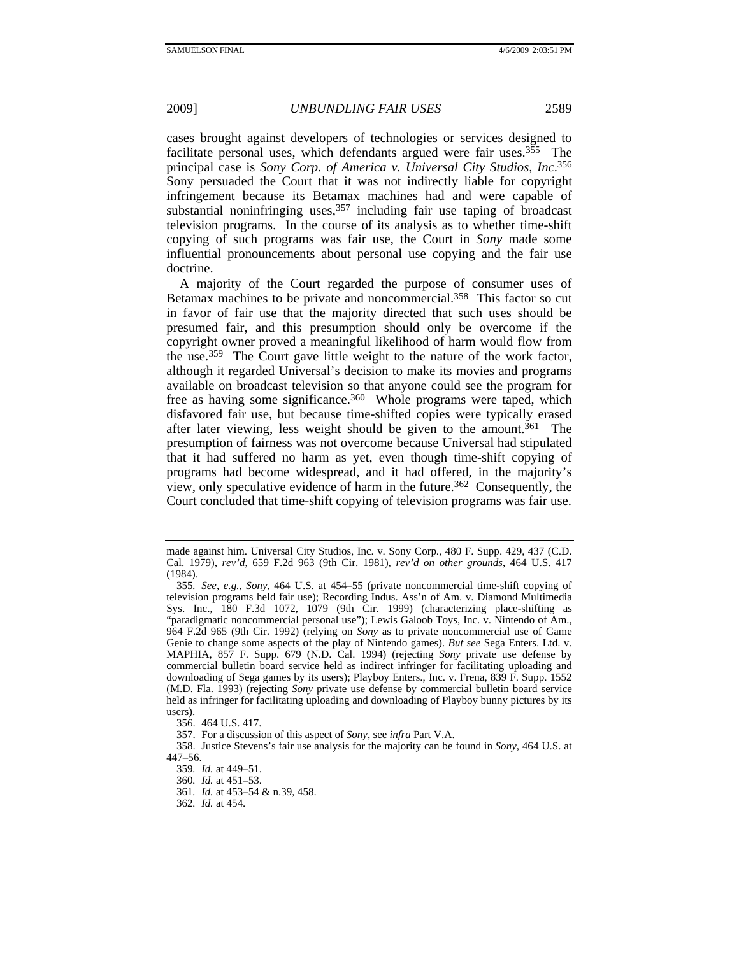cases brought against developers of technologies or services designed to facilitate personal uses, which defendants argued were fair uses.<sup>355</sup> The principal case is *Sony Corp. of America v. Universal City Studios, Inc*. 356 Sony persuaded the Court that it was not indirectly liable for copyright infringement because its Betamax machines had and were capable of substantial noninfringing uses,  $357$  including fair use taping of broadcast television programs. In the course of its analysis as to whether time-shift copying of such programs was fair use, the Court in *Sony* made some influential pronouncements about personal use copying and the fair use doctrine.

A majority of the Court regarded the purpose of consumer uses of Betamax machines to be private and noncommercial.358 This factor so cut in favor of fair use that the majority directed that such uses should be presumed fair, and this presumption should only be overcome if the copyright owner proved a meaningful likelihood of harm would flow from the use.359 The Court gave little weight to the nature of the work factor, although it regarded Universal's decision to make its movies and programs available on broadcast television so that anyone could see the program for free as having some significance.<sup>360</sup> Whole programs were taped, which disfavored fair use, but because time-shifted copies were typically erased after later viewing, less weight should be given to the amount.361 The presumption of fairness was not overcome because Universal had stipulated that it had suffered no harm as yet, even though time-shift copying of programs had become widespread, and it had offered, in the majority's view, only speculative evidence of harm in the future.362 Consequently, the Court concluded that time-shift copying of television programs was fair use.

made against him. Universal City Studios, Inc. v. Sony Corp., 480 F. Supp. 429, 437 (C.D. Cal. 1979), *rev'd*, 659 F.2d 963 (9th Cir. 1981), *rev'd on other grounds*, 464 U.S. 417 (1984).

<sup>355</sup>*. See, e.g.*, *Sony*, 464 U.S. at 454–55 (private noncommercial time-shift copying of television programs held fair use); Recording Indus. Ass'n of Am. v. Diamond Multimedia Sys. Inc., 180 F.3d 1072, 1079 (9th Cir. 1999) (characterizing place-shifting as "paradigmatic noncommercial personal use"); Lewis Galoob Toys, Inc. v. Nintendo of Am., 964 F.2d 965 (9th Cir. 1992) (relying on *Sony* as to private noncommercial use of Game Genie to change some aspects of the play of Nintendo games). *But see* Sega Enters. Ltd. v. MAPHIA, 857 F. Supp. 679 (N.D. Cal. 1994) (rejecting *Sony* private use defense by commercial bulletin board service held as indirect infringer for facilitating uploading and downloading of Sega games by its users); Playboy Enters., Inc. v. Frena, 839 F. Supp. 1552 (M.D. Fla. 1993) (rejecting *Sony* private use defense by commercial bulletin board service held as infringer for facilitating uploading and downloading of Playboy bunny pictures by its users).

 <sup>356. 464</sup> U.S. 417.

 <sup>357.</sup> For a discussion of this aspect of *Sony*, see *infra* Part V.A.

 <sup>358.</sup> Justice Stevens's fair use analysis for the majority can be found in *Sony*, 464 U.S. at 447–56.

<sup>359</sup>*. Id.* at 449–51.

<sup>360</sup>*. Id.* at 451–53.

<sup>361</sup>*. Id.* at 453–54 & n.39, 458.

<sup>362</sup>*. Id.* at 454.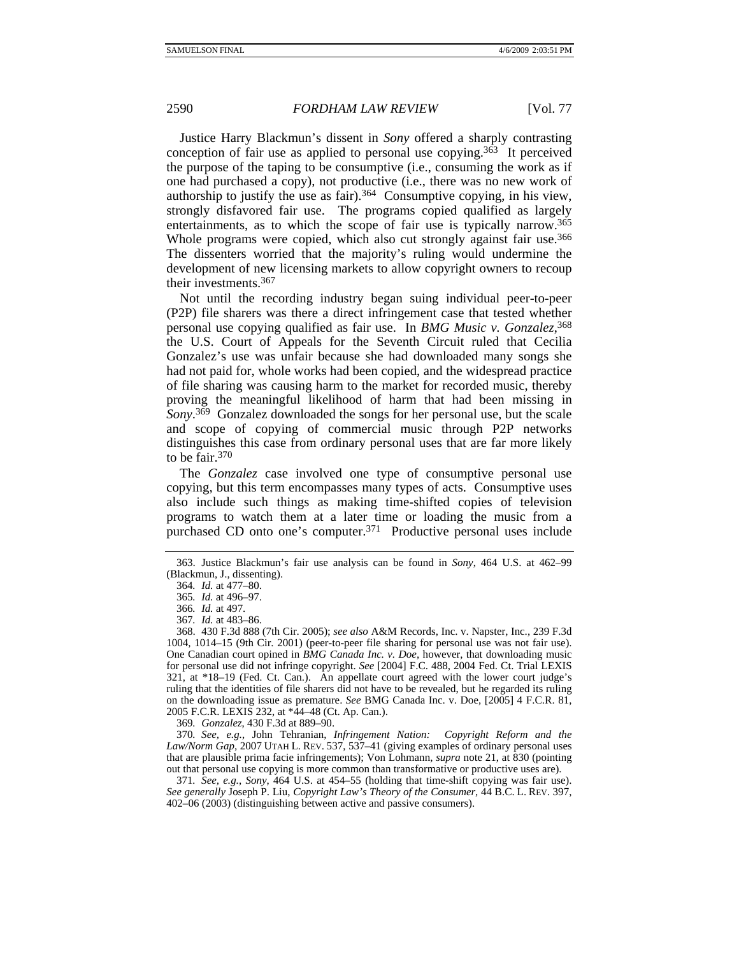Justice Harry Blackmun's dissent in *Sony* offered a sharply contrasting conception of fair use as applied to personal use copying.363 It perceived the purpose of the taping to be consumptive (i.e., consuming the work as if one had purchased a copy), not productive (i.e., there was no new work of authorship to justify the use as fair).364 Consumptive copying, in his view, strongly disfavored fair use. The programs copied qualified as largely entertainments, as to which the scope of fair use is typically narrow.365 Whole programs were copied, which also cut strongly against fair use.<sup>366</sup> The dissenters worried that the majority's ruling would undermine the development of new licensing markets to allow copyright owners to recoup their investments.367

Not until the recording industry began suing individual peer-to-peer (P2P) file sharers was there a direct infringement case that tested whether personal use copying qualified as fair use. In *BMG Music v. Gonzalez*, 368 the U.S. Court of Appeals for the Seventh Circuit ruled that Cecilia Gonzalez's use was unfair because she had downloaded many songs she had not paid for, whole works had been copied, and the widespread practice of file sharing was causing harm to the market for recorded music, thereby proving the meaningful likelihood of harm that had been missing in *Sony*. 369 Gonzalez downloaded the songs for her personal use, but the scale and scope of copying of commercial music through P2P networks distinguishes this case from ordinary personal uses that are far more likely to be fair.370

The *Gonzalez* case involved one type of consumptive personal use copying, but this term encompasses many types of acts. Consumptive uses also include such things as making time-shifted copies of television programs to watch them at a later time or loading the music from a purchased CD onto one's computer.371 Productive personal uses include

369*. Gonzalez*, 430 F.3d at 889–90.

370*. See, e.g.*, John Tehranian, *Infringement Nation: Copyright Reform and the Law/Norm Gap*, 2007 UTAH L. REV. 537, 537–41 (giving examples of ordinary personal uses that are plausible prima facie infringements); Von Lohmann, *supra* note 21, at 830 (pointing out that personal use copying is more common than transformative or productive uses are).

371*. See, e.g.*, *Sony*, 464 U.S. at 454–55 (holding that time-shift copying was fair use). *See generally* Joseph P. Liu, *Copyright Law's Theory of the Consumer*, 44 B.C. L. REV. 397, 402–06 (2003) (distinguishing between active and passive consumers).

 <sup>363.</sup> Justice Blackmun's fair use analysis can be found in *Sony*, 464 U.S. at 462–99 (Blackmun, J., dissenting).

<sup>364</sup>*. Id.* at 477–80.

<sup>365</sup>*. Id.* at 496–97.

<sup>366</sup>*. Id.* at 497.

<sup>367</sup>*. Id.* at 483–86.

 <sup>368. 430</sup> F.3d 888 (7th Cir. 2005); *see also* A&M Records, Inc. v. Napster, Inc., 239 F.3d 1004, 1014–15 (9th Cir. 2001) (peer-to-peer file sharing for personal use was not fair use). One Canadian court opined in *BMG Canada Inc. v. Doe*, however, that downloading music for personal use did not infringe copyright. *See* [2004] F.C. 488, 2004 Fed. Ct. Trial LEXIS 321, at \*18–19 (Fed. Ct. Can.). An appellate court agreed with the lower court judge's ruling that the identities of file sharers did not have to be revealed, but he regarded its ruling on the downloading issue as premature. *See* BMG Canada Inc. v. Doe, [2005] 4 F.C.R. 81, 2005 F.C.R. LEXIS 232, at \*44–48 (Ct. Ap. Can.).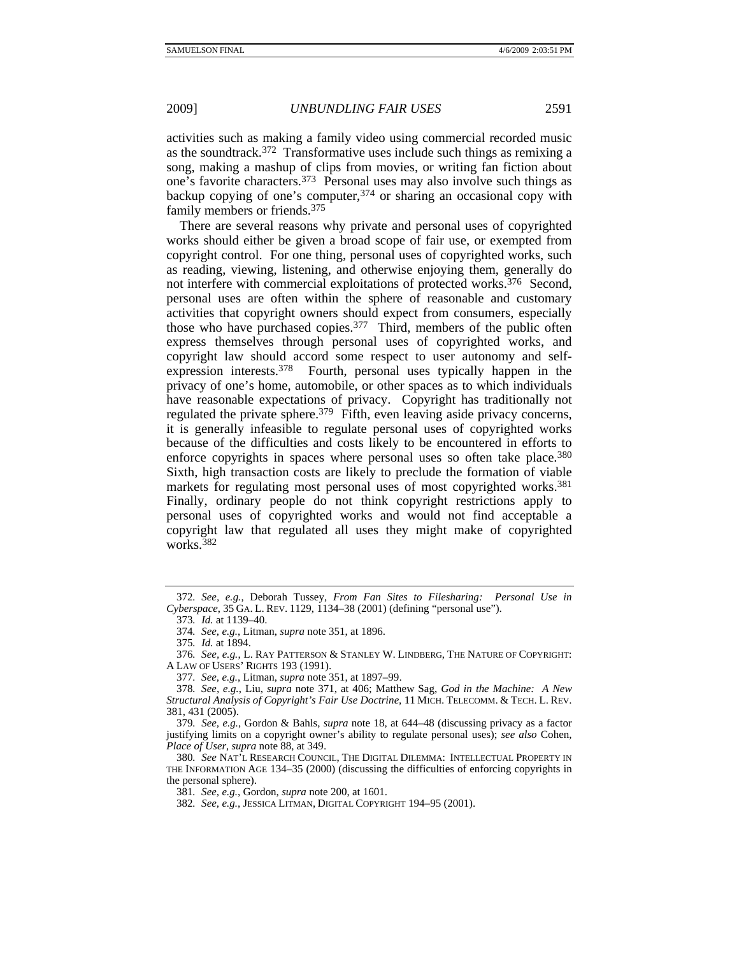activities such as making a family video using commercial recorded music as the soundtrack.372 Transformative uses include such things as remixing a song, making a mashup of clips from movies, or writing fan fiction about one's favorite characters.373 Personal uses may also involve such things as backup copying of one's computer,  $374$  or sharing an occasional copy with family members or friends.375

There are several reasons why private and personal uses of copyrighted works should either be given a broad scope of fair use, or exempted from copyright control. For one thing, personal uses of copyrighted works, such as reading, viewing, listening, and otherwise enjoying them, generally do not interfere with commercial exploitations of protected works.<sup>376</sup> Second, personal uses are often within the sphere of reasonable and customary activities that copyright owners should expect from consumers, especially those who have purchased copies.377 Third, members of the public often express themselves through personal uses of copyrighted works, and copyright law should accord some respect to user autonomy and selfexpression interests.378 Fourth, personal uses typically happen in the privacy of one's home, automobile, or other spaces as to which individuals have reasonable expectations of privacy. Copyright has traditionally not regulated the private sphere.<sup>379</sup> Fifth, even leaving aside privacy concerns, it is generally infeasible to regulate personal uses of copyrighted works because of the difficulties and costs likely to be encountered in efforts to enforce copyrights in spaces where personal uses so often take place.<sup>380</sup> Sixth, high transaction costs are likely to preclude the formation of viable markets for regulating most personal uses of most copyrighted works.<sup>381</sup> Finally, ordinary people do not think copyright restrictions apply to personal uses of copyrighted works and would not find acceptable a copyright law that regulated all uses they might make of copyrighted works.382

379*. See, e.g.*, Gordon & Bahls, *supra* note 18, at 644–48 (discussing privacy as a factor justifying limits on a copyright owner's ability to regulate personal uses); *see also* Cohen, *Place of User*, *supra* note 88, at 349.

380*. See* NAT'L RESEARCH COUNCIL, THE DIGITAL DILEMMA: INTELLECTUAL PROPERTY IN THE INFORMATION AGE 134–35 (2000) (discussing the difficulties of enforcing copyrights in the personal sphere).

<sup>372</sup>*. See, e.g.*, Deborah Tussey, *From Fan Sites to Filesharing: Personal Use in Cyberspace*, 35 GA. L. REV. 1129, 1134–38 (2001) (defining "personal use").

<sup>373</sup>*. Id.* at 1139–40.

<sup>374</sup>*. See, e.g.*, Litman, *supra* note 351, at 1896.

<sup>375</sup>*. Id.* at 1894.

<sup>376</sup>*. See, e.g.*, L. RAY PATTERSON & STANLEY W. LINDBERG, THE NATURE OF COPYRIGHT: A LAW OF USERS' RIGHTS 193 (1991).

<sup>377</sup>*. See, e.g.*, Litman, *supra* note 351, at 1897–99.

<sup>378</sup>*. See, e.g.*, Liu, *supra* note 371, at 406; Matthew Sag, *God in the Machine: A New Structural Analysis of Copyright's Fair Use Doctrine*, 11 MICH. TELECOMM. & TECH. L. REV. 381, 431 (2005).

<sup>381</sup>*. See, e.g.*, Gordon, *supra* note 200, at 1601.

<sup>382</sup>*. See, e.g.*, JESSICA LITMAN, DIGITAL COPYRIGHT 194–95 (2001).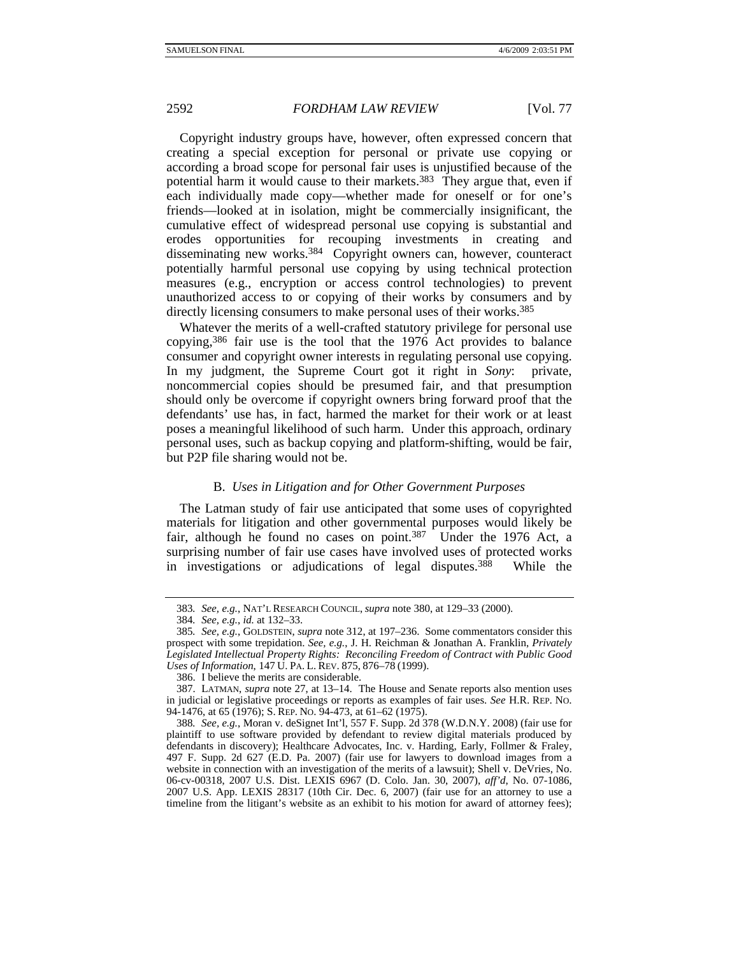Copyright industry groups have, however, often expressed concern that creating a special exception for personal or private use copying or according a broad scope for personal fair uses is unjustified because of the potential harm it would cause to their markets.383 They argue that, even if each individually made copy—whether made for oneself or for one's friends—looked at in isolation, might be commercially insignificant, the cumulative effect of widespread personal use copying is substantial and erodes opportunities for recouping investments in creating and disseminating new works.<sup>384</sup> Copyright owners can, however, counteract potentially harmful personal use copying by using technical protection measures (e.g., encryption or access control technologies) to prevent unauthorized access to or copying of their works by consumers and by directly licensing consumers to make personal uses of their works.<sup>385</sup>

Whatever the merits of a well-crafted statutory privilege for personal use copying,386 fair use is the tool that the 1976 Act provides to balance consumer and copyright owner interests in regulating personal use copying. In my judgment, the Supreme Court got it right in *Sony*: private, noncommercial copies should be presumed fair, and that presumption should only be overcome if copyright owners bring forward proof that the defendants' use has, in fact, harmed the market for their work or at least poses a meaningful likelihood of such harm. Under this approach, ordinary personal uses, such as backup copying and platform-shifting, would be fair, but P2P file sharing would not be.

#### B. *Uses in Litigation and for Other Government Purposes*

The Latman study of fair use anticipated that some uses of copyrighted materials for litigation and other governmental purposes would likely be fair, although he found no cases on point.<sup>387</sup> Under the 1976 Act, a surprising number of fair use cases have involved uses of protected works in investigations or adjudications of legal disputes.388 While the

386. I believe the merits are considerable.

<sup>383</sup>*. See, e.g.*, NAT'L RESEARCH COUNCIL, *supra* note 380, at 129–33 (2000).

<sup>384</sup>*. See, e.g.*, *id.* at 132–33.

<sup>385</sup>*. See, e.g.*, GOLDSTEIN, *supra* note 312, at 197–236. Some commentators consider this prospect with some trepidation. *See, e.g.*, J. H. Reichman & Jonathan A. Franklin, *Privately Legislated Intellectual Property Rights: Reconciling Freedom of Contract with Public Good Uses of Information*, 147 U. PA. L. REV. 875, 876–78 (1999).

 <sup>387.</sup> LATMAN, *supra* note 27, at 13–14. The House and Senate reports also mention uses in judicial or legislative proceedings or reports as examples of fair uses. *See* H.R. REP. NO. 94-1476, at 65 (1976); S. REP. NO. 94-473, at 61–62 (1975).

<sup>388</sup>*. See, e.g.*, Moran v. deSignet Int'l, 557 F. Supp. 2d 378 (W.D.N.Y. 2008) (fair use for plaintiff to use software provided by defendant to review digital materials produced by defendants in discovery); Healthcare Advocates, Inc. v. Harding, Early, Follmer & Fraley, 497 F. Supp. 2d 627 (E.D. Pa. 2007) (fair use for lawyers to download images from a website in connection with an investigation of the merits of a lawsuit); Shell v. DeVries, No. 06-cv-00318, 2007 U.S. Dist. LEXIS 6967 (D. Colo. Jan. 30, 2007), *aff'd*, No. 07-1086, 2007 U.S. App. LEXIS 28317 (10th Cir. Dec. 6, 2007) (fair use for an attorney to use a timeline from the litigant's website as an exhibit to his motion for award of attorney fees);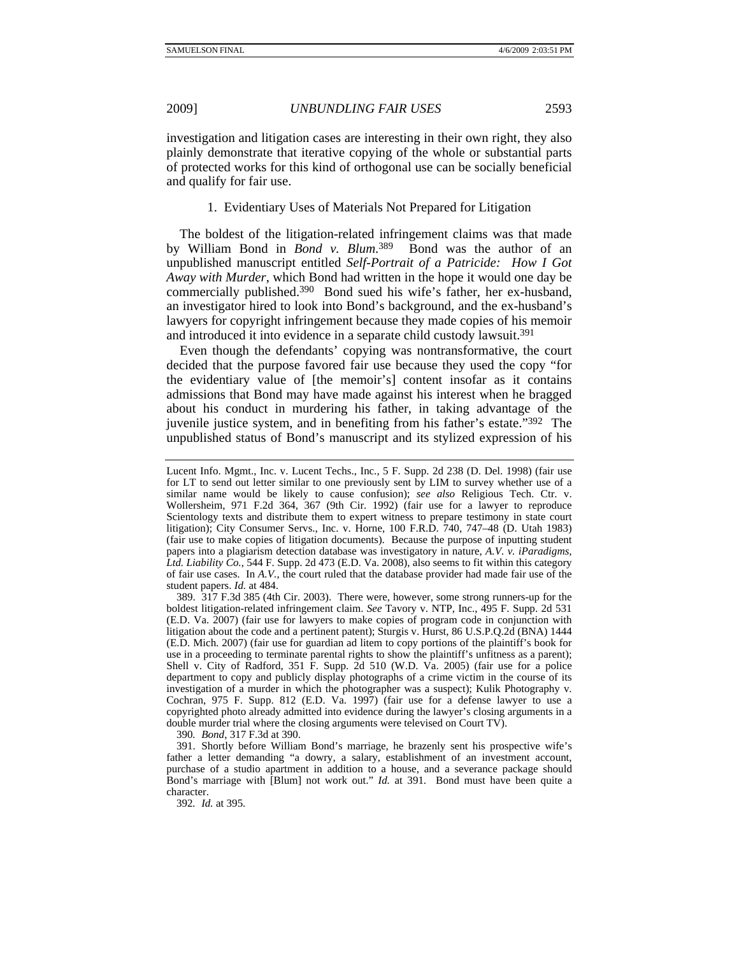investigation and litigation cases are interesting in their own right, they also plainly demonstrate that iterative copying of the whole or substantial parts of protected works for this kind of orthogonal use can be socially beneficial and qualify for fair use.

### 1. Evidentiary Uses of Materials Not Prepared for Litigation

The boldest of the litigation-related infringement claims was that made by William Bond in *Bond v. Blum*. 389 Bond was the author of an unpublished manuscript entitled *Self-Portrait of a Patricide: How I Got Away with Murder*, which Bond had written in the hope it would one day be commercially published.<sup>390</sup> Bond sued his wife's father, her ex-husband. an investigator hired to look into Bond's background, and the ex-husband's lawyers for copyright infringement because they made copies of his memoir and introduced it into evidence in a separate child custody lawsuit.391

Even though the defendants' copying was nontransformative, the court decided that the purpose favored fair use because they used the copy "for the evidentiary value of [the memoir's] content insofar as it contains admissions that Bond may have made against his interest when he bragged about his conduct in murdering his father, in taking advantage of the juvenile justice system, and in benefiting from his father's estate."392 The unpublished status of Bond's manuscript and its stylized expression of his

390*. Bond*, 317 F.3d at 390.

392*. Id.* at 395.

Lucent Info. Mgmt., Inc. v. Lucent Techs., Inc., 5 F. Supp. 2d 238 (D. Del. 1998) (fair use for LT to send out letter similar to one previously sent by LIM to survey whether use of a similar name would be likely to cause confusion); *see also* Religious Tech. Ctr. v. Wollersheim, 971 F.2d 364, 367 (9th Cir. 1992) (fair use for a lawyer to reproduce Scientology texts and distribute them to expert witness to prepare testimony in state court litigation); City Consumer Servs., Inc. v. Horne, 100 F.R.D. 740, 747–48 (D. Utah 1983) (fair use to make copies of litigation documents).Because the purpose of inputting student papers into a plagiarism detection database was investigatory in nature, *A.V. v. iParadigms, Ltd. Liability Co.*, 544 F. Supp. 2d 473 (E.D. Va. 2008), also seems to fit within this category of fair use cases. In *A.V.*, the court ruled that the database provider had made fair use of the student papers. *Id.* at 484.

 <sup>389. 317</sup> F.3d 385 (4th Cir. 2003). There were, however, some strong runners-up for the boldest litigation-related infringement claim. *See* Tavory v. NTP, Inc., 495 F. Supp. 2d 531 (E.D. Va. 2007) (fair use for lawyers to make copies of program code in conjunction with litigation about the code and a pertinent patent); Sturgis v. Hurst, 86 U.S.P.Q.2d (BNA) 1444 (E.D. Mich. 2007) (fair use for guardian ad litem to copy portions of the plaintiff's book for use in a proceeding to terminate parental rights to show the plaintiff's unfitness as a parent); Shell v. City of Radford, 351 F. Supp. 2d 510 (W.D. Va. 2005) (fair use for a police department to copy and publicly display photographs of a crime victim in the course of its investigation of a murder in which the photographer was a suspect); Kulik Photography v. Cochran, 975 F. Supp. 812 (E.D. Va. 1997) (fair use for a defense lawyer to use a copyrighted photo already admitted into evidence during the lawyer's closing arguments in a double murder trial where the closing arguments were televised on Court TV).

 <sup>391.</sup> Shortly before William Bond's marriage, he brazenly sent his prospective wife's father a letter demanding "a dowry, a salary, establishment of an investment account, purchase of a studio apartment in addition to a house, and a severance package should Bond's marriage with [Blum] not work out." *Id.* at 391. Bond must have been quite a character.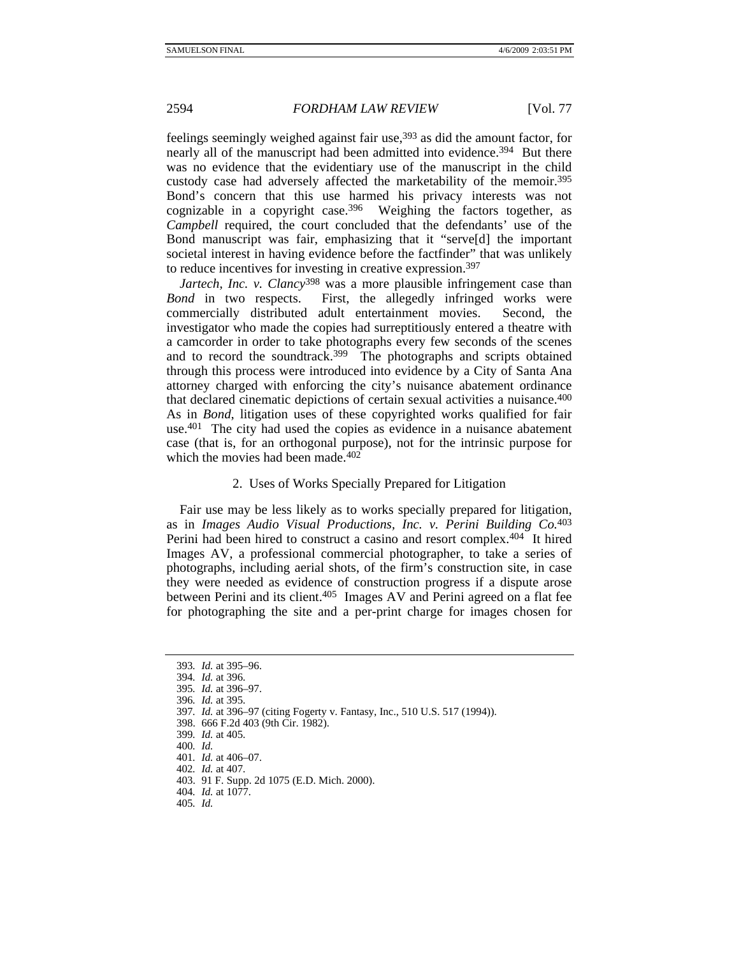feelings seemingly weighed against fair use,393 as did the amount factor, for nearly all of the manuscript had been admitted into evidence.<sup>394</sup> But there was no evidence that the evidentiary use of the manuscript in the child custody case had adversely affected the marketability of the memoir.395 Bond's concern that this use harmed his privacy interests was not cognizable in a copyright case.396 Weighing the factors together, as *Campbell* required, the court concluded that the defendants' use of the Bond manuscript was fair, emphasizing that it "serve[d] the important societal interest in having evidence before the factfinder" that was unlikely to reduce incentives for investing in creative expression.397

*Jartech, Inc. v. Clancy*<sup>398</sup> was a more plausible infringement case than *Bond* in two respects. First, the allegedly infringed works were commercially distributed adult entertainment movies. Second, the investigator who made the copies had surreptitiously entered a theatre with a camcorder in order to take photographs every few seconds of the scenes and to record the soundtrack.<sup>399</sup> The photographs and scripts obtained through this process were introduced into evidence by a City of Santa Ana attorney charged with enforcing the city's nuisance abatement ordinance that declared cinematic depictions of certain sexual activities a nuisance.400 As in *Bond*, litigation uses of these copyrighted works qualified for fair use.401 The city had used the copies as evidence in a nuisance abatement case (that is, for an orthogonal purpose), not for the intrinsic purpose for which the movies had been made.<sup>402</sup>

## 2. Uses of Works Specially Prepared for Litigation

Fair use may be less likely as to works specially prepared for litigation, as in *Images Audio Visual Productions, Inc. v. Perini Building Co.*403 Perini had been hired to construct a casino and resort complex.404 It hired Images AV, a professional commercial photographer, to take a series of photographs, including aerial shots, of the firm's construction site, in case they were needed as evidence of construction progress if a dispute arose between Perini and its client.405 Images AV and Perini agreed on a flat fee for photographing the site and a per-print charge for images chosen for

- 402*. Id.* at 407.
- 403. 91 F. Supp. 2d 1075 (E.D. Mich. 2000).
- 404*. Id.* at 1077.
- 405*. Id.*

<sup>393</sup>*. Id.* at 395–96.

<sup>394</sup>*. Id.* at 396.

<sup>395</sup>*. Id.* at 396–97.

<sup>396</sup>*. Id.* at 395.

<sup>397</sup>*. Id.* at 396–97 (citing Fogerty v. Fantasy, Inc., 510 U.S. 517 (1994)).

 <sup>398. 666</sup> F.2d 403 (9th Cir. 1982).

<sup>399</sup>*. Id.* at 405.

<sup>400</sup>*. Id.*

<sup>401</sup>*. Id.* at 406–07.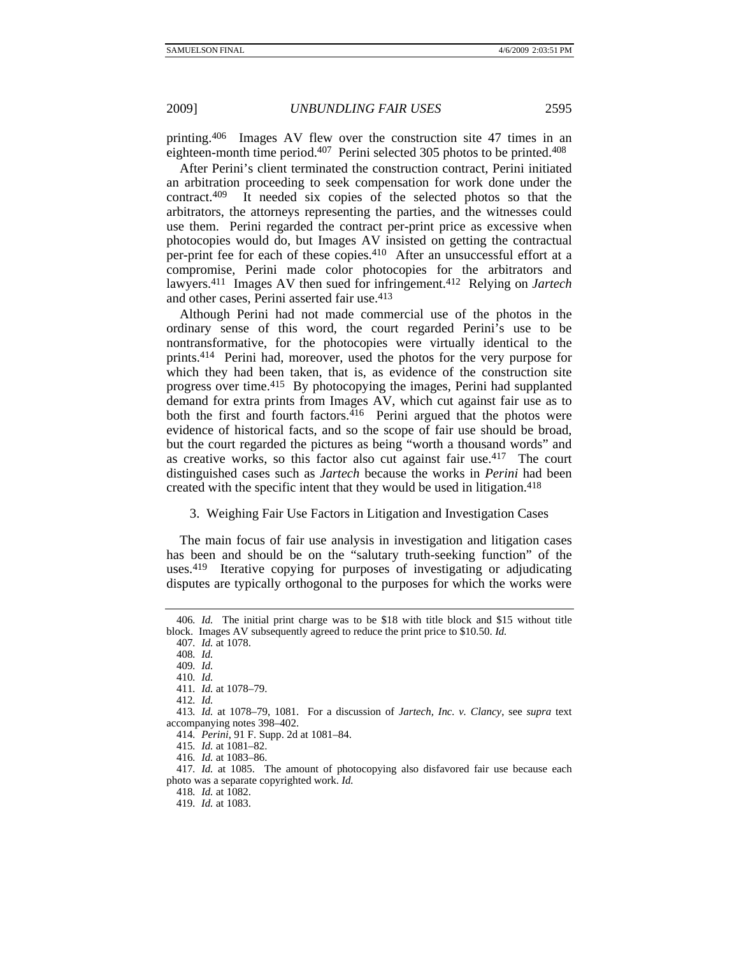printing.406 Images AV flew over the construction site 47 times in an eighteen-month time period.407 Perini selected 305 photos to be printed.408

After Perini's client terminated the construction contract, Perini initiated an arbitration proceeding to seek compensation for work done under the contract.409 It needed six copies of the selected photos so that the arbitrators, the attorneys representing the parties, and the witnesses could use them. Perini regarded the contract per-print price as excessive when photocopies would do, but Images AV insisted on getting the contractual per-print fee for each of these copies.410 After an unsuccessful effort at a compromise, Perini made color photocopies for the arbitrators and lawyers.411 Images AV then sued for infringement.412 Relying on *Jartech* and other cases. Perini asserted fair use.<sup>413</sup>

Although Perini had not made commercial use of the photos in the ordinary sense of this word, the court regarded Perini's use to be nontransformative, for the photocopies were virtually identical to the prints.414 Perini had, moreover, used the photos for the very purpose for which they had been taken, that is, as evidence of the construction site progress over time.415 By photocopying the images, Perini had supplanted demand for extra prints from Images AV, which cut against fair use as to both the first and fourth factors.  $416$  Perini argued that the photos were evidence of historical facts, and so the scope of fair use should be broad, but the court regarded the pictures as being "worth a thousand words" and as creative works, so this factor also cut against fair use.417 The court distinguished cases such as *Jartech* because the works in *Perini* had been created with the specific intent that they would be used in litigation.418

3. Weighing Fair Use Factors in Litigation and Investigation Cases

The main focus of fair use analysis in investigation and litigation cases has been and should be on the "salutary truth-seeking function" of the uses.419 Iterative copying for purposes of investigating or adjudicating disputes are typically orthogonal to the purposes for which the works were

<sup>406</sup>*. Id.* The initial print charge was to be \$18 with title block and \$15 without title block. Images AV subsequently agreed to reduce the print price to \$10.50. *Id.*

<sup>407</sup>*. Id.* at 1078.

<sup>408</sup>*. Id.*

<sup>409</sup>*. Id.*

<sup>410</sup>*. Id.*

<sup>411</sup>*. Id.* at 1078–79.

<sup>412</sup>*. Id.*

<sup>413</sup>*. Id.* at 1078–79, 1081. For a discussion of *Jartech, Inc. v. Clancy*, see *supra* text accompanying notes 398–402.

<sup>414</sup>*. Perini*, 91 F. Supp. 2d at 1081–84.

<sup>415</sup>*. Id.* at 1081–82.

<sup>416</sup>*. Id.* at 1083–86.

<sup>417</sup>*. Id.* at 1085. The amount of photocopying also disfavored fair use because each photo was a separate copyrighted work. *Id.*

<sup>418</sup>*. Id.* at 1082.

<sup>419</sup>*. Id.* at 1083.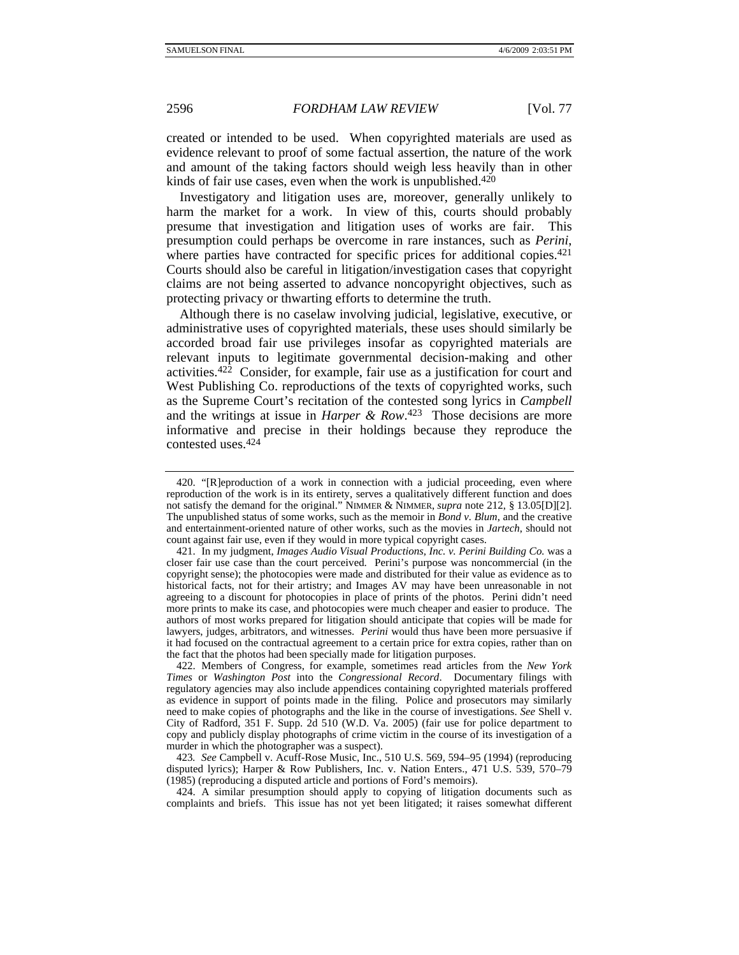created or intended to be used. When copyrighted materials are used as evidence relevant to proof of some factual assertion, the nature of the work and amount of the taking factors should weigh less heavily than in other kinds of fair use cases, even when the work is unpublished.<sup>420</sup>

Investigatory and litigation uses are, moreover, generally unlikely to harm the market for a work. In view of this, courts should probably presume that investigation and litigation uses of works are fair. This presumption could perhaps be overcome in rare instances, such as *Perini*, where parties have contracted for specific prices for additional copies.<sup>421</sup> Courts should also be careful in litigation/investigation cases that copyright claims are not being asserted to advance noncopyright objectives, such as protecting privacy or thwarting efforts to determine the truth.

Although there is no caselaw involving judicial, legislative, executive, or administrative uses of copyrighted materials, these uses should similarly be accorded broad fair use privileges insofar as copyrighted materials are relevant inputs to legitimate governmental decision-making and other activities.422 Consider, for example, fair use as a justification for court and West Publishing Co. reproductions of the texts of copyrighted works, such as the Supreme Court's recitation of the contested song lyrics in *Campbell* and the writings at issue in *Harper & Row*. 423 Those decisions are more informative and precise in their holdings because they reproduce the contested uses.424

 422. Members of Congress, for example, sometimes read articles from the *New York Times* or *Washington Post* into the *Congressional Record*. Documentary filings with regulatory agencies may also include appendices containing copyrighted materials proffered as evidence in support of points made in the filing. Police and prosecutors may similarly need to make copies of photographs and the like in the course of investigations. *See* Shell v. City of Radford, 351 F. Supp. 2d 510 (W.D. Va. 2005) (fair use for police department to copy and publicly display photographs of crime victim in the course of its investigation of a murder in which the photographer was a suspect).

423*. See* Campbell v. Acuff-Rose Music, Inc., 510 U.S. 569, 594–95 (1994) (reproducing disputed lyrics); Harper & Row Publishers, Inc. v. Nation Enters., 471 U.S. 539, 570–79 (1985) (reproducing a disputed article and portions of Ford's memoirs).

 424. A similar presumption should apply to copying of litigation documents such as complaints and briefs. This issue has not yet been litigated; it raises somewhat different

 <sup>420. &</sup>quot;[R]eproduction of a work in connection with a judicial proceeding, even where reproduction of the work is in its entirety, serves a qualitatively different function and does not satisfy the demand for the original." NIMMER & NIMMER, *supra* note 212, § 13.05[D][2]. The unpublished status of some works, such as the memoir in *Bond v. Blum*, and the creative and entertainment-oriented nature of other works, such as the movies in *Jartech*, should not count against fair use, even if they would in more typical copyright cases.

 <sup>421.</sup> In my judgment, *Images Audio Visual Productions, Inc. v. Perini Building Co.* was a closer fair use case than the court perceived. Perini's purpose was noncommercial (in the copyright sense); the photocopies were made and distributed for their value as evidence as to historical facts, not for their artistry; and Images AV may have been unreasonable in not agreeing to a discount for photocopies in place of prints of the photos. Perini didn't need more prints to make its case, and photocopies were much cheaper and easier to produce. The authors of most works prepared for litigation should anticipate that copies will be made for lawyers, judges, arbitrators, and witnesses. *Perini* would thus have been more persuasive if it had focused on the contractual agreement to a certain price for extra copies, rather than on the fact that the photos had been specially made for litigation purposes.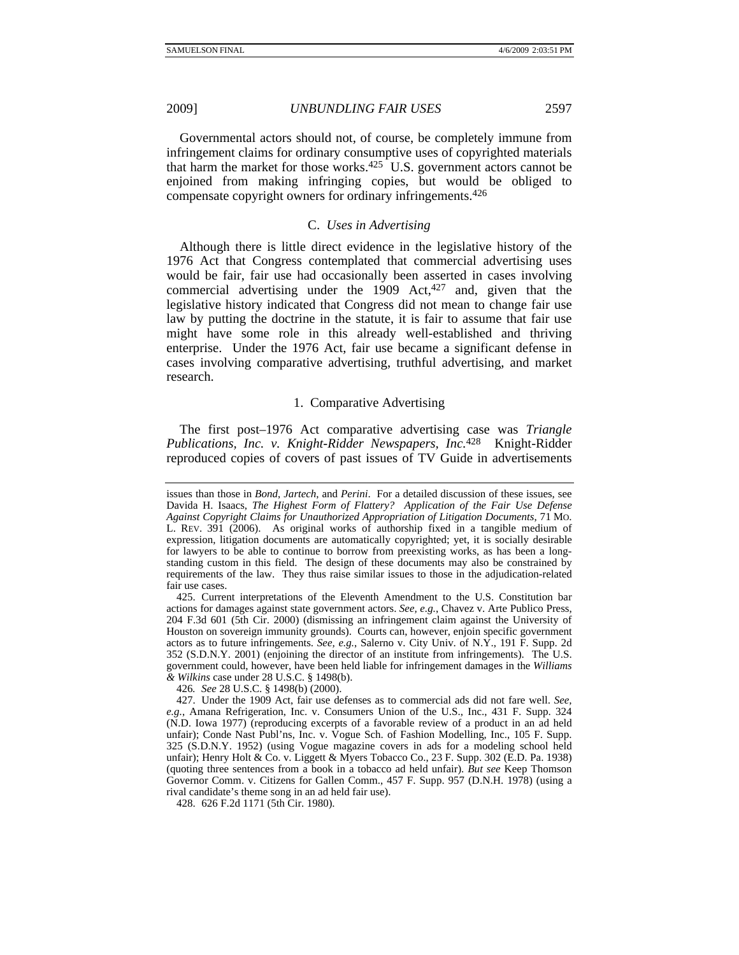Governmental actors should not, of course, be completely immune from infringement claims for ordinary consumptive uses of copyrighted materials that harm the market for those works.<sup>425</sup> U.S. government actors cannot be enjoined from making infringing copies, but would be obliged to compensate copyright owners for ordinary infringements.426

# C. *Uses in Advertising*

Although there is little direct evidence in the legislative history of the 1976 Act that Congress contemplated that commercial advertising uses would be fair, fair use had occasionally been asserted in cases involving commercial advertising under the  $1909$  Act,  $427$  and, given that the legislative history indicated that Congress did not mean to change fair use law by putting the doctrine in the statute, it is fair to assume that fair use might have some role in this already well-established and thriving enterprise. Under the 1976 Act, fair use became a significant defense in cases involving comparative advertising, truthful advertising, and market research.

## 1. Comparative Advertising

The first post–1976 Act comparative advertising case was *Triangle Publications, Inc. v. Knight-Ridder Newspapers, Inc.*428 Knight-Ridder reproduced copies of covers of past issues of TV Guide in advertisements

426*. See* 28 U.S.C. § 1498(b) (2000).

issues than those in *Bond*, *Jartech*, and *Perini*. For a detailed discussion of these issues, see Davida H. Isaacs, *The Highest Form of Flattery? Application of the Fair Use Defense Against Copyright Claims for Unauthorized Appropriation of Litigation Documents*, 71 MO. L. REV. 391 (2006). As original works of authorship fixed in a tangible medium of expression, litigation documents are automatically copyrighted; yet, it is socially desirable for lawyers to be able to continue to borrow from preexisting works, as has been a longstanding custom in this field. The design of these documents may also be constrained by requirements of the law. They thus raise similar issues to those in the adjudication-related fair use cases.

 <sup>425.</sup> Current interpretations of the Eleventh Amendment to the U.S. Constitution bar actions for damages against state government actors. *See, e.g.*, Chavez v. Arte Publico Press, 204 F.3d 601 (5th Cir. 2000) (dismissing an infringement claim against the University of Houston on sovereign immunity grounds). Courts can, however, enjoin specific government actors as to future infringements. *See, e.g.*, Salerno v. City Univ. of N.Y., 191 F. Supp. 2d 352 (S.D.N.Y. 2001) (enjoining the director of an institute from infringements). The U.S. government could, however, have been held liable for infringement damages in the *Williams & Wilkins* case under 28 U.S.C. § 1498(b).

 <sup>427.</sup> Under the 1909 Act, fair use defenses as to commercial ads did not fare well. *See, e.g.*, Amana Refrigeration, Inc. v. Consumers Union of the U.S., Inc., 431 F. Supp. 324 (N.D. Iowa 1977) (reproducing excerpts of a favorable review of a product in an ad held unfair); Conde Nast Publ'ns, Inc. v. Vogue Sch. of Fashion Modelling, Inc., 105 F. Supp. 325 (S.D.N.Y. 1952) (using Vogue magazine covers in ads for a modeling school held unfair); Henry Holt & Co. v. Liggett & Myers Tobacco Co., 23 F. Supp. 302 (E.D. Pa. 1938) (quoting three sentences from a book in a tobacco ad held unfair). *But see* Keep Thomson Governor Comm. v. Citizens for Gallen Comm., 457 F. Supp. 957 (D.N.H. 1978) (using a rival candidate's theme song in an ad held fair use).

 <sup>428. 626</sup> F.2d 1171 (5th Cir. 1980).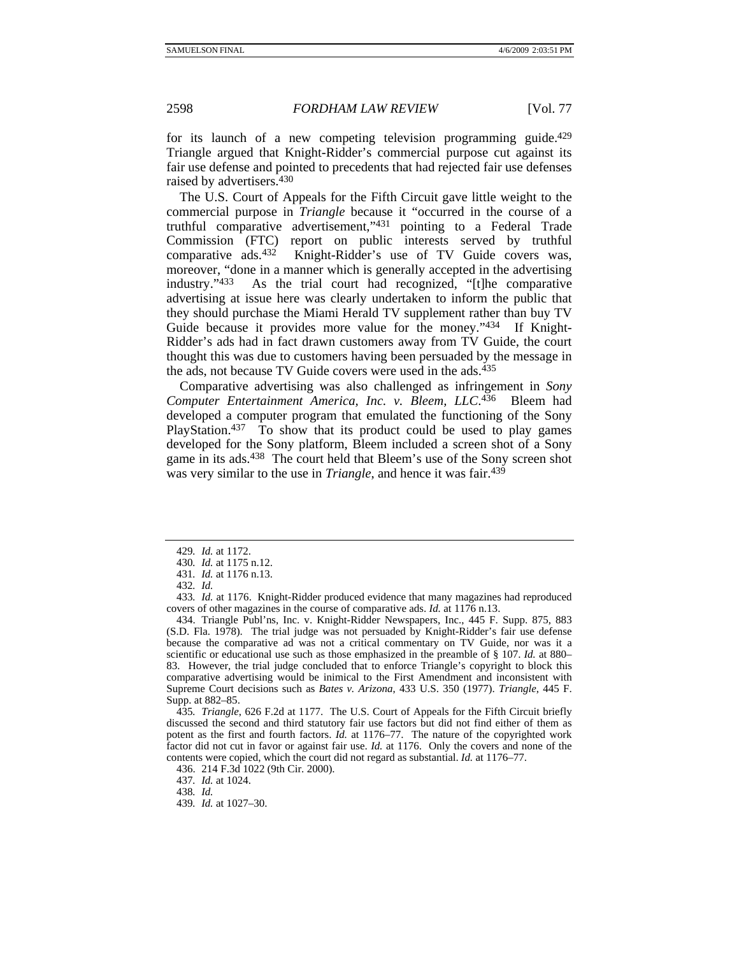for its launch of a new competing television programming guide.<sup>429</sup> Triangle argued that Knight-Ridder's commercial purpose cut against its fair use defense and pointed to precedents that had rejected fair use defenses raised by advertisers.430

The U.S. Court of Appeals for the Fifth Circuit gave little weight to the commercial purpose in *Triangle* because it "occurred in the course of a truthful comparative advertisement,"431 pointing to a Federal Trade Commission (FTC) report on public interests served by truthful comparative ads.<sup>432</sup> Knight-Ridder's use of TV Guide covers was. Knight-Ridder's use of TV Guide covers was, moreover, "done in a manner which is generally accepted in the advertising industry."433 As the trial court had recognized, "[t]he comparative advertising at issue here was clearly undertaken to inform the public that they should purchase the Miami Herald TV supplement rather than buy TV Guide because it provides more value for the money."434 If Knight-Ridder's ads had in fact drawn customers away from TV Guide, the court thought this was due to customers having been persuaded by the message in the ads, not because TV Guide covers were used in the ads.<sup>435</sup>

Comparative advertising was also challenged as infringement in *Sony Computer Entertainment America, Inc. v. Bleem, LLC*. 436 Bleem had developed a computer program that emulated the functioning of the Sony PlayStation.<sup>437</sup> To show that its product could be used to play games developed for the Sony platform, Bleem included a screen shot of a Sony game in its ads.438 The court held that Bleem's use of the Sony screen shot was very similar to the use in *Triangle*, and hence it was fair.439

<sup>429</sup>*. Id.* at 1172.

<sup>430</sup>*. Id.* at 1175 n.12.

<sup>431</sup>*. Id.* at 1176 n.13.

<sup>432</sup>*. Id.*

<sup>433</sup>*. Id.* at 1176. Knight-Ridder produced evidence that many magazines had reproduced covers of other magazines in the course of comparative ads. *Id.* at 1176 n.13.

 <sup>434.</sup> Triangle Publ'ns, Inc. v. Knight-Ridder Newspapers, Inc., 445 F. Supp. 875, 883 (S.D. Fla. 1978). The trial judge was not persuaded by Knight-Ridder's fair use defense because the comparative ad was not a critical commentary on TV Guide, nor was it a scientific or educational use such as those emphasized in the preamble of § 107. *Id.* at 880– 83. However, the trial judge concluded that to enforce Triangle's copyright to block this comparative advertising would be inimical to the First Amendment and inconsistent with Supreme Court decisions such as *Bates v. Arizona*, 433 U.S. 350 (1977). *Triangle*, 445 F. Supp. at 882–85.

<sup>435</sup>*. Triangle*, 626 F.2d at 1177. The U.S. Court of Appeals for the Fifth Circuit briefly discussed the second and third statutory fair use factors but did not find either of them as potent as the first and fourth factors. *Id.* at 1176–77. The nature of the copyrighted work factor did not cut in favor or against fair use. *Id.* at 1176. Only the covers and none of the contents were copied, which the court did not regard as substantial. *Id.* at 1176–77.

 <sup>436. 214</sup> F.3d 1022 (9th Cir. 2000).

<sup>437</sup>*. Id.* at 1024.

<sup>438</sup>*. Id.*

<sup>439</sup>*. Id.* at 1027–30.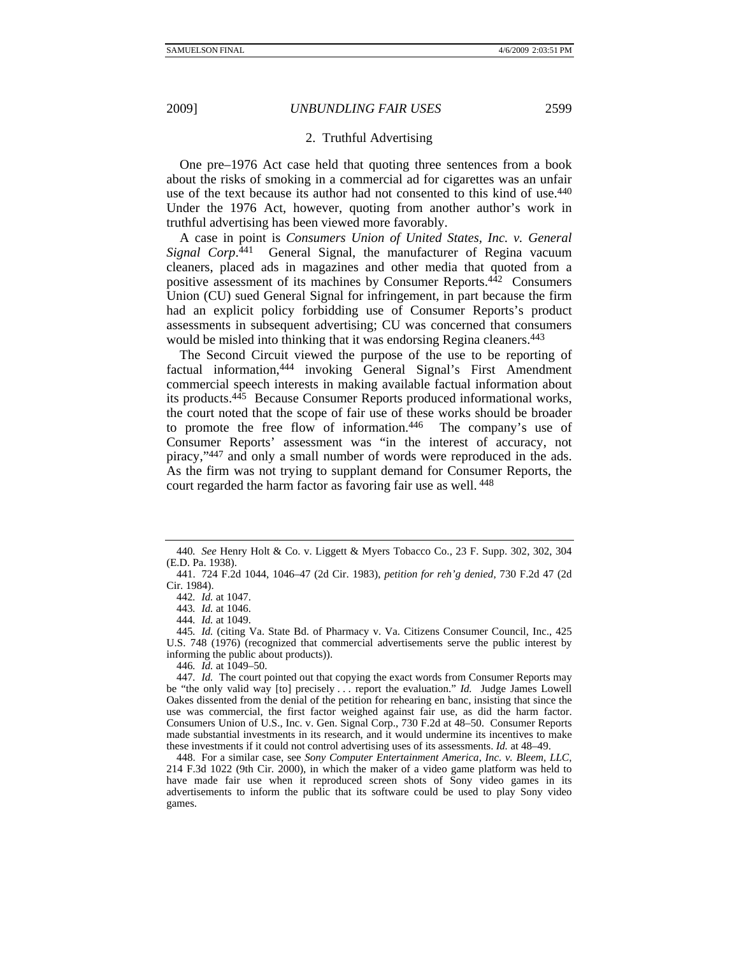## 2. Truthful Advertising

One pre–1976 Act case held that quoting three sentences from a book about the risks of smoking in a commercial ad for cigarettes was an unfair use of the text because its author had not consented to this kind of use.<sup>440</sup> Under the 1976 Act, however, quoting from another author's work in truthful advertising has been viewed more favorably.

A case in point is *Consumers Union of United States, Inc. v. General Signal Corp*. 441 General Signal, the manufacturer of Regina vacuum cleaners, placed ads in magazines and other media that quoted from a positive assessment of its machines by Consumer Reports.442 Consumers Union (CU) sued General Signal for infringement, in part because the firm had an explicit policy forbidding use of Consumer Reports's product assessments in subsequent advertising; CU was concerned that consumers would be misled into thinking that it was endorsing Regina cleaners.<sup>443</sup>

The Second Circuit viewed the purpose of the use to be reporting of factual information,444 invoking General Signal's First Amendment commercial speech interests in making available factual information about its products.445 Because Consumer Reports produced informational works, the court noted that the scope of fair use of these works should be broader to promote the free flow of information.446 The company's use of Consumer Reports' assessment was "in the interest of accuracy, not piracy,"447 and only a small number of words were reproduced in the ads. As the firm was not trying to supplant demand for Consumer Reports, the court regarded the harm factor as favoring fair use as well. <sup>448</sup>

446*. Id.* at 1049–50.

<sup>440</sup>*. See* Henry Holt & Co. v. Liggett & Myers Tobacco Co., 23 F. Supp. 302, 302, 304 (E.D. Pa. 1938).

 <sup>441. 724</sup> F.2d 1044, 1046–47 (2d Cir. 1983), *petition for reh'g denied*, 730 F.2d 47 (2d Cir. 1984).

<sup>442</sup>*. Id.* at 1047.

<sup>443</sup>*. Id.* at 1046.

<sup>444</sup>*. Id.* at 1049.

<sup>445</sup>*. Id.* (citing Va. State Bd. of Pharmacy v. Va. Citizens Consumer Council, Inc., 425 U.S. 748 (1976) (recognized that commercial advertisements serve the public interest by informing the public about products)).

<sup>447</sup>*. Id.* The court pointed out that copying the exact words from Consumer Reports may be "the only valid way [to] precisely . . . report the evaluation." *Id.* Judge James Lowell Oakes dissented from the denial of the petition for rehearing en banc, insisting that since the use was commercial, the first factor weighed against fair use, as did the harm factor. Consumers Union of U.S., Inc. v. Gen. Signal Corp., 730 F.2d at 48–50. Consumer Reports made substantial investments in its research, and it would undermine its incentives to make these investments if it could not control advertising uses of its assessments. *Id.* at 48–49.

 <sup>448.</sup> For a similar case, see *Sony Computer Entertainment America, Inc. v. Bleem, LLC*, 214 F.3d 1022 (9th Cir. 2000), in which the maker of a video game platform was held to have made fair use when it reproduced screen shots of Sony video games in its advertisements to inform the public that its software could be used to play Sony video games.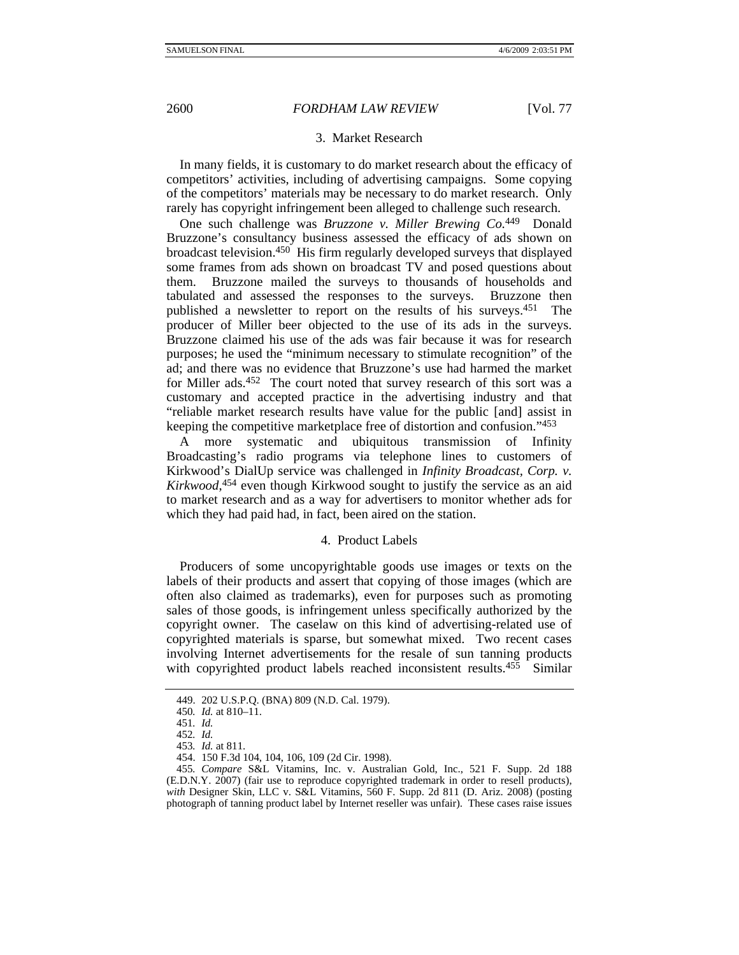## 3. Market Research

In many fields, it is customary to do market research about the efficacy of competitors' activities, including of advertising campaigns. Some copying of the competitors' materials may be necessary to do market research. Only rarely has copyright infringement been alleged to challenge such research.

One such challenge was *Bruzzone v. Miller Brewing Co.*449 Donald Bruzzone's consultancy business assessed the efficacy of ads shown on broadcast television.450 His firm regularly developed surveys that displayed some frames from ads shown on broadcast TV and posed questions about them. Bruzzone mailed the surveys to thousands of households and tabulated and assessed the responses to the surveys. Bruzzone then published a newsletter to report on the results of his surveys.451 The producer of Miller beer objected to the use of its ads in the surveys. Bruzzone claimed his use of the ads was fair because it was for research purposes; he used the "minimum necessary to stimulate recognition" of the ad; and there was no evidence that Bruzzone's use had harmed the market for Miller ads.452 The court noted that survey research of this sort was a customary and accepted practice in the advertising industry and that "reliable market research results have value for the public [and] assist in keeping the competitive marketplace free of distortion and confusion."453

A more systematic and ubiquitous transmission of Infinity Broadcasting's radio programs via telephone lines to customers of Kirkwood's DialUp service was challenged in *Infinity Broadcast, Corp. v. Kirkwood*, 454 even though Kirkwood sought to justify the service as an aid to market research and as a way for advertisers to monitor whether ads for which they had paid had, in fact, been aired on the station.

#### 4. Product Labels

Producers of some uncopyrightable goods use images or texts on the labels of their products and assert that copying of those images (which are often also claimed as trademarks), even for purposes such as promoting sales of those goods, is infringement unless specifically authorized by the copyright owner. The caselaw on this kind of advertising-related use of copyrighted materials is sparse, but somewhat mixed. Two recent cases involving Internet advertisements for the resale of sun tanning products with copyrighted product labels reached inconsistent results.<sup>455</sup> Similar

 <sup>449. 202</sup> U.S.P.Q. (BNA) 809 (N.D. Cal. 1979).

<sup>450</sup>*. Id.* at 810–11.

<sup>451</sup>*. Id.*

<sup>452</sup>*. Id.*

<sup>453</sup>*. Id.* at 811.

 <sup>454. 150</sup> F.3d 104, 104, 106, 109 (2d Cir. 1998).

<sup>455</sup>*. Compare* S&L Vitamins, Inc. v. Australian Gold, Inc., 521 F. Supp. 2d 188 (E.D.N.Y. 2007) (fair use to reproduce copyrighted trademark in order to resell products), *with* Designer Skin, LLC v. S&L Vitamins, 560 F. Supp. 2d 811 (D. Ariz. 2008) (posting photograph of tanning product label by Internet reseller was unfair). These cases raise issues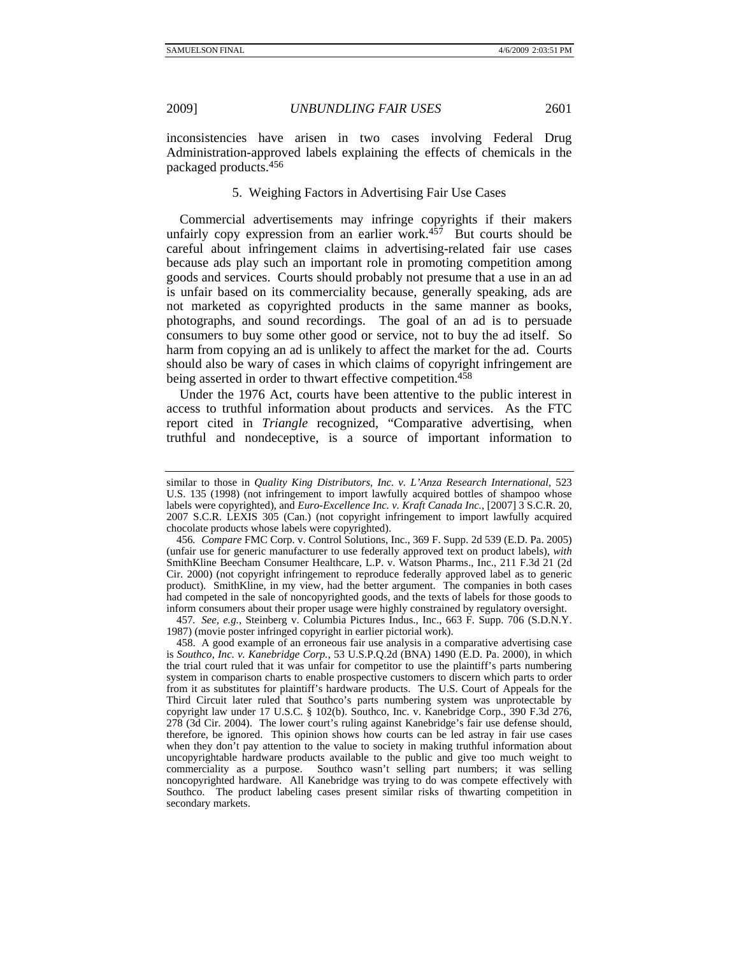inconsistencies have arisen in two cases involving Federal Drug Administration-approved labels explaining the effects of chemicals in the packaged products.456

## 5. Weighing Factors in Advertising Fair Use Cases

Commercial advertisements may infringe copyrights if their makers unfairly copy expression from an earlier work. $457$  But courts should be careful about infringement claims in advertising-related fair use cases because ads play such an important role in promoting competition among goods and services. Courts should probably not presume that a use in an ad is unfair based on its commerciality because, generally speaking, ads are not marketed as copyrighted products in the same manner as books, photographs, and sound recordings. The goal of an ad is to persuade consumers to buy some other good or service, not to buy the ad itself. So harm from copying an ad is unlikely to affect the market for the ad. Courts should also be wary of cases in which claims of copyright infringement are being asserted in order to thwart effective competition.458

Under the 1976 Act, courts have been attentive to the public interest in access to truthful information about products and services. As the FTC report cited in *Triangle* recognized, "Comparative advertising, when truthful and nondeceptive, is a source of important information to

456*. Compare* FMC Corp. v. Control Solutions, Inc., 369 F. Supp. 2d 539 (E.D. Pa. 2005) (unfair use for generic manufacturer to use federally approved text on product labels), *with* SmithKline Beecham Consumer Healthcare, L.P. v. Watson Pharms., Inc., 211 F.3d 21 (2d Cir. 2000) (not copyright infringement to reproduce federally approved label as to generic product). SmithKline, in my view, had the better argument. The companies in both cases had competed in the sale of noncopyrighted goods, and the texts of labels for those goods to inform consumers about their proper usage were highly constrained by regulatory oversight.

457*. See, e.g.*, Steinberg v. Columbia Pictures Indus., Inc., 663 F. Supp. 706 (S.D.N.Y. 1987) (movie poster infringed copyright in earlier pictorial work).

 458. A good example of an erroneous fair use analysis in a comparative advertising case is *Southco, Inc. v. Kanebridge Corp.*, 53 U.S.P.Q.2d (BNA) 1490 (E.D. Pa. 2000), in which the trial court ruled that it was unfair for competitor to use the plaintiff's parts numbering system in comparison charts to enable prospective customers to discern which parts to order from it as substitutes for plaintiff's hardware products. The U.S. Court of Appeals for the Third Circuit later ruled that Southco's parts numbering system was unprotectable by copyright law under 17 U.S.C. § 102(b). Southco, Inc. v. Kanebridge Corp., 390 F.3d 276, 278 (3d Cir. 2004). The lower court's ruling against Kanebridge's fair use defense should, therefore, be ignored. This opinion shows how courts can be led astray in fair use cases when they don't pay attention to the value to society in making truthful information about uncopyrightable hardware products available to the public and give too much weight to commerciality as a purpose. Southco wasn't selling part numbers; it was selling noncopyrighted hardware. All Kanebridge was trying to do was compete effectively with Southco. The product labeling cases present similar risks of thwarting competition in secondary markets.

similar to those in *Quality King Distributors, Inc. v. L'Anza Research International*, 523 U.S. 135 (1998) (not infringement to import lawfully acquired bottles of shampoo whose labels were copyrighted), and *Euro-Excellence Inc. v. Kraft Canada Inc.*, [2007] 3 S.C.R. 20, 2007 S.C.R. LEXIS 305 (Can.) (not copyright infringement to import lawfully acquired chocolate products whose labels were copyrighted).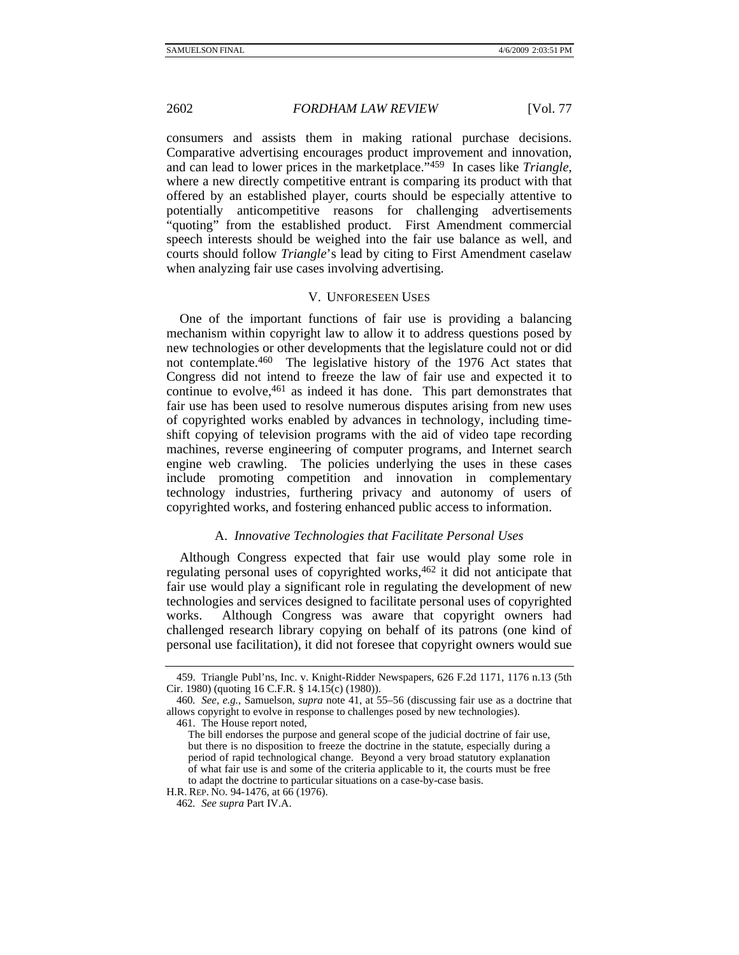consumers and assists them in making rational purchase decisions. Comparative advertising encourages product improvement and innovation, and can lead to lower prices in the marketplace."459 In cases like *Triangle*, where a new directly competitive entrant is comparing its product with that offered by an established player, courts should be especially attentive to potentially anticompetitive reasons for challenging advertisements "quoting" from the established product. First Amendment commercial speech interests should be weighed into the fair use balance as well, and courts should follow *Triangle*'s lead by citing to First Amendment caselaw when analyzing fair use cases involving advertising.

# V. UNFORESEEN USES

One of the important functions of fair use is providing a balancing mechanism within copyright law to allow it to address questions posed by new technologies or other developments that the legislature could not or did not contemplate.460 The legislative history of the 1976 Act states that Congress did not intend to freeze the law of fair use and expected it to continue to evolve,<sup>461</sup> as indeed it has done. This part demonstrates that fair use has been used to resolve numerous disputes arising from new uses of copyrighted works enabled by advances in technology, including timeshift copying of television programs with the aid of video tape recording machines, reverse engineering of computer programs, and Internet search engine web crawling. The policies underlying the uses in these cases include promoting competition and innovation in complementary technology industries, furthering privacy and autonomy of users of copyrighted works, and fostering enhanced public access to information.

## A. *Innovative Technologies that Facilitate Personal Uses*

Although Congress expected that fair use would play some role in regulating personal uses of copyrighted works,<sup>462</sup> it did not anticipate that fair use would play a significant role in regulating the development of new technologies and services designed to facilitate personal uses of copyrighted works. Although Congress was aware that copyright owners had challenged research library copying on behalf of its patrons (one kind of personal use facilitation), it did not foresee that copyright owners would sue

461. The House report noted,

 <sup>459.</sup> Triangle Publ'ns, Inc. v. Knight-Ridder Newspapers, 626 F.2d 1171, 1176 n.13 (5th Cir. 1980) (quoting 16 C.F.R. § 14.15(c) (1980)).

<sup>460</sup>*. See, e.g.*, Samuelson, *supra* note 41, at 55–56 (discussing fair use as a doctrine that allows copyright to evolve in response to challenges posed by new technologies).

The bill endorses the purpose and general scope of the judicial doctrine of fair use, but there is no disposition to freeze the doctrine in the statute, especially during a period of rapid technological change. Beyond a very broad statutory explanation of what fair use is and some of the criteria applicable to it, the courts must be free to adapt the doctrine to particular situations on a case-by-case basis.

H.R. REP. NO. 94-1476, at 66 (1976).

<sup>462</sup>*. See supra* Part IV.A.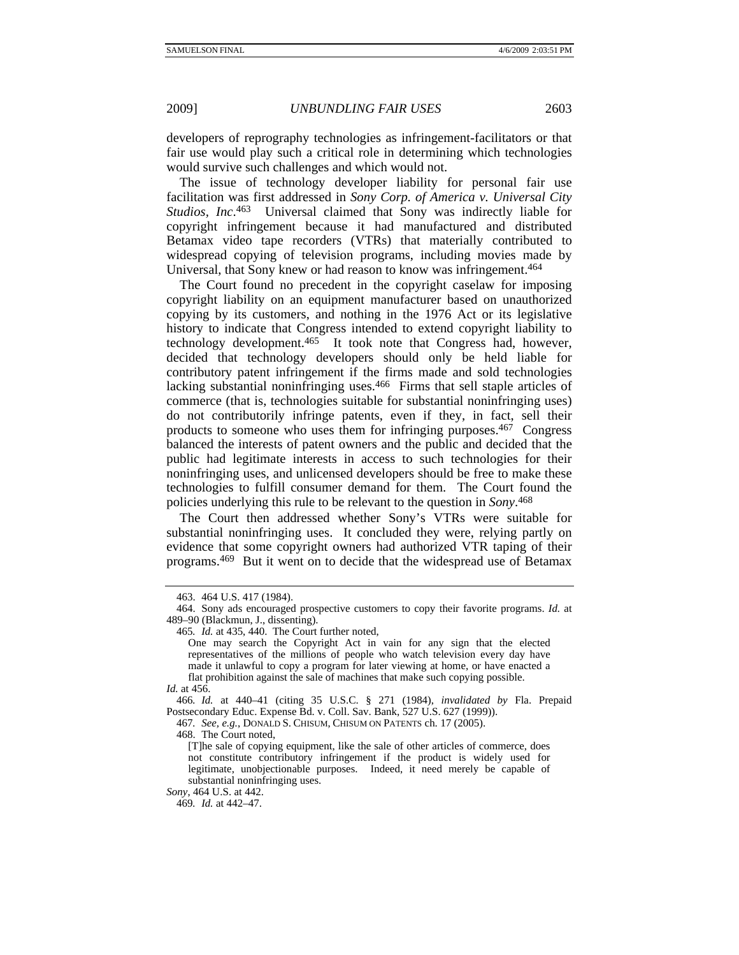developers of reprography technologies as infringement-facilitators or that fair use would play such a critical role in determining which technologies would survive such challenges and which would not.

The issue of technology developer liability for personal fair use facilitation was first addressed in *Sony Corp. of America v. Universal City Studios, Inc*. 463 Universal claimed that Sony was indirectly liable for copyright infringement because it had manufactured and distributed Betamax video tape recorders (VTRs) that materially contributed to widespread copying of television programs, including movies made by Universal, that Sony knew or had reason to know was infringement.464

The Court found no precedent in the copyright caselaw for imposing copyright liability on an equipment manufacturer based on unauthorized copying by its customers, and nothing in the 1976 Act or its legislative history to indicate that Congress intended to extend copyright liability to technology development.465 It took note that Congress had, however, decided that technology developers should only be held liable for contributory patent infringement if the firms made and sold technologies lacking substantial noninfringing uses.466 Firms that sell staple articles of commerce (that is, technologies suitable for substantial noninfringing uses) do not contributorily infringe patents, even if they, in fact, sell their products to someone who uses them for infringing purposes.467 Congress balanced the interests of patent owners and the public and decided that the public had legitimate interests in access to such technologies for their noninfringing uses, and unlicensed developers should be free to make these technologies to fulfill consumer demand for them. The Court found the policies underlying this rule to be relevant to the question in *Sony*. 468

The Court then addressed whether Sony's VTRs were suitable for substantial noninfringing uses. It concluded they were, relying partly on evidence that some copyright owners had authorized VTR taping of their programs.469 But it went on to decide that the widespread use of Betamax

468. The Court noted,

 <sup>463. 464</sup> U.S. 417 (1984).

 <sup>464.</sup> Sony ads encouraged prospective customers to copy their favorite programs. *Id.* at 489–90 (Blackmun, J., dissenting).

<sup>465</sup>*. Id.* at 435, 440. The Court further noted,

One may search the Copyright Act in vain for any sign that the elected representatives of the millions of people who watch television every day have made it unlawful to copy a program for later viewing at home, or have enacted a flat prohibition against the sale of machines that make such copying possible.

*Id.* at 456.

<sup>466</sup>*. Id.* at 440–41 (citing 35 U.S.C. § 271 (1984), *invalidated by* Fla. Prepaid Postsecondary Educ. Expense Bd. v. Coll. Sav. Bank, 527 U.S. 627 (1999)).

<sup>467</sup>*. See, e.g.*, DONALD S. CHISUM, CHISUM ON PATENTS ch. 17 (2005).

<sup>[</sup>T]he sale of copying equipment, like the sale of other articles of commerce, does not constitute contributory infringement if the product is widely used for legitimate, unobjectionable purposes. Indeed, it need merely be capable of substantial noninfringing uses.

*Sony*, 464 U.S. at 442.

<sup>469</sup>*. Id.* at 442–47.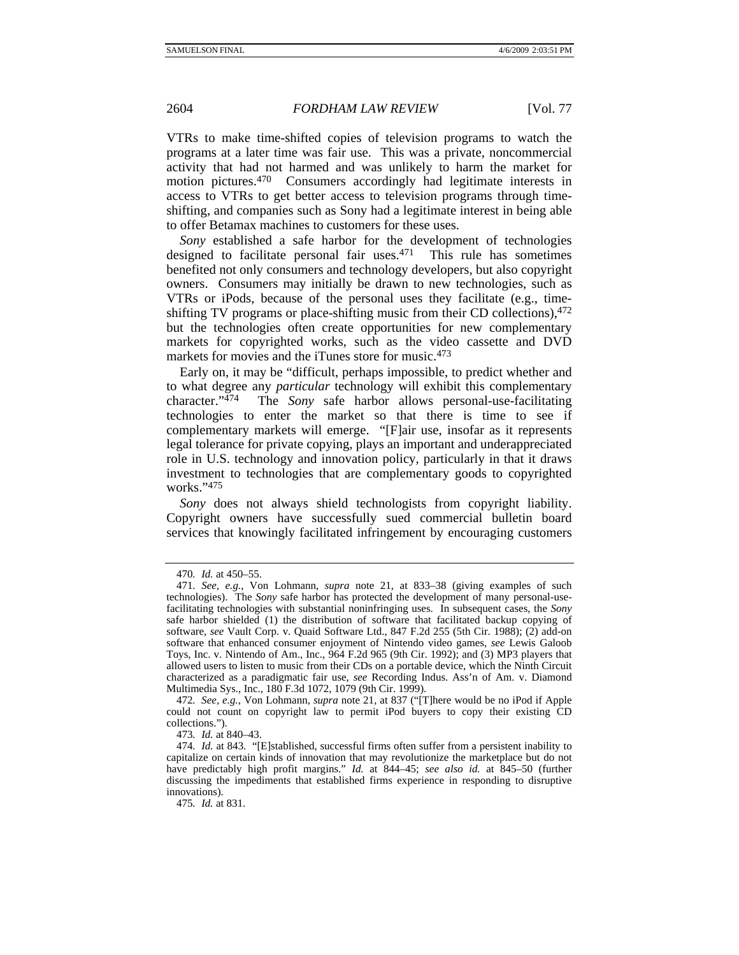VTRs to make time-shifted copies of television programs to watch the programs at a later time was fair use. This was a private, noncommercial activity that had not harmed and was unlikely to harm the market for motion pictures.<sup>470</sup> Consumers accordingly had legitimate interests in access to VTRs to get better access to television programs through timeshifting, and companies such as Sony had a legitimate interest in being able to offer Betamax machines to customers for these uses.

*Sony* established a safe harbor for the development of technologies designed to facilitate personal fair uses.471 This rule has sometimes benefited not only consumers and technology developers, but also copyright owners. Consumers may initially be drawn to new technologies, such as VTRs or iPods, because of the personal uses they facilitate (e.g., timeshifting TV programs or place-shifting music from their CD collections), 472 but the technologies often create opportunities for new complementary markets for copyrighted works, such as the video cassette and DVD markets for movies and the iTunes store for music.<sup>473</sup>

Early on, it may be "difficult, perhaps impossible, to predict whether and to what degree any *particular* technology will exhibit this complementary character."474 The *Sony* safe harbor allows personal-use-facilitating technologies to enter the market so that there is time to see if complementary markets will emerge. "[F]air use, insofar as it represents legal tolerance for private copying, plays an important and underappreciated role in U.S. technology and innovation policy, particularly in that it draws investment to technologies that are complementary goods to copyrighted works."475

*Sony* does not always shield technologists from copyright liability. Copyright owners have successfully sued commercial bulletin board services that knowingly facilitated infringement by encouraging customers

473*. Id.* at 840–43.

<sup>470</sup>*. Id.* at 450–55.

<sup>471</sup>*. See, e.g.*, Von Lohmann, *supra* note 21, at 833–38 (giving examples of such technologies). The *Sony* safe harbor has protected the development of many personal-usefacilitating technologies with substantial noninfringing uses. In subsequent cases, the *Sony* safe harbor shielded (1) the distribution of software that facilitated backup copying of software, *see* Vault Corp. v. Quaid Software Ltd., 847 F.2d 255 (5th Cir. 1988); (2) add-on software that enhanced consumer enjoyment of Nintendo video games, *see* Lewis Galoob Toys, Inc. v. Nintendo of Am., Inc., 964 F.2d 965 (9th Cir. 1992); and (3) MP3 players that allowed users to listen to music from their CDs on a portable device, which the Ninth Circuit characterized as a paradigmatic fair use, *see* Recording Indus. Ass'n of Am. v. Diamond Multimedia Sys., Inc., 180 F.3d 1072, 1079 (9th Cir. 1999).

<sup>472</sup>*. See, e.g.*, Von Lohmann, *supra* note 21, at 837 ("[T]here would be no iPod if Apple could not count on copyright law to permit iPod buyers to copy their existing CD collections.").

<sup>474</sup>*. Id.* at 843. "[E]stablished, successful firms often suffer from a persistent inability to capitalize on certain kinds of innovation that may revolutionize the marketplace but do not have predictably high profit margins." *Id.* at 844–45; *see also id.* at 845–50 (further discussing the impediments that established firms experience in responding to disruptive innovations).

<sup>475</sup>*. Id.* at 831.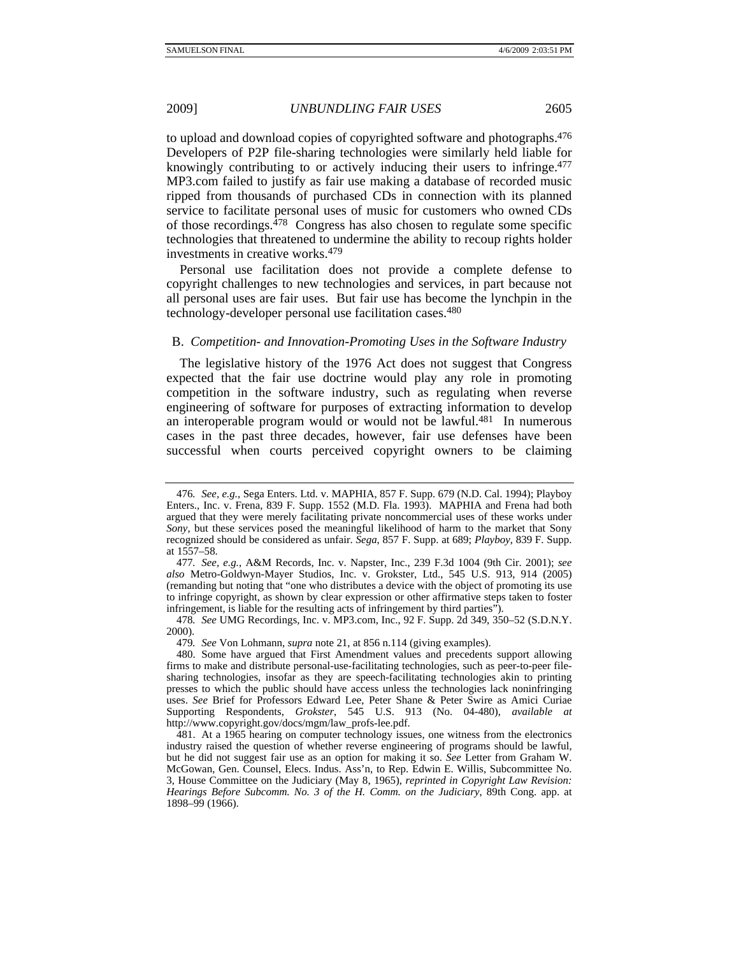to upload and download copies of copyrighted software and photographs.476 Developers of P2P file-sharing technologies were similarly held liable for knowingly contributing to or actively inducing their users to infringe.477 MP3.com failed to justify as fair use making a database of recorded music ripped from thousands of purchased CDs in connection with its planned service to facilitate personal uses of music for customers who owned CDs of those recordings. $478$  Congress has also chosen to regulate some specific technologies that threatened to undermine the ability to recoup rights holder investments in creative works.479

Personal use facilitation does not provide a complete defense to copyright challenges to new technologies and services, in part because not all personal uses are fair uses. But fair use has become the lynchpin in the technology-developer personal use facilitation cases.480

#### B. *Competition- and Innovation-Promoting Uses in the Software Industry*

The legislative history of the 1976 Act does not suggest that Congress expected that the fair use doctrine would play any role in promoting competition in the software industry, such as regulating when reverse engineering of software for purposes of extracting information to develop an interoperable program would or would not be lawful.481 In numerous cases in the past three decades, however, fair use defenses have been successful when courts perceived copyright owners to be claiming

<sup>476</sup>*. See, e.g.*, Sega Enters. Ltd. v. MAPHIA, 857 F. Supp. 679 (N.D. Cal. 1994); Playboy Enters., Inc. v. Frena, 839 F. Supp. 1552 (M.D. Fla. 1993). MAPHIA and Frena had both argued that they were merely facilitating private noncommercial uses of these works under *Sony*, but these services posed the meaningful likelihood of harm to the market that Sony recognized should be considered as unfair. *Sega*, 857 F. Supp. at 689; *Playboy*, 839 F. Supp. at 1557–58.

<sup>477</sup>*. See, e.g.*, A&M Records, Inc. v. Napster, Inc., 239 F.3d 1004 (9th Cir. 2001); *see also* Metro-Goldwyn-Mayer Studios, Inc. v. Grokster, Ltd., 545 U.S. 913, 914 (2005) (remanding but noting that "one who distributes a device with the object of promoting its use to infringe copyright, as shown by clear expression or other affirmative steps taken to foster infringement, is liable for the resulting acts of infringement by third parties").

<sup>478</sup>*. See* UMG Recordings, Inc. v. MP3.com, Inc., 92 F. Supp. 2d 349, 350–52 (S.D.N.Y. 2000).

<sup>479</sup>*. See* Von Lohmann, *supra* note 21, at 856 n.114 (giving examples).

 <sup>480.</sup> Some have argued that First Amendment values and precedents support allowing firms to make and distribute personal-use-facilitating technologies, such as peer-to-peer filesharing technologies, insofar as they are speech-facilitating technologies akin to printing presses to which the public should have access unless the technologies lack noninfringing uses. *See* Brief for Professors Edward Lee, Peter Shane & Peter Swire as Amici Curiae Supporting Respondents, *Grokster*, 545 U.S. 913 (No. 04-480), *available at* http://www.copyright.gov/docs/mgm/law\_profs-lee.pdf.

 <sup>481.</sup> At a 1965 hearing on computer technology issues, one witness from the electronics industry raised the question of whether reverse engineering of programs should be lawful, but he did not suggest fair use as an option for making it so. *See* Letter from Graham W. McGowan, Gen. Counsel, Elecs. Indus. Ass'n, to Rep. Edwin E. Willis, Subcommittee No. 3, House Committee on the Judiciary (May 8, 1965), *reprinted in Copyright Law Revision: Hearings Before Subcomm. No. 3 of the H. Comm. on the Judiciary*, 89th Cong. app. at 1898–99 (1966).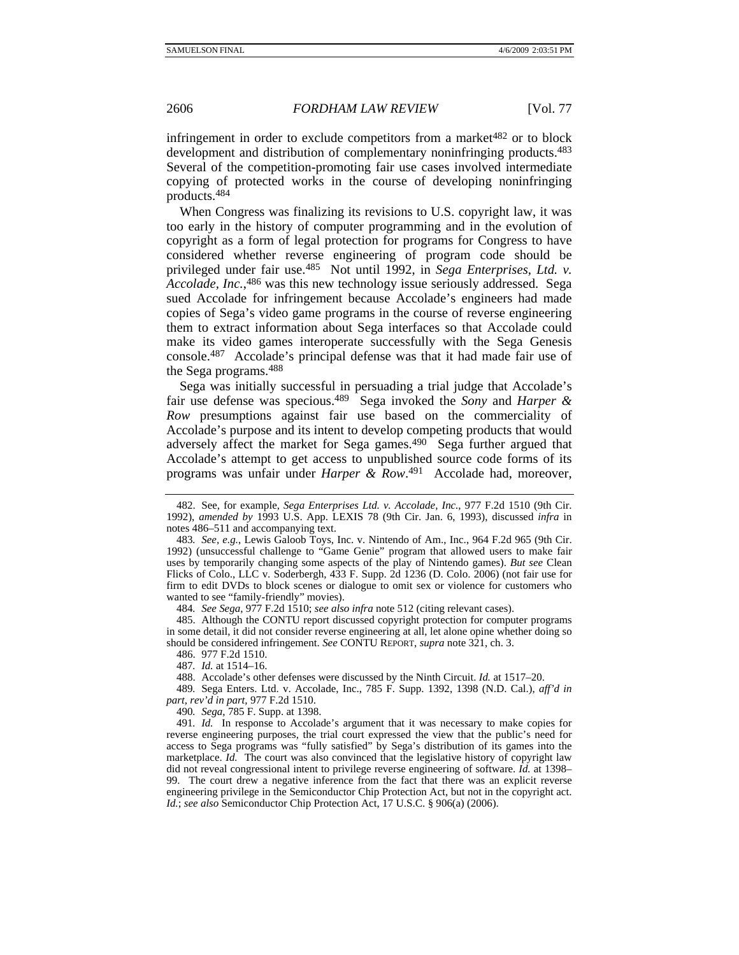infringement in order to exclude competitors from a market $482$  or to block development and distribution of complementary noninfringing products.483 Several of the competition-promoting fair use cases involved intermediate copying of protected works in the course of developing noninfringing products.484

When Congress was finalizing its revisions to U.S. copyright law, it was too early in the history of computer programming and in the evolution of copyright as a form of legal protection for programs for Congress to have considered whether reverse engineering of program code should be privileged under fair use.485 Not until 1992, in *Sega Enterprises, Ltd. v. Accolade, Inc.*, 486 was this new technology issue seriously addressed. Sega sued Accolade for infringement because Accolade's engineers had made copies of Sega's video game programs in the course of reverse engineering them to extract information about Sega interfaces so that Accolade could make its video games interoperate successfully with the Sega Genesis console.487 Accolade's principal defense was that it had made fair use of the Sega programs.488

Sega was initially successful in persuading a trial judge that Accolade's fair use defense was specious.489 Sega invoked the *Sony* and *Harper & Row* presumptions against fair use based on the commerciality of Accolade's purpose and its intent to develop competing products that would adversely affect the market for Sega games.<sup>490</sup> Sega further argued that Accolade's attempt to get access to unpublished source code forms of its programs was unfair under *Harper & Row*. 491 Accolade had, moreover,

484*. See Sega*, 977 F.2d 1510; *see also infra* note 512 (citing relevant cases).

 485. Although the CONTU report discussed copyright protection for computer programs in some detail, it did not consider reverse engineering at all, let alone opine whether doing so should be considered infringement. *See* CONTU REPORT, *supra* note 321, ch. 3.

488. Accolade's other defenses were discussed by the Ninth Circuit. *Id.* at 1517–20.

489*.* Sega Enters. Ltd. v. Accolade, Inc., 785 F. Supp. 1392, 1398 (N.D. Cal.), *aff'd in part, rev'd in part*, 977 F.2d 1510.

490*. Sega*, 785 F. Supp. at 1398.

491*. Id.* In response to Accolade's argument that it was necessary to make copies for reverse engineering purposes, the trial court expressed the view that the public's need for access to Sega programs was "fully satisfied" by Sega's distribution of its games into the marketplace. *Id.* The court was also convinced that the legislative history of copyright law did not reveal congressional intent to privilege reverse engineering of software. *Id.* at 1398– 99. The court drew a negative inference from the fact that there was an explicit reverse engineering privilege in the Semiconductor Chip Protection Act, but not in the copyright act. *Id.*; *see also* Semiconductor Chip Protection Act, 17 U.S.C. § 906(a) (2006).

 <sup>482.</sup> See, for example, *Sega Enterprises Ltd. v. Accolade, Inc.*, 977 F.2d 1510 (9th Cir. 1992), *amended by* 1993 U.S. App. LEXIS 78 (9th Cir. Jan. 6, 1993), discussed *infra* in notes 486–511 and accompanying text.

<sup>483</sup>*. See, e.g.*, Lewis Galoob Toys, Inc. v. Nintendo of Am., Inc., 964 F.2d 965 (9th Cir. 1992) (unsuccessful challenge to "Game Genie" program that allowed users to make fair uses by temporarily changing some aspects of the play of Nintendo games). *But see* Clean Flicks of Colo., LLC v. Soderbergh, 433 F. Supp. 2d 1236 (D. Colo. 2006) (not fair use for firm to edit DVDs to block scenes or dialogue to omit sex or violence for customers who wanted to see "family-friendly" movies).

 <sup>486. 977</sup> F.2d 1510.

<sup>487</sup>*. Id.* at 1514–16.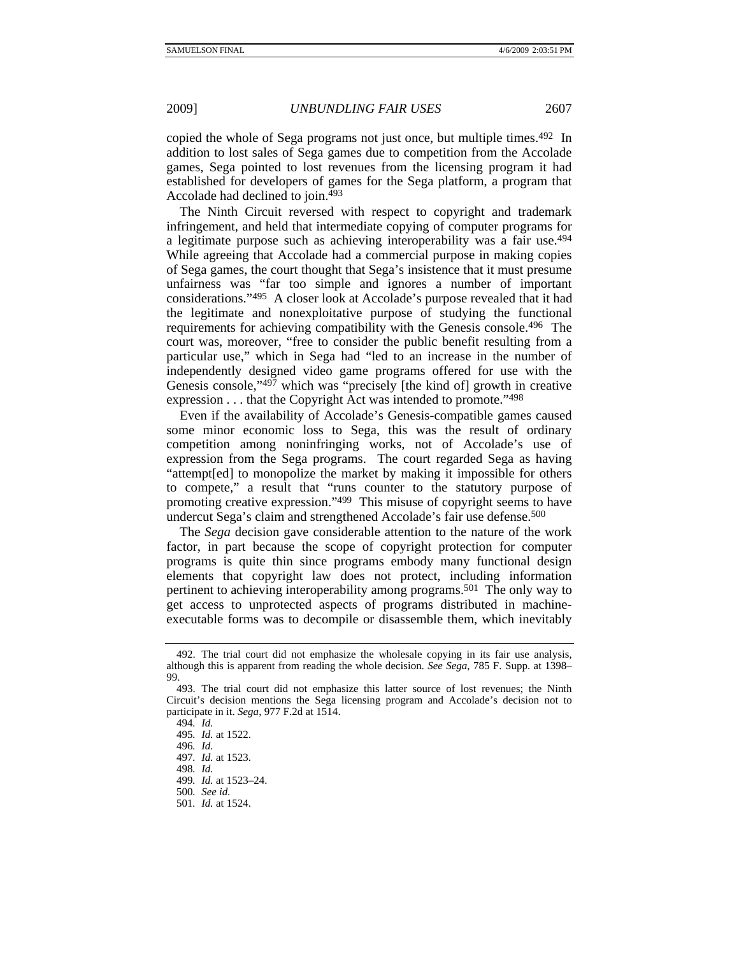copied the whole of Sega programs not just once, but multiple times.492 In addition to lost sales of Sega games due to competition from the Accolade games, Sega pointed to lost revenues from the licensing program it had established for developers of games for the Sega platform, a program that Accolade had declined to join.493

The Ninth Circuit reversed with respect to copyright and trademark infringement, and held that intermediate copying of computer programs for a legitimate purpose such as achieving interoperability was a fair use.494 While agreeing that Accolade had a commercial purpose in making copies of Sega games, the court thought that Sega's insistence that it must presume unfairness was "far too simple and ignores a number of important considerations."495 A closer look at Accolade's purpose revealed that it had the legitimate and nonexploitative purpose of studying the functional requirements for achieving compatibility with the Genesis console.496 The court was, moreover, "free to consider the public benefit resulting from a particular use," which in Sega had "led to an increase in the number of independently designed video game programs offered for use with the Genesis console,"497 which was "precisely [the kind of] growth in creative expression . . . that the Copyright Act was intended to promote."498

Even if the availability of Accolade's Genesis-compatible games caused some minor economic loss to Sega, this was the result of ordinary competition among noninfringing works, not of Accolade's use of expression from the Sega programs. The court regarded Sega as having "attempt[ed] to monopolize the market by making it impossible for others to compete," a result that "runs counter to the statutory purpose of promoting creative expression."499 This misuse of copyright seems to have undercut Sega's claim and strengthened Accolade's fair use defense.500

The *Sega* decision gave considerable attention to the nature of the work factor, in part because the scope of copyright protection for computer programs is quite thin since programs embody many functional design elements that copyright law does not protect, including information pertinent to achieving interoperability among programs.501 The only way to get access to unprotected aspects of programs distributed in machineexecutable forms was to decompile or disassemble them, which inevitably

- 498*. Id.*
- 499*. Id.* at 1523–24.
- 500*. See id.* 501*. Id.* at 1524.

 <sup>492.</sup> The trial court did not emphasize the wholesale copying in its fair use analysis, although this is apparent from reading the whole decision. *See Sega*, 785 F. Supp. at 1398– 99.

 <sup>493.</sup> The trial court did not emphasize this latter source of lost revenues; the Ninth Circuit's decision mentions the Sega licensing program and Accolade's decision not to participate in it. *Sega*, 977 F.2d at 1514.

<sup>494</sup>*. Id.* 495*. Id.* at 1522. 496*. Id.*

<sup>497</sup>*. Id.* at 1523.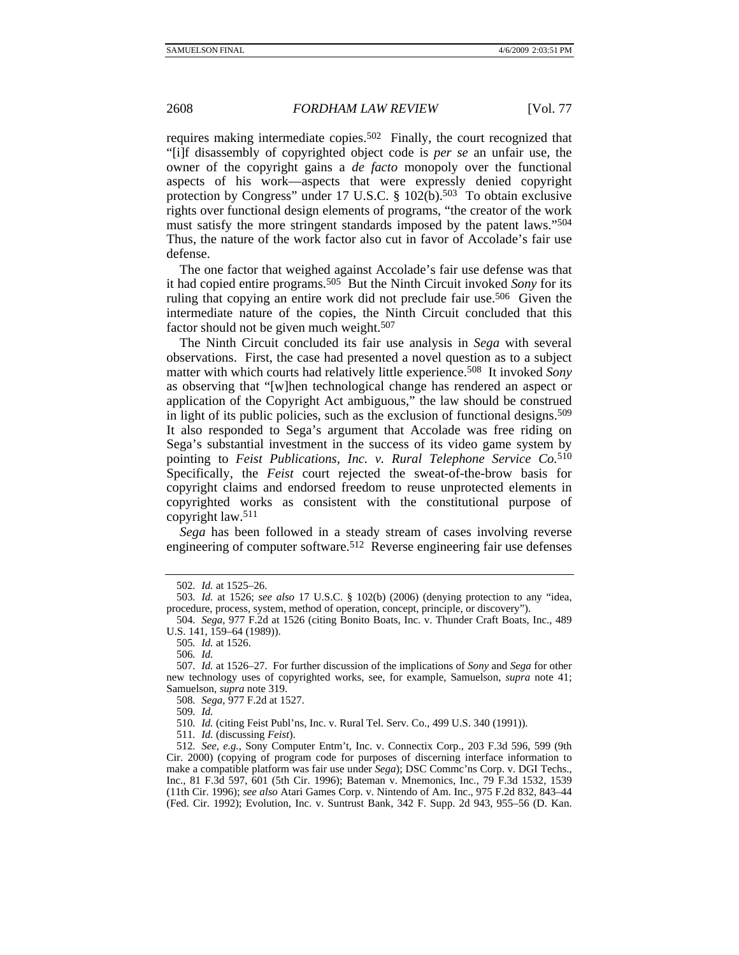requires making intermediate copies.502 Finally, the court recognized that "[i]f disassembly of copyrighted object code is *per se* an unfair use, the owner of the copyright gains a *de facto* monopoly over the functional aspects of his work—aspects that were expressly denied copyright protection by Congress" under 17 U.S.C.  $\S$  102(b).<sup>503</sup> To obtain exclusive rights over functional design elements of programs, "the creator of the work must satisfy the more stringent standards imposed by the patent laws."504 Thus, the nature of the work factor also cut in favor of Accolade's fair use defense.

The one factor that weighed against Accolade's fair use defense was that it had copied entire programs.505 But the Ninth Circuit invoked *Sony* for its ruling that copying an entire work did not preclude fair use.506 Given the intermediate nature of the copies, the Ninth Circuit concluded that this factor should not be given much weight.<sup>507</sup>

The Ninth Circuit concluded its fair use analysis in *Sega* with several observations. First, the case had presented a novel question as to a subject matter with which courts had relatively little experience.508 It invoked *Sony* as observing that "[w]hen technological change has rendered an aspect or application of the Copyright Act ambiguous," the law should be construed in light of its public policies, such as the exclusion of functional designs.<sup>509</sup> It also responded to Sega's argument that Accolade was free riding on Sega's substantial investment in the success of its video game system by pointing to *Feist Publications, Inc. v. Rural Telephone Service Co.*510 Specifically, the *Feist* court rejected the sweat-of-the-brow basis for copyright claims and endorsed freedom to reuse unprotected elements in copyrighted works as consistent with the constitutional purpose of copyright law.511

*Sega* has been followed in a steady stream of cases involving reverse engineering of computer software.512 Reverse engineering fair use defenses

509*. Id.*

511*. Id.* (discussing *Feist*).

<sup>502</sup>*. Id.* at 1525–26.

<sup>503</sup>*. Id.* at 1526; *see also* 17 U.S.C. § 102(b) (2006) (denying protection to any "idea, procedure, process, system, method of operation, concept, principle, or discovery").

<sup>504</sup>*. Sega*, 977 F.2d at 1526 (citing Bonito Boats, Inc. v. Thunder Craft Boats, Inc., 489 U.S. 141, 159–64 (1989)).

<sup>505</sup>*. Id.* at 1526.

<sup>506</sup>*. Id.*

<sup>507</sup>*. Id.* at 1526–27. For further discussion of the implications of *Sony* and *Sega* for other new technology uses of copyrighted works, see, for example, Samuelson, *supra* note 41; Samuelson, *supra* note 319.

<sup>508</sup>*. Sega*, 977 F.2d at 1527.

<sup>510</sup>*. Id.* (citing Feist Publ'ns, Inc. v. Rural Tel. Serv. Co., 499 U.S. 340 (1991)).

<sup>512</sup>*. See, e.g.*, Sony Computer Entm't, Inc. v. Connectix Corp., 203 F.3d 596, 599 (9th Cir. 2000) (copying of program code for purposes of discerning interface information to make a compatible platform was fair use under *Sega*); DSC Commc'ns Corp. v. DGI Techs., Inc., 81 F.3d 597, 601 (5th Cir. 1996); Bateman v. Mnemonics, Inc., 79 F.3d 1532, 1539 (11th Cir. 1996); *see also* Atari Games Corp. v. Nintendo of Am. Inc., 975 F.2d 832, 843–44 (Fed. Cir. 1992); Evolution, Inc. v. Suntrust Bank, 342 F. Supp. 2d 943, 955–56 (D. Kan.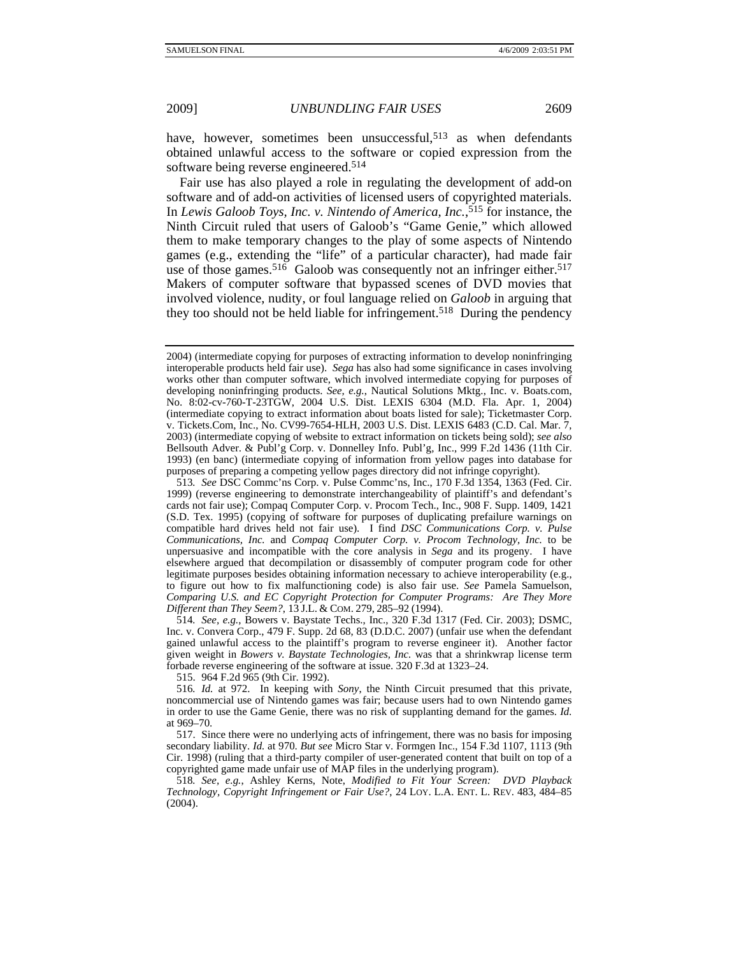have, however, sometimes been unsuccessful,<sup>513</sup> as when defendants obtained unlawful access to the software or copied expression from the software being reverse engineered.<sup>514</sup>

Fair use has also played a role in regulating the development of add-on software and of add-on activities of licensed users of copyrighted materials. In *Lewis Galoob Toys, Inc. v. Nintendo of America, Inc.*, 515 for instance, the Ninth Circuit ruled that users of Galoob's "Game Genie," which allowed them to make temporary changes to the play of some aspects of Nintendo games (e.g., extending the "life" of a particular character), had made fair use of those games.<sup>516</sup> Galoob was consequently not an infringer either.<sup>517</sup> Makers of computer software that bypassed scenes of DVD movies that involved violence, nudity, or foul language relied on *Galoob* in arguing that they too should not be held liable for infringement.518 During the pendency

514*. See, e.g.*, Bowers v. Baystate Techs., Inc., 320 F.3d 1317 (Fed. Cir. 2003); DSMC, Inc. v. Convera Corp., 479 F. Supp. 2d 68, 83 (D.D.C. 2007) (unfair use when the defendant gained unlawful access to the plaintiff's program to reverse engineer it). Another factor given weight in *Bowers v. Baystate Technologies, Inc.* was that a shrinkwrap license term forbade reverse engineering of the software at issue. 320 F.3d at 1323–24.

515. 964 F.2d 965 (9th Cir. 1992).

516*. Id.* at 972. In keeping with *Sony*, the Ninth Circuit presumed that this private, noncommercial use of Nintendo games was fair; because users had to own Nintendo games in order to use the Game Genie, there was no risk of supplanting demand for the games. *Id.* at 969–70.

 517. Since there were no underlying acts of infringement, there was no basis for imposing secondary liability. *Id.* at 970. *But see* Micro Star v. Formgen Inc., 154 F.3d 1107, 1113 (9th Cir. 1998) (ruling that a third-party compiler of user-generated content that built on top of a copyrighted game made unfair use of MAP files in the underlying program).

518*. See, e.g.*, Ashley Kerns, Note, *Modified to Fit Your Screen: DVD Playback Technology, Copyright Infringement or Fair Use?*, 24 LOY. L.A. ENT. L. REV. 483, 484–85 (2004).

<sup>2004) (</sup>intermediate copying for purposes of extracting information to develop noninfringing interoperable products held fair use). *Sega* has also had some significance in cases involving works other than computer software, which involved intermediate copying for purposes of developing noninfringing products. *See, e.g.*, Nautical Solutions Mktg., Inc. v. Boats.com, No. 8:02-cv-760-T-23TGW, 2004 U.S. Dist. LEXIS 6304 (M.D. Fla. Apr. 1, 2004) (intermediate copying to extract information about boats listed for sale); Ticketmaster Corp. v. Tickets.Com, Inc., No. CV99-7654-HLH, 2003 U.S. Dist. LEXIS 6483 (C.D. Cal. Mar. 7, 2003) (intermediate copying of website to extract information on tickets being sold); *see also* Bellsouth Adver. & Publ'g Corp. v. Donnelley Info. Publ'g, Inc., 999 F.2d 1436 (11th Cir. 1993) (en banc) (intermediate copying of information from yellow pages into database for purposes of preparing a competing yellow pages directory did not infringe copyright).

<sup>513</sup>*. See* DSC Commc'ns Corp. v. Pulse Commc'ns, Inc., 170 F.3d 1354, 1363 (Fed. Cir. 1999) (reverse engineering to demonstrate interchangeability of plaintiff's and defendant's cards not fair use); Compaq Computer Corp. v. Procom Tech., Inc., 908 F. Supp. 1409, 1421 (S.D. Tex. 1995) (copying of software for purposes of duplicating prefailure warnings on compatible hard drives held not fair use). I find *DSC Communications Corp. v. Pulse Communications, Inc.* and *Compaq Computer Corp. v. Procom Technology, Inc.* to be unpersuasive and incompatible with the core analysis in *Sega* and its progeny. I have elsewhere argued that decompilation or disassembly of computer program code for other legitimate purposes besides obtaining information necessary to achieve interoperability (e.g., to figure out how to fix malfunctioning code) is also fair use. *See* Pamela Samuelson, *Comparing U.S. and EC Copyright Protection for Computer Programs: Are They More Different than They Seem?*, 13 J.L. & COM. 279, 285–92 (1994).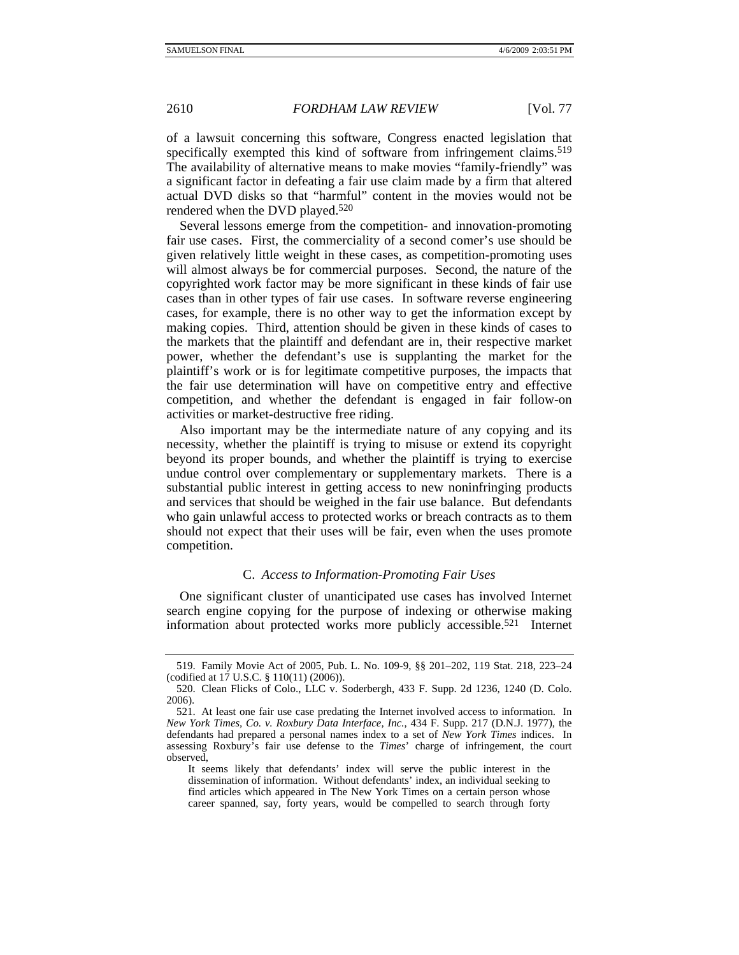of a lawsuit concerning this software, Congress enacted legislation that specifically exempted this kind of software from infringement claims.<sup>519</sup> The availability of alternative means to make movies "family-friendly" was a significant factor in defeating a fair use claim made by a firm that altered actual DVD disks so that "harmful" content in the movies would not be rendered when the DVD played.520

Several lessons emerge from the competition- and innovation-promoting fair use cases. First, the commerciality of a second comer's use should be given relatively little weight in these cases, as competition-promoting uses will almost always be for commercial purposes. Second, the nature of the copyrighted work factor may be more significant in these kinds of fair use cases than in other types of fair use cases. In software reverse engineering cases, for example, there is no other way to get the information except by making copies. Third, attention should be given in these kinds of cases to the markets that the plaintiff and defendant are in, their respective market power, whether the defendant's use is supplanting the market for the plaintiff's work or is for legitimate competitive purposes, the impacts that the fair use determination will have on competitive entry and effective competition, and whether the defendant is engaged in fair follow-on activities or market-destructive free riding.

Also important may be the intermediate nature of any copying and its necessity, whether the plaintiff is trying to misuse or extend its copyright beyond its proper bounds, and whether the plaintiff is trying to exercise undue control over complementary or supplementary markets. There is a substantial public interest in getting access to new noninfringing products and services that should be weighed in the fair use balance. But defendants who gain unlawful access to protected works or breach contracts as to them should not expect that their uses will be fair, even when the uses promote competition.

## C. *Access to Information-Promoting Fair Uses*

One significant cluster of unanticipated use cases has involved Internet search engine copying for the purpose of indexing or otherwise making information about protected works more publicly accessible.521 Internet

 <sup>519.</sup> Family Movie Act of 2005, Pub. L. No. 109-9, §§ 201–202, 119 Stat. 218, 223–24 (codified at 17 U.S.C. § 110(11) (2006)).

 <sup>520.</sup> Clean Flicks of Colo., LLC v. Soderbergh, 433 F. Supp. 2d 1236, 1240 (D. Colo. 2006).

 <sup>521.</sup> At least one fair use case predating the Internet involved access to information. In *New York Times, Co. v. Roxbury Data Interface, Inc.*, 434 F. Supp. 217 (D.N.J. 1977), the defendants had prepared a personal names index to a set of *New York Times* indices. In assessing Roxbury's fair use defense to the *Times*' charge of infringement, the court observed,

It seems likely that defendants' index will serve the public interest in the dissemination of information. Without defendants' index, an individual seeking to find articles which appeared in The New York Times on a certain person whose career spanned, say, forty years, would be compelled to search through forty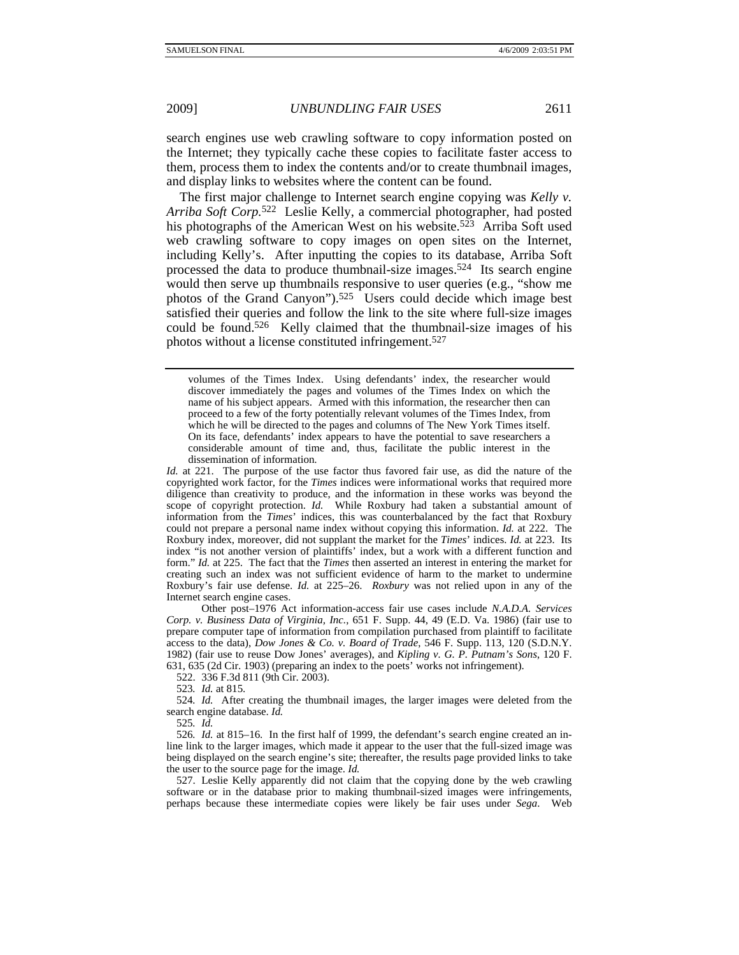search engines use web crawling software to copy information posted on the Internet; they typically cache these copies to facilitate faster access to them, process them to index the contents and/or to create thumbnail images, and display links to websites where the content can be found.

The first major challenge to Internet search engine copying was *Kelly v. Arriba Soft Corp.*522 Leslie Kelly, a commercial photographer, had posted his photographs of the American West on his website.<sup>523</sup> Arriba Soft used web crawling software to copy images on open sites on the Internet, including Kelly's. After inputting the copies to its database, Arriba Soft processed the data to produce thumbnail-size images.524 Its search engine would then serve up thumbnails responsive to user queries (e.g., "show me photos of the Grand Canyon").<sup>525</sup> Users could decide which image best satisfied their queries and follow the link to the site where full-size images could be found.526 Kelly claimed that the thumbnail-size images of his photos without a license constituted infringement.527

volumes of the Times Index. Using defendants' index, the researcher would discover immediately the pages and volumes of the Times Index on which the name of his subject appears. Armed with this information, the researcher then can proceed to a few of the forty potentially relevant volumes of the Times Index, from which he will be directed to the pages and columns of The New York Times itself. On its face, defendants' index appears to have the potential to save researchers a considerable amount of time and, thus, facilitate the public interest in the dissemination of information.

*Id.* at 221. The purpose of the use factor thus favored fair use, as did the nature of the copyrighted work factor, for the *Times* indices were informational works that required more diligence than creativity to produce, and the information in these works was beyond the scope of copyright protection. *Id.* While Roxbury had taken a substantial amount of information from the *Times*' indices, this was counterbalanced by the fact that Roxbury could not prepare a personal name index without copying this information. *Id.* at 222. The Roxbury index, moreover, did not supplant the market for the *Times*' indices. *Id.* at 223. Its index "is not another version of plaintiffs' index, but a work with a different function and form." *Id.* at 225. The fact that the *Times* then asserted an interest in entering the market for creating such an index was not sufficient evidence of harm to the market to undermine Roxbury's fair use defense. *Id.* at 225–26. *Roxbury* was not relied upon in any of the Internet search engine cases.

 Other post–1976 Act information-access fair use cases include *N.A.D.A. Services Corp. v. Business Data of Virginia, Inc.*, 651 F. Supp. 44, 49 (E.D. Va. 1986) (fair use to prepare computer tape of information from compilation purchased from plaintiff to facilitate access to the data), *Dow Jones & Co. v. Board of Trade*, 546 F. Supp. 113, 120 (S.D.N.Y. 1982) (fair use to reuse Dow Jones' averages), and *Kipling v. G. P. Putnam's Sons*, 120 F. 631, 635 (2d Cir. 1903) (preparing an index to the poets' works not infringement).

522. 336 F.3d 811 (9th Cir. 2003).

523*. Id.* at 815.

524*. Id.* After creating the thumbnail images, the larger images were deleted from the search engine database. *Id.*

525*. Id.*

526*. Id.* at 815–16. In the first half of 1999, the defendant's search engine created an inline link to the larger images, which made it appear to the user that the full-sized image was being displayed on the search engine's site; thereafter, the results page provided links to take the user to the source page for the image. *Id.*

 527. Leslie Kelly apparently did not claim that the copying done by the web crawling software or in the database prior to making thumbnail-sized images were infringements, perhaps because these intermediate copies were likely be fair uses under *Sega*. Web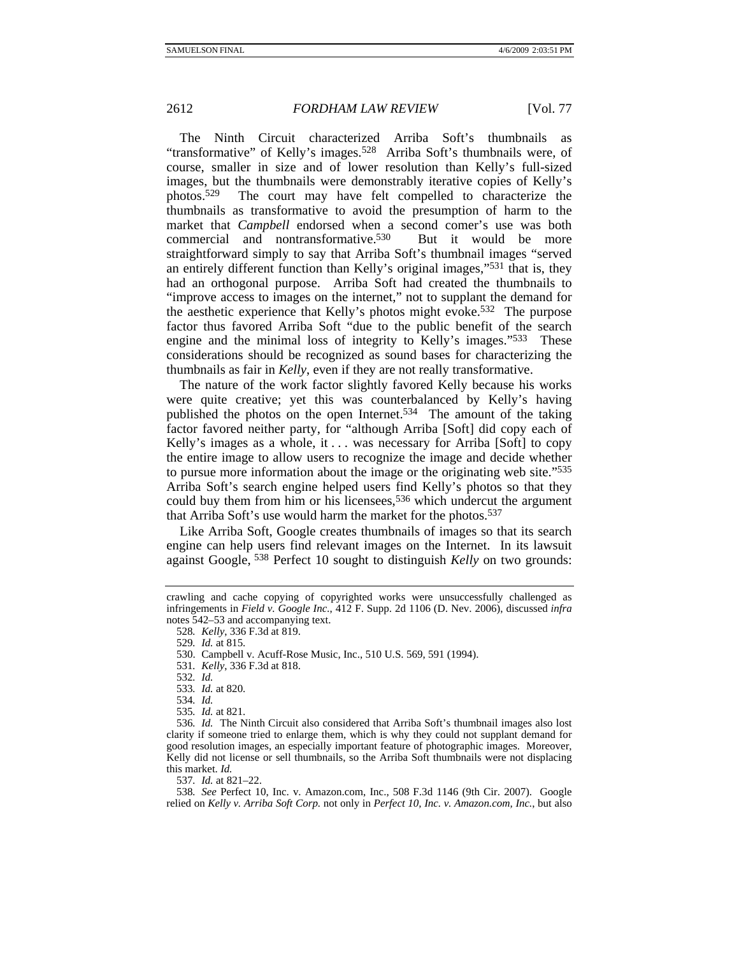The Ninth Circuit characterized Arriba Soft's thumbnails as "transformative" of Kelly's images.528 Arriba Soft's thumbnails were, of course, smaller in size and of lower resolution than Kelly's full-sized images, but the thumbnails were demonstrably iterative copies of Kelly's<br>photos.<sup>529</sup> The court may have felt compelled to characterize the The court may have felt compelled to characterize the thumbnails as transformative to avoid the presumption of harm to the market that *Campbell* endorsed when a second comer's use was both commercial and nontransformative.<sup>530</sup> But it would be more commercial and nontransformative.<sup>530</sup> straightforward simply to say that Arriba Soft's thumbnail images "served an entirely different function than Kelly's original images,"531 that is, they had an orthogonal purpose. Arriba Soft had created the thumbnails to "improve access to images on the internet," not to supplant the demand for the aesthetic experience that Kelly's photos might evoke.532 The purpose factor thus favored Arriba Soft "due to the public benefit of the search engine and the minimal loss of integrity to Kelly's images."533 These considerations should be recognized as sound bases for characterizing the thumbnails as fair in *Kelly*, even if they are not really transformative.

The nature of the work factor slightly favored Kelly because his works were quite creative; yet this was counterbalanced by Kelly's having published the photos on the open Internet.534 The amount of the taking factor favored neither party, for "although Arriba [Soft] did copy each of Kelly's images as a whole, it  $\dots$  was necessary for Arriba [Soft] to copy the entire image to allow users to recognize the image and decide whether to pursue more information about the image or the originating web site."535 Arriba Soft's search engine helped users find Kelly's photos so that they could buy them from him or his licensees,<sup>536</sup> which undercut the argument that Arriba Soft's use would harm the market for the photos.537

Like Arriba Soft, Google creates thumbnails of images so that its search engine can help users find relevant images on the Internet. In its lawsuit against Google, 538 Perfect 10 sought to distinguish *Kelly* on two grounds:

537*. Id.* at 821–22.

538*. See* Perfect 10, Inc. v. Amazon.com, Inc., 508 F.3d 1146 (9th Cir. 2007). Google relied on *Kelly v. Arriba Soft Corp.* not only in *Perfect 10, Inc. v. Amazon.com, Inc.*, but also

crawling and cache copying of copyrighted works were unsuccessfully challenged as infringements in *Field v. Google Inc.*, 412 F. Supp. 2d 1106 (D. Nev. 2006), discussed *infra* notes 542–53 and accompanying text.

<sup>528</sup>*. Kelly*, 336 F.3d at 819.

<sup>529</sup>*. Id.* at 815.

 <sup>530.</sup> Campbell v. Acuff-Rose Music, Inc., 510 U.S. 569, 591 (1994).

<sup>531</sup>*. Kelly*, 336 F.3d at 818.

<sup>532</sup>*. Id.*

<sup>533</sup>*. Id.* at 820.

<sup>534</sup>*. Id.*

<sup>535</sup>*. Id.* at 821.

<sup>536</sup>*. Id.* The Ninth Circuit also considered that Arriba Soft's thumbnail images also lost clarity if someone tried to enlarge them, which is why they could not supplant demand for good resolution images, an especially important feature of photographic images. Moreover, Kelly did not license or sell thumbnails, so the Arriba Soft thumbnails were not displacing this market. *Id.*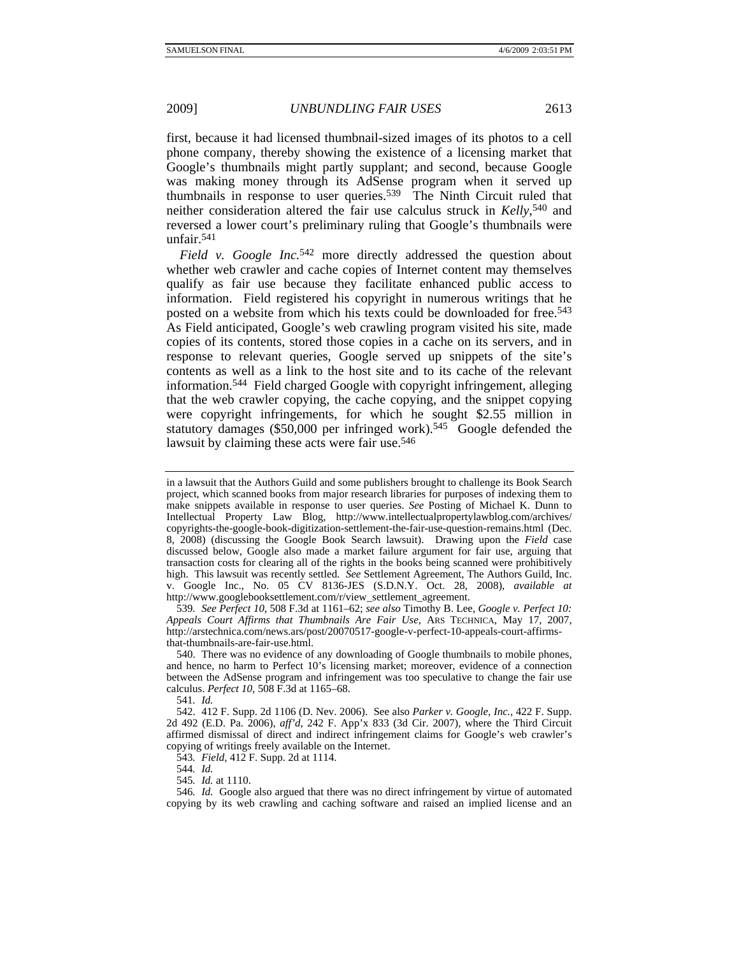first, because it had licensed thumbnail-sized images of its photos to a cell phone company, thereby showing the existence of a licensing market that Google's thumbnails might partly supplant; and second, because Google was making money through its AdSense program when it served up thumbnails in response to user queries.539 The Ninth Circuit ruled that neither consideration altered the fair use calculus struck in *Kelly*, 540 and reversed a lower court's preliminary ruling that Google's thumbnails were unfair.541

*Field v. Google Inc.*542 more directly addressed the question about whether web crawler and cache copies of Internet content may themselves qualify as fair use because they facilitate enhanced public access to information. Field registered his copyright in numerous writings that he posted on a website from which his texts could be downloaded for free.<sup>543</sup> As Field anticipated, Google's web crawling program visited his site, made copies of its contents, stored those copies in a cache on its servers, and in response to relevant queries, Google served up snippets of the site's contents as well as a link to the host site and to its cache of the relevant information.544 Field charged Google with copyright infringement, alleging that the web crawler copying, the cache copying, and the snippet copying were copyright infringements, for which he sought \$2.55 million in statutory damages (\$50,000 per infringed work).<sup>545</sup> Google defended the lawsuit by claiming these acts were fair use.<sup>546</sup>

in a lawsuit that the Authors Guild and some publishers brought to challenge its Book Search project, which scanned books from major research libraries for purposes of indexing them to make snippets available in response to user queries. *See* Posting of Michael K. Dunn to Intellectual Property Law Blog, http://www.intellectualpropertylawblog.com/archives/ copyrights-the-google-book-digitization-settlement-the-fair-use-question-remains.html (Dec. 8, 2008) (discussing the Google Book Search lawsuit). Drawing upon the *Field* case discussed below, Google also made a market failure argument for fair use, arguing that transaction costs for clearing all of the rights in the books being scanned were prohibitively high. This lawsuit was recently settled. *See* Settlement Agreement, The Authors Guild, Inc. v. Google Inc., No. 05 CV 8136-JES (S.D.N.Y. Oct. 28, 2008), *available at* http://www.googlebooksettlement.com/r/view\_settlement\_agreement.

539*. See Perfect 10*, 508 F.3d at 1161–62; *see also* Timothy B. Lee, *Google v. Perfect 10: Appeals Court Affirms that Thumbnails Are Fair Use*, ARS TECHNICA, May 17, 2007, http://arstechnica.com/news.ars/post/20070517-google-v-perfect-10-appeals-court-affirmsthat-thumbnails-are-fair-use.html.

 540. There was no evidence of any downloading of Google thumbnails to mobile phones, and hence, no harm to Perfect 10's licensing market; moreover, evidence of a connection between the AdSense program and infringement was too speculative to change the fair use calculus. *Perfect 10*, 508 F.3d at 1165–68.

541*. Id.*

 542. 412 F. Supp. 2d 1106 (D. Nev. 2006). See also *Parker v. Google, Inc.*, 422 F. Supp. 2d 492 (E.D. Pa. 2006), *aff'd*, 242 F. App'x 833 (3d Cir. 2007), where the Third Circuit affirmed dismissal of direct and indirect infringement claims for Google's web crawler's copying of writings freely available on the Internet.

543*. Field*, 412 F. Supp. 2d at 1114.

544*. Id.*

545*. Id.* at 1110.

546*. Id.* Google also argued that there was no direct infringement by virtue of automated copying by its web crawling and caching software and raised an implied license and an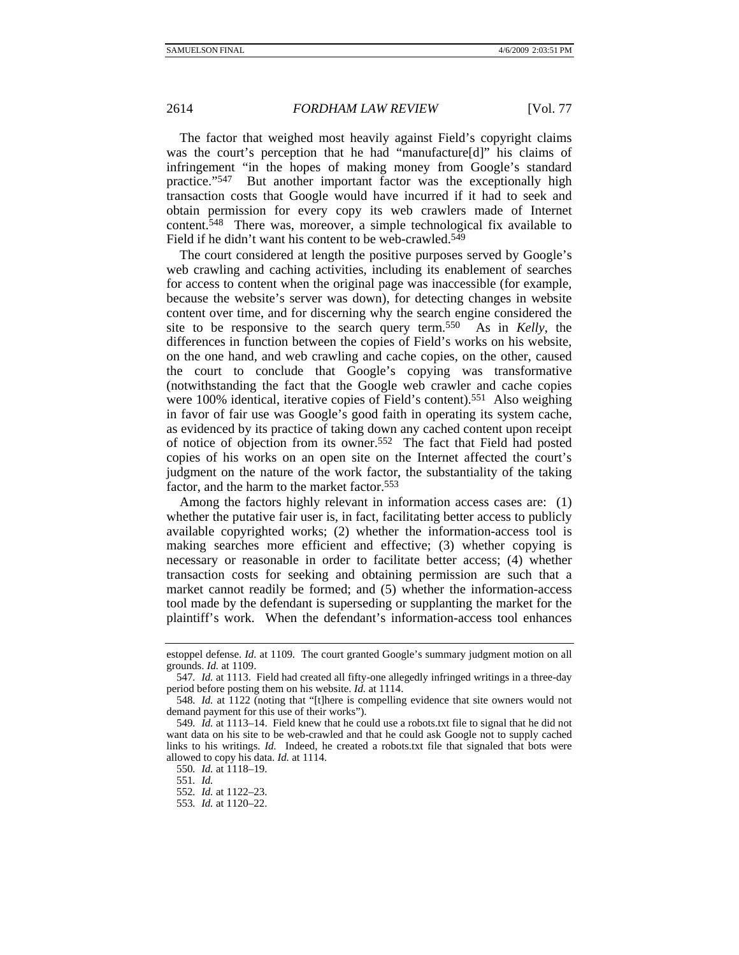The factor that weighed most heavily against Field's copyright claims was the court's perception that he had "manufacture[d]" his claims of infringement "in the hopes of making money from Google's standard practice."547 But another important factor was the exceptionally high transaction costs that Google would have incurred if it had to seek and obtain permission for every copy its web crawlers made of Internet content.548 There was, moreover, a simple technological fix available to Field if he didn't want his content to be web-crawled.<sup>549</sup>

The court considered at length the positive purposes served by Google's web crawling and caching activities, including its enablement of searches for access to content when the original page was inaccessible (for example, because the website's server was down), for detecting changes in website content over time, and for discerning why the search engine considered the site to be responsive to the search query term.550 As in *Kelly*, the differences in function between the copies of Field's works on his website, on the one hand, and web crawling and cache copies, on the other, caused the court to conclude that Google's copying was transformative (notwithstanding the fact that the Google web crawler and cache copies were 100% identical, iterative copies of Field's content).551 Also weighing in favor of fair use was Google's good faith in operating its system cache, as evidenced by its practice of taking down any cached content upon receipt of notice of objection from its owner.552 The fact that Field had posted copies of his works on an open site on the Internet affected the court's judgment on the nature of the work factor, the substantiality of the taking factor, and the harm to the market factor.553

Among the factors highly relevant in information access cases are: (1) whether the putative fair user is, in fact, facilitating better access to publicly available copyrighted works; (2) whether the information-access tool is making searches more efficient and effective; (3) whether copying is necessary or reasonable in order to facilitate better access; (4) whether transaction costs for seeking and obtaining permission are such that a market cannot readily be formed; and (5) whether the information-access tool made by the defendant is superseding or supplanting the market for the plaintiff's work. When the defendant's information-access tool enhances

estoppel defense. *Id.* at 1109. The court granted Google's summary judgment motion on all grounds. *Id.* at 1109.

<sup>547</sup>*. Id.* at 1113. Field had created all fifty-one allegedly infringed writings in a three-day period before posting them on his website. *Id.* at 1114.

<sup>548</sup>*. Id.* at 1122 (noting that "[t]here is compelling evidence that site owners would not demand payment for this use of their works").

<sup>549</sup>*. Id.* at 1113–14. Field knew that he could use a robots.txt file to signal that he did not want data on his site to be web-crawled and that he could ask Google not to supply cached links to his writings. *Id.* Indeed, he created a robots.txt file that signaled that bots were allowed to copy his data. *Id.* at 1114.

<sup>550</sup>*. Id.* at 1118–19.

<sup>551</sup>*. Id.*

<sup>552</sup>*. Id.* at 1122–23.

<sup>553</sup>*. Id.* at 1120–22.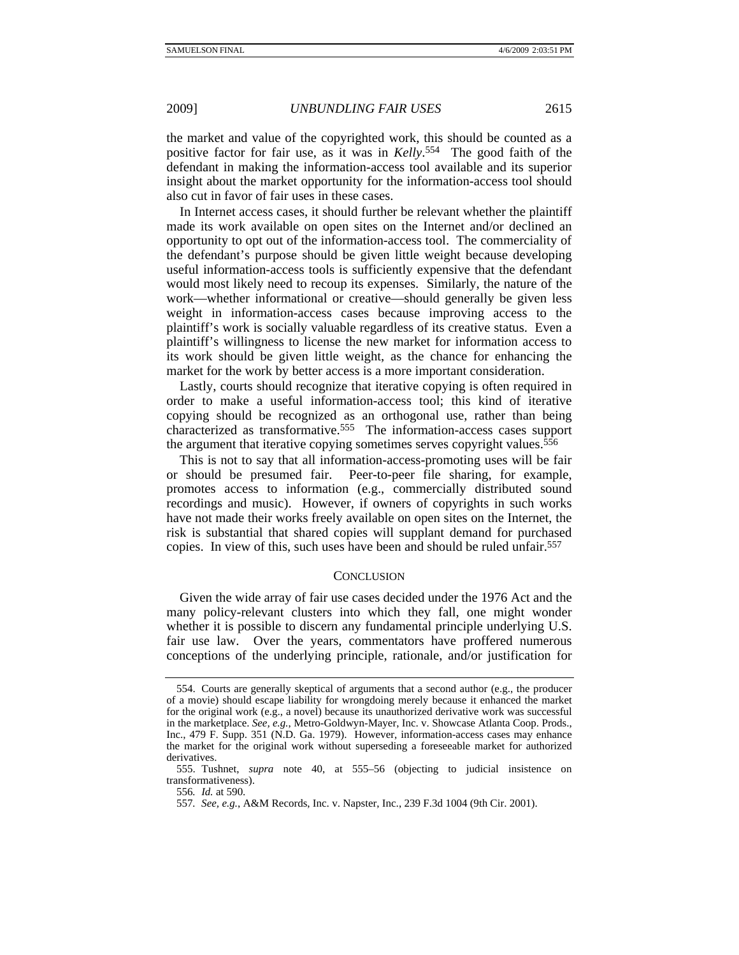the market and value of the copyrighted work, this should be counted as a positive factor for fair use, as it was in *Kelly*. 554 The good faith of the defendant in making the information-access tool available and its superior insight about the market opportunity for the information-access tool should also cut in favor of fair uses in these cases.

In Internet access cases, it should further be relevant whether the plaintiff made its work available on open sites on the Internet and/or declined an opportunity to opt out of the information-access tool. The commerciality of the defendant's purpose should be given little weight because developing useful information-access tools is sufficiently expensive that the defendant would most likely need to recoup its expenses. Similarly, the nature of the work—whether informational or creative—should generally be given less weight in information-access cases because improving access to the plaintiff's work is socially valuable regardless of its creative status. Even a plaintiff's willingness to license the new market for information access to its work should be given little weight, as the chance for enhancing the market for the work by better access is a more important consideration.

Lastly, courts should recognize that iterative copying is often required in order to make a useful information-access tool; this kind of iterative copying should be recognized as an orthogonal use, rather than being characterized as transformative.555 The information-access cases support the argument that iterative copying sometimes serves copyright values.556

This is not to say that all information-access-promoting uses will be fair or should be presumed fair. Peer-to-peer file sharing, for example, promotes access to information (e.g., commercially distributed sound recordings and music). However, if owners of copyrights in such works have not made their works freely available on open sites on the Internet, the risk is substantial that shared copies will supplant demand for purchased copies. In view of this, such uses have been and should be ruled unfair.557

## **CONCLUSION**

Given the wide array of fair use cases decided under the 1976 Act and the many policy-relevant clusters into which they fall, one might wonder whether it is possible to discern any fundamental principle underlying U.S. fair use law. Over the years, commentators have proffered numerous conceptions of the underlying principle, rationale, and/or justification for

 <sup>554.</sup> Courts are generally skeptical of arguments that a second author (e.g., the producer of a movie) should escape liability for wrongdoing merely because it enhanced the market for the original work (e.g., a novel) because its unauthorized derivative work was successful in the marketplace. *See, e.g.*, Metro-Goldwyn-Mayer, Inc. v. Showcase Atlanta Coop. Prods., Inc., 479 F. Supp. 351 (N.D. Ga. 1979). However, information-access cases may enhance the market for the original work without superseding a foreseeable market for authorized derivatives.

 <sup>555.</sup> Tushnet, *supra* note 40, at 555–56 (objecting to judicial insistence on transformativeness).

<sup>556</sup>*. Id.* at 590.

<sup>557</sup>*. See, e.g.*, A&M Records, Inc. v. Napster, Inc., 239 F.3d 1004 (9th Cir. 2001).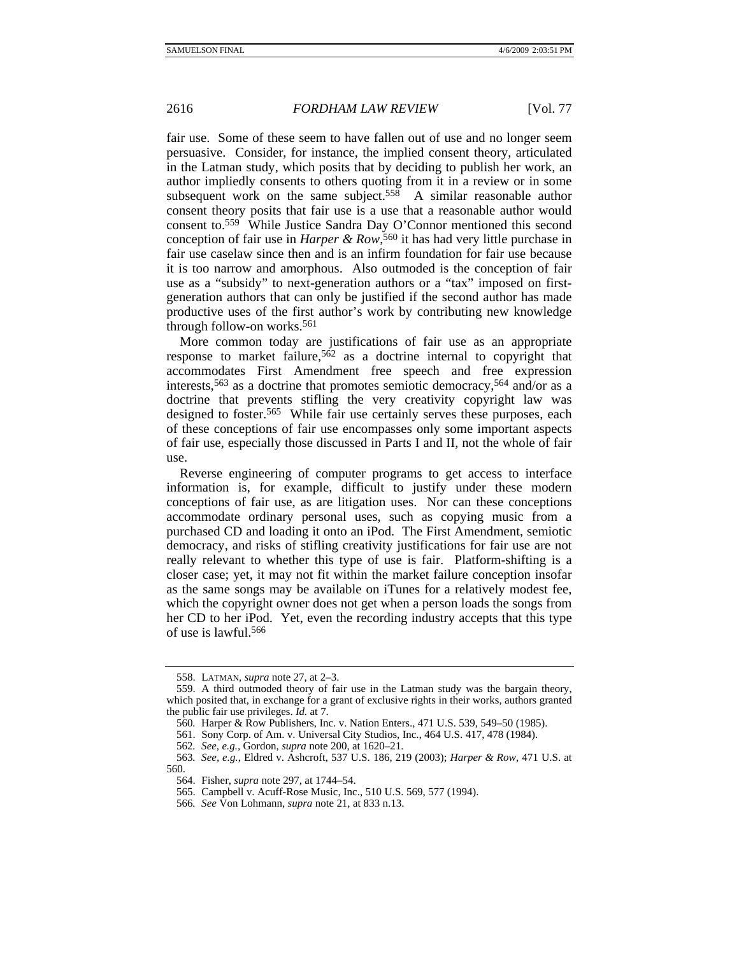fair use. Some of these seem to have fallen out of use and no longer seem persuasive. Consider, for instance, the implied consent theory, articulated in the Latman study, which posits that by deciding to publish her work, an author impliedly consents to others quoting from it in a review or in some subsequent work on the same subject.<sup>558</sup> A similar reasonable author consent theory posits that fair use is a use that a reasonable author would consent to.559 While Justice Sandra Day O'Connor mentioned this second conception of fair use in *Harper & Row*, 560 it has had very little purchase in fair use caselaw since then and is an infirm foundation for fair use because it is too narrow and amorphous. Also outmoded is the conception of fair use as a "subsidy" to next-generation authors or a "tax" imposed on firstgeneration authors that can only be justified if the second author has made productive uses of the first author's work by contributing new knowledge through follow-on works.561

More common today are justifications of fair use as an appropriate response to market failure,562 as a doctrine internal to copyright that accommodates First Amendment free speech and free expression interests,563 as a doctrine that promotes semiotic democracy,564 and/or as a doctrine that prevents stifling the very creativity copyright law was designed to foster.<sup>565</sup> While fair use certainly serves these purposes, each of these conceptions of fair use encompasses only some important aspects of fair use, especially those discussed in Parts I and II, not the whole of fair use.

Reverse engineering of computer programs to get access to interface information is, for example, difficult to justify under these modern conceptions of fair use, as are litigation uses. Nor can these conceptions accommodate ordinary personal uses, such as copying music from a purchased CD and loading it onto an iPod. The First Amendment, semiotic democracy, and risks of stifling creativity justifications for fair use are not really relevant to whether this type of use is fair. Platform-shifting is a closer case; yet, it may not fit within the market failure conception insofar as the same songs may be available on iTunes for a relatively modest fee, which the copyright owner does not get when a person loads the songs from her CD to her iPod. Yet, even the recording industry accepts that this type of use is lawful.566

 <sup>558.</sup> LATMAN, *supra* note 27, at 2–3.

 <sup>559.</sup> A third outmoded theory of fair use in the Latman study was the bargain theory, which posited that, in exchange for a grant of exclusive rights in their works, authors granted the public fair use privileges. *Id.* at 7.

<sup>560</sup>*.* Harper & Row Publishers, Inc. v. Nation Enters., 471 U.S. 539, 549–50 (1985).

 <sup>561.</sup> Sony Corp. of Am. v. Universal City Studios, Inc., 464 U.S. 417, 478 (1984).

<sup>562</sup>*. See, e.g.*, Gordon, *supra* note 200, at 1620–21.

<sup>563</sup>*. See, e.g.*, Eldred v. Ashcroft, 537 U.S. 186, 219 (2003); *Harper & Row*, 471 U.S. at 560.

 <sup>564.</sup> Fisher, *supra* note 297, at 1744–54.

 <sup>565.</sup> Campbell v. Acuff-Rose Music, Inc., 510 U.S. 569, 577 (1994).

<sup>566</sup>*. See* Von Lohmann, *supra* note 21, at 833 n.13.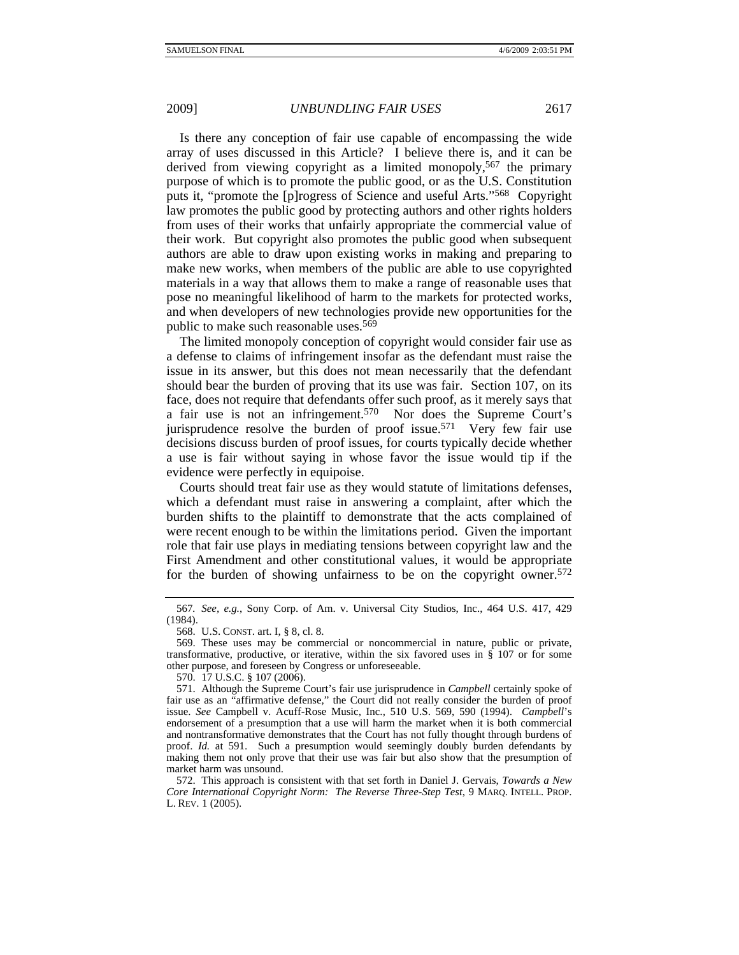Is there any conception of fair use capable of encompassing the wide array of uses discussed in this Article? I believe there is, and it can be derived from viewing copyright as a limited monopoly,<sup>567</sup> the primary purpose of which is to promote the public good, or as the U.S. Constitution puts it, "promote the [p]rogress of Science and useful Arts."568 Copyright law promotes the public good by protecting authors and other rights holders from uses of their works that unfairly appropriate the commercial value of their work. But copyright also promotes the public good when subsequent authors are able to draw upon existing works in making and preparing to make new works, when members of the public are able to use copyrighted materials in a way that allows them to make a range of reasonable uses that pose no meaningful likelihood of harm to the markets for protected works, and when developers of new technologies provide new opportunities for the public to make such reasonable uses.569

The limited monopoly conception of copyright would consider fair use as a defense to claims of infringement insofar as the defendant must raise the issue in its answer, but this does not mean necessarily that the defendant should bear the burden of proving that its use was fair. Section 107, on its face, does not require that defendants offer such proof, as it merely says that a fair use is not an infringement.570 Nor does the Supreme Court's jurisprudence resolve the burden of proof issue.<sup>571</sup> Very few fair use decisions discuss burden of proof issues, for courts typically decide whether a use is fair without saying in whose favor the issue would tip if the evidence were perfectly in equipoise.

Courts should treat fair use as they would statute of limitations defenses, which a defendant must raise in answering a complaint, after which the burden shifts to the plaintiff to demonstrate that the acts complained of were recent enough to be within the limitations period. Given the important role that fair use plays in mediating tensions between copyright law and the First Amendment and other constitutional values, it would be appropriate for the burden of showing unfairness to be on the copyright owner.572

570. 17 U.S.C. § 107 (2006).

 572. This approach is consistent with that set forth in Daniel J. Gervais, *Towards a New Core International Copyright Norm: The Reverse Three-Step Test*, 9 MARQ. INTELL. PROP. L. REV. 1 (2005).

<sup>567</sup>*. See, e.g.*, Sony Corp. of Am. v. Universal City Studios, Inc., 464 U.S. 417, 429 (1984).

 <sup>568.</sup> U.S. CONST. art. I, § 8, cl. 8.

 <sup>569.</sup> These uses may be commercial or noncommercial in nature, public or private, transformative, productive, or iterative, within the six favored uses in § 107 or for some other purpose, and foreseen by Congress or unforeseeable.

 <sup>571.</sup> Although the Supreme Court's fair use jurisprudence in *Campbell* certainly spoke of fair use as an "affirmative defense," the Court did not really consider the burden of proof issue. *See* Campbell v. Acuff-Rose Music, Inc., 510 U.S. 569, 590 (1994). *Campbell*'s endorsement of a presumption that a use will harm the market when it is both commercial and nontransformative demonstrates that the Court has not fully thought through burdens of proof. *Id.* at 591. Such a presumption would seemingly doubly burden defendants by making them not only prove that their use was fair but also show that the presumption of market harm was unsound.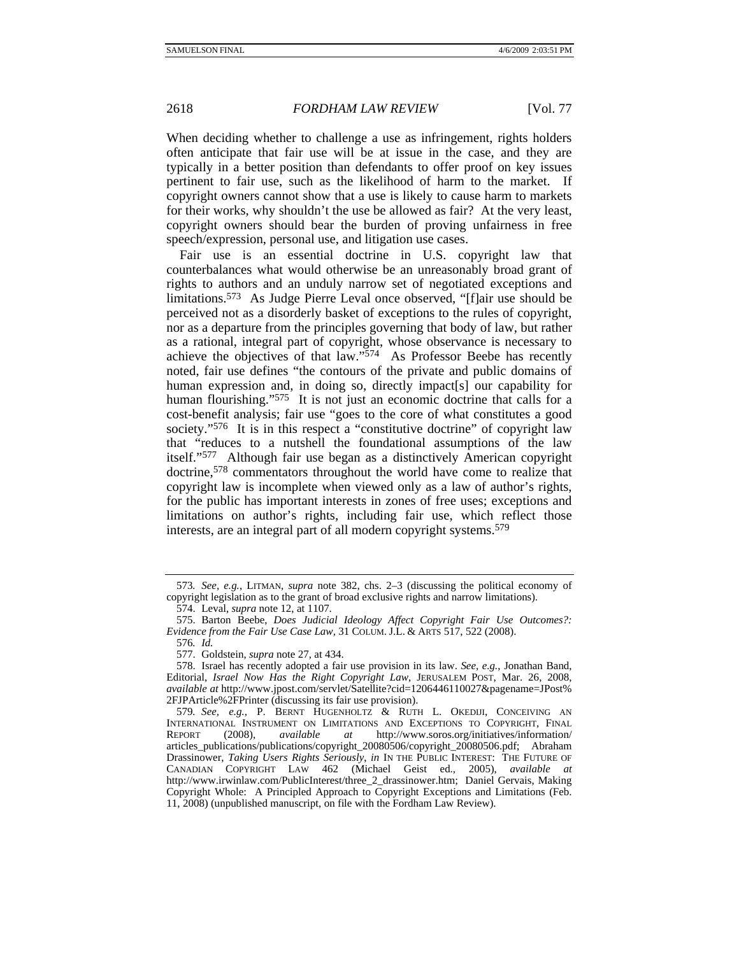When deciding whether to challenge a use as infringement, rights holders often anticipate that fair use will be at issue in the case, and they are typically in a better position than defendants to offer proof on key issues pertinent to fair use, such as the likelihood of harm to the market. If copyright owners cannot show that a use is likely to cause harm to markets for their works, why shouldn't the use be allowed as fair? At the very least, copyright owners should bear the burden of proving unfairness in free speech/expression, personal use, and litigation use cases.

Fair use is an essential doctrine in U.S. copyright law that counterbalances what would otherwise be an unreasonably broad grant of rights to authors and an unduly narrow set of negotiated exceptions and limitations.573 As Judge Pierre Leval once observed, "[f]air use should be perceived not as a disorderly basket of exceptions to the rules of copyright, nor as a departure from the principles governing that body of law, but rather as a rational, integral part of copyright, whose observance is necessary to achieve the objectives of that law."574 As Professor Beebe has recently noted, fair use defines "the contours of the private and public domains of human expression and, in doing so, directly impact[s] our capability for human flourishing."<sup>575</sup> It is not just an economic doctrine that calls for a cost-benefit analysis; fair use "goes to the core of what constitutes a good society."<sup>576</sup> It is in this respect a "constitutive doctrine" of copyright law that "reduces to a nutshell the foundational assumptions of the law itself."577 Although fair use began as a distinctively American copyright doctrine,578 commentators throughout the world have come to realize that copyright law is incomplete when viewed only as a law of author's rights, for the public has important interests in zones of free uses; exceptions and limitations on author's rights, including fair use, which reflect those interests, are an integral part of all modern copyright systems.579

<sup>573</sup>*. See, e.g.*, LITMAN, *supra* note 382, chs. 2–3 (discussing the political economy of copyright legislation as to the grant of broad exclusive rights and narrow limitations).

 <sup>574.</sup> Leval, *supra* note 12, at 1107.

 <sup>575.</sup> Barton Beebe, *Does Judicial Ideology Affect Copyright Fair Use Outcomes?: Evidence from the Fair Use Case Law,* 31 COLUM. J.L. & ARTS 517, 522 (2008).

<sup>576</sup>*. Id.*

 <sup>577.</sup> Goldstein, *supra* note 27, at 434.

 <sup>578.</sup> Israel has recently adopted a fair use provision in its law. *See, e.g.*, Jonathan Band, Editorial, *Israel Now Has the Right Copyright Law*, JERUSALEM POST, Mar. 26, 2008, *available at* http://www.jpost.com/servlet/Satellite?cid=1206446110027&pagename=JPost% 2FJPArticle%2FPrinter (discussing its fair use provision).

<sup>579</sup>*. See, e.g.*, P. BERNT HUGENHOLTZ & RUTH L. OKEDIJI, CONCEIVING AN INTERNATIONAL INSTRUMENT ON LIMITATIONS AND EXCEPTIONS TO COPYRIGHT, FINAL REPORT (2008), *available at* http://www.soros.org/initiatives/information/ REPORT (2008), *available at* http://www.soros.org/initiatives/information/ articles\_publications/publications/copyright\_20080506/copyright\_20080506.pdf; Abraham Drassinower, *Taking Users Rights Seriously*, *in* IN THE PUBLIC INTEREST: THE FUTURE OF CANADIAN COPYRIGHT LAW 462 (Michael Geist ed., 2005), *available at* http://www.irwinlaw.com/PublicInterest/three\_2\_drassinower.htm; Daniel Gervais, Making Copyright Whole: A Principled Approach to Copyright Exceptions and Limitations (Feb. 11, 2008) (unpublished manuscript, on file with the Fordham Law Review).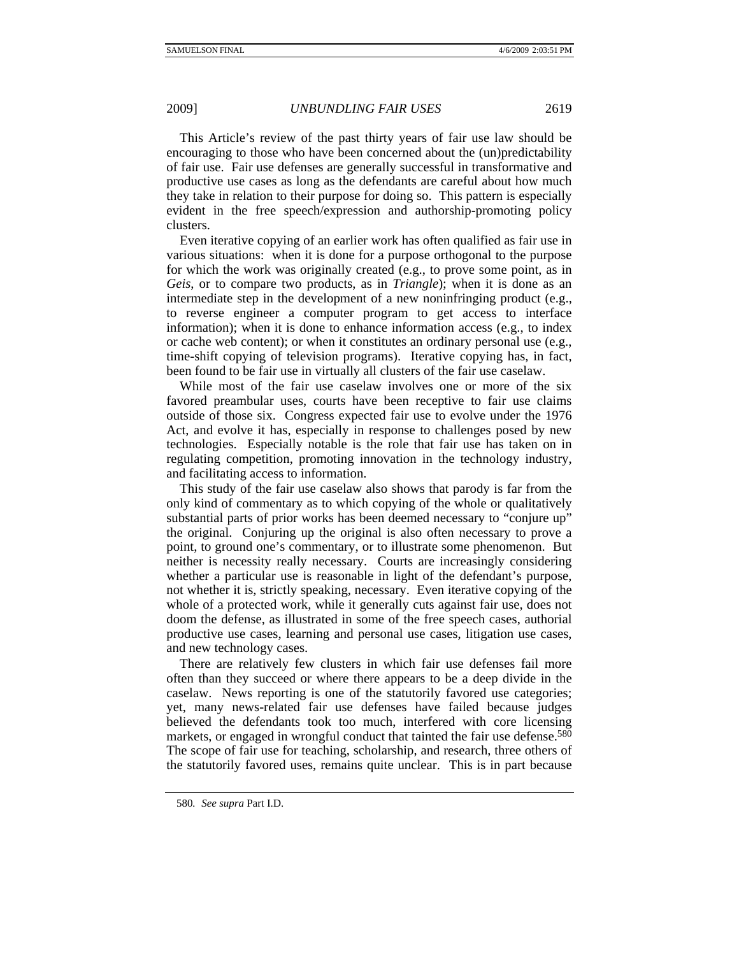This Article's review of the past thirty years of fair use law should be encouraging to those who have been concerned about the (un)predictability of fair use. Fair use defenses are generally successful in transformative and productive use cases as long as the defendants are careful about how much they take in relation to their purpose for doing so. This pattern is especially evident in the free speech/expression and authorship-promoting policy clusters.

Even iterative copying of an earlier work has often qualified as fair use in various situations: when it is done for a purpose orthogonal to the purpose for which the work was originally created (e.g., to prove some point, as in *Geis*, or to compare two products, as in *Triangle*); when it is done as an intermediate step in the development of a new noninfringing product (e.g., to reverse engineer a computer program to get access to interface information); when it is done to enhance information access (e.g., to index or cache web content); or when it constitutes an ordinary personal use (e.g., time-shift copying of television programs). Iterative copying has, in fact, been found to be fair use in virtually all clusters of the fair use caselaw.

While most of the fair use caselaw involves one or more of the six favored preambular uses, courts have been receptive to fair use claims outside of those six. Congress expected fair use to evolve under the 1976 Act, and evolve it has, especially in response to challenges posed by new technologies. Especially notable is the role that fair use has taken on in regulating competition, promoting innovation in the technology industry, and facilitating access to information.

This study of the fair use caselaw also shows that parody is far from the only kind of commentary as to which copying of the whole or qualitatively substantial parts of prior works has been deemed necessary to "conjure up" the original. Conjuring up the original is also often necessary to prove a point, to ground one's commentary, or to illustrate some phenomenon. But neither is necessity really necessary. Courts are increasingly considering whether a particular use is reasonable in light of the defendant's purpose, not whether it is, strictly speaking, necessary. Even iterative copying of the whole of a protected work, while it generally cuts against fair use, does not doom the defense, as illustrated in some of the free speech cases, authorial productive use cases, learning and personal use cases, litigation use cases, and new technology cases.

There are relatively few clusters in which fair use defenses fail more often than they succeed or where there appears to be a deep divide in the caselaw. News reporting is one of the statutorily favored use categories; yet, many news-related fair use defenses have failed because judges believed the defendants took too much, interfered with core licensing markets, or engaged in wrongful conduct that tainted the fair use defense.<sup>580</sup> The scope of fair use for teaching, scholarship, and research, three others of the statutorily favored uses, remains quite unclear. This is in part because

<sup>580</sup>*. See supra* Part I.D.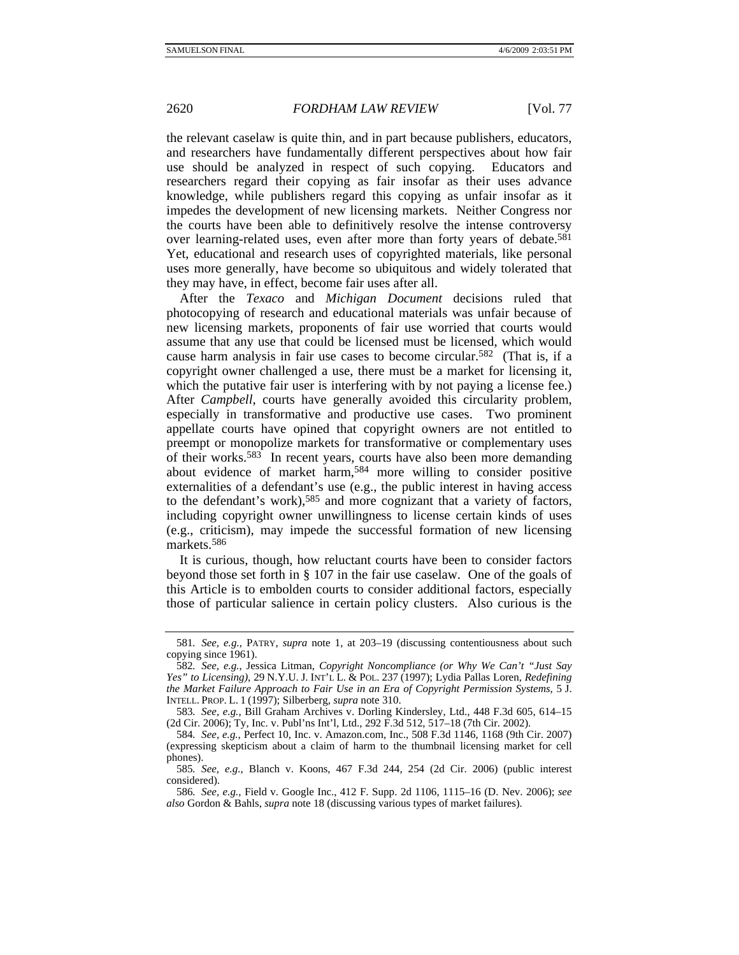the relevant caselaw is quite thin, and in part because publishers, educators, and researchers have fundamentally different perspectives about how fair use should be analyzed in respect of such copying. Educators and researchers regard their copying as fair insofar as their uses advance knowledge, while publishers regard this copying as unfair insofar as it impedes the development of new licensing markets. Neither Congress nor the courts have been able to definitively resolve the intense controversy over learning-related uses, even after more than forty years of debate.<sup>581</sup> Yet, educational and research uses of copyrighted materials, like personal uses more generally, have become so ubiquitous and widely tolerated that they may have, in effect, become fair uses after all.

After the *Texaco* and *Michigan Document* decisions ruled that photocopying of research and educational materials was unfair because of new licensing markets, proponents of fair use worried that courts would assume that any use that could be licensed must be licensed, which would cause harm analysis in fair use cases to become circular.582 (That is, if a copyright owner challenged a use, there must be a market for licensing it, which the putative fair user is interfering with by not paying a license fee.) After *Campbell*, courts have generally avoided this circularity problem, especially in transformative and productive use cases. Two prominent appellate courts have opined that copyright owners are not entitled to preempt or monopolize markets for transformative or complementary uses of their works.583 In recent years, courts have also been more demanding about evidence of market harm,584 more willing to consider positive externalities of a defendant's use (e.g., the public interest in having access to the defendant's work),585 and more cognizant that a variety of factors, including copyright owner unwillingness to license certain kinds of uses (e.g., criticism), may impede the successful formation of new licensing markets.586

It is curious, though, how reluctant courts have been to consider factors beyond those set forth in § 107 in the fair use caselaw. One of the goals of this Article is to embolden courts to consider additional factors, especially those of particular salience in certain policy clusters. Also curious is the

<sup>581</sup>*. See, e.g.*, PATRY, *supra* note 1, at 203–19 (discussing contentiousness about such copying since 1961).

<sup>582</sup>*. See, e.g.*, Jessica Litman, *Copyright Noncompliance (or Why We Can't "Just Say Yes" to Licensing)*, 29 N.Y.U. J. INT'L L. & POL. 237 (1997); Lydia Pallas Loren, *Redefining the Market Failure Approach to Fair Use in an Era of Copyright Permission Systems*, 5 J. INTELL. PROP. L. 1 (1997); Silberberg, *supra* note 310.

<sup>583</sup>*. See, e.g.*, Bill Graham Archives v. Dorling Kindersley, Ltd., 448 F.3d 605, 614–15 (2d Cir. 2006); Ty, Inc. v. Publ'ns Int'l, Ltd., 292 F.3d 512, 517–18 (7th Cir. 2002).

<sup>584</sup>*. See, e.g.*, Perfect 10, Inc. v. Amazon.com, Inc., 508 F.3d 1146, 1168 (9th Cir. 2007) (expressing skepticism about a claim of harm to the thumbnail licensing market for cell phones).

<sup>585</sup>*. See, e.g.*, Blanch v. Koons, 467 F.3d 244, 254 (2d Cir. 2006) (public interest considered).

<sup>586</sup>*. See, e.g.*, Field v. Google Inc., 412 F. Supp. 2d 1106, 1115–16 (D. Nev. 2006); *see also* Gordon & Bahls, *supra* note 18 (discussing various types of market failures).